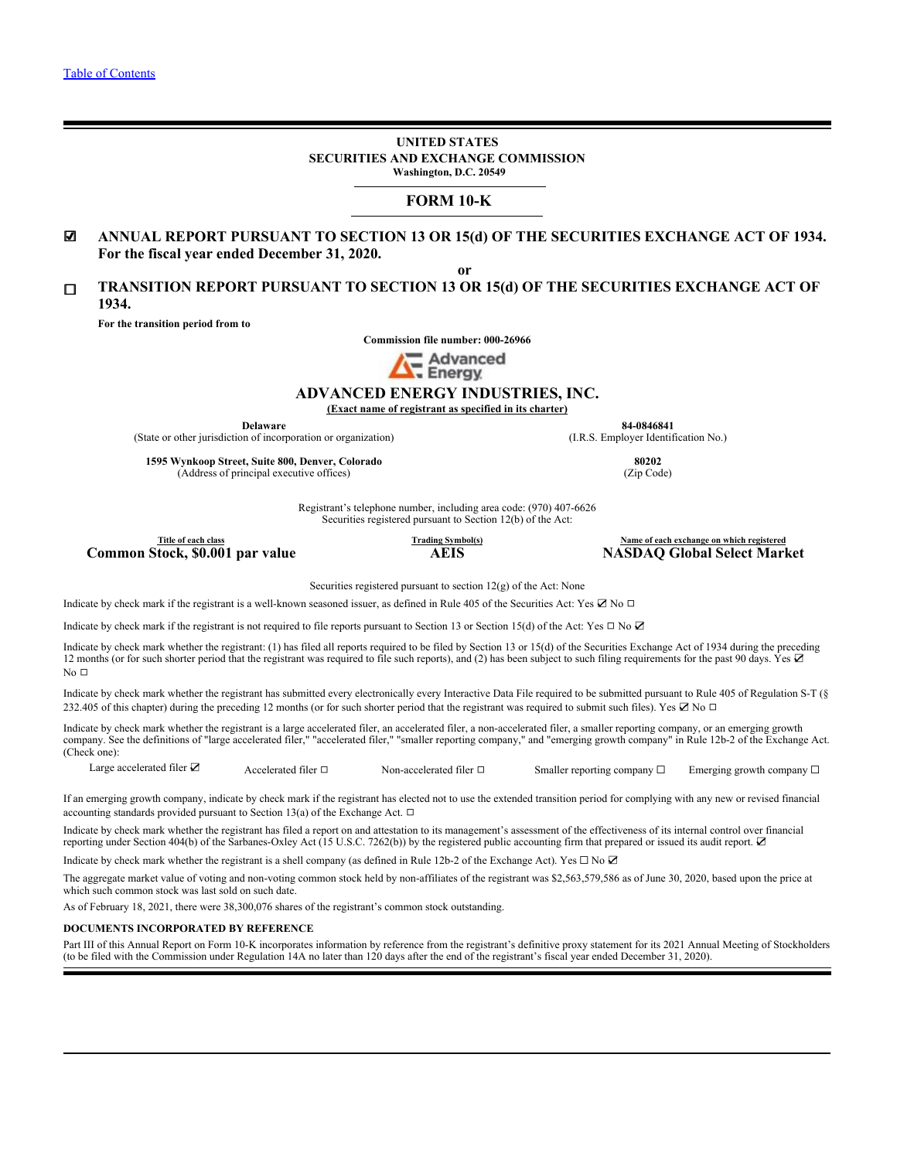# **UNITED STATES SECURITIES AND EXCHANGE COMMISSION Washington, D.C. 20549**

# **FORM 10-K**

# ☑ **ANNUAL REPORT PURSUANT TO SECTION 13 OR 15(d) OF THE SECURITIES EXCHANGE ACT OF 1934. For the fiscal year ended December 31, 2020.**

**or**

# ☐ **TRANSITION REPORT PURSUANT TO SECTION 13 OR 15(d) OF THE SECURITIES EXCHANGE ACT OF 1934.**

**For the transition period from to**

**Commission file number: 000-26966**

**Advanced** Energy

# **ADVANCED ENERGY INDUSTRIES, INC.**

**(Exact name of registrant as specified in its charter)**

**Delaware 84-0846841**

(State or other jurisdiction of incorporation or organization) (I.R.S. Employer Identification No.)

**1595 Wynkoop Street, Suite 800, Denver, Colorado 80202** (Address of principal executive offices)

Registrant's telephone number, including area code: (970) 407-6626 Securities registered pursuant to Section 12(b) of the Act:

**Title of each class Name of each exchange on which registered Trading Symbol(s) Name of each exchange on which registered Common Stock, \$0.001 par value AEIS NASDAQ Global Select Market**

Securities registered pursuant to section 12(g) of the Act: None

Indicate by check mark if the registrant is a well-known seasoned issuer, as defined in Rule 405 of the Securities Act: Yes  $\boxtimes$  No  $\Box$ 

Indicate by check mark if the registrant is not required to file reports pursuant to Section 13 or Section 15(d) of the Act: Yes □ No ☑

Indicate by check mark whether the registrant: (1) has filed all reports required to be filed by Section 13 or 15(d) of the Securities Exchange Act of 1934 during the preceding 12 months (or for such shorter period that the registrant was required to file such reports), and (2) has been subject to such filing requirements for the past 90 days. Yes ☑  $N$ o  $\Box$ 

Indicate by check mark whether the registrant has submitted every electronically every Interactive Data File required to be submitted pursuant to Rule 405 of Regulation S-T (§ 232.405 of this chapter) during the preceding 12 months (or for such shorter period that the registrant was required to submit such files). Yes  $\boxtimes$  No □

Indicate by check mark whether the registrant is a large accelerated filer, an accelerated filer, a non-accelerated filer, a smaller reporting company, or an emerging growth company. See the definitions of "large accelerated filer," "accelerated filer," "smaller reporting company," and "emerging growth company" in Rule 12b-2 of the Exchange Act. (Check one):

Large accelerated filer **☑** Accelerated filer **□** Non-accelerated filer □ Smaller reporting company □ Emerging growth company □

If an emerging growth company, indicate by check mark if the registrant has elected not to use the extended transition period for complying with any new or revised financial accounting standards provided pursuant to Section 13(a) of the Exchange Act.  $\Box$ 

Indicate by check mark whether the registrant has filed a report on and attestation to its management's assessment of the effectiveness of its internal control over financial reporting under Section 404(b) of the Sarbanes-Oxley Act (15 U.S.C. 7262(b)) by the registered public accounting firm that prepared or issued its audit report. ☑

Indicate by check mark whether the registrant is a shell company (as defined in Rule 12b-2 of the Exchange Act). Yes ☐ No ☑

The aggregate market value of voting and non-voting common stock held by non-affiliates of the registrant was \$2,563,579,586 as of June 30, 2020, based upon the price at which such common stock was last sold on such date.

As of February 18, 2021, there were 38,300,076 shares of the registrant's common stock outstanding.

### **DOCUMENTS INCORPORATED BY REFERENCE**

Part III of this Annual Report on Form 10-K incorporates information by reference from the registrant's definitive proxy statement for its 2021 Annual Meeting of Stockholders (to be filed with the Commission under Regulation 14A no later than 120 days after the end of the registrant's fiscal year ended December 31, 2020).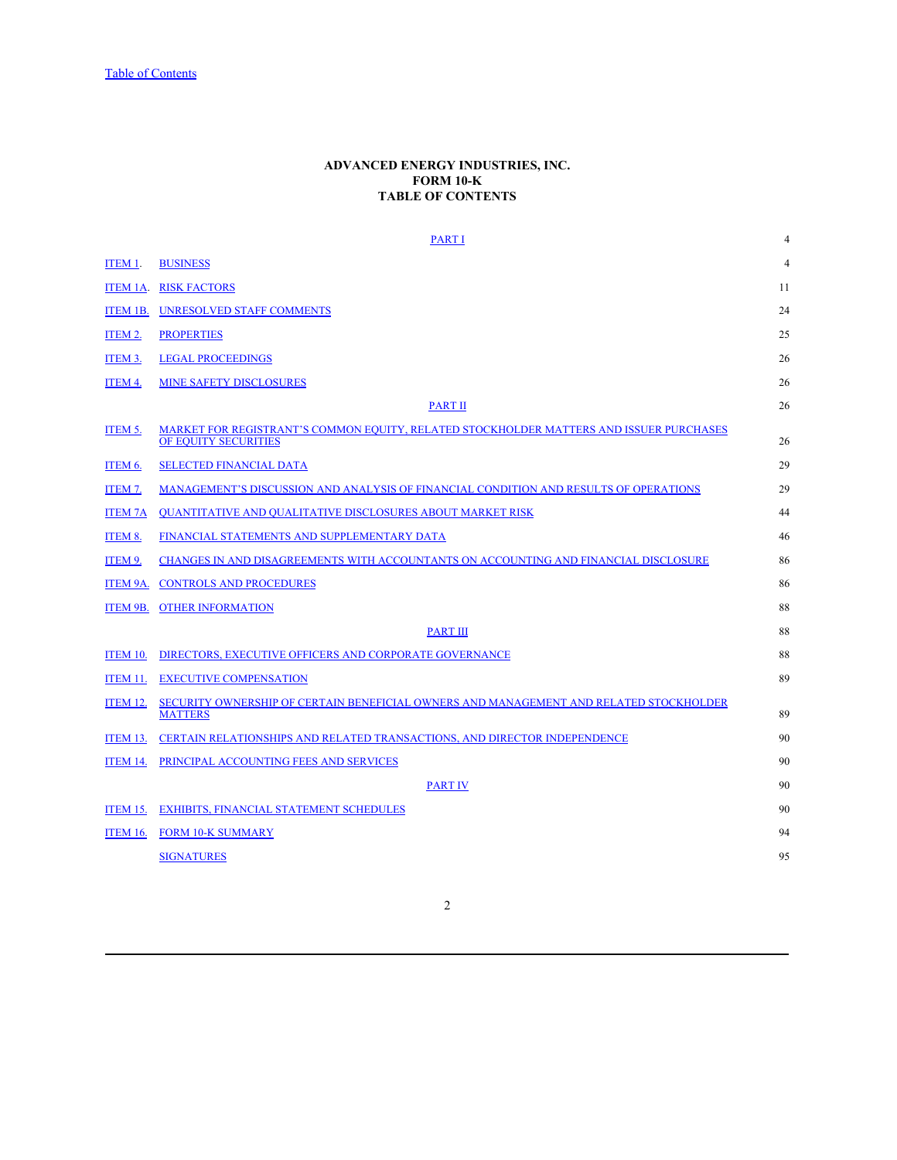# **ADVANCED ENERGY INDUSTRIES, INC. FORM 10-K TABLE OF CONTENTS**

<span id="page-1-0"></span>

|                 | <b>PARTI</b>                                                                                                           | $\overline{4}$ |
|-----------------|------------------------------------------------------------------------------------------------------------------------|----------------|
| ITEM 1.         | <b>BUSINESS</b>                                                                                                        | $\overline{4}$ |
| ITEM 1A.        | <b>RISK FACTORS</b>                                                                                                    | 11             |
|                 | ITEM 1B. UNRESOLVED STAFF COMMENTS                                                                                     | 24             |
| ITEM 2.         | <b>PROPERTIES</b>                                                                                                      | 25             |
| ITEM 3.         | <b>LEGAL PROCEEDINGS</b>                                                                                               | 26             |
| ITEM 4.         | <b>MINE SAFETY DISCLOSURES</b>                                                                                         | 26             |
|                 | <b>PART II</b>                                                                                                         | 26             |
| ITEM 5.         | <b>MARKET FOR REGISTRANT'S COMMON EQUITY, RELATED STOCKHOLDER MATTERS AND ISSUER PURCHASES</b><br>OF EQUITY SECURITIES | 26             |
| ITEM 6.         | <b>SELECTED FINANCIAL DATA</b>                                                                                         | 29             |
| ITEM 7.         | MANAGEMENT'S DISCUSSION AND ANALYSIS OF FINANCIAL CONDITION AND RESULTS OF OPERATIONS                                  | 29             |
| <b>ITEM 7A</b>  | QUANTITATIVE AND QUALITATIVE DISCLOSURES ABOUT MARKET RISK                                                             | 44             |
| ITEM 8.         | FINANCIAL STATEMENTS AND SUPPLEMENTARY DATA                                                                            | 46             |
| ITEM 9.         | CHANGES IN AND DISAGREEMENTS WITH ACCOUNTANTS ON ACCOUNTING AND FINANCIAL DISCLOSURE                                   | 86             |
| ITEM 9A         | <b>CONTROLS AND PROCEDURES</b>                                                                                         | 86             |
| ITEM 9B.        | <b>OTHER INFORMATION</b>                                                                                               | 88             |
|                 | <b>PART III</b>                                                                                                        | 88             |
| ITEM 10.        | DIRECTORS, EXECUTIVE OFFICERS AND CORPORATE GOVERNANCE                                                                 | 88             |
| ITEM 11.        | <b>EXECUTIVE COMPENSATION</b>                                                                                          | 89             |
| <b>ITEM 12.</b> | SECURITY OWNERSHIP OF CERTAIN BENEFICIAL OWNERS AND MANAGEMENT AND RELATED STOCKHOLDER<br><b>MATTERS</b>               | 89             |
| ITEM 13.        | <b>CERTAIN RELATIONSHIPS AND RELATED TRANSACTIONS, AND DIRECTOR INDEPENDENCE</b>                                       | 90             |
| <b>ITEM 14.</b> | PRINCIPAL ACCOUNTING FEES AND SERVICES                                                                                 | 90             |
|                 | <b>PART IV</b>                                                                                                         | 90             |
|                 | ITEM 15. EXHIBITS, FINANCIAL STATEMENT SCHEDULES                                                                       | 90             |
| ITEM 16.        | <b>FORM 10-K SUMMARY</b>                                                                                               | 94             |
|                 | <b>SIGNATURES</b>                                                                                                      | 95             |
|                 |                                                                                                                        |                |

2 a set of the set of the set of the set of the set of the set of the set of the set of the set of the set of the set of the set of the set of the set of the set of the set of the set of the set of the set of the set of th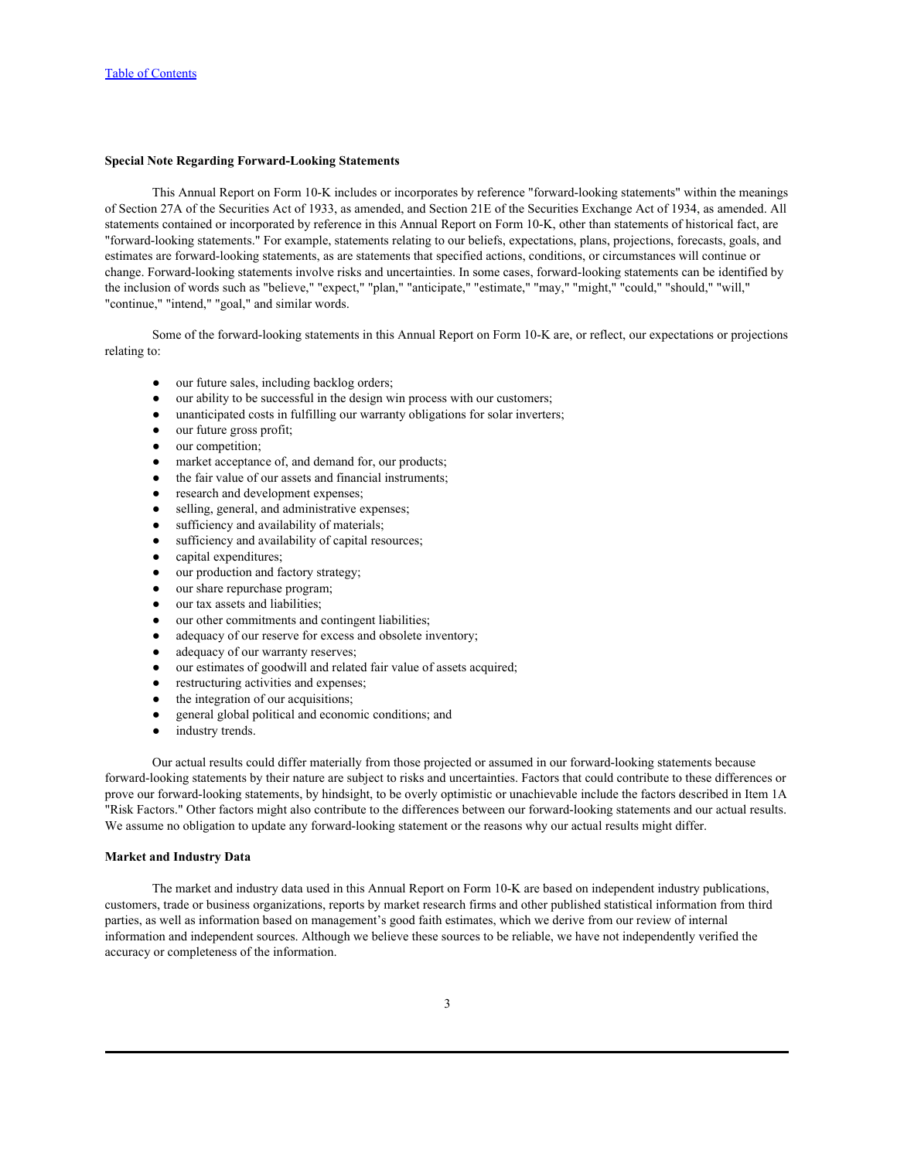#### **Special Note Regarding Forward-Looking Statements**

This Annual Report on Form 10-K includes or incorporates by reference "forward-looking statements" within the meanings of Section 27A of the Securities Act of 1933, as amended, and Section 21E of the Securities Exchange Act of 1934, as amended. All statements contained or incorporated by reference in this Annual Report on Form 10-K, other than statements of historical fact, are "forward-looking statements." For example, statements relating to our beliefs, expectations, plans, projections, forecasts, goals, and estimates are forward-looking statements, as are statements that specified actions, conditions, or circumstances will continue or change. Forward-looking statements involve risks and uncertainties. In some cases, forward-looking statements can be identified by the inclusion of words such as "believe," "expect," "plan," "anticipate," "estimate," "may," "might," "could," "should," "will," "continue," "intend," "goal," and similar words.

Some of the forward-looking statements in this Annual Report on Form 10-K are, or reflect, our expectations or projections relating to:<br>● our future sales, including backlog orders;

- 
- our ability to be successful in the design win process with our customers;
- unanticipated costs in fulfilling our warranty obligations for solar inverters;
- our future gross profit;
- our competition:
- market acceptance of, and demand for, our products;
- the fair value of our assets and financial instruments;
- research and development expenses;
- selling, general, and administrative expenses;
- sufficiency and availability of materials;
- sufficiency and availability of capital resources;
- capital expenditures;
- our production and factory strategy;
- our share repurchase program;
- our tax assets and liabilities;
- our other commitments and contingent liabilities;
- adequacy of our reserve for excess and obsolete inventory;
- adequacy of our warranty reserves;
- our estimates of goodwill and related fair value of assets acquired;
- restructuring activities and expenses;
- the integration of our acquisitions;
- general global political and economic conditions; and
- industry trends.

Our actual results could differ materially from those projected or assumed in our forward-looking statements because forward-looking statements by their nature are subject to risks and uncertainties. Factors that could contribute to these differences or prove our forward-looking statements, by hindsight, to be overly optimistic or unachievable include the factors described in Item 1A "Risk Factors." Other factors might also contribute to the differences between our forward-looking statements and our actual results. We assume no obligation to update any forward-looking statement or the reasons why our actual results might differ.

#### **Market and Industry Data**

The market and industry data used in this Annual Report on Form 10-K are based on independent industry publications, customers, trade or business organizations, reports by market research firms and other published statistical information from third parties, as well as information based on management's good faith estimates, which we derive from our review of internal information and independent sources. Although we believe these sources to be reliable, we have not independently verified the accuracy or completeness of the information.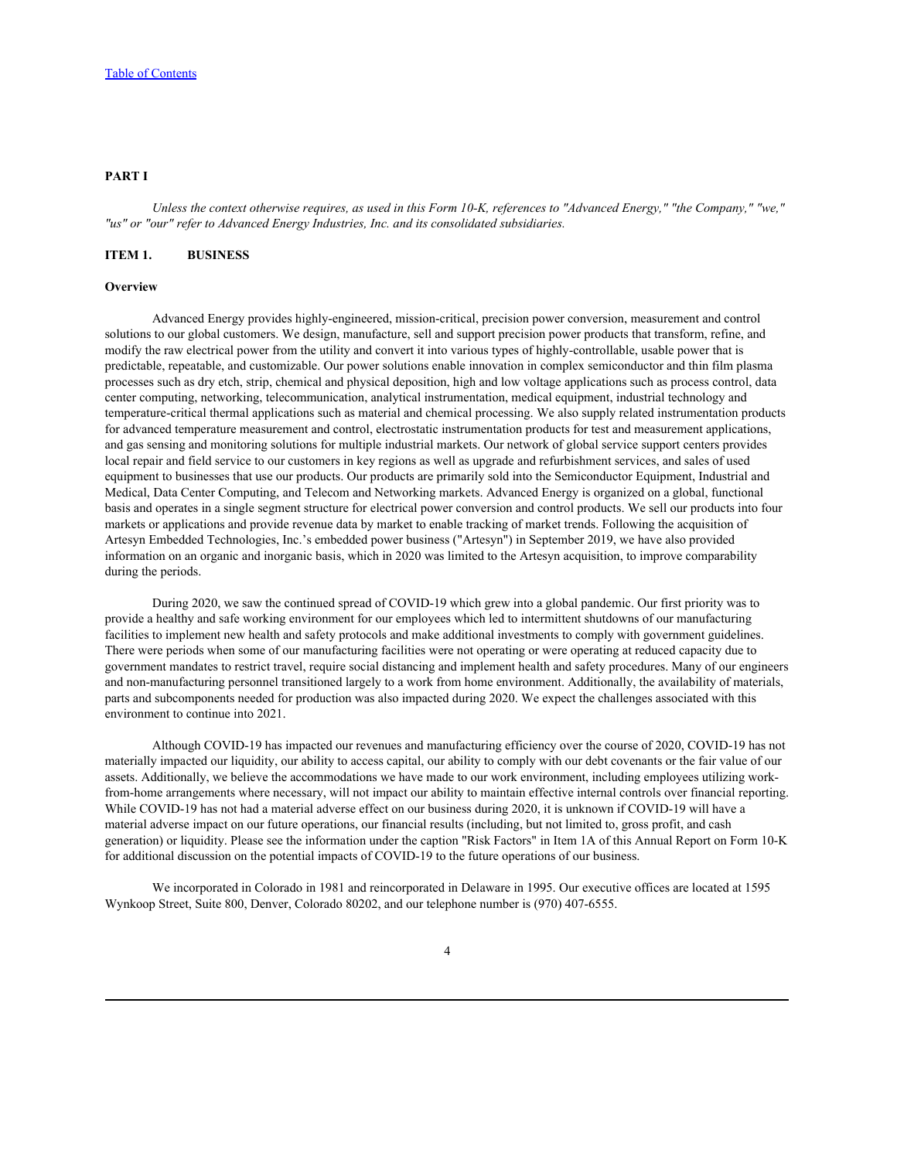# <span id="page-3-0"></span>**PART I**

*Unless the context otherwise requires, as used in this Form 10-K, references to "Advanced Energy," "the Company," "we," "us" or "our" refer to Advanced Energy Industries, Inc. and its consolidated subsidiaries.*

#### <span id="page-3-1"></span>**ITEM 1. BUSINESS**

#### **Overview Overview**

Advanced Energy provides highly-engineered, mission-critical, precision power conversion, measurement and control solutions to our global customers. We design, manufacture, sell and support precision power products that transform, refine, and modify the raw electrical power from the utility and convert it into various types of highly-controllable, usable power that is predictable, repeatable, and customizable. Our power solutions enable innovation in complex semiconductor and thin film plasma processes such as dry etch, strip, chemical and physical deposition, high and low voltage applications such as process control, data center computing, networking, telecommunication, analytical instrumentation, medical equipment, industrial technology and temperature-critical thermal applications such as material and chemical processing. We also supply related instrumentation products for advanced temperature measurement and control, electrostatic instrumentation products for test and measurement applications, and gas sensing and monitoring solutions for multiple industrial markets. Our network of global service support centers provides local repair and field service to our customers in key regions as well as upgrade and refurbishment services, and sales of used equipment to businesses that use our products. Our products are primarily sold into the Semiconductor Equipment, Industrial and Medical, Data Center Computing, and Telecom and Networking markets. Advanced Energy is organized on a global, functional basis and operates in a single segment structure for electrical power conversion and control products. We sell our products into four markets or applications and provide revenue data by market to enable tracking of market trends. Following the acquisition of Artesyn Embedded Technologies, Inc.'s embedded power business ("Artesyn") in September 2019, we have also provided information on an organic and inorganic basis, which in 2020 was limited to the Artesyn acquisition, to improve comparability during the periods.

During 2020, we saw the continued spread of COVID-19 which grew into a global pandemic. Our first priority was to provide a healthy and safe working environment for our employees which led to intermittent shutdowns of our manufacturing facilities to implement new health and safety protocols and make additional investments to comply with government guidelines. There were periods when some of our manufacturing facilities were not operating or were operating at reduced capacity due to government mandates to restrict travel, require social distancing and implement health and safety procedures. Many of our engineers and non-manufacturing personnel transitioned largely to a work from home environment. Additionally, the availability of materials, parts and subcomponents needed for production was also impacted during 2020. We expect the challenges associated with this environment to continue into 2021.

Although COVID-19 has impacted our revenues and manufacturing efficiency over the course of 2020, COVID-19 has not materially impacted our liquidity, our ability to access capital, our ability to comply with our debt covenants or the fair value of our assets. Additionally, we believe the accommodations we have made to our work environment, including employees utilizing workfrom-home arrangements where necessary, will not impact our ability to maintain effective internal controls over financial reporting. While COVID-19 has not had a material adverse effect on our business during 2020, it is unknown if COVID-19 will have a material adverse impact on our future operations, our financial results (including, but not limited to, gross profit, and cash generation) or liquidity. Please see the information under the caption "Risk Factors" in Item 1A of this Annual Report on Form 10-K for additional discussion on the potential impacts of COVID-19 to the future operations of our business.

We incorporated in Colorado in 1981 and reincorporated in Delaware in 1995. Our executive offices are located at 1595 Wynkoop Street, Suite 800, Denver, Colorado 80202, and our telephone number is (970) 407-6555.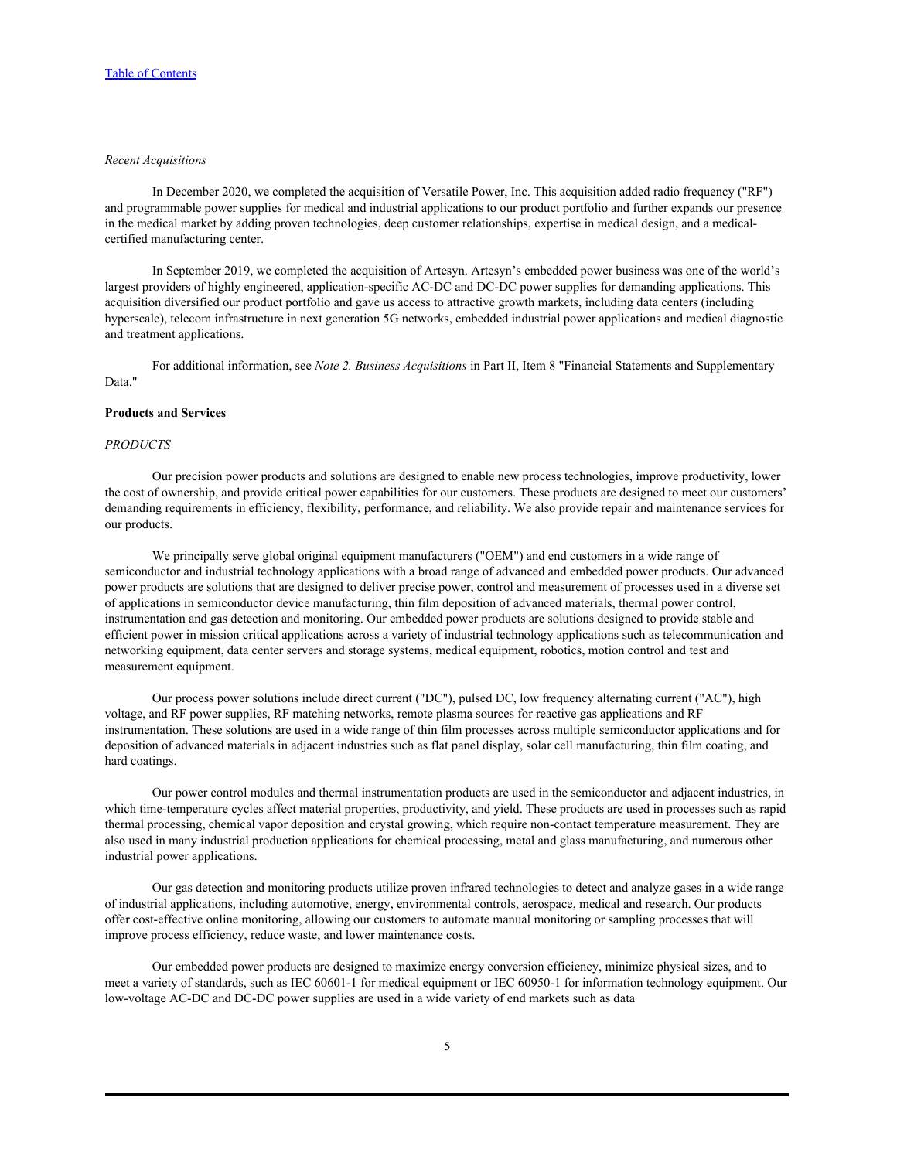### *Recent Acquisitions*

In December 2020, we completed the acquisition of Versatile Power, Inc. This acquisition added radio frequency ("RF") and programmable power supplies for medical and industrial applications to our product portfolio and further expands our presence in the medical market by adding proven technologies, deep customer relationships, expertise in medical design, and a medicalcertified manufacturing center.

In September 2019, we completed the acquisition of Artesyn. Artesyn's embedded power business was one of the world's largest providers of highly engineered, application-specific AC-DC and DC-DC power supplies for demanding applications. This acquisition diversified our product portfolio and gave us access to attractive growth markets, including data centers (including hyperscale), telecom infrastructure in next generation 5G networks, embedded industrial power applications and medical diagnostic and treatment applications.

For additional information, see *Note 2. Business Acquisitions* in Part II, Item 8 "Financial Statements and Supplementary Data." **Data**."

#### **Products and Services**

### *PRODUCTS*

Our precision power products and solutions are designed to enable new process technologies, improve productivity, lower the cost of ownership, and provide critical power capabilities for our customers. These products are designed to meet our customers' demanding requirements in efficiency, flexibility, performance, and reliability. We also provide repair and maintenance services for our products.

We principally serve global original equipment manufacturers ("OEM") and end customers in a wide range of semiconductor and industrial technology applications with a broad range of advanced and embedded power products. Our advanced power products are solutions that are designed to deliver precise power, control and measurement of processes used in a diverse set of applications in semiconductor device manufacturing, thin film deposition of advanced materials, thermal power control, instrumentation and gas detection and monitoring. Our embedded power products are solutions designed to provide stable and efficient power in mission critical applications across a variety of industrial technology applications such as telecommunication and networking equipment, data center servers and storage systems, medical equipment, robotics, motion control and test and measurement equipment.

Our process power solutions include direct current ("DC"), pulsed DC, low frequency alternating current ("AC"), high voltage, and RF power supplies, RF matching networks, remote plasma sources for reactive gas applications and RF instrumentation. These solutions are used in a wide range of thin film processes across multiple semiconductor applications and for deposition of advanced materials in adjacent industries such as flat panel display, solar cell manufacturing, thin film coating, and hard coatings.

Our power control modules and thermal instrumentation products are used in the semiconductor and adjacent industries, in which time-temperature cycles affect material properties, productivity, and yield. These products are used in processes such as rapid thermal processing, chemical vapor deposition and crystal growing, which require non-contact temperature measurement. They are also used in many industrial production applications for chemical processing, metal and glass manufacturing, and numerous other industrial power applications.

Our gas detection and monitoring products utilize proven infrared technologies to detect and analyze gases in a wide range of industrial applications, including automotive, energy, environmental controls, aerospace, medical and research. Our products offer cost-effective online monitoring, allowing our customers to automate manual monitoring or sampling processes that will improve process efficiency, reduce waste, and lower maintenance costs.

Our embedded power products are designed to maximize energy conversion efficiency, minimize physical sizes, and to meet a variety of standards, such as IEC 60601-1 for medical equipment or IEC 60950-1 for information technology equipment. Our low-voltage AC-DC and DC-DC power supplies are used in a wide variety of end markets such as data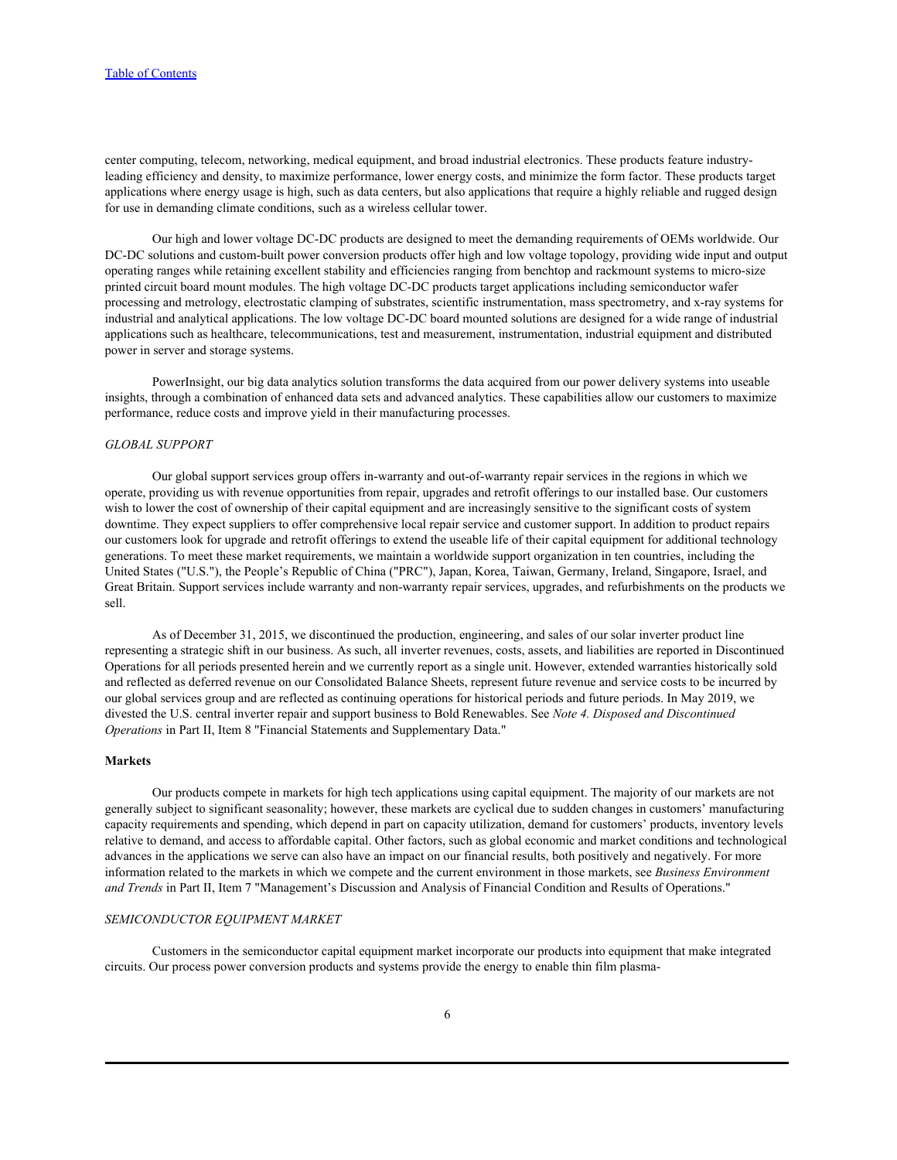center computing, telecom, networking, medical equipment, and broad industrial electronics. These products feature industryleading efficiency and density, to maximize performance, lower energy costs, and minimize the form factor. These products target applications where energy usage is high, such as data centers, but also applications that require a highly reliable and rugged design for use in demanding climate conditions, such as a wireless cellular tower.

Our high and lower voltage DC-DC products are designed to meet the demanding requirements of OEMs worldwide. Our DC-DC solutions and custom-built power conversion products offer high and low voltage topology, providing wide input and output operating ranges while retaining excellent stability and efficiencies ranging from benchtop and rackmount systems to micro-size printed circuit board mount modules. The high voltage DC-DC products target applications including semiconductor wafer processing and metrology, electrostatic clamping of substrates, scientific instrumentation, mass spectrometry, and x-ray systems for industrial and analytical applications. The low voltage DC-DC board mounted solutions are designed for a wide range of industrial applications such as healthcare, telecommunications, test and measurement, instrumentation, industrial equipment and distributed power in server and storage systems.

PowerInsight, our big data analytics solution transforms the data acquired from our power delivery systems into useable insights, through a combination of enhanced data sets and advanced analytics. These capabilities allow our customers to maximize performance, reduce costs and improve yield in their manufacturing processes.

# *GLOBAL SUPPORT*

Our global support services group offers in-warranty and out-of-warranty repair services in the regions in which we operate, providing us with revenue opportunities from repair, upgrades and retrofit offerings to our installed base. Our customers wish to lower the cost of ownership of their capital equipment and are increasingly sensitive to the significant costs of system downtime. They expect suppliers to offer comprehensive local repair service and customer support. In addition to product repairs our customers look for upgrade and retrofit offerings to extend the useable life of their capital equipment for additional technology generations. To meet these market requirements, we maintain a worldwide support organization in ten countries, including the United States ("U.S."), the People's Republic of China ("PRC"), Japan, Korea, Taiwan, Germany, Ireland, Singapore, Israel, and Great Britain. Support services include warranty and non-warranty repair services, upgrades, and refurbishments on the products we sell.

As of December 31, 2015, we discontinued the production, engineering, and sales of our solar inverter product line representing a strategic shift in our business. As such, all inverter revenues, costs, assets, and liabilities are reported in Discontinued Operations for all periods presented herein and we currently report as a single unit. However, extended warranties historically sold and reflected as deferred revenue on our Consolidated Balance Sheets, represent future revenue and service costs to be incurred by our global services group and are reflected as continuing operations for historical periods and future periods. In May 2019, we divested the U.S. central inverter repair and support business to Bold Renewables. See *Note 4. Disposed and Discontinued Operations* in Part II, Item 8 "Financial Statements and Supplementary Data."

#### **Markets**

Our products compete in markets for high tech applications using capital equipment. The majority of our markets are not generally subject to significant seasonality; however, these markets are cyclical due to sudden changes in customers' manufacturing capacity requirements and spending, which depend in part on capacity utilization, demand for customers' products, inventory levels relative to demand, and access to affordable capital. Other factors, such as global economic and market conditions and technological advances in the applications we serve can also have an impact on our financial results, both positively and negatively. For more information related to the markets in which we compete and the current environment in those markets, see *Business Environment and Trends* in Part II, Item 7 "Management's Discussion and Analysis of Financial Condition and Results of Operations."

### *SEMICONDUCTOR EQUIPMENT MARKET*

Customers in the semiconductor capital equipment market incorporate our products into equipment that make integrated circuits. Our process power conversion products and systems provide the energy to enable thin film plasma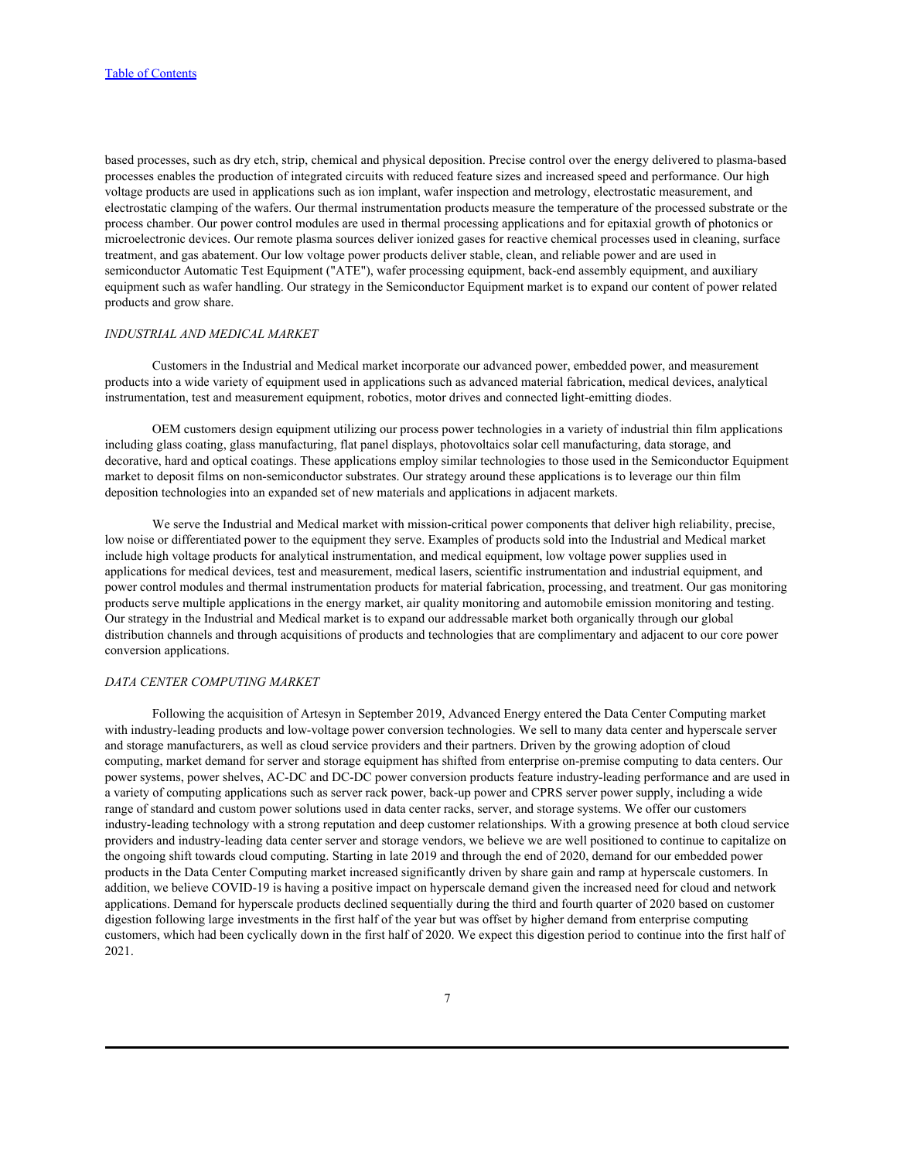based processes, such as dry etch, strip, chemical and physical deposition. Precise control over the energy delivered to plasma-based processes enables the production of integrated circuits with reduced feature sizes and increased speed and performance. Our high voltage products are used in applications such as ion implant, wafer inspection and metrology, electrostatic measurement, and electrostatic clamping of the wafers. Our thermal instrumentation products measure the temperature of the processed substrate or the process chamber. Our power control modules are used in thermal processing applications and for epitaxial growth of photonics or microelectronic devices. Our remote plasma sources deliver ionized gases for reactive chemical processes used in cleaning, surface treatment, and gas abatement. Our low voltage power products deliver stable, clean, and reliable power and are used in semiconductor Automatic Test Equipment ("ATE"), wafer processing equipment, back-end assembly equipment, and auxiliary equipment such as wafer handling. Our strategy in the Semiconductor Equipment market is to expand our content of power related products and grow share.

# *INDUSTRIAL AND MEDICAL MARKET*

Customers in the Industrial and Medical market incorporate our advanced power, embedded power, and measurement products into a wide variety of equipment used in applications such as advanced material fabrication, medical devices, analytical instrumentation, test and measurement equipment, robotics, motor drives and connected light-emitting diodes.

OEM customers design equipment utilizing our process power technologies in a variety of industrial thin film applications including glass coating, glass manufacturing, flat panel displays, photovoltaics solar cell manufacturing, data storage, and decorative, hard and optical coatings. These applications employ similar technologies to those used in the Semiconductor Equipment market to deposit films on non-semiconductor substrates. Our strategy around these applications is to leverage our thin film deposition technologies into an expanded set of new materials and applications in adjacent markets.

We serve the Industrial and Medical market with mission-critical power components that deliver high reliability, precise, low noise or differentiated power to the equipment they serve. Examples of products sold into the Industrial and Medical market include high voltage products for analytical instrumentation, and medical equipment, low voltage power supplies used in applications for medical devices, test and measurement, medical lasers, scientific instrumentation and industrial equipment, and power control modules and thermal instrumentation products for material fabrication, processing, and treatment. Our gas monitoring products serve multiple applications in the energy market, air quality monitoring and automobile emission monitoring and testing. Our strategy in the Industrial and Medical market is to expand our addressable market both organically through our global distribution channels and through acquisitions of products and technologies that are complimentary and adjacent to our core power conversion applications.

# *DATA CENTER COMPUTING MARKET*

Following the acquisition of Artesyn in September 2019, Advanced Energy entered the Data Center Computing market with industry-leading products and low-voltage power conversion technologies. We sell to many data center and hyperscale server and storage manufacturers, as well as cloud service providers and their partners. Driven by the growing adoption of cloud computing, market demand for server and storage equipment has shifted from enterprise on-premise computing to data centers. Our power systems, power shelves, AC-DC and DC-DC power conversion products feature industry-leading performance and are used in a variety of computing applications such as server rack power, back-up power and CPRS server power supply, including a wide range of standard and custom power solutions used in data center racks, server, and storage systems. We offer our customers industry-leading technology with a strong reputation and deep customer relationships. With a growing presence at both cloud service providers and industry-leading data center server and storage vendors, we believe we are well positioned to continue to capitalize on the ongoing shift towards cloud computing. Starting in late 2019 and through the end of 2020, demand for our embedded power products in the Data Center Computing market increased significantly driven by share gain and ramp at hyperscale customers. In addition, we believe COVID-19 is having a positive impact on hyperscale demand given the increased need for cloud and network applications. Demand for hyperscale products declined sequentially during the third and fourth quarter of 2020 based on customer digestion following large investments in the first half of the year but was offset by higher demand from enterprise computing customers, which had been cyclically down in the first half of 2020. We expect this digestion period to continue into the first half of 2021.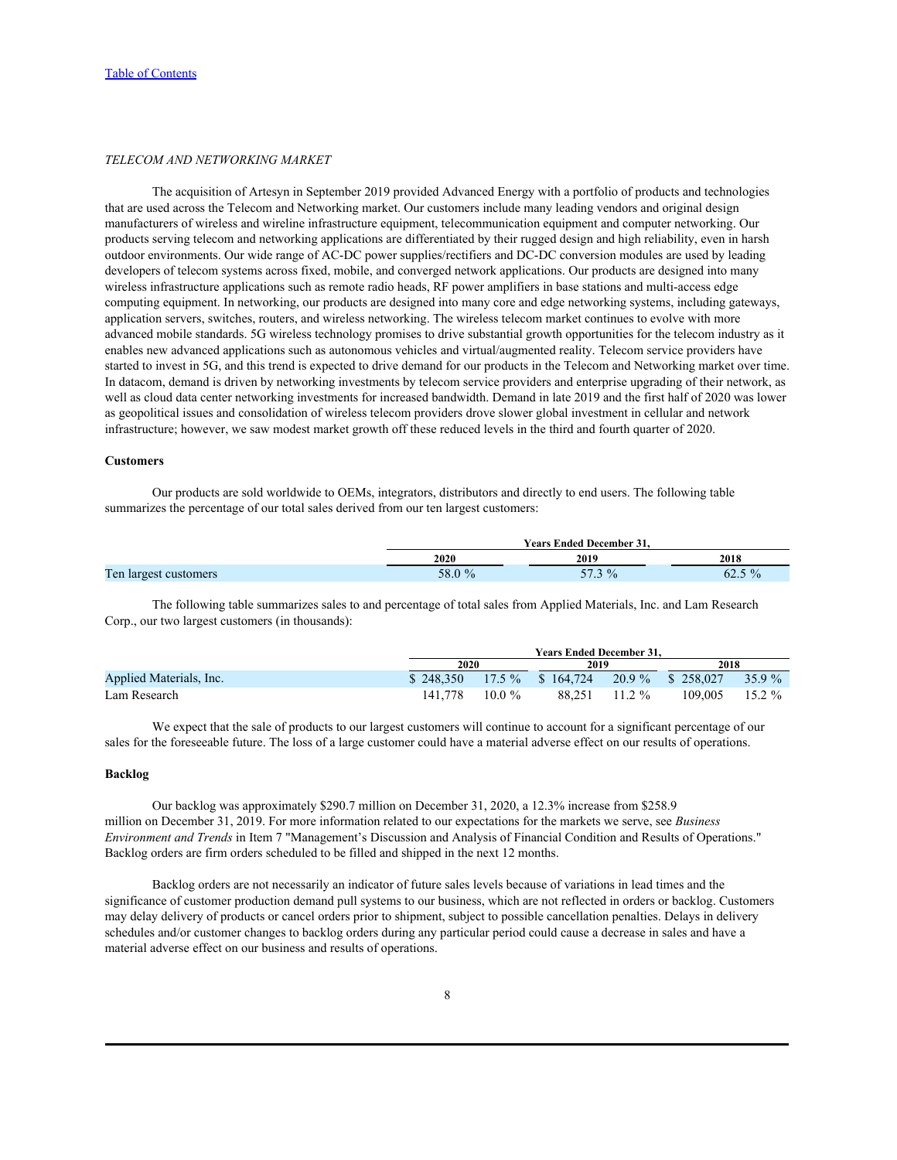# *TELECOM AND NETWORKING MARKET*

The acquisition of Artesyn in September 2019 provided Advanced Energy with a portfolio of products and technologies that are used across the Telecom and Networking market. Our customers include many leading vendors and original design manufacturers of wireless and wireline infrastructure equipment, telecommunication equipment and computer networking. Our products serving telecom and networking applications are differentiated by their rugged design and high reliability, even in harsh outdoor environments. Our wide range of AC-DC power supplies/rectifiers and DC-DC conversion modules are used by leading developers of telecom systems across fixed, mobile, and converged network applications. Our products are designed into many wireless infrastructure applications such as remote radio heads, RF power amplifiers in base stations and multi-access edge computing equipment. In networking, our products are designed into many core and edge networking systems, including gateways, application servers, switches, routers, and wireless networking. The wireless telecom market continues to evolve with more advanced mobile standards. 5G wireless technology promises to drive substantial growth opportunities for the telecom industry as it enables new advanced applications such as autonomous vehicles and virtual/augmented reality. Telecom service providers have started to invest in 5G, and this trend is expected to drive demand for our products in the Telecom and Networking market over time. In datacom, demand is driven by networking investments by telecom service providers and enterprise upgrading of their network, as well as cloud data center networking investments for increased bandwidth. Demand in late 2019 and the first half of 2020 was lower as geopolitical issues and consolidation of wireless telecom providers drove slower global investment in cellular and network infrastructure; however, we saw modest market growth off these reduced levels in the third and fourth quarter of 2020.

# **Customers**

Our products are sold worldwide to OEMs, integrators, distributors and directly to end users. The following table summarizes the percentage of our total sales derived from our ten largest customers:

|                                            |                      | <b>Ended December 31.</b><br>⊘ears                                |                                       |
|--------------------------------------------|----------------------|-------------------------------------------------------------------|---------------------------------------|
|                                            | 202(                 | 2019                                                              | 2018                                  |
| <b>CONTRACTOR</b><br>Ten largest customers | 58.0 %<br>$\sqrt{0}$ | $\overline{r}$ $\overline{r}$<br>$\sqrt{2}$<br>$\frac{9}{2}$<br>ر | $\epsilon$ 0/<br>$\sim$<br>02.5<br>70 |

The following table summarizes sales to and percentage of total sales from Applied Materials, Inc. and Lam Research Corp., our two largest customers (in thousands):

|                         |         |            | <b>Years Ended December 31.</b> |         |         |          |
|-------------------------|---------|------------|---------------------------------|---------|---------|----------|
|                         | 2020    |            | 2019                            |         | 2018    |          |
| Applied Materials, Inc. | 248.350 | $17.5 \%$  | 164,724                         | 20.9%   | 258,027 | 35.9%    |
| Lam Research            | 141,778 | $10.0\ \%$ | 88,251                          | $1.2\%$ | 109,005 | $15.2\%$ |

We expect that the sale of products to our largest customers will continue to account for a significant percentage of our sales for the foreseeable future. The loss of a large customer could have a material adverse effect on our results of operations.

# **Backlog**

Our backlog was approximately \$290.7 million on December 31, 2020, a 12.3% increase from \$258.9 million on December 31, 2019. For more information related to our expectations for the markets we serve, see *Business Environment and Trends* in Item 7 "Management's Discussion and Analysis of Financial Condition and Results of Operations." Backlog orders are firm orders scheduled to be filled and shipped in the next 12 months.

Backlog orders are not necessarily an indicator of future sales levels because of variations in lead times and the significance of customer production demand pull systems to our business, which are not reflected in orders or backlog. Customers may delay delivery of products or cancel orders prior to shipment, subject to possible cancellation penalties. Delays in delivery schedules and/or customer changes to backlog orders during any particular period could cause a decrease in sales and have a material adverse effect on our business and results of operations.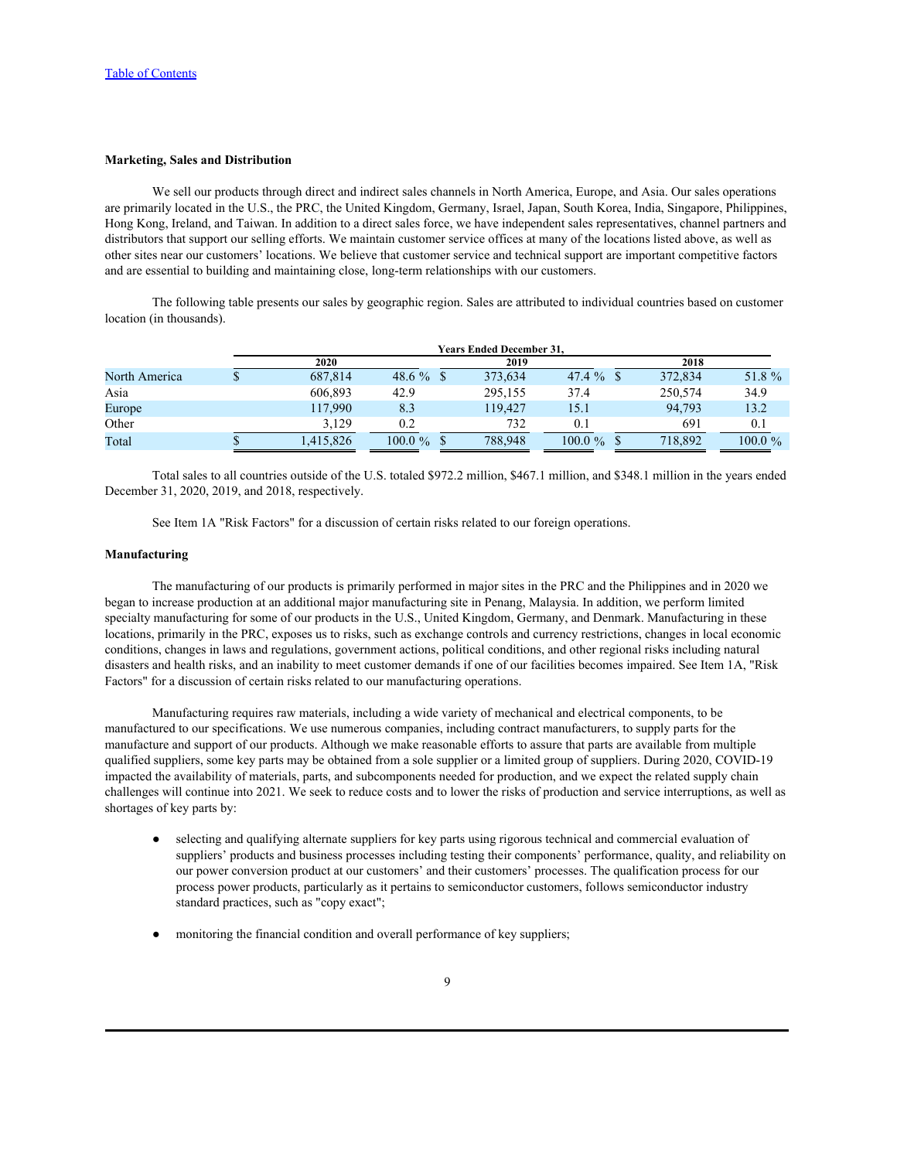# **Marketing, Sales and Distribution**

We sell our products through direct and indirect sales channels in North America, Europe, and Asia. Our sales operations are primarily located in the U.S., the PRC, the United Kingdom, Germany, Israel, Japan, South Korea, India, Singapore, Philippines, Hong Kong, Ireland, and Taiwan. In addition to a direct sales force, we have independent sales representatives, channel partners and distributors that support our selling efforts. We maintain customer service offices at many of the locations listed above, as well as other sites near our customers' locations. We believe that customer service and technical support are important competitive factors and are essential to building and maintaining close, long-term relationships with our customers.

The following table presents our sales by geographic region. Sales are attributed to individual countries based on customer location (in thousands).

|               | <b>Years Ended December 31,</b> |           |            |         |             |         |        |  |
|---------------|---------------------------------|-----------|------------|---------|-------------|---------|--------|--|
|               |                                 | 2020      |            | 2019    |             | 2018    |        |  |
| North America |                                 | 687,814   | 48.6 $\%$  | 373,634 | 47.4 $%$ \$ | 372,834 | 51.8 % |  |
| Asia          |                                 | 606,893   | 42.9       | 295,155 | 37.4        | 250,574 | 34.9   |  |
| Europe        |                                 | 117,990   | 8.3        | 119,427 | 15.1        | 94,793  | 13.2   |  |
| Other         |                                 | 3,129     | 0.2        | 732     | 0.1         | 691     | 0.1    |  |
| Total         |                                 | 1,415,826 | $100.0 \%$ | 788,948 | $100.0 \%$  | 718,892 | 100.0% |  |

Total sales to all countries outside of the U.S. totaled \$972.2 million, \$467.1 million, and \$348.1 million in the years ended December 31, 2020, 2019, and 2018, respectively.

See Item 1A "Risk Factors" for a discussion of certain risks related to our foreign operations.

# **Manufacturing**

The manufacturing of our products is primarily performed in major sites in the PRC and the Philippines and in 2020 we began to increase production at an additional major manufacturing site in Penang, Malaysia. In addition, we perform limited specialty manufacturing for some of our products in the U.S., United Kingdom, Germany, and Denmark. Manufacturing in these locations, primarily in the PRC, exposes us to risks, such as exchange controls and currency restrictions, changes in local economic conditions, changes in laws and regulations, government actions, political conditions, and other regional risks including natural disasters and health risks, and an inability to meet customer demands if one of our facilities becomes impaired. See Item 1A, "Risk Factors" for a discussion of certain risks related to our manufacturing operations.

Manufacturing requires raw materials, including a wide variety of mechanical and electrical components, to be manufactured to our specifications. We use numerous companies, including contract manufacturers, to supply parts for the manufacture and support of our products. Although we make reasonable efforts to assure that parts are available from multiple qualified suppliers, some key parts may be obtained from a sole supplier or a limited group of suppliers. During 2020, COVID-19 impacted the availability of materials, parts, and subcomponents needed for production, and we expect the related supply chain challenges will continue into 2021. We seek to reduce costs and to lower the risks of production and service interruptions, as well as shortages of key parts by:

- selecting and qualifying alternate suppliers for key parts using rigorous technical and commercial evaluation of suppliers' products and business processes including testing their components' performance, quality, and reliability on our power conversion product at our customers' and their customers' processes. The qualification process for our process power products, particularly as it pertains to semiconductor customers, follows semiconductor industry standard practices, such as "copy exact";
- monitoring the financial condition and overall performance of key suppliers;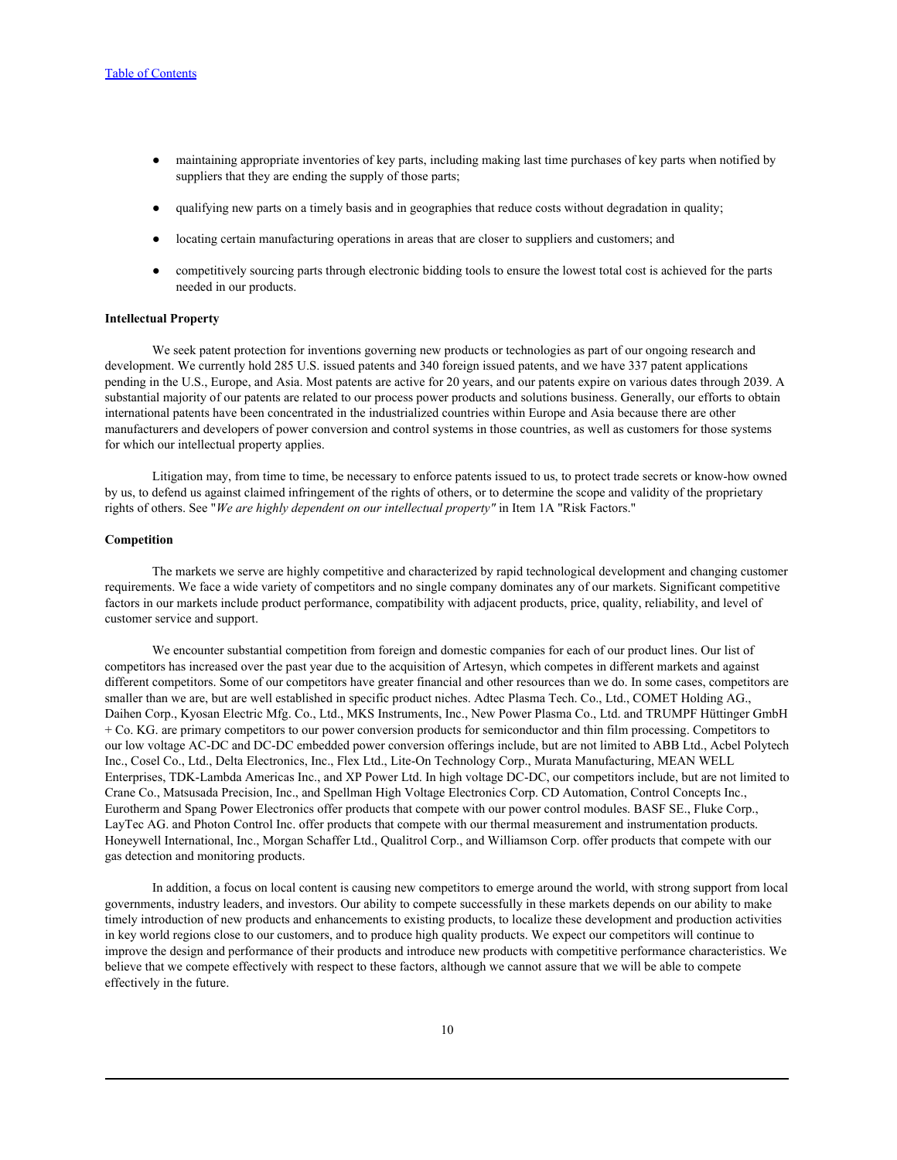- maintaining appropriate inventories of key parts, including making last time purchases of key parts when notified by suppliers that they are ending the supply of those parts;
- qualifying new parts on a timely basis and in geographies that reduce costs without degradation in quality;
- locating certain manufacturing operations in areas that are closer to suppliers and customers; and
- competitively sourcing parts through electronic bidding tools to ensure the lowest total cost is achieved for the parts needed in our products.

### **Intellectual Property**

We seek patent protection for inventions governing new products or technologies as part of our ongoing research and development. We currently hold 285 U.S. issued patents and 340 foreign issued patents, and we have 337 patent applications pending in the U.S., Europe, and Asia. Most patents are active for 20 years, and our patents expire on various dates through 2039. A substantial majority of our patents are related to our process power products and solutions business. Generally, our efforts to obtain international patents have been concentrated in the industrialized countries within Europe and Asia because there are other manufacturers and developers of power conversion and control systems in those countries, as well as customers for those systems for which our intellectual property applies.

Litigation may, from time to time, be necessary to enforce patents issued to us, to protect trade secrets or know-how owned by us, to defend us against claimed infringement of the rights of others, or to determine the scope and validity of the proprietary rights of others. See "*We are highly dependent on our intellectual property"* in Item 1A "Risk Factors."

## **Competition**

The markets we serve are highly competitive and characterized by rapid technological development and changing customer requirements. We face a wide variety of competitors and no single company dominates any of our markets. Significant competitive factors in our markets include product performance, compatibility with adjacent products, price, quality, reliability, and level of customer service and support.

We encounter substantial competition from foreign and domestic companies for each of our product lines. Our list of competitors has increased over the past year due to the acquisition of Artesyn, which competes in different markets and against different competitors. Some of our competitors have greater financial and other resources than we do. In some cases, competitors are smaller than we are, but are well established in specific product niches. Adtec Plasma Tech. Co., Ltd., COMET Holding AG., Daihen Corp., Kyosan Electric Mfg. Co., Ltd., MKS Instruments, Inc., New Power Plasma Co., Ltd. and TRUMPF Hüttinger GmbH + Co. KG. are primary competitors to our power conversion products for semiconductor and thin film processing. Competitors to our low voltage AC-DC and DC-DC embedded power conversion offerings include, but are not limited to ABB Ltd., Acbel Polytech Inc., Cosel Co., Ltd., Delta Electronics, Inc., Flex Ltd., Lite-On Technology Corp., Murata Manufacturing, MEAN WELL Enterprises, TDK-Lambda Americas Inc., and XP Power Ltd. In high voltage DC-DC, our competitors include, but are not limited to Crane Co., Matsusada Precision, Inc., and Spellman High Voltage Electronics Corp. CD Automation, Control Concepts Inc., Eurotherm and Spang Power Electronics offer products that compete with our power control modules. BASF SE., Fluke Corp., LayTec AG. and Photon Control Inc. offer products that compete with our thermal measurement and instrumentation products. Honeywell International, Inc., Morgan Schaffer Ltd., Qualitrol Corp., and Williamson Corp. offer products that compete with our gas detection and monitoring products.

In addition, a focus on local content is causing new competitors to emerge around the world, with strong support from local governments, industry leaders, and investors. Our ability to compete successfully in these markets depends on our ability to make timely introduction of new products and enhancements to existing products, to localize these development and production activities in key world regions close to our customers, and to produce high quality products. We expect our competitors will continue to improve the design and performance of their products and introduce new products with competitive performance characteristics. We believe that we compete effectively with respect to these factors, although we cannot assure that we will be able to compete effectively in the future.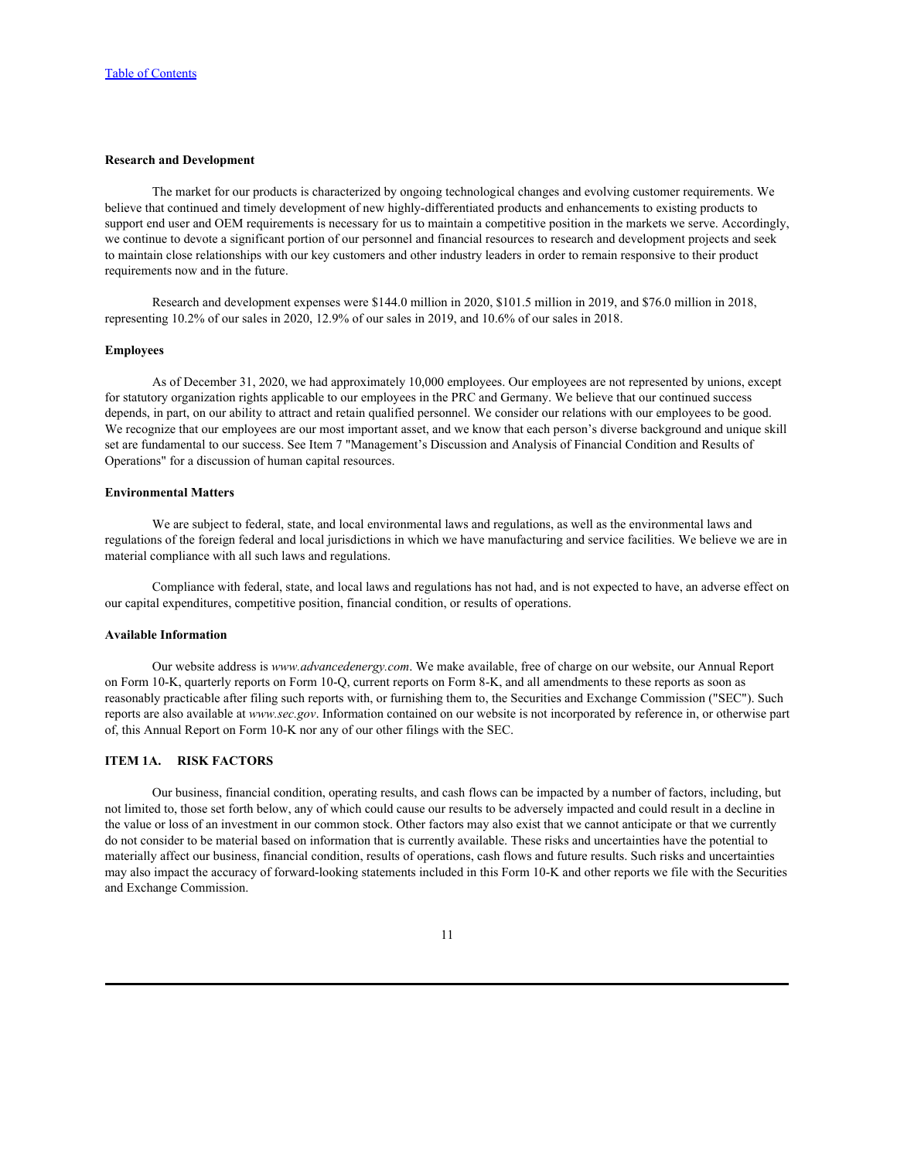### **Research and Development**

The market for our products is characterized by ongoing technological changes and evolving customer requirements. We believe that continued and timely development of new highly-differentiated products and enhancements to existing products to support end user and OEM requirements is necessary for us to maintain a competitive position in the markets we serve. Accordingly, we continue to devote a significant portion of our personnel and financial resources to research and development projects and seek to maintain close relationships with our key customers and other industry leaders in order to remain responsive to their product requirements now and in the future.

Research and development expenses were \$144.0 million in 2020, \$101.5 million in 2019, and \$76.0 million in 2018, representing 10.2% of our sales in 2020, 12.9% of our sales in 2019, and 10.6% of our sales in 2018.

#### **Employees**

As of December 31, 2020, we had approximately 10,000 employees. Our employees are not represented by unions, except for statutory organization rights applicable to our employees in the PRC and Germany. We believe that our continued success depends, in part, on our ability to attract and retain qualified personnel. We consider our relations with our employees to be good. We recognize that our employees are our most important asset, and we know that each person's diverse background and unique skill set are fundamental to our success. See Item 7 "Management's Discussion and Analysis of Financial Condition and Results of Operations" for a discussion of human capital resources.

# **Environmental Matters**

We are subject to federal, state, and local environmental laws and regulations, as well as the environmental laws and regulations of the foreign federal and local jurisdictions in which we have manufacturing and service facilities. We believe we are in material compliance with all such laws and regulations.

Compliance with federal, state, and local laws and regulations has not had, and is not expected to have, an adverse effect on our capital expenditures, competitive position, financial condition, or results of operations.

### **Available Information**

Our website address is *www.advancedenergy.com*. We make available, free of charge on our website, our Annual Report on Form 10-K, quarterly reports on Form 10-Q, current reports on Form 8-K, and all amendments to these reports as soon as reasonably practicable after filing such reports with, or furnishing them to, the Securities and Exchange Commission ("SEC"). Such reports are also available at *www.sec.gov*. Information contained on our website is not incorporated by reference in, or otherwise part of, this Annual Report on Form 10-K nor any of our other filings with the SEC.

#### <span id="page-10-0"></span>**ITEM 1A. RISK FACTORS**

Our business, financial condition, operating results, and cash flows can be impacted by a number of factors, including, but not limited to, those set forth below, any of which could cause our results to be adversely impacted and could result in a decline in the value or loss of an investment in our common stock. Other factors may also exist that we cannot anticipate or that we currently do not consider to be material based on information that is currently available. These risks and uncertainties have the potential to materially affect our business, financial condition, results of operations, cash flows and future results. Such risks and uncertainties may also impact the accuracy of forward-looking statements included in this Form 10-K and other reports we file with the Securities and Exchange Commission.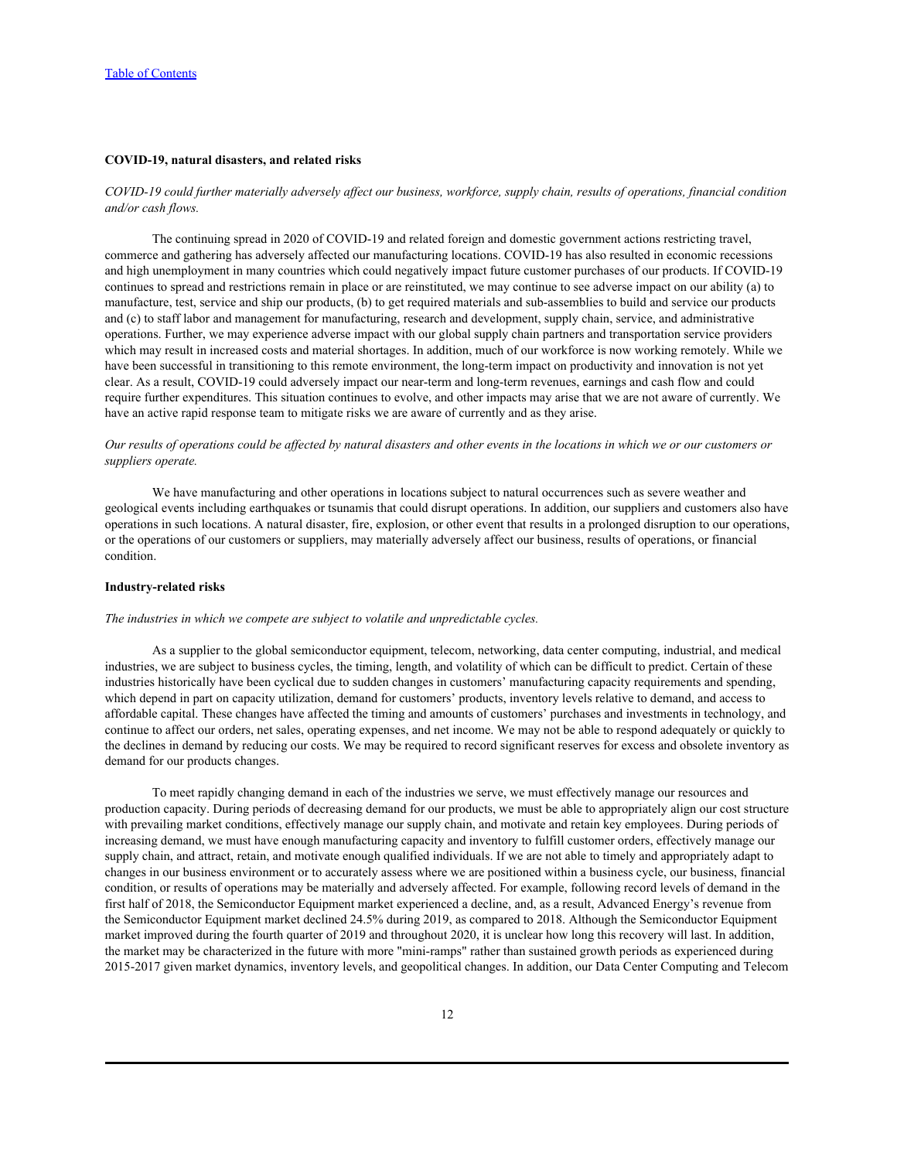# **COVID-19, natural disasters, and related risks**

*COVID-19 could further materially adversely affect our business, workforce, supply chain, results of operations, financial condition and/or cash flows.* 

The continuing spread in 2020 of COVID-19 and related foreign and domestic government actions restricting travel, commerce and gathering has adversely affected our manufacturing locations. COVID-19 has also resulted in economic recessions and high unemployment in many countries which could negatively impact future customer purchases of our products. If COVID-19 continues to spread and restrictions remain in place or are reinstituted, we may continue to see adverse impact on our ability (a) to manufacture, test, service and ship our products, (b) to get required materials and sub-assemblies to build and service our products and (c) to staff labor and management for manufacturing, research and development, supply chain, service, and administrative operations. Further, we may experience adverse impact with our global supply chain partners and transportation service providers which may result in increased costs and material shortages. In addition, much of our workforce is now working remotely. While we have been successful in transitioning to this remote environment, the long-term impact on productivity and innovation is not yet clear. As a result, COVID-19 could adversely impact our near-term and long-term revenues, earnings and cash flow and could require further expenditures. This situation continues to evolve, and other impacts may arise that we are not aware of currently. We have an active rapid response team to mitigate risks we are aware of currently and as they arise.

# *Our results of operations could be affected by natural disasters and other events in the locations in which we or our customers or suppliers operate.*

We have manufacturing and other operations in locations subject to natural occurrences such as severe weather and geological events including earthquakes or tsunamis that could disrupt operations. In addition, our suppliers and customers also have operations in such locations. A natural disaster, fire, explosion, or other event that results in a prolonged disruption to our operations, or the operations of our customers or suppliers, may materially adversely affect our business, results of operations, or financial condition.

#### **Industry-related risks**

#### *The industries in which we compete are subject to volatile and unpredictable cycles.*

As a supplier to the global semiconductor equipment, telecom, networking, data center computing, industrial, and medical industries, we are subject to business cycles, the timing, length, and volatility of which can be difficult to predict. Certain of these industries historically have been cyclical due to sudden changes in customers' manufacturing capacity requirements and spending, which depend in part on capacity utilization, demand for customers' products, inventory levels relative to demand, and access to affordable capital. These changes have affected the timing and amounts of customers' purchases and investments in technology, and continue to affect our orders, net sales, operating expenses, and net income. We may not be able to respond adequately or quickly to the declines in demand by reducing our costs. We may be required to record significant reserves for excess and obsolete inventory as demand for our products changes.

To meet rapidly changing demand in each of the industries we serve, we must effectively manage our resources and production capacity. During periods of decreasing demand for our products, we must be able to appropriately align our cost structure with prevailing market conditions, effectively manage our supply chain, and motivate and retain key employees. During periods of increasing demand, we must have enough manufacturing capacity and inventory to fulfill customer orders, effectively manage our supply chain, and attract, retain, and motivate enough qualified individuals. If we are not able to timely and appropriately adapt to changes in our business environment or to accurately assess where we are positioned within a business cycle, our business, financial condition, or results of operations may be materially and adversely affected. For example, following record levels of demand in the first half of 2018, the Semiconductor Equipment market experienced a decline, and, as a result, Advanced Energy's revenue from the Semiconductor Equipment market declined 24.5% during 2019, as compared to 2018. Although the Semiconductor Equipment market improved during the fourth quarter of 2019 and throughout 2020, it is unclear how long this recovery will last. In addition, the market may be characterized in the future with more "mini-ramps" rather than sustained growth periods as experienced during 2015-2017 given market dynamics, inventory levels, and geopolitical changes. In addition, our Data Center Computing and Telecom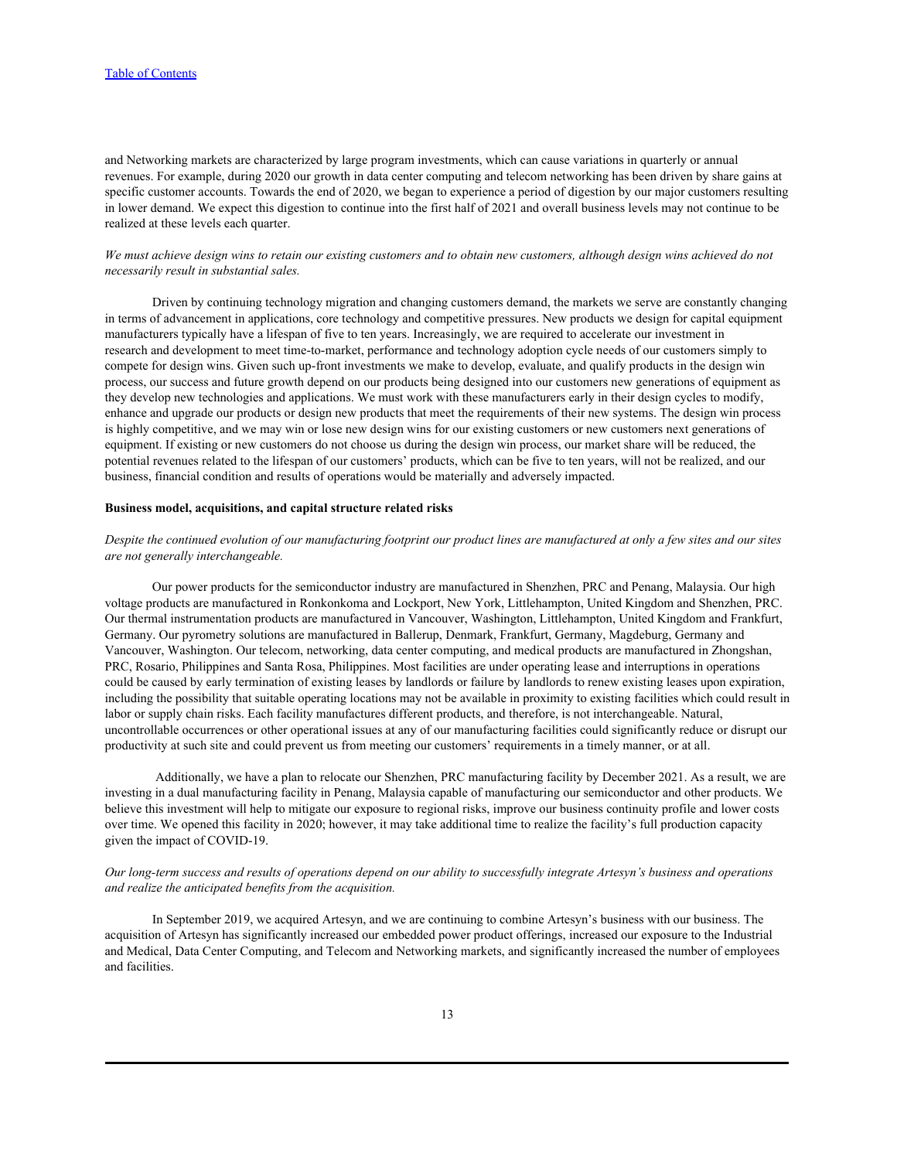and Networking markets are characterized by large program investments, which can cause variations in quarterly or annual revenues. For example, during 2020 our growth in data center computing and telecom networking has been driven by share gains at specific customer accounts. Towards the end of 2020, we began to experience a period of digestion by our major customers resulting in lower demand. We expect this digestion to continue into the first half of 2021 and overall business levels may not continue to be realized at these levels each quarter.

# *We must achieve design wins to retain our existing customers and to obtain new customers, although design wins achieved do not necessarily result in substantial sales.*

Driven by continuing technology migration and changing customers demand, the markets we serve are constantly changing in terms of advancement in applications, core technology and competitive pressures. New products we design for capital equipment manufacturers typically have a lifespan of five to ten years. Increasingly, we are required to accelerate our investment in research and development to meet time-to-market, performance and technology adoption cycle needs of our customers simply to compete for design wins. Given such up-front investments we make to develop, evaluate, and qualify products in the design win process, our success and future growth depend on our products being designed into our customers new generations of equipment as they develop new technologies and applications. We must work with these manufacturers early in their design cycles to modify, enhance and upgrade our products or design new products that meet the requirements of their new systems. The design win process is highly competitive, and we may win or lose new design wins for our existing customers or new customers next generations of equipment. If existing or new customers do not choose us during the design win process, our market share will be reduced, the potential revenues related to the lifespan of our customers' products, which can be five to ten years, will not be realized, and our business, financial condition and results of operations would be materially and adversely impacted.

# **Business model, acquisitions, and capital structure related risks**

# *Despite the continued evolution of our manufacturing footprint our product lines are manufactured at only a few sites and our sites are not generally interchangeable.*

Our power products for the semiconductor industry are manufactured in Shenzhen, PRC and Penang, Malaysia. Our high voltage products are manufactured in Ronkonkoma and Lockport, New York, Littlehampton, United Kingdom and Shenzhen, PRC. Our thermal instrumentation products are manufactured in Vancouver, Washington, Littlehampton, United Kingdom and Frankfurt, Germany. Our pyrometry solutions are manufactured in Ballerup, Denmark, Frankfurt, Germany, Magdeburg, Germany and Vancouver, Washington. Our telecom, networking, data center computing, and medical products are manufactured in Zhongshan, PRC, Rosario, Philippines and Santa Rosa, Philippines. Most facilities are under operating lease and interruptions in operations could be caused by early termination of existing leases by landlords or failure by landlords to renew existing leases upon expiration, including the possibility that suitable operating locations may not be available in proximity to existing facilities which could result in labor or supply chain risks. Each facility manufactures different products, and therefore, is not interchangeable. Natural, uncontrollable occurrences or other operational issues at any of our manufacturing facilities could significantly reduce or disrupt our productivity at such site and could prevent us from meeting our customers' requirements in a timely manner, or at all.

 Additionally, we have a plan to relocate our Shenzhen, PRC manufacturing facility by December 2021. As a result, we are investing in a dual manufacturing facility in Penang, Malaysia capable of manufacturing our semiconductor and other products. We believe this investment will help to mitigate our exposure to regional risks, improve our business continuity profile and lower costs over time. We opened this facility in 2020; however, it may take additional time to realize the facility's full production capacity given the impact of COVID-19.

# *Our long-term success and results of operations depend on our ability to successfully integrate Artesyn's business and operations and realize the anticipated benefits from the acquisition.*

In September 2019, we acquired Artesyn, and we are continuing to combine Artesyn's business with our business. The acquisition of Artesyn has significantly increased our embedded power product offerings, increased our exposure to the Industrial and Medical, Data Center Computing, and Telecom and Networking markets, and significantly increased the number of employees and facilities.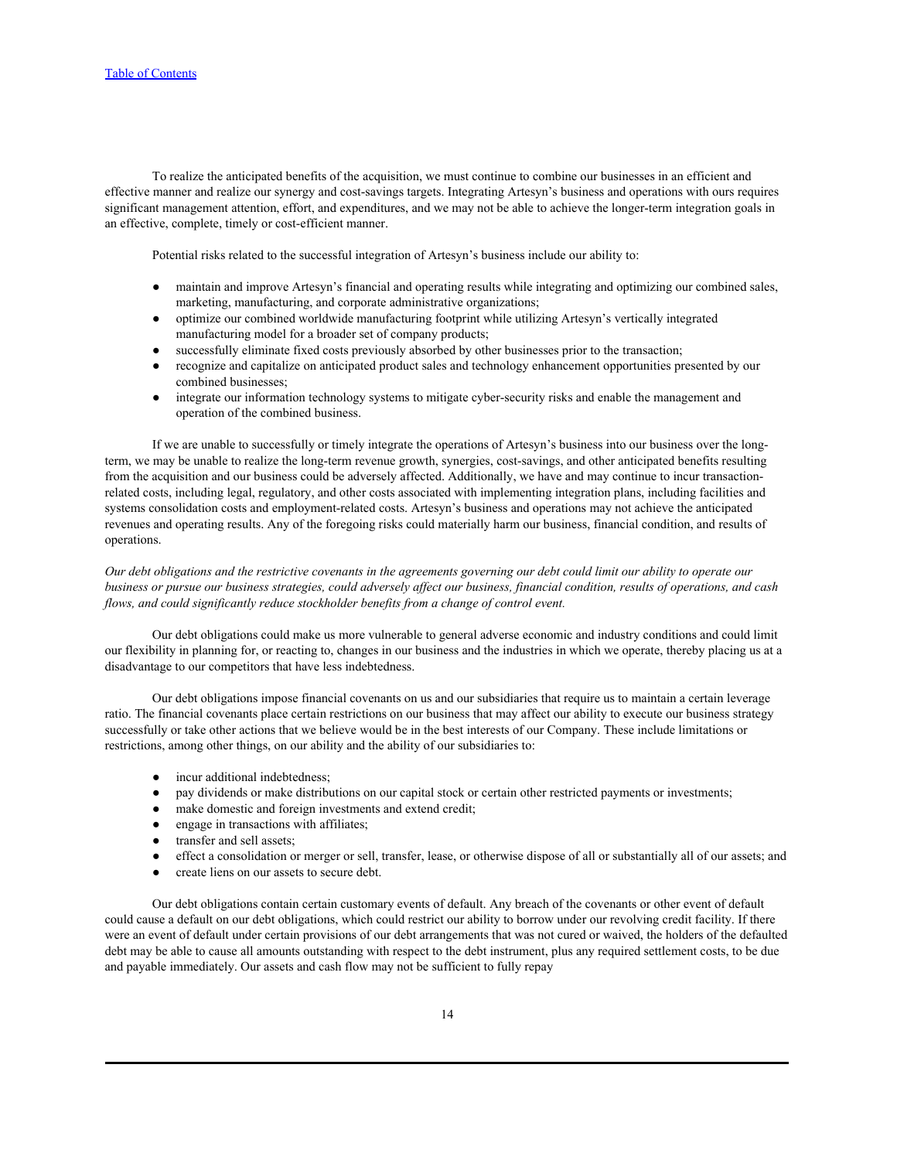To realize the anticipated benefits of the acquisition, we must continue to combine our businesses in an efficient and effective manner and realize our synergy and cost-savings targets. Integrating Artesyn's business and operations with ours requires significant management attention, effort, and expenditures, and we may not be able to achieve the longer-term integration goals in an effective, complete, timely or cost-efficient manner.

Potential risks related to the successful integration of Artesyn's business include our ability to:

- maintain and improve Artesyn's financial and operating results while integrating and optimizing our combined sales, marketing, manufacturing, and corporate administrative organizations;
- optimize our combined worldwide manufacturing footprint while utilizing Artesyn's vertically integrated manufacturing model for a broader set of company products;
- successfully eliminate fixed costs previously absorbed by other businesses prior to the transaction;
- recognize and capitalize on anticipated product sales and technology enhancement opportunities presented by our combined businesses;
- integrate our information technology systems to mitigate cyber-security risks and enable the management and operation of the combined business.

If we are unable to successfully or timely integrate the operations of Artesyn's business into our business over the longterm, we may be unable to realize the long-term revenue growth, synergies, cost-savings, and other anticipated benefits resulting from the acquisition and our business could be adversely affected. Additionally, we have and may continue to incur transactionrelated costs, including legal, regulatory, and other costs associated with implementing integration plans, including facilities and systems consolidation costs and employment-related costs. Artesyn's business and operations may not achieve the anticipated revenues and operating results. Any of the foregoing risks could materially harm our business, financial condition, and results of operations.

# *Our debt obligations and the restrictive covenants in the agreements governing our debt could limit our ability to operate our business or pursue our business strategies, could adversely affect our business, financial condition, results of operations, and cash flows, and could significantly reduce stockholder benefits from a change of control event.*

Our debt obligations could make us more vulnerable to general adverse economic and industry conditions and could limit our flexibility in planning for, or reacting to, changes in our business and the industries in which we operate, thereby placing us at a disadvantage to our competitors that have less indebtedness.

Our debt obligations impose financial covenants on us and our subsidiaries that require us to maintain a certain leverage ratio. The financial covenants place certain restrictions on our business that may affect our ability to execute our business strategy successfully or take other actions that we believe would be in the best interests of our Company. These include limitations or restrictions, among other things, on our ability and the ability of our subsidiaries to:

- 
- incur additional indebtedness;<br>pay dividends or make distributions on our capital stock or certain other restricted payments or investments;
- make domestic and foreign investments and extend credit;
- engage in transactions with affiliates;
- transfer and sell assets;
- effect a consolidation or merger or sell, transfer, lease, or otherwise dispose of all or substantially all of our assets; and
- create liens on our assets to secure debt.

Our debt obligations contain certain customary events of default. Any breach of the covenants or other event of default could cause a default on our debt obligations, which could restrict our ability to borrow under our revolving credit facility. If there were an event of default under certain provisions of our debt arrangements that was not cured or waived, the holders of the defaulted debt may be able to cause all amounts outstanding with respect to the debt instrument, plus any required settlement costs, to be due and payable immediately. Our assets and cash flow may not be sufficient to fully repay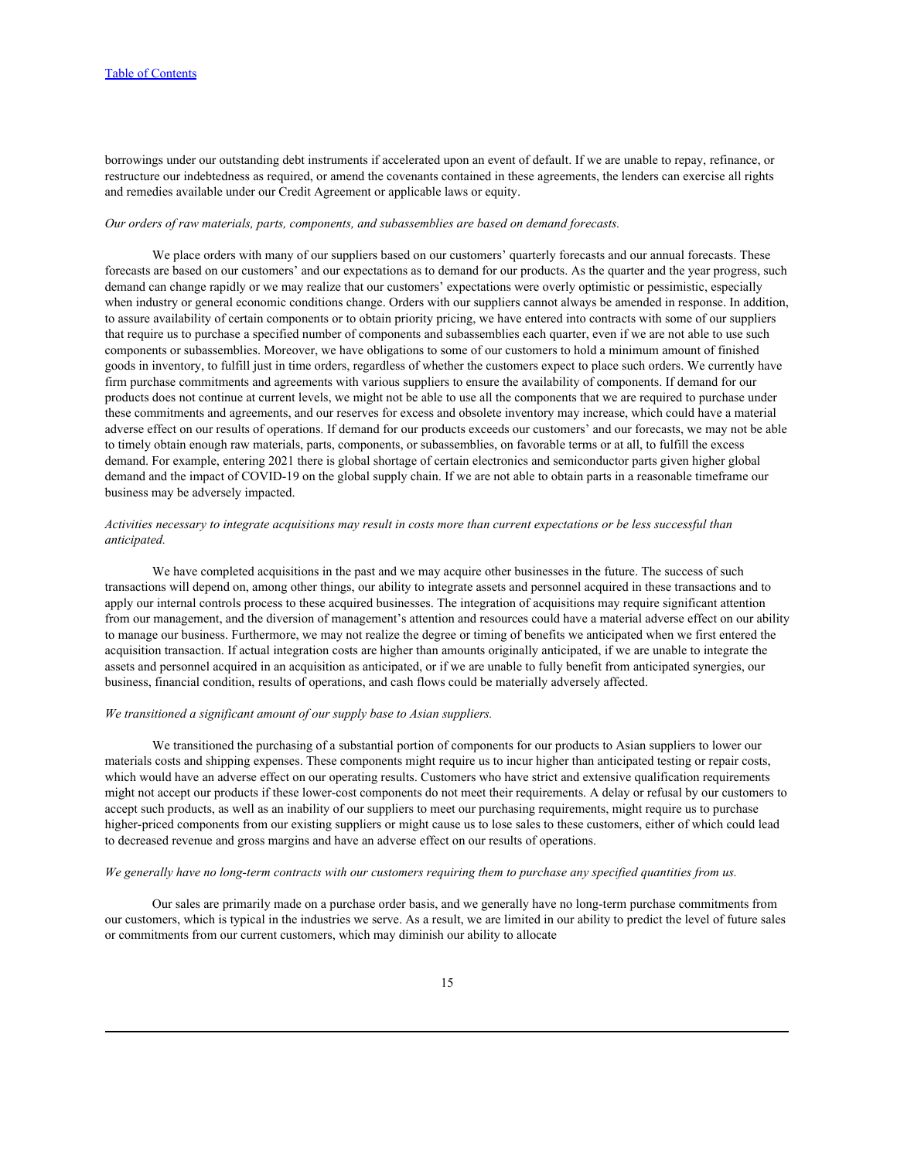borrowings under our outstanding debt instruments if accelerated upon an event of default. If we are unable to repay, refinance, or restructure our indebtedness as required, or amend the covenants contained in these agreements, the lenders can exercise all rights and remedies available under our Credit Agreement or applicable laws or equity.

#### *Our orders of raw materials, parts, components, and subassemblies are based on demand forecasts.*

We place orders with many of our suppliers based on our customers' quarterly forecasts and our annual forecasts. These forecasts are based on our customers' and our expectations as to demand for our products. As the quarter and the year progress, such demand can change rapidly or we may realize that our customers' expectations were overly optimistic or pessimistic, especially when industry or general economic conditions change. Orders with our suppliers cannot always be amended in response. In addition, to assure availability of certain components or to obtain priority pricing, we have entered into contracts with some of our suppliers that require us to purchase a specified number of components and subassemblies each quarter, even if we are not able to use such components or subassemblies. Moreover, we have obligations to some of our customers to hold a minimum amount of finished goods in inventory, to fulfill just in time orders, regardless of whether the customers expect to place such orders. We currently have firm purchase commitments and agreements with various suppliers to ensure the availability of components. If demand for our products does not continue at current levels, we might not be able to use all the components that we are required to purchase under these commitments and agreements, and our reserves for excess and obsolete inventory may increase, which could have a material adverse effect on our results of operations. If demand for our products exceeds our customers' and our forecasts, we may not be able to timely obtain enough raw materials, parts, components, or subassemblies, on favorable terms or at all, to fulfill the excess demand. For example, entering 2021 there is global shortage of certain electronics and semiconductor parts given higher global demand and the impact of COVID-19 on the global supply chain. If we are not able to obtain parts in a reasonable timeframe our business may be adversely impacted.

# *Activities necessary to integrate acquisitions may result in costs more than current expectations or be less successful than anticipated.*

We have completed acquisitions in the past and we may acquire other businesses in the future. The success of such transactions will depend on, among other things, our ability to integrate assets and personnel acquired in these transactions and to apply our internal controls process to these acquired businesses. The integration of acquisitions may require significant attention from our management, and the diversion of management's attention and resources could have a material adverse effect on our ability to manage our business. Furthermore, we may not realize the degree or timing of benefits we anticipated when we first entered the acquisition transaction. If actual integration costs are higher than amounts originally anticipated, if we are unable to integrate the assets and personnel acquired in an acquisition as anticipated, or if we are unable to fully benefit from anticipated synergies, our business, financial condition, results of operations, and cash flows could be materially adversely affected.

### *We transitioned a significant amount of our supply base to Asian suppliers.*

We transitioned the purchasing of a substantial portion of components for our products to Asian suppliers to lower our materials costs and shipping expenses. These components might require us to incur higher than anticipated testing or repair costs, which would have an adverse effect on our operating results. Customers who have strict and extensive qualification requirements might not accept our products if these lower-cost components do not meet their requirements. A delay or refusal by our customers to accept such products, as well as an inability of our suppliers to meet our purchasing requirements, might require us to purchase higher-priced components from our existing suppliers or might cause us to lose sales to these customers, either of which could lead to decreased revenue and gross margins and have an adverse effect on our results of operations.

#### *We generally have no long-term contracts with our customers requiring them to purchase any specified quantities from us.*

Our sales are primarily made on a purchase order basis, and we generally have no long-term purchase commitments from our customers, which is typical in the industries we serve. As a result, we are limited in our ability to predict the level of future sales or commitments from our current customers, which may diminish our ability to allocate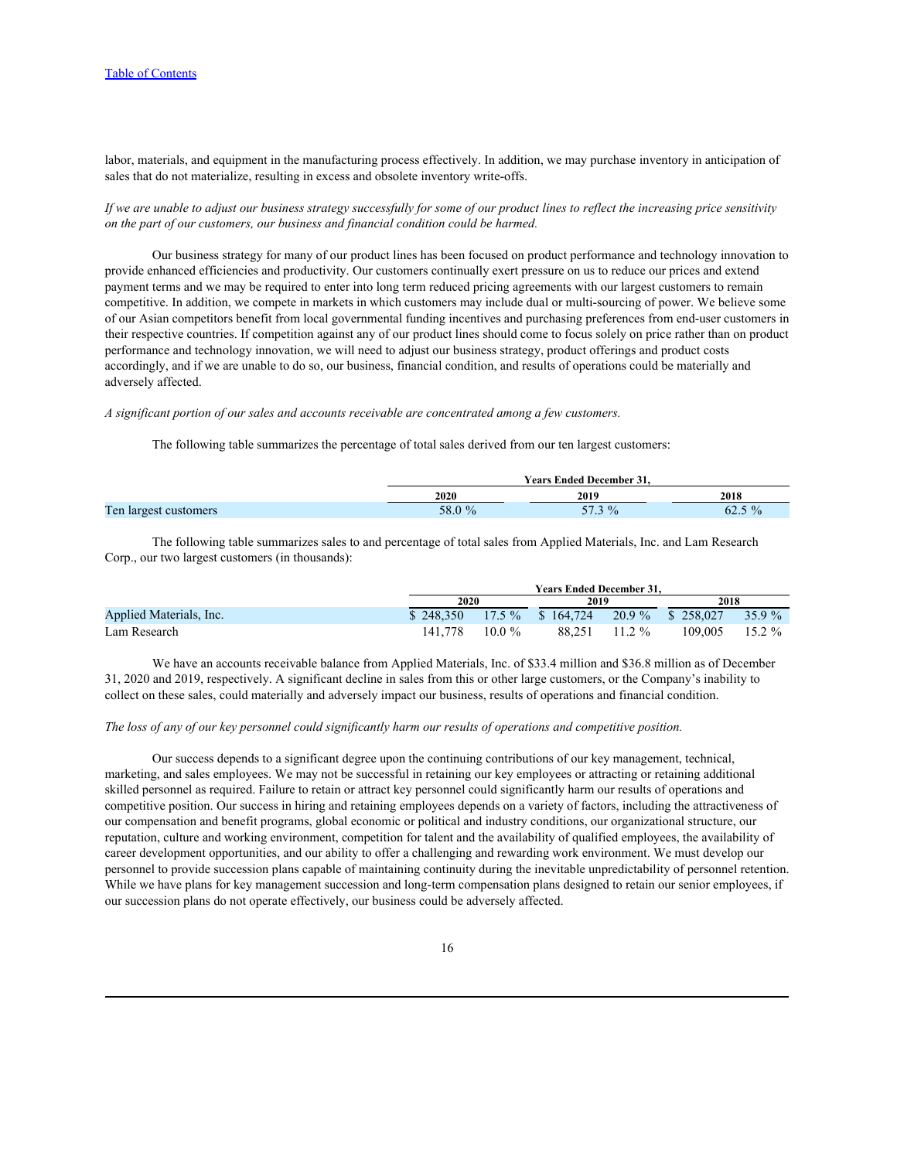labor, materials, and equipment in the manufacturing process effectively. In addition, we may purchase inventory in anticipation of sales that do not materialize, resulting in excess and obsolete inventory write-offs.

*If we are unable to adjust our business strategy successfully for some of our product lines to reflect the increasing price sensitivity on the part of our customers, our business and financial condition could be harmed.*

Our business strategy for many of our product lines has been focused on product performance and technology innovation to provide enhanced efficiencies and productivity. Our customers continually exert pressure on us to reduce our prices and extend payment terms and we may be required to enter into long term reduced pricing agreements with our largest customers to remain competitive. In addition, we compete in markets in which customers may include dual or multi-sourcing of power. We believe some of our Asian competitors benefit from local governmental funding incentives and purchasing preferences from end-user customers in their respective countries. If competition against any of our product lines should come to focus solely on price rather than on product performance and technology innovation, we will need to adjust our business strategy, product offerings and product costs accordingly, and if we are unable to do so, our business, financial condition, and results of operations could be materially and adversely affected.

#### *A significant portion of our sales and accounts receivable are concentrated among a few customers.*

The following table summarizes the percentage of total sales derived from our ten largest customers:

|                                 |               | <b>Ended December</b><br>-<br>ears<br>-<br>.J I |                                              |
|---------------------------------|---------------|-------------------------------------------------|----------------------------------------------|
|                                 | 2020          | 2019                                            | 2018                                         |
| $\sim$<br>Ten largest customers | 58.0 %<br>7 U | $\overline{r}$<br>ر ب                           | $\epsilon$ $\alpha$<br>$\sim$<br>02.5<br>-70 |

The following table summarizes sales to and percentage of total sales from Applied Materials, Inc. and Lam Research Corp., our two largest customers (in thousands):

|                         |          |           | <b>Years Ended December 31.</b> |       |         |        |
|-------------------------|----------|-----------|---------------------------------|-------|---------|--------|
|                         | 2020     |           | 2019                            |       | 2018    |        |
| Applied Materials, Inc. | 3248.350 | $17.5\%$  | 164,724                         | 20.9% | 258,027 | 35.9%  |
| Lam Research            | 141.778  | $10.0 \%$ | 88,251                          | 1.2 % | 109,005 | 15.2 % |

We have an accounts receivable balance from Applied Materials, Inc. of \$33.4 million and \$36.8 million as of December 31, 2020 and 2019, respectively. A significant decline in sales from this or other large customers, or the Company's inability to collect on these sales, could materially and adversely impact our business, results of operations and financial condition.

#### *The loss of any of our key personnel could significantly harm our results of operations and competitive position.*

Our success depends to a significant degree upon the continuing contributions of our key management, technical, marketing, and sales employees. We may not be successful in retaining our key employees or attracting or retaining additional skilled personnel as required. Failure to retain or attract key personnel could significantly harm our results of operations and competitive position. Our success in hiring and retaining employees depends on a variety of factors, including the attractiveness of our compensation and benefit programs, global economic or political and industry conditions, our organizational structure, our reputation, culture and working environment, competition for talent and the availability of qualified employees, the availability of career development opportunities, and our ability to offer a challenging and rewarding work environment. We must develop our personnel to provide succession plans capable of maintaining continuity during the inevitable unpredictability of personnel retention. While we have plans for key management succession and long-term compensation plans designed to retain our senior employees, if our succession plans do not operate effectively, our business could be adversely affected.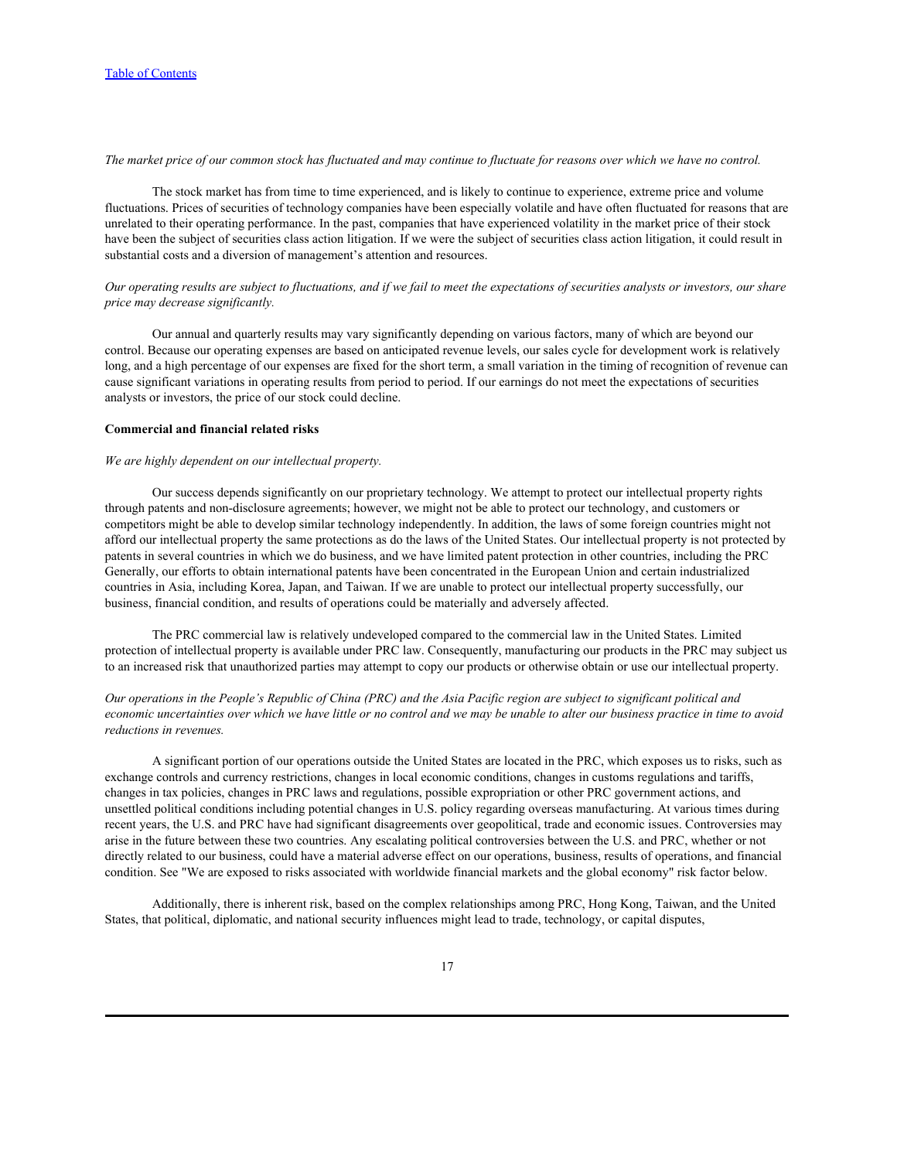# *The market price of our common stock has fluctuated and may continue to fluctuate for reasons over which we have no control.*

The stock market has from time to time experienced, and is likely to continue to experience, extreme price and volume fluctuations. Prices of securities of technology companies have been especially volatile and have often fluctuated for reasons that are unrelated to their operating performance. In the past, companies that have experienced volatility in the market price of their stock have been the subject of securities class action litigation. If we were the subject of securities class action litigation, it could result in substantial costs and a diversion of management's attention and resources.

## *Our operating results are subject to fluctuations, and if we fail to meet the expectations of securities analysts or investors, our share price may decrease significantly.*

Our annual and quarterly results may vary significantly depending on various factors, many of which are beyond our control. Because our operating expenses are based on anticipated revenue levels, our sales cycle for development work is relatively long, and a high percentage of our expenses are fixed for the short term, a small variation in the timing of recognition of revenue can cause significant variations in operating results from period to period. If our earnings do not meet the expectations of securities analysts or investors, the price of our stock could decline.

#### **Commercial and financial related risks**

# *We are highly dependent on our intellectual property.*

Our success depends significantly on our proprietary technology. We attempt to protect our intellectual property rights through patents and non-disclosure agreements; however, we might not be able to protect our technology, and customers or competitors might be able to develop similar technology independently. In addition, the laws of some foreign countries might not afford our intellectual property the same protections as do the laws of the United States. Our intellectual property is not protected by patents in several countries in which we do business, and we have limited patent protection in other countries, including the PRC Generally, our efforts to obtain international patents have been concentrated in the European Union and certain industrialized countries in Asia, including Korea, Japan, and Taiwan. If we are unable to protect our intellectual property successfully, our business, financial condition, and results of operations could be materially and adversely affected.

The PRC commercial law is relatively undeveloped compared to the commercial law in the United States. Limited protection of intellectual property is available under PRC law. Consequently, manufacturing our products in the PRC may subject us to an increased risk that unauthorized parties may attempt to copy our products or otherwise obtain or use our intellectual property.

# *Our operations in the People's Republic of China (PRC) and the Asia Pacific region are subject to significant political and economic uncertainties over which we have little or no control and we may be unable to alter our business practice in time to avoid reductions in revenues.*

A significant portion of our operations outside the United States are located in the PRC, which exposes us to risks, such as exchange controls and currency restrictions, changes in local economic conditions, changes in customs regulations and tariffs, changes in tax policies, changes in PRC laws and regulations, possible expropriation or other PRC government actions, and unsettled political conditions including potential changes in U.S. policy regarding overseas manufacturing. At various times during recent years, the U.S. and PRC have had significant disagreements over geopolitical, trade and economic issues. Controversies may arise in the future between these two countries. Any escalating political controversies between the U.S. and PRC, whether or not directly related to our business, could have a material adverse effect on our operations, business, results of operations, and financial condition. See "We are exposed to risks associated with worldwide financial markets and the global economy" risk factor below.

Additionally, there is inherent risk, based on the complex relationships among PRC, Hong Kong, Taiwan, and the United States, that political, diplomatic, and national security influences might lead to trade, technology, or capital disputes,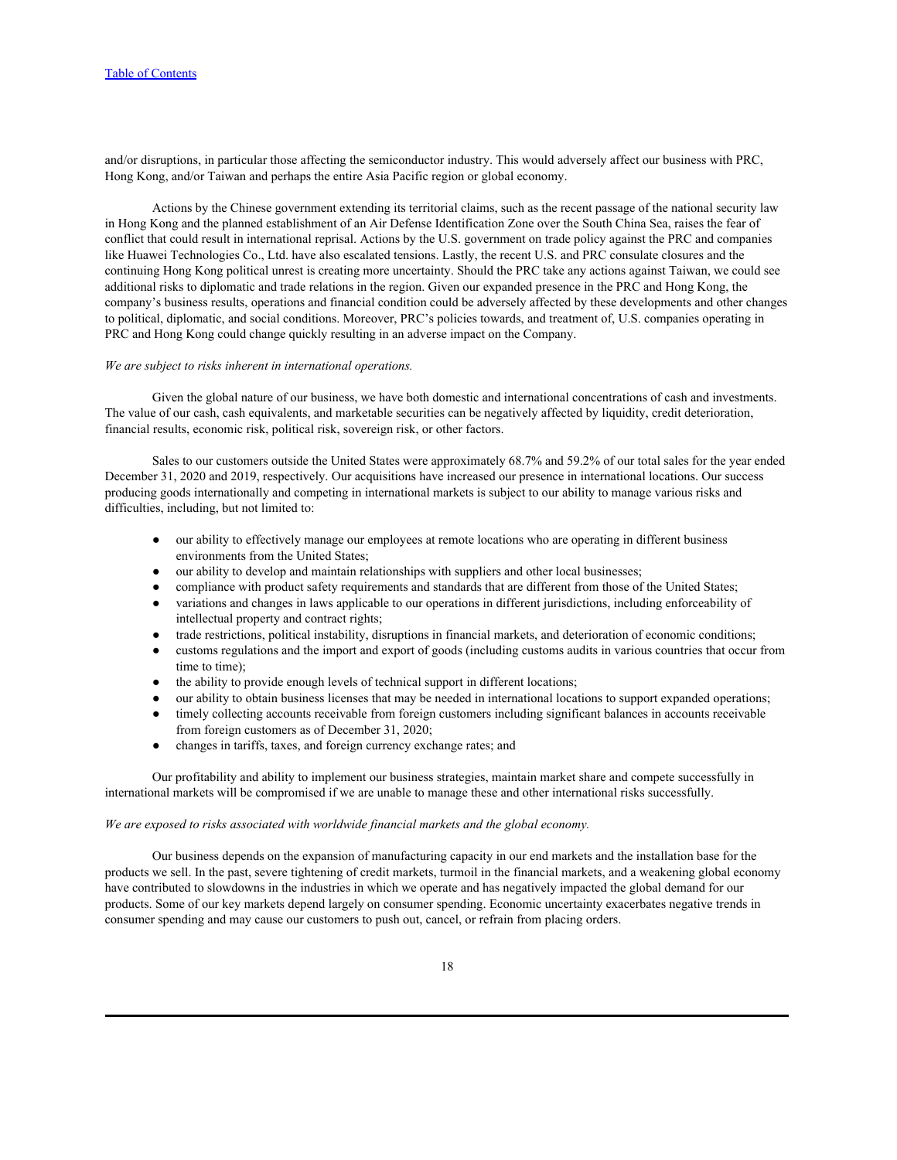and/or disruptions, in particular those affecting the semiconductor industry. This would adversely affect our business with PRC, Hong Kong, and/or Taiwan and perhaps the entire Asia Pacific region or global economy.

Actions by the Chinese government extending its territorial claims, such as the recent passage of the national security law in Hong Kong and the planned establishment of an Air Defense Identification Zone over the South China Sea, raises the fear of conflict that could result in international reprisal. Actions by the U.S. government on trade policy against the PRC and companies like Huawei Technologies Co., Ltd. have also escalated tensions. Lastly, the recent U.S. and PRC consulate closures and the continuing Hong Kong political unrest is creating more uncertainty. Should the PRC take any actions against Taiwan, we could see additional risks to diplomatic and trade relations in the region. Given our expanded presence in the PRC and Hong Kong, the company's business results, operations and financial condition could be adversely affected by these developments and other changes to political, diplomatic, and social conditions. Moreover, PRC's policies towards, and treatment of, U.S. companies operating in PRC and Hong Kong could change quickly resulting in an adverse impact on the Company.

### *We are subject to risks inherent in international operations.*

Given the global nature of our business, we have both domestic and international concentrations of cash and investments. The value of our cash, cash equivalents, and marketable securities can be negatively affected by liquidity, credit deterioration, financial results, economic risk, political risk, sovereign risk, or other factors.

Sales to our customers outside the United States were approximately 68.7% and 59.2% of our total sales for the year ended December 31, 2020 and 2019, respectively. Our acquisitions have increased our presence in international locations. Our success producing goods internationally and competing in international markets is subject to our ability to manage various risks and difficulties, including, but not limited to:

- our ability to effectively manage our employees at remote locations who are operating in different business environments from the United States;
- our ability to develop and maintain relationships with suppliers and other local businesses;
- compliance with product safety requirements and standards that are different from those of the United States;
- variations and changes in laws applicable to our operations in different jurisdictions, including enforceability of intellectual property and contract rights;
- trade restrictions, political instability, disruptions in financial markets, and deterioration of economic conditions;
- customs regulations and the import and export of goods (including customs audits in various countries that occur from time to time);
- the ability to provide enough levels of technical support in different locations;
- our ability to obtain business licenses that may be needed in international locations to support expanded operations;
- timely collecting accounts receivable from foreign customers including significant balances in accounts receivable from foreign customers as of December 31, 2020;
- changes in tariffs, taxes, and foreign currency exchange rates; and

Our profitability and ability to implement our business strategies, maintain market share and compete successfully in international markets will be compromised if we are unable to manage these and other international risks successfully.

# *We are exposed to risks associated with worldwide financial markets and the global economy.*

Our business depends on the expansion of manufacturing capacity in our end markets and the installation base for the products we sell. In the past, severe tightening of credit markets, turmoil in the financial markets, and a weakening global economy have contributed to slowdowns in the industries in which we operate and has negatively impacted the global demand for our products. Some of our key markets depend largely on consumer spending. Economic uncertainty exacerbates negative trends in consumer spending and may cause our customers to push out, cancel, or refrain from placing orders.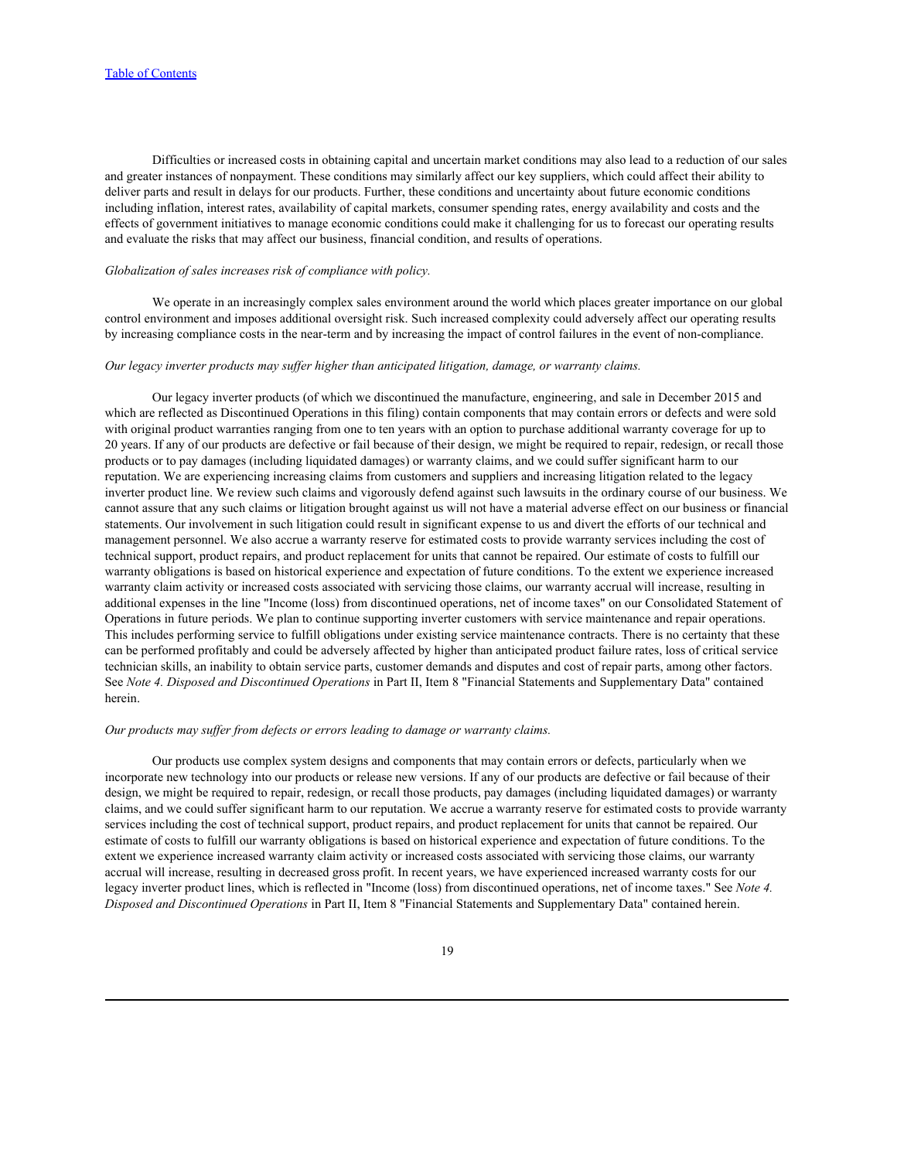Difficulties or increased costs in obtaining capital and uncertain market conditions may also lead to a reduction of our sales and greater instances of nonpayment. These conditions may similarly affect our key suppliers, which could affect their ability to deliver parts and result in delays for our products. Further, these conditions and uncertainty about future economic conditions including inflation, interest rates, availability of capital markets, consumer spending rates, energy availability and costs and the effects of government initiatives to manage economic conditions could make it challenging for us to forecast our operating results and evaluate the risks that may affect our business, financial condition, and results of operations.

#### *Globalization of sales increases risk of compliance with policy.*

We operate in an increasingly complex sales environment around the world which places greater importance on our global control environment and imposes additional oversight risk. Such increased complexity could adversely affect our operating results by increasing compliance costs in the near-term and by increasing the impact of control failures in the event of non-compliance.

#### *Our legacy inverter products may suffer higher than anticipated litigation, damage, or warranty claims.*

Our legacy inverter products (of which we discontinued the manufacture, engineering, and sale in December 2015 and which are reflected as Discontinued Operations in this filing) contain components that may contain errors or defects and were sold with original product warranties ranging from one to ten years with an option to purchase additional warranty coverage for up to 20 years. If any of our products are defective or fail because of their design, we might be required to repair, redesign, or recall those products or to pay damages (including liquidated damages) or warranty claims, and we could suffer significant harm to our reputation. We are experiencing increasing claims from customers and suppliers and increasing litigation related to the legacy inverter product line. We review such claims and vigorously defend against such lawsuits in the ordinary course of our business. We cannot assure that any such claims or litigation brought against us will not have a material adverse effect on our business or financial statements. Our involvement in such litigation could result in significant expense to us and divert the efforts of our technical and management personnel. We also accrue a warranty reserve for estimated costs to provide warranty services including the cost of technical support, product repairs, and product replacement for units that cannot be repaired. Our estimate of costs to fulfill our warranty obligations is based on historical experience and expectation of future conditions. To the extent we experience increased warranty claim activity or increased costs associated with servicing those claims, our warranty accrual will increase, resulting in additional expenses in the line "Income (loss) from discontinued operations, net of income taxes" on our Consolidated Statement of Operations in future periods. We plan to continue supporting inverter customers with service maintenance and repair operations. This includes performing service to fulfill obligations under existing service maintenance contracts. There is no certainty that these can be performed profitably and could be adversely affected by higher than anticipated product failure rates, loss of critical service technician skills, an inability to obtain service parts, customer demands and disputes and cost of repair parts, among other factors. See *Note 4. Disposed and Discontinued Operations* in Part II, Item 8 "Financial Statements and Supplementary Data" contained herein.

#### *Our products may suffer from defects or errors leading to damage or warranty claims.*

Our products use complex system designs and components that may contain errors or defects, particularly when we incorporate new technology into our products or release new versions. If any of our products are defective or fail because of their design, we might be required to repair, redesign, or recall those products, pay damages (including liquidated damages) or warranty claims, and we could suffer significant harm to our reputation. We accrue a warranty reserve for estimated costs to provide warranty services including the cost of technical support, product repairs, and product replacement for units that cannot be repaired. Our estimate of costs to fulfill our warranty obligations is based on historical experience and expectation of future conditions. To the extent we experience increased warranty claim activity or increased costs associated with servicing those claims, our warranty accrual will increase, resulting in decreased gross profit. In recent years, we have experienced increased warranty costs for our legacy inverter product lines, which is reflected in "Income (loss) from discontinued operations, net of income taxes." See *Note 4. Disposed and Discontinued Operations* in Part II, Item 8 "Financial Statements and Supplementary Data" contained herein.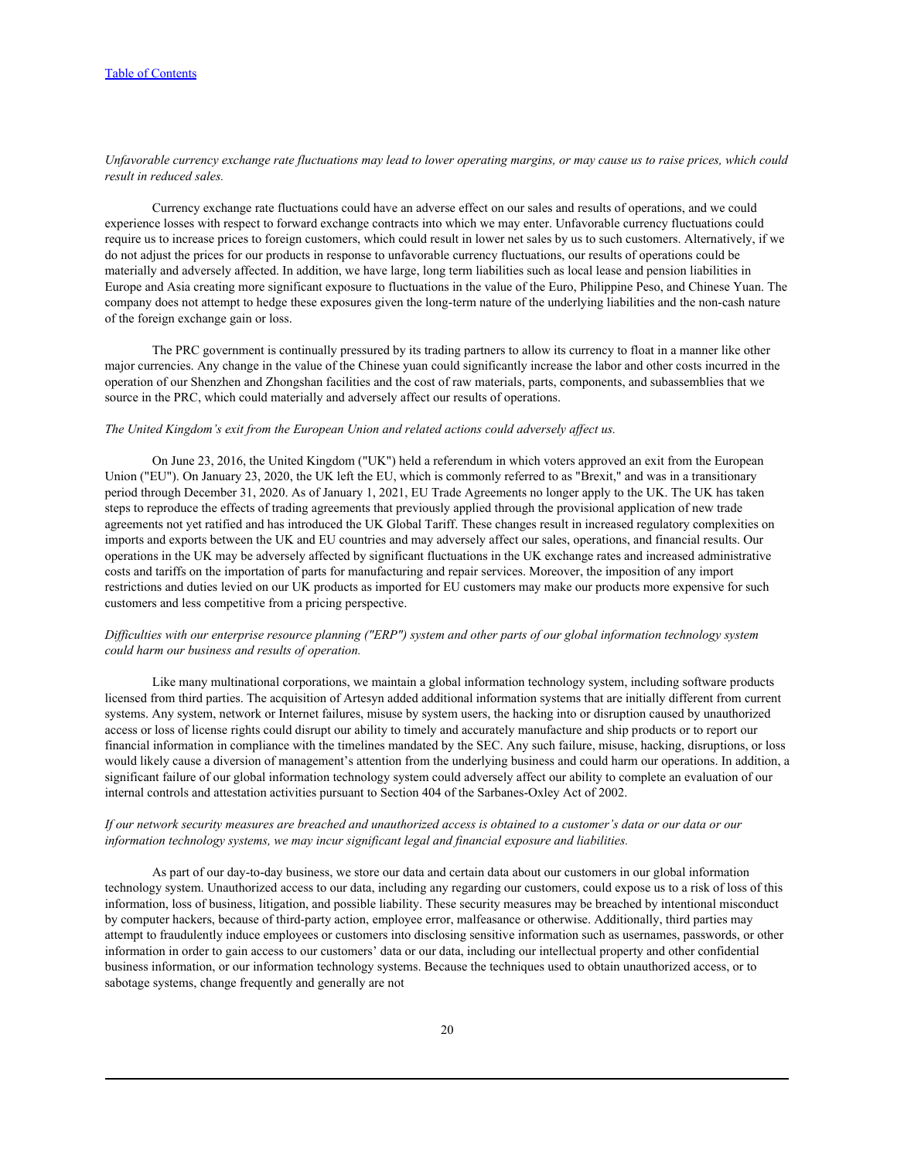## *Unfavorable currency exchange rate fluctuations may lead to lower operating margins, or may cause us to raise prices, which could result in reduced sales.*

Currency exchange rate fluctuations could have an adverse effect on our sales and results of operations, and we could experience losses with respect to forward exchange contracts into which we may enter. Unfavorable currency fluctuations could require us to increase prices to foreign customers, which could result in lower net sales by us to such customers. Alternatively, if we do not adjust the prices for our products in response to unfavorable currency fluctuations, our results of operations could be materially and adversely affected. In addition, we have large, long term liabilities such as local lease and pension liabilities in Europe and Asia creating more significant exposure to fluctuations in the value of the Euro, Philippine Peso, and Chinese Yuan. The company does not attempt to hedge these exposures given the long-term nature of the underlying liabilities and the non-cash nature of the foreign exchange gain or loss.

The PRC government is continually pressured by its trading partners to allow its currency to float in a manner like other major currencies. Any change in the value of the Chinese yuan could significantly increase the labor and other costs incurred in the operation of our Shenzhen and Zhongshan facilities and the cost of raw materials, parts, components, and subassemblies that we source in the PRC, which could materially and adversely affect our results of operations.

#### *The United Kingdom's exit from the European Union and related actions could adversely affect us.*

On June 23, 2016, the United Kingdom ("UK") held a referendum in which voters approved an exit from the European Union ("EU"). On January 23, 2020, the UK left the EU, which is commonly referred to as "Brexit," and was in a transitionary period through December 31, 2020. As of January 1, 2021, EU Trade Agreements no longer apply to the UK. The UK has taken steps to reproduce the effects of trading agreements that previously applied through the provisional application of new trade agreements not yet ratified and has introduced the UK Global Tariff. These changes result in increased regulatory complexities on imports and exports between the UK and EU countries and may adversely affect our sales, operations, and financial results. Our operations in the UK may be adversely affected by significant fluctuations in the UK exchange rates and increased administrative costs and tariffs on the importation of parts for manufacturing and repair services. Moreover, the imposition of any import restrictions and duties levied on our UK products as imported for EU customers may make our products more expensive for such customers and less competitive from a pricing perspective.

# *Difficulties with our enterprise resource planning ("ERP") system and other parts of our global information technology system could harm our business and results of operation.*

Like many multinational corporations, we maintain a global information technology system, including software products licensed from third parties. The acquisition of Artesyn added additional information systems that are initially different from current systems. Any system, network or Internet failures, misuse by system users, the hacking into or disruption caused by unauthorized access or loss of license rights could disrupt our ability to timely and accurately manufacture and ship products or to report our financial information in compliance with the timelines mandated by the SEC. Any such failure, misuse, hacking, disruptions, or loss would likely cause a diversion of management's attention from the underlying business and could harm our operations. In addition, a significant failure of our global information technology system could adversely affect our ability to complete an evaluation of our internal controls and attestation activities pursuant to Section 404 of the Sarbanes-Oxley Act of 2002.

# *If our network security measures are breached and unauthorized access is obtained to a customer's data or our data or our information technology systems, we may incur significant legal and financial exposure and liabilities.*

As part of our day-to-day business, we store our data and certain data about our customers in our global information technology system. Unauthorized access to our data, including any regarding our customers, could expose us to a risk of loss of this information, loss of business, litigation, and possible liability. These security measures may be breached by intentional misconduct by computer hackers, because of third-party action, employee error, malfeasance or otherwise. Additionally, third parties may attempt to fraudulently induce employees or customers into disclosing sensitive information such as usernames, passwords, or other information in order to gain access to our customers' data or our data, including our intellectual property and other confidential business information, or our information technology systems. Because the techniques used to obtain unauthorized access, or to sabotage systems, change frequently and generally are not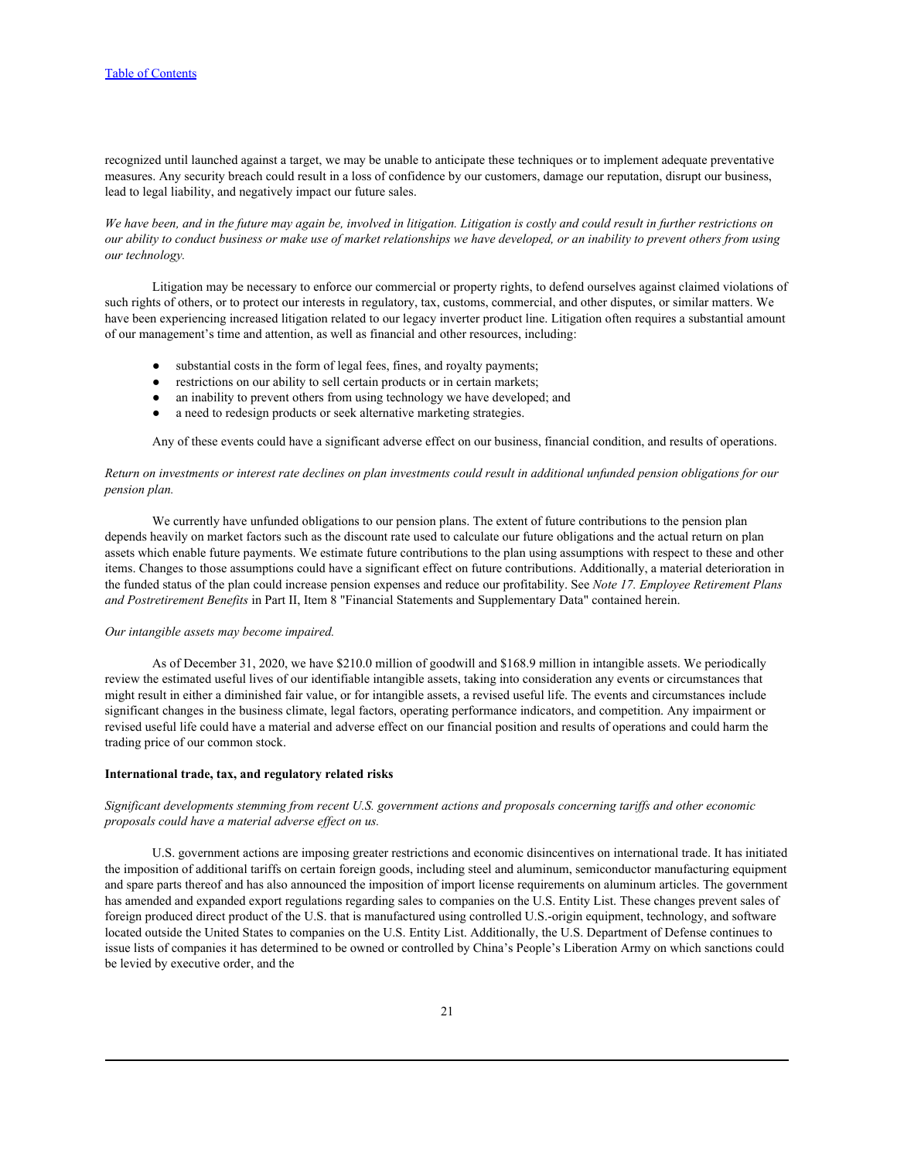recognized until launched against a target, we may be unable to anticipate these techniques or to implement adequate preventative measures. Any security breach could result in a loss of confidence by our customers, damage our reputation, disrupt our business, lead to legal liability, and negatively impact our future sales.

*We have been, and in the future may again be, involved in litigation. Litigation is costly and could result in further restrictions on our ability to conduct business or make use of market relationships we have developed, or an inability to prevent others from using our technology.*

Litigation may be necessary to enforce our commercial or property rights, to defend ourselves against claimed violations of such rights of others, or to protect our interests in regulatory, tax, customs, commercial, and other disputes, or similar matters. We have been experiencing increased litigation related to our legacy inverter product line. Litigation often requires a substantial amount of our management's time and attention, as well as financial and other resources, including:

- substantial costs in the form of legal fees, fines, and royalty payments;
- restrictions on our ability to sell certain products or in certain markets;
- an inability to prevent others from using technology we have developed; and
- a need to redesign products or seek alternative marketing strategies.

Any of these events could have a significant adverse effect on our business, financial condition, and results of operations.

# *Return on investments or interest rate declines on plan investments could result in additional unfunded pension obligations for our pension plan.*

We currently have unfunded obligations to our pension plans. The extent of future contributions to the pension plan depends heavily on market factors such as the discount rate used to calculate our future obligations and the actual return on plan assets which enable future payments. We estimate future contributions to the plan using assumptions with respect to these and other items. Changes to those assumptions could have a significant effect on future contributions. Additionally, a material deterioration in the funded status of the plan could increase pension expenses and reduce our profitability. See *Note 17. Employee Retirement Plans and Postretirement Benefits* in Part II, Item 8 "Financial Statements and Supplementary Data" contained herein.

### *Our intangible assets may become impaired.*

As of December 31, 2020, we have \$210.0 million of goodwill and \$168.9 million in intangible assets. We periodically review the estimated useful lives of our identifiable intangible assets, taking into consideration any events or circumstances that might result in either a diminished fair value, or for intangible assets, a revised useful life. The events and circumstances include significant changes in the business climate, legal factors, operating performance indicators, and competition. Any impairment or revised useful life could have a material and adverse effect on our financial position and results of operations and could harm the trading price of our common stock.

#### **International trade, tax, and regulatory related risks**

# *Significant developments stemming from recent U.S. government actions and proposals concerning tariffs and other economic proposals could have a material adverse effect on us.*

U.S. government actions are imposing greater restrictions and economic disincentives on international trade. It has initiated the imposition of additional tariffs on certain foreign goods, including steel and aluminum, semiconductor manufacturing equipment and spare parts thereof and has also announced the imposition of import license requirements on aluminum articles. The government has amended and expanded export regulations regarding sales to companies on the U.S. Entity List. These changes prevent sales of foreign produced direct product of the U.S. that is manufactured using controlled U.S.-origin equipment, technology, and software located outside the United States to companies on the U.S. Entity List. Additionally, the U.S. Department of Defense continues to issue lists of companies it has determined to be owned or controlled by China's People's Liberation Army on which sanctions could be levied by executive order, and the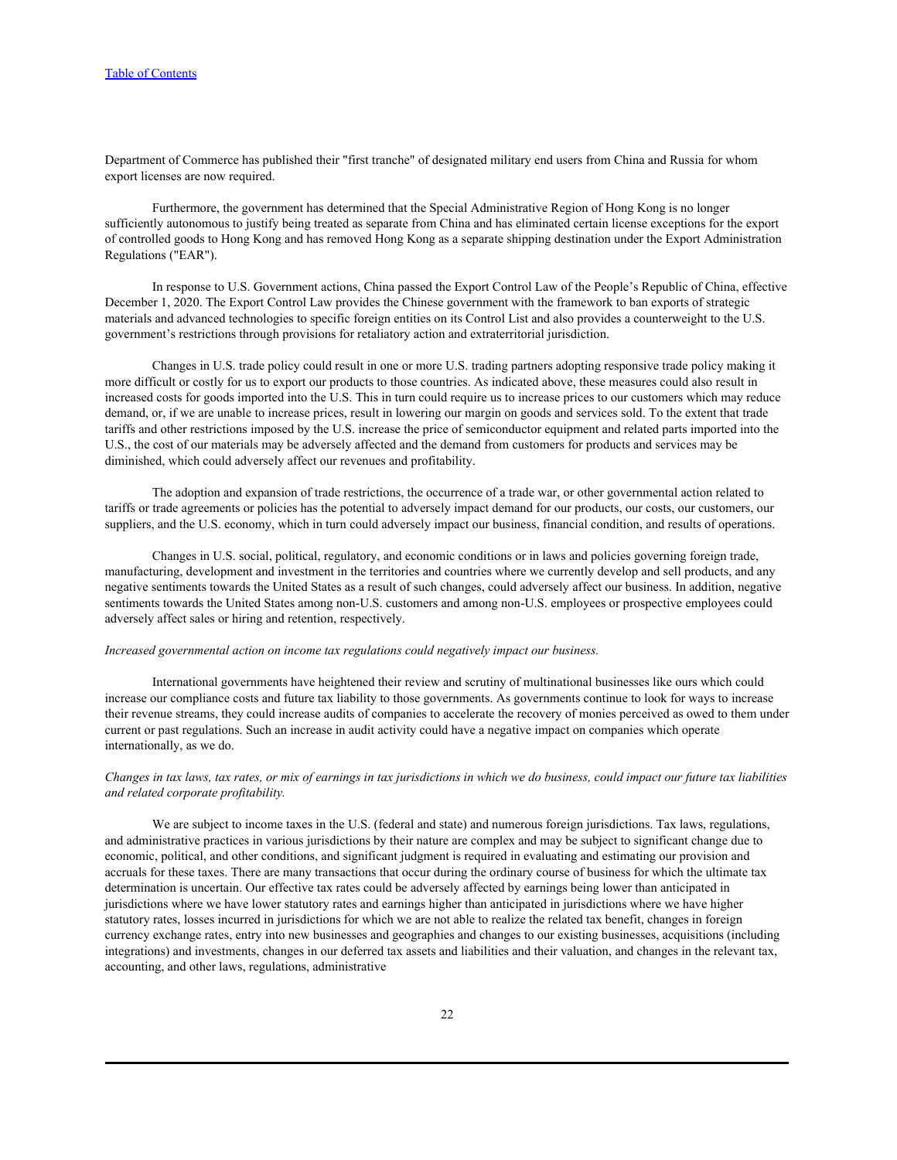Department of Commerce has published their "first tranche" of designated military end users from China and Russia for whom export licenses are now required.

Furthermore, the government has determined that the Special Administrative Region of Hong Kong is no longer sufficiently autonomous to justify being treated as separate from China and has eliminated certain license exceptions for the export of controlled goods to Hong Kong and has removed Hong Kong as a separate shipping destination under the Export Administration Regulations ("EAR").

In response to U.S. Government actions, China passed the Export Control Law of the People's Republic of China, effective December 1, 2020. The Export Control Law provides the Chinese government with the framework to ban exports of strategic materials and advanced technologies to specific foreign entities on its Control List and also provides a counterweight to the U.S. government's restrictions through provisions for retaliatory action and extraterritorial jurisdiction.

Changes in U.S. trade policy could result in one or more U.S. trading partners adopting responsive trade policy making it more difficult or costly for us to export our products to those countries. As indicated above, these measures could also result in increased costs for goods imported into the U.S. This in turn could require us to increase prices to our customers which may reduce demand, or, if we are unable to increase prices, result in lowering our margin on goods and services sold. To the extent that trade tariffs and other restrictions imposed by the U.S. increase the price of semiconductor equipment and related parts imported into the U.S., the cost of our materials may be adversely affected and the demand from customers for products and services may be diminished, which could adversely affect our revenues and profitability.

The adoption and expansion of trade restrictions, the occurrence of a trade war, or other governmental action related to tariffs or trade agreements or policies has the potential to adversely impact demand for our products, our costs, our customers, our suppliers, and the U.S. economy, which in turn could adversely impact our business, financial condition, and results of operations.

Changes in U.S. social, political, regulatory, and economic conditions or in laws and policies governing foreign trade, manufacturing, development and investment in the territories and countries where we currently develop and sell products, and any negative sentiments towards the United States as a result of such changes, could adversely affect our business. In addition, negative sentiments towards the United States among non-U.S. customers and among non-U.S. employees or prospective employees could adversely affect sales or hiring and retention, respectively.

# *Increased governmental action on income tax regulations could negatively impact our business.*

International governments have heightened their review and scrutiny of multinational businesses like ours which could increase our compliance costs and future tax liability to those governments. As governments continue to look for ways to increase their revenue streams, they could increase audits of companies to accelerate the recovery of monies perceived as owed to them under current or past regulations. Such an increase in audit activity could have a negative impact on companies which operate internationally, as we do.

# *Changes in tax laws, tax rates, or mix of earnings in tax jurisdictions in which we do business, could impact our future tax liabilities and related corporate profitability.*

We are subject to income taxes in the U.S. (federal and state) and numerous foreign jurisdictions. Tax laws, regulations, and administrative practices in various jurisdictions by their nature are complex and may be subject to significant change due to economic, political, and other conditions, and significant judgment is required in evaluating and estimating our provision and accruals for these taxes. There are many transactions that occur during the ordinary course of business for which the ultimate tax determination is uncertain. Our effective tax rates could be adversely affected by earnings being lower than anticipated in jurisdictions where we have lower statutory rates and earnings higher than anticipated in jurisdictions where we have higher statutory rates, losses incurred in jurisdictions for which we are not able to realize the related tax benefit, changes in foreign currency exchange rates, entry into new businesses and geographies and changes to our existing businesses, acquisitions (including integrations) and investments, changes in our deferred tax assets and liabilities and their valuation, and changes in the relevant tax, accounting, and other laws, regulations, administrative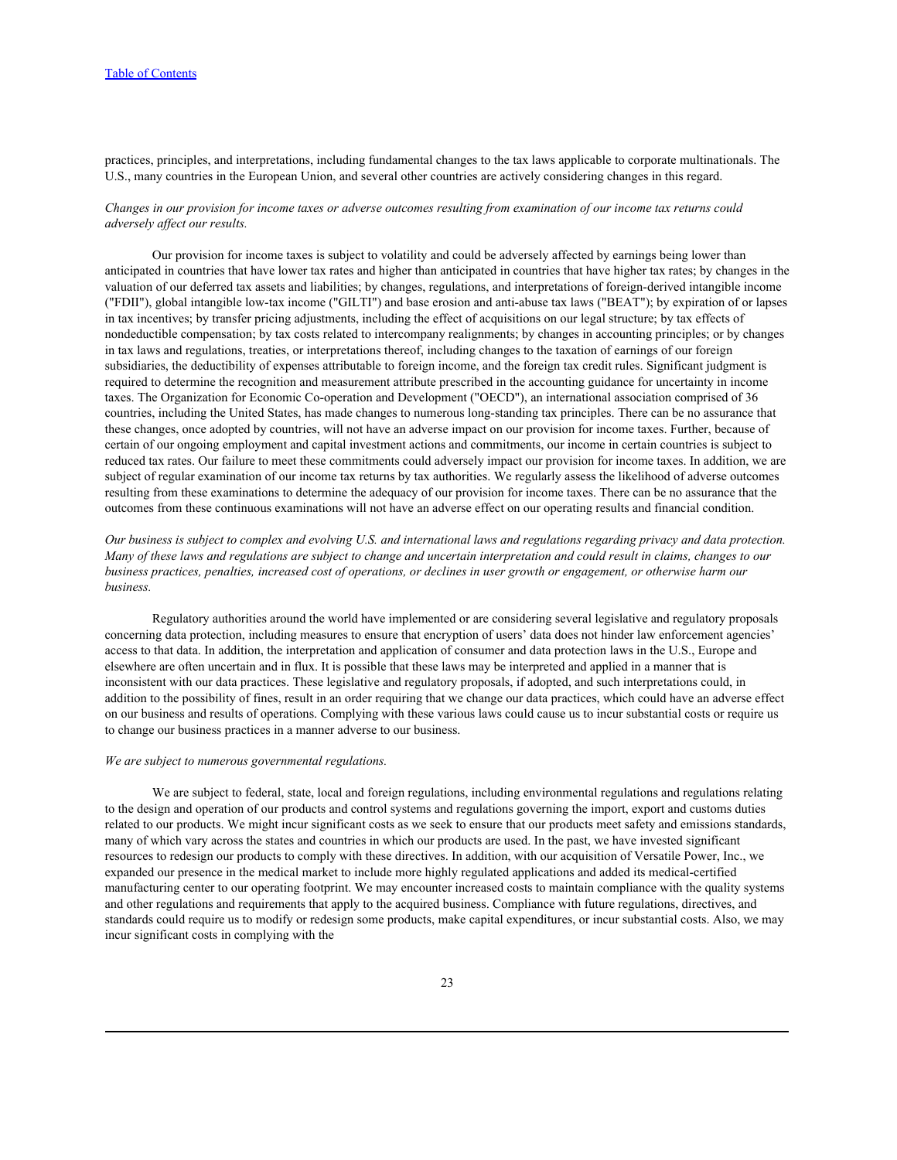practices, principles, and interpretations, including fundamental changes to the tax laws applicable to corporate multinationals. The U.S., many countries in the European Union, and several other countries are actively considering changes in this regard.

# *Changes in our provision for income taxes or adverse outcomes resulting from examination of our income tax returns could adversely affect our results.*

Our provision for income taxes is subject to volatility and could be adversely affected by earnings being lower than anticipated in countries that have lower tax rates and higher than anticipated in countries that have higher tax rates; by changes in the valuation of our deferred tax assets and liabilities; by changes, regulations, and interpretations of foreign-derived intangible income ("FDII"), global intangible low-tax income ("GILTI") and base erosion and anti-abuse tax laws ("BEAT"); by expiration of or lapses in tax incentives; by transfer pricing adjustments, including the effect of acquisitions on our legal structure; by tax effects of nondeductible compensation; by tax costs related to intercompany realignments; by changes in accounting principles; or by changes in tax laws and regulations, treaties, or interpretations thereof, including changes to the taxation of earnings of our foreign subsidiaries, the deductibility of expenses attributable to foreign income, and the foreign tax credit rules. Significant judgment is required to determine the recognition and measurement attribute prescribed in the accounting guidance for uncertainty in income taxes. The Organization for Economic Co-operation and Development ("OECD"), an international association comprised of 36 countries, including the United States, has made changes to numerous long-standing tax principles. There can be no assurance that these changes, once adopted by countries, will not have an adverse impact on our provision for income taxes. Further, because of certain of our ongoing employment and capital investment actions and commitments, our income in certain countries is subject to reduced tax rates. Our failure to meet these commitments could adversely impact our provision for income taxes. In addition, we are subject of regular examination of our income tax returns by tax authorities. We regularly assess the likelihood of adverse outcomes resulting from these examinations to determine the adequacy of our provision for income taxes. There can be no assurance that the outcomes from these continuous examinations will not have an adverse effect on our operating results and financial condition.

*Our business is subject to complex and evolving U.S. and international laws and regulations regarding privacy and data protection. Many of these laws and regulations are subject to change and uncertain interpretation and could result in claims, changes to our business practices, penalties, increased cost of operations, or declines in user growth or engagement, or otherwise harm our business.*

Regulatory authorities around the world have implemented or are considering several legislative and regulatory proposals concerning data protection, including measures to ensure that encryption of users' data does not hinder law enforcement agencies' access to that data. In addition, the interpretation and application of consumer and data protection laws in the U.S., Europe and elsewhere are often uncertain and in flux. It is possible that these laws may be interpreted and applied in a manner that is inconsistent with our data practices. These legislative and regulatory proposals, if adopted, and such interpretations could, in addition to the possibility of fines, result in an order requiring that we change our data practices, which could have an adverse effect on our business and results of operations. Complying with these various laws could cause us to incur substantial costs or require us to change our business practices in a manner adverse to our business.

#### *We are subject to numerous governmental regulations.*

We are subject to federal, state, local and foreign regulations, including environmental regulations and regulations relating to the design and operation of our products and control systems and regulations governing the import, export and customs duties related to our products. We might incur significant costs as we seek to ensure that our products meet safety and emissions standards, many of which vary across the states and countries in which our products are used. In the past, we have invested significant resources to redesign our products to comply with these directives. In addition, with our acquisition of Versatile Power, Inc., we expanded our presence in the medical market to include more highly regulated applications and added its medical-certified manufacturing center to our operating footprint. We may encounter increased costs to maintain compliance with the quality systems and other regulations and requirements that apply to the acquired business. Compliance with future regulations, directives, and standards could require us to modify or redesign some products, make capital expenditures, or incur substantial costs. Also, we may incur significant costs in complying with the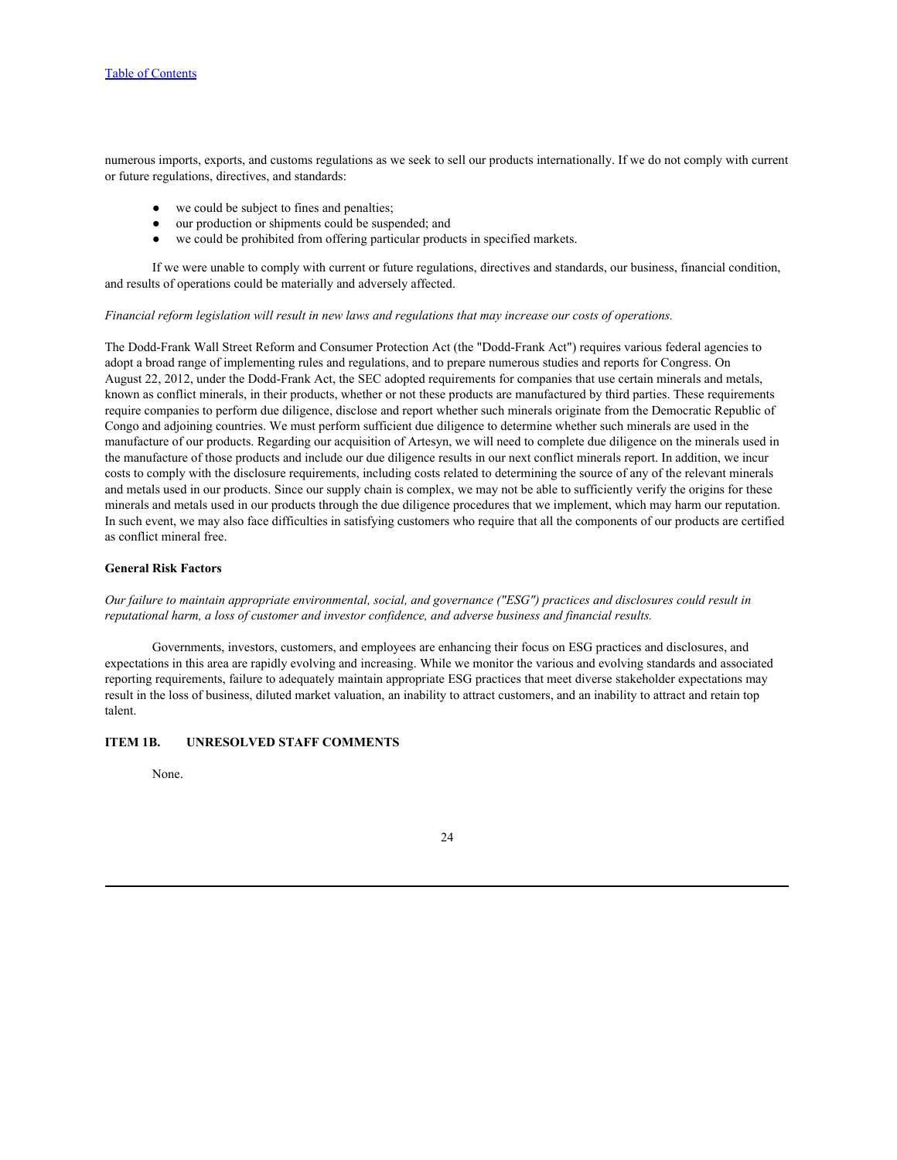numerous imports, exports, and customs regulations as we seek to sell our products internationally. If we do not comply with current or future regulations, directives, and standards:

- we could be subject to fines and penalties;
- our production or shipments could be suspended; and
- we could be prohibited from offering particular products in specified markets.

If we were unable to comply with current or future regulations, directives and standards, our business, financial condition, and results of operations could be materially and adversely affected.

#### *Financial reform legislation will result in new laws and regulations that may increase our costs of operations.*

The Dodd-Frank Wall Street Reform and Consumer Protection Act (the "Dodd-Frank Act") requires various federal agencies to adopt a broad range of implementing rules and regulations, and to prepare numerous studies and reports for Congress. On August 22, 2012, under the Dodd-Frank Act, the SEC adopted requirements for companies that use certain minerals and metals, known as conflict minerals, in their products, whether or not these products are manufactured by third parties. These requirements require companies to perform due diligence, disclose and report whether such minerals originate from the Democratic Republic of Congo and adjoining countries. We must perform sufficient due diligence to determine whether such minerals are used in the manufacture of our products. Regarding our acquisition of Artesyn, we will need to complete due diligence on the minerals used in the manufacture of those products and include our due diligence results in our next conflict minerals report. In addition, we incur costs to comply with the disclosure requirements, including costs related to determining the source of any of the relevant minerals and metals used in our products. Since our supply chain is complex, we may not be able to sufficiently verify the origins for these minerals and metals used in our products through the due diligence procedures that we implement, which may harm our reputation. In such event, we may also face difficulties in satisfying customers who require that all the components of our products are certified as conflict mineral free.

#### **General Risk Factors**

*Our failure to maintain appropriate environmental, social, and governance ("ESG") practices and disclosures could result in reputational harm, a loss of customer and investor confidence, and adverse business and financial results.*

Governments, investors, customers, and employees are enhancing their focus on ESG practices and disclosures, and expectations in this area are rapidly evolving and increasing. While we monitor the various and evolving standards and associated reporting requirements, failure to adequately maintain appropriate ESG practices that meet diverse stakeholder expectations may result in the loss of business, diluted market valuation, an inability to attract customers, and an inability to attract and retain top talent.

# <span id="page-23-0"></span>**ITEM 1B. UNRESOLVED STAFF COMMENTS**

None.

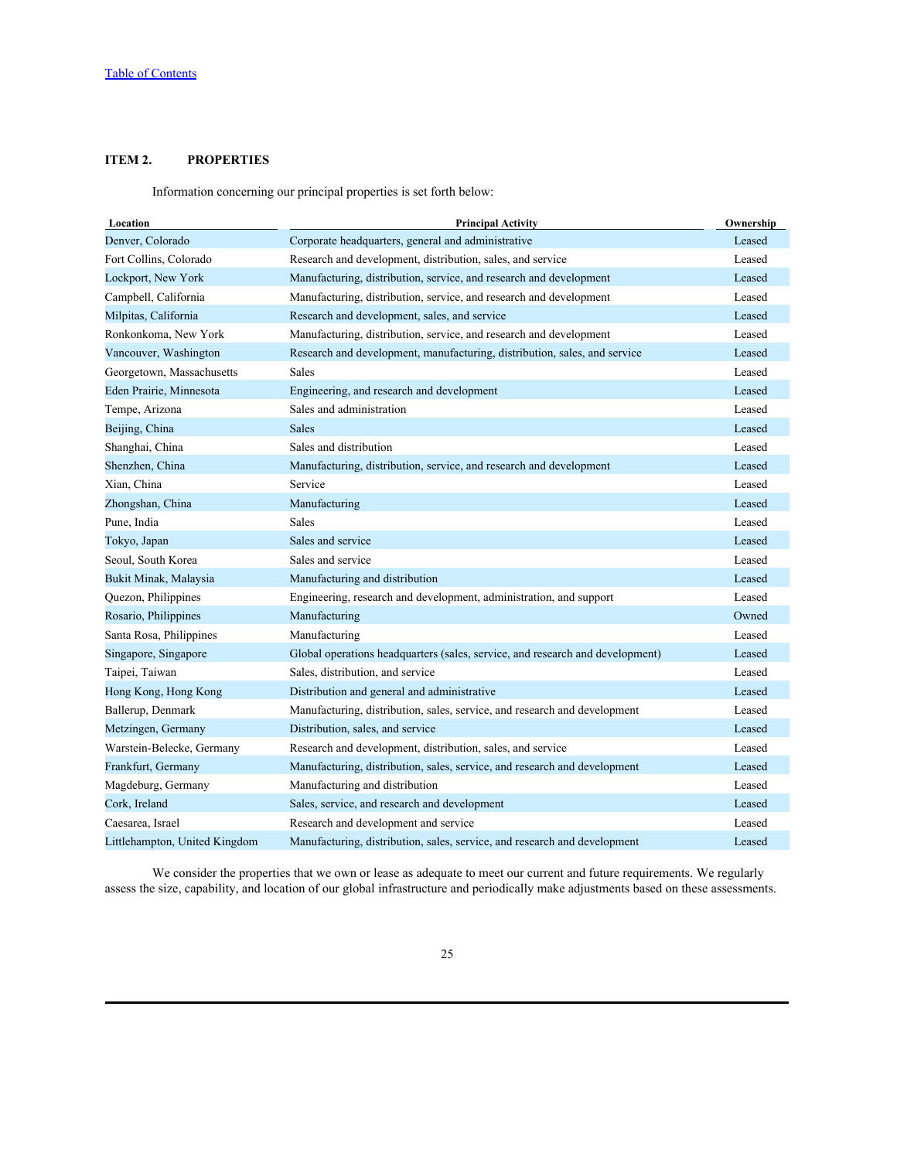# <span id="page-24-0"></span>**ITEM 2. PROPERTIES**

Information concerning our principal properties is set forth below:

| Location                      | <b>Principal Activity</b>                                                     | Ownership |
|-------------------------------|-------------------------------------------------------------------------------|-----------|
| Denver, Colorado              | Corporate headquarters, general and administrative                            | Leased    |
| Fort Collins, Colorado        | Research and development, distribution, sales, and service                    | Leased    |
| Lockport, New York            | Manufacturing, distribution, service, and research and development            | Leased    |
| Campbell, California          | Manufacturing, distribution, service, and research and development            | Leased    |
| Milpitas, California          | Research and development, sales, and service                                  | Leased    |
| Ronkonkoma, New York          | Manufacturing, distribution, service, and research and development            | Leased    |
| Vancouver, Washington         | Research and development, manufacturing, distribution, sales, and service     | Leased    |
| Georgetown, Massachusetts     | Sales                                                                         | Leased    |
| Eden Prairie, Minnesota       | Engineering, and research and development                                     | Leased    |
| Tempe, Arizona                | Sales and administration                                                      | Leased    |
| Beijing, China                | <b>Sales</b>                                                                  | Leased    |
| Shanghai, China               | Sales and distribution                                                        | Leased    |
| Shenzhen, China               | Manufacturing, distribution, service, and research and development            | Leased    |
| Xian, China                   | Service                                                                       | Leased    |
| Zhongshan, China              | Manufacturing                                                                 | Leased    |
| Pune, India                   | <b>Sales</b>                                                                  | Leased    |
| Tokyo, Japan                  | Sales and service                                                             | Leased    |
| Seoul, South Korea            | Sales and service                                                             | Leased    |
| Bukit Minak, Malaysia         | Manufacturing and distribution                                                | Leased    |
| Quezon, Philippines           | Engineering, research and development, administration, and support            | Leased    |
| Rosario, Philippines          | Manufacturing                                                                 | Owned     |
| Santa Rosa, Philippines       | Manufacturing                                                                 | Leased    |
| Singapore, Singapore          | Global operations headquarters (sales, service, and research and development) | Leased    |
| Taipei, Taiwan                | Sales, distribution, and service                                              | Leased    |
| Hong Kong, Hong Kong          | Distribution and general and administrative                                   | Leased    |
| Ballerup, Denmark             | Manufacturing, distribution, sales, service, and research and development     | Leased    |
| Metzingen, Germany            | Distribution, sales, and service                                              | Leased    |
| Warstein-Belecke, Germany     | Research and development, distribution, sales, and service                    | Leased    |
| Frankfurt, Germany            | Manufacturing, distribution, sales, service, and research and development     | Leased    |
| Magdeburg, Germany            | Manufacturing and distribution                                                | Leased    |
| Cork, Ireland                 | Sales, service, and research and development                                  | Leased    |
| Caesarea, Israel              | Research and development and service                                          | Leased    |
| Littlehampton, United Kingdom | Manufacturing, distribution, sales, service, and research and development     | Leased    |

We consider the properties that we own or lease as adequate to meet our current and future requirements. We regularly assess the size, capability, and location of our global infrastructure and periodically make adjustments based on these assessments.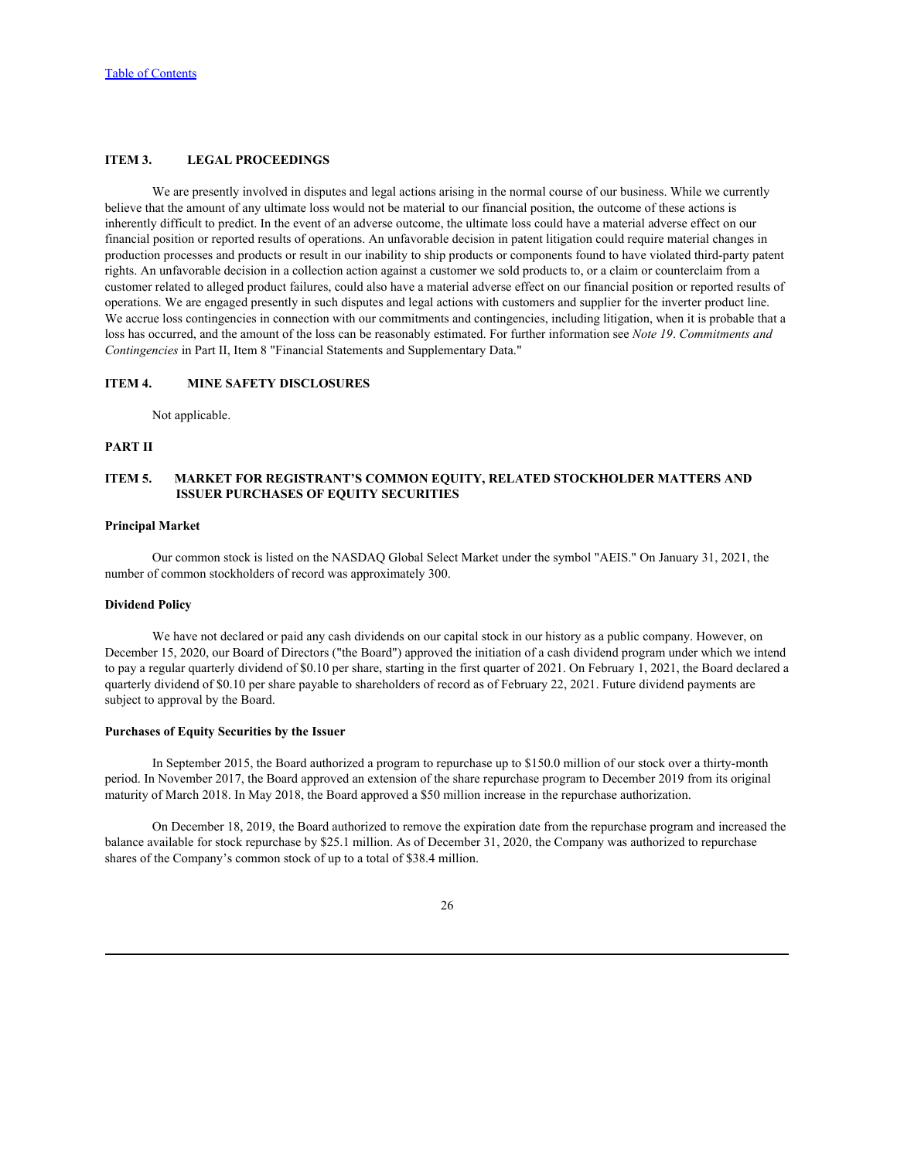# <span id="page-25-0"></span>**ITEM 3. LEGAL PROCEEDINGS**

We are presently involved in disputes and legal actions arising in the normal course of our business. While we currently believe that the amount of any ultimate loss would not be material to our financial position, the outcome of these actions is inherently difficult to predict. In the event of an adverse outcome, the ultimate loss could have a material adverse effect on our financial position or reported results of operations. An unfavorable decision in patent litigation could require material changes in production processes and products or result in our inability to ship products or components found to have violated third-party patent rights. An unfavorable decision in a collection action against a customer we sold products to, or a claim or counterclaim from a customer related to alleged product failures, could also have a material adverse effect on our financial position or reported results of operations. We are engaged presently in such disputes and legal actions with customers and supplier for the inverter product line. We accrue loss contingencies in connection with our commitments and contingencies, including litigation, when it is probable that a loss has occurred, and the amount of the loss can be reasonably estimated. For further information see *Note 19*. *Commitments and Contingencies* in Part II, Item 8 "Financial Statements and Supplementary Data."

## <span id="page-25-1"></span>**ITEM 4. MINE SAFETY DISCLOSURES**

Not applicable.

# <span id="page-25-2"></span>**PART II**

# <span id="page-25-3"></span>**ITEM 5. MARKET FOR REGISTRANT'S COMMON EQUITY, RELATED STOCKHOLDER MATTERS AND ISSUER PURCHASES OF EQUITY SECURITIES**

# **Principal Market**

Our common stock is listed on the NASDAQ Global Select Market under the symbol "AEIS." On January 31, 2021, the number of common stockholders of record was approximately 300.

# **Dividend Policy**

We have not declared or paid any cash dividends on our capital stock in our history as a public company. However, on December 15, 2020, our Board of Directors ("the Board") approved the initiation of a cash dividend program under which we intend to pay a regular quarterly dividend of \$0.10 per share, starting in the first quarter of 2021. On February 1, 2021, the Board declared a quarterly dividend of \$0.10 per share payable to shareholders of record as of February 22, 2021. Future dividend payments are subject to approval by the Board.

# **Purchases of Equity Securities by the Issuer**

In September 2015, the Board authorized a program to repurchase up to \$150.0 million of our stock over a thirty-month period. In November 2017, the Board approved an extension of the share repurchase program to December 2019 from its original maturity of March 2018. In May 2018, the Board approved a \$50 million increase in the repurchase authorization.

On December 18, 2019, the Board authorized to remove the expiration date from the repurchase program and increased the balance available for stock repurchase by \$25.1 million. As of December 31, 2020, the Company was authorized to repurchase shares of the Company's common stock of up to a total of \$38.4 million.

#### 26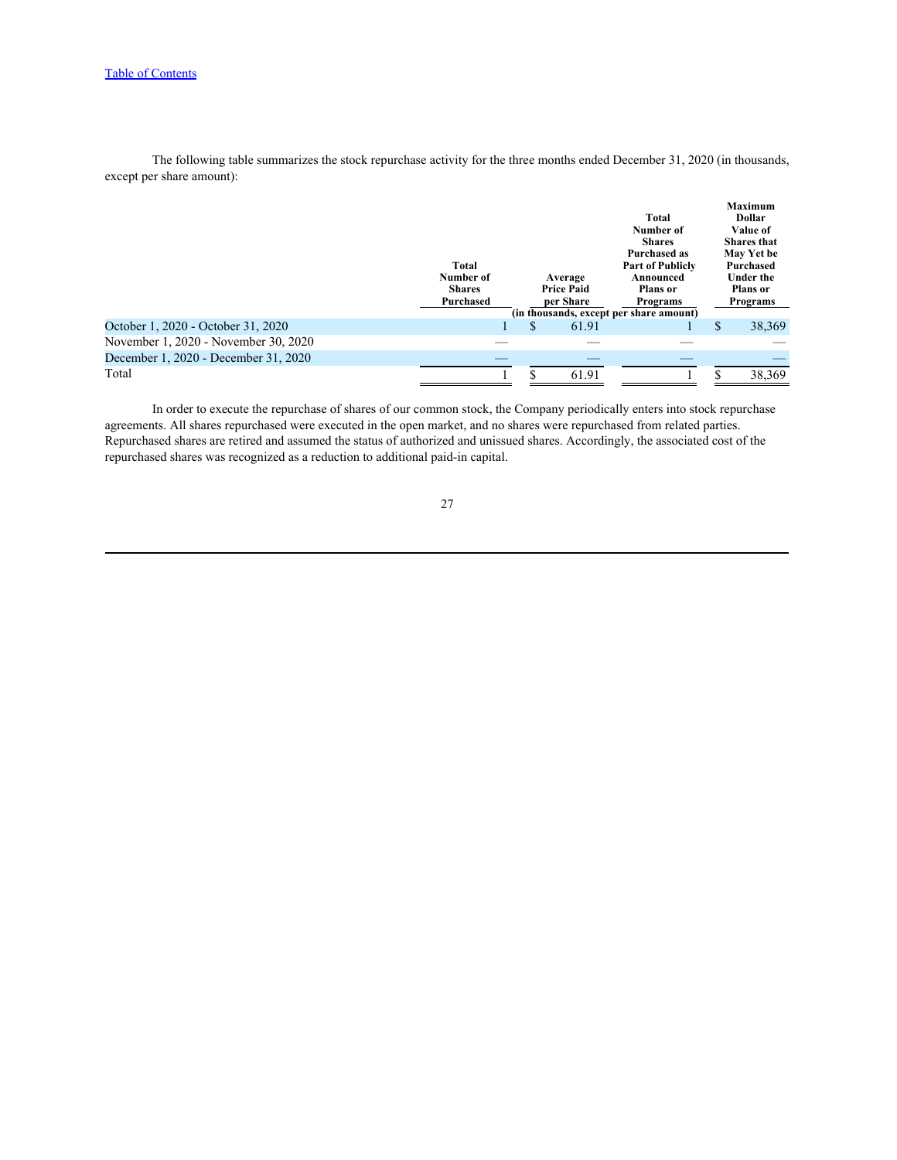|                                      | <b>Total</b><br>Number of<br><b>Shares</b><br>Purchased | Average<br><b>Price Paid</b><br>per Share | Total<br>Number of<br>Shares<br>Purchased as<br><b>Part of Publicly</b><br>Announced<br><b>Plans or</b><br>Programs<br>(in thousands, except per share amount) | <b>Maximum</b><br>Dollar<br>Value of<br><b>Shares that</b><br><b>May Yet be</b><br>Purchased<br>Under the<br><b>Plans or</b><br>Programs |
|--------------------------------------|---------------------------------------------------------|-------------------------------------------|----------------------------------------------------------------------------------------------------------------------------------------------------------------|------------------------------------------------------------------------------------------------------------------------------------------|
| October 1, 2020 - October 31, 2020   |                                                         | 61.91                                     |                                                                                                                                                                | 38,369                                                                                                                                   |
| November 1, 2020 - November 30, 2020 |                                                         |                                           |                                                                                                                                                                | $\overline{\phantom{a}}$                                                                                                                 |
| December 1, 2020 - December 31, 2020 | $\hspace{0.1mm}-\hspace{0.1mm}$                         | $\hspace{0.05cm}$                         |                                                                                                                                                                | $\overline{\phantom{a}}$                                                                                                                 |
| Total                                |                                                         | 61.91                                     |                                                                                                                                                                | 38,369                                                                                                                                   |

The following table summarizes the stock repurchase activity for the three months ended December 31, 2020 (in thousands, except per share amount):

In order to execute the repurchase of shares of our common stock, the Company periodically enters into stock repurchase agreements. All shares repurchased were executed in the open market, and no shares were repurchased from related parties. Repurchased shares are retired and assumed the status of authorized and unissued shares. Accordingly, the associated cost of the repurchased shares was recognized as a reduction to additional paid-in capital.

#### 27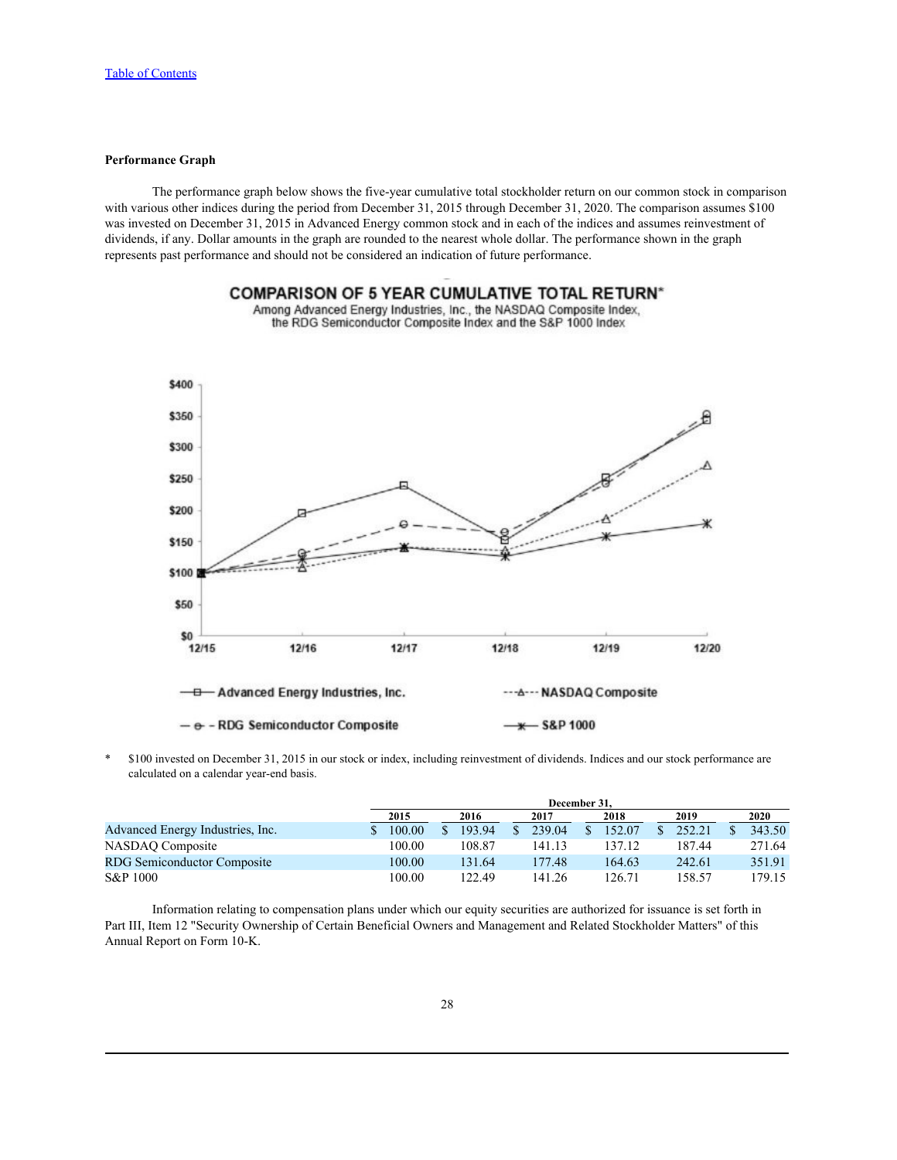### **Performance Graph**

The performance graph below shows the five-year cumulative total stockholder return on our common stock in comparison with various other indices during the period from December 31, 2015 through December 31, 2020. The comparison assumes \$100 was invested on December 31, 2015 in Advanced Energy common stock and in each of the indices and assumes reinvestment of dividends, if any. Dollar amounts in the graph are rounded to the nearest whole dollar. The performance shown in the graph represents past performance and should not be considered an indication of future performance.



**COMPARISON OF 5 YEAR CUMULATIVE TOTAL RETURN\*** Among Advanced Energy Industries, Inc., the NASDAQ Composite Index,<br>the RDG Semiconductor Composite Index and the S&P 1000 Index

\$100 invested on December 31, 2015 in our stock or index, including reinvestment of dividends. Indices and our stock performance are calculated on a calendar year-end basis.

|                                    |        |        |        | December 31. |        |        |
|------------------------------------|--------|--------|--------|--------------|--------|--------|
|                                    | 2015   | 2016   | 2017   | 2018         | 2019   | 2020   |
| Advanced Energy Industries, Inc.   | 100.00 | 193.94 | 239.04 | 152.07       | 252.21 | 343.50 |
| NASDAO Composite                   | 100.00 | 108.87 | 141.13 | 37.12        | 187.44 | 271.64 |
| <b>RDG Semiconductor Composite</b> | 100.00 | 131.64 | 177.48 | 164.63       | 242.61 | 351.91 |
| S&P 1000                           | 100.00 | 122.49 | 141.26 | 26.71        | 158.57 | 79.15  |

Information relating to compensation plans under which our equity securities are authorized for issuance is set forth in Part III, Item 12 "Security Ownership of Certain Beneficial Owners and Management and Related Stockholder Matters" of this Annual Report on Form 10-K.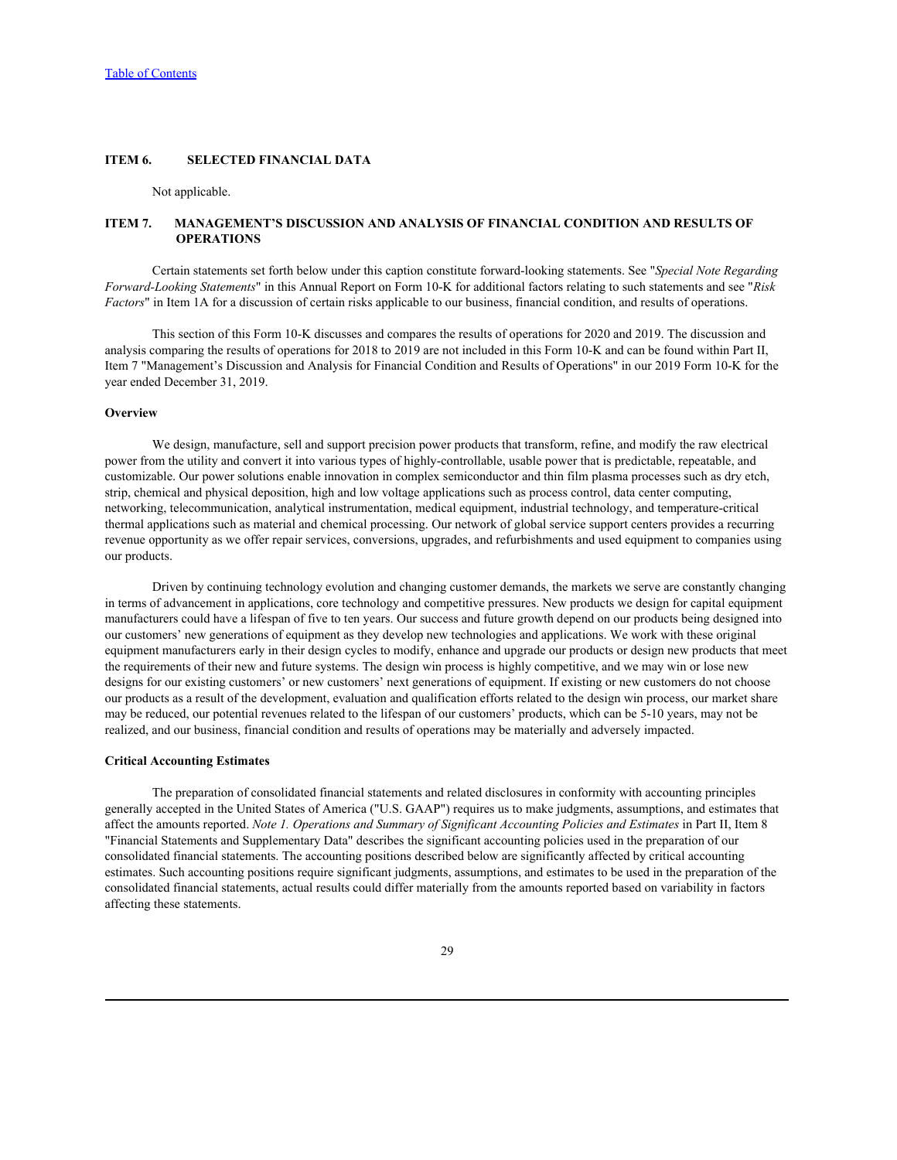# <span id="page-28-0"></span>**ITEM 6. SELECTED FINANCIAL DATA**

Not applicable.

# <span id="page-28-1"></span>**ITEM 7. MANAGEMENT'S DISCUSSION AND ANALYSIS OF FINANCIAL CONDITION AND RESULTS OF OPERATIONS**

Certain statements set forth below under this caption constitute forward-looking statements. See "*Special Note Regarding Forward-Looking Statements*" in this Annual Report on Form 10-K for additional factors relating to such statements and see "*Risk Factors*" in Item 1A for a discussion of certain risks applicable to our business, financial condition, and results of operations.

This section of this Form 10-K discusses and compares the results of operations for 2020 and 2019. The discussion and analysis comparing the results of operations for 2018 to 2019 are not included in this Form 10-K and can be found within Part II, Item 7 "Management's Discussion and Analysis for Financial Condition and Results of Operations" in our 2019 Form 10-K for the year ended December 31, 2019.

#### **Overview Overview** *Overview*

We design, manufacture, sell and support precision power products that transform, refine, and modify the raw electrical power from the utility and convert it into various types of highly-controllable, usable power that is predictable, repeatable, and customizable. Our power solutions enable innovation in complex semiconductor and thin film plasma processes such as dry etch, strip, chemical and physical deposition, high and low voltage applications such as process control, data center computing, networking, telecommunication, analytical instrumentation, medical equipment, industrial technology, and temperature-critical thermal applications such as material and chemical processing. Our network of global service support centers provides a recurring revenue opportunity as we offer repair services, conversions, upgrades, and refurbishments and used equipment to companies using our products.

Driven by continuing technology evolution and changing customer demands, the markets we serve are constantly changing in terms of advancement in applications, core technology and competitive pressures. New products we design for capital equipment manufacturers could have a lifespan of five to ten years. Our success and future growth depend on our products being designed into our customers' new generations of equipment as they develop new technologies and applications. We work with these original equipment manufacturers early in their design cycles to modify, enhance and upgrade our products or design new products that meet the requirements of their new and future systems. The design win process is highly competitive, and we may win or lose new designs for our existing customers' or new customers' next generations of equipment. If existing or new customers do not choose our products as a result of the development, evaluation and qualification efforts related to the design win process, our market share may be reduced, our potential revenues related to the lifespan of our customers' products, which can be 5-10 years, may not be realized, and our business, financial condition and results of operations may be materially and adversely impacted.

#### **Critical Accounting Estimates**

The preparation of consolidated financial statements and related disclosures in conformity with accounting principles generally accepted in the United States of America ("U.S. GAAP") requires us to make judgments, assumptions, and estimates that affect the amounts reported. *Note 1. Operations and Summary of Significant Accounting Policies and Estimates* in Part II, Item 8 "Financial Statements and Supplementary Data" describes the significant accounting policies used in the preparation of our consolidated financial statements. The accounting positions described below are significantly affected by critical accounting estimates. Such accounting positions require significant judgments, assumptions, and estimates to be used in the preparation of the consolidated financial statements, actual results could differ materially from the amounts reported based on variability in factors affecting these statements.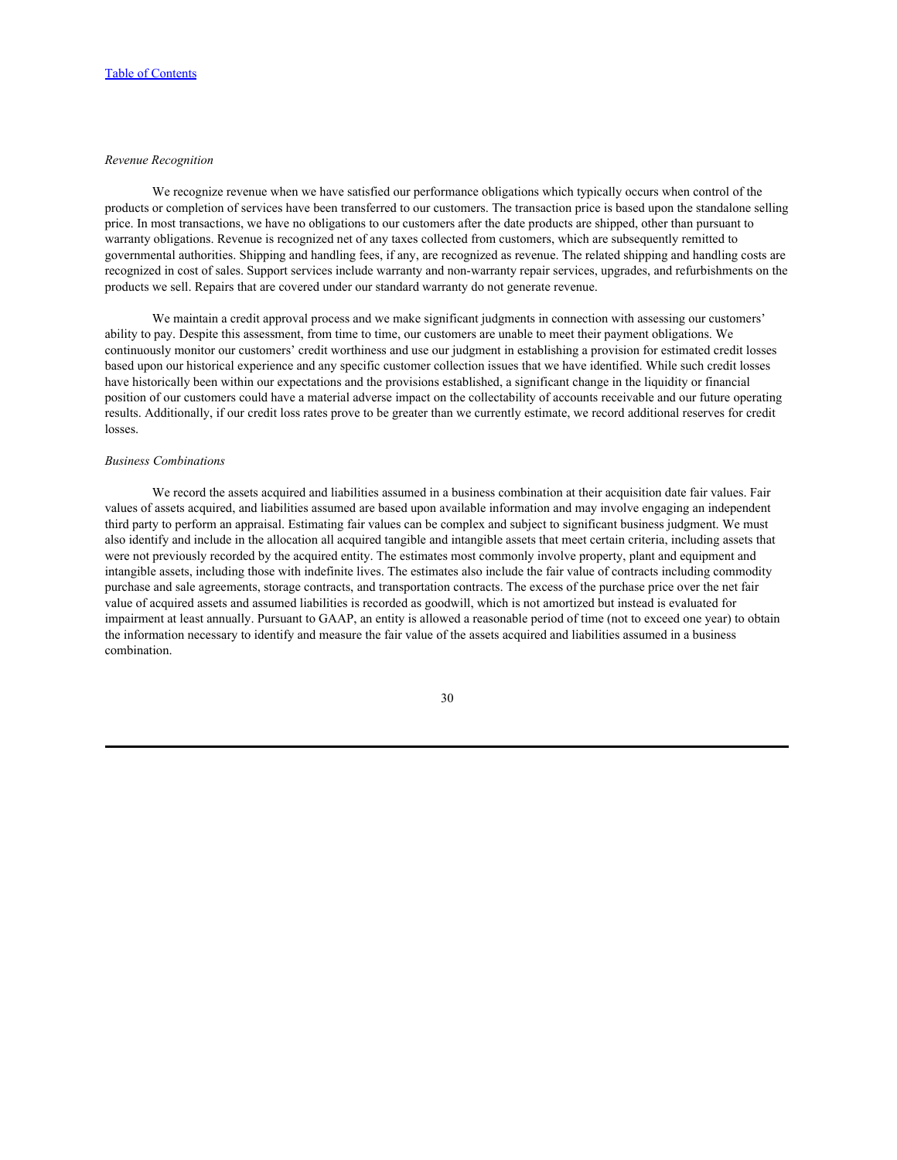#### *Revenue Recognition*

We recognize revenue when we have satisfied our performance obligations which typically occurs when control of the products or completion of services have been transferred to our customers. The transaction price is based upon the standalone selling price. In most transactions, we have no obligations to our customers after the date products are shipped, other than pursuant to warranty obligations. Revenue is recognized net of any taxes collected from customers, which are subsequently remitted to governmental authorities. Shipping and handling fees, if any, are recognized as revenue. The related shipping and handling costs are recognized in cost of sales. Support services include warranty and non-warranty repair services, upgrades, and refurbishments on the products we sell. Repairs that are covered under our standard warranty do not generate revenue.

We maintain a credit approval process and we make significant judgments in connection with assessing our customers' ability to pay. Despite this assessment, from time to time, our customers are unable to meet their payment obligations. We continuously monitor our customers' credit worthiness and use our judgment in establishing a provision for estimated credit losses based upon our historical experience and any specific customer collection issues that we have identified. While such credit losses have historically been within our expectations and the provisions established, a significant change in the liquidity or financial position of our customers could have a material adverse impact on the collectability of accounts receivable and our future operating results. Additionally, if our credit loss rates prove to be greater than we currently estimate, we record additional reserves for credit losses.

# *Business Combinations*

We record the assets acquired and liabilities assumed in a business combination at their acquisition date fair values. Fair values of assets acquired, and liabilities assumed are based upon available information and may involve engaging an independent third party to perform an appraisal. Estimating fair values can be complex and subject to significant business judgment. We must also identify and include in the allocation all acquired tangible and intangible assets that meet certain criteria, including assets that were not previously recorded by the acquired entity. The estimates most commonly involve property, plant and equipment and intangible assets, including those with indefinite lives. The estimates also include the fair value of contracts including commodity purchase and sale agreements, storage contracts, and transportation contracts. The excess of the purchase price over the net fair value of acquired assets and assumed liabilities is recorded as goodwill, which is not amortized but instead is evaluated for impairment at least annually. Pursuant to GAAP, an entity is allowed a reasonable period of time (not to exceed one year) to obtain the information necessary to identify and measure the fair value of the assets acquired and liabilities assumed in a business combination.

30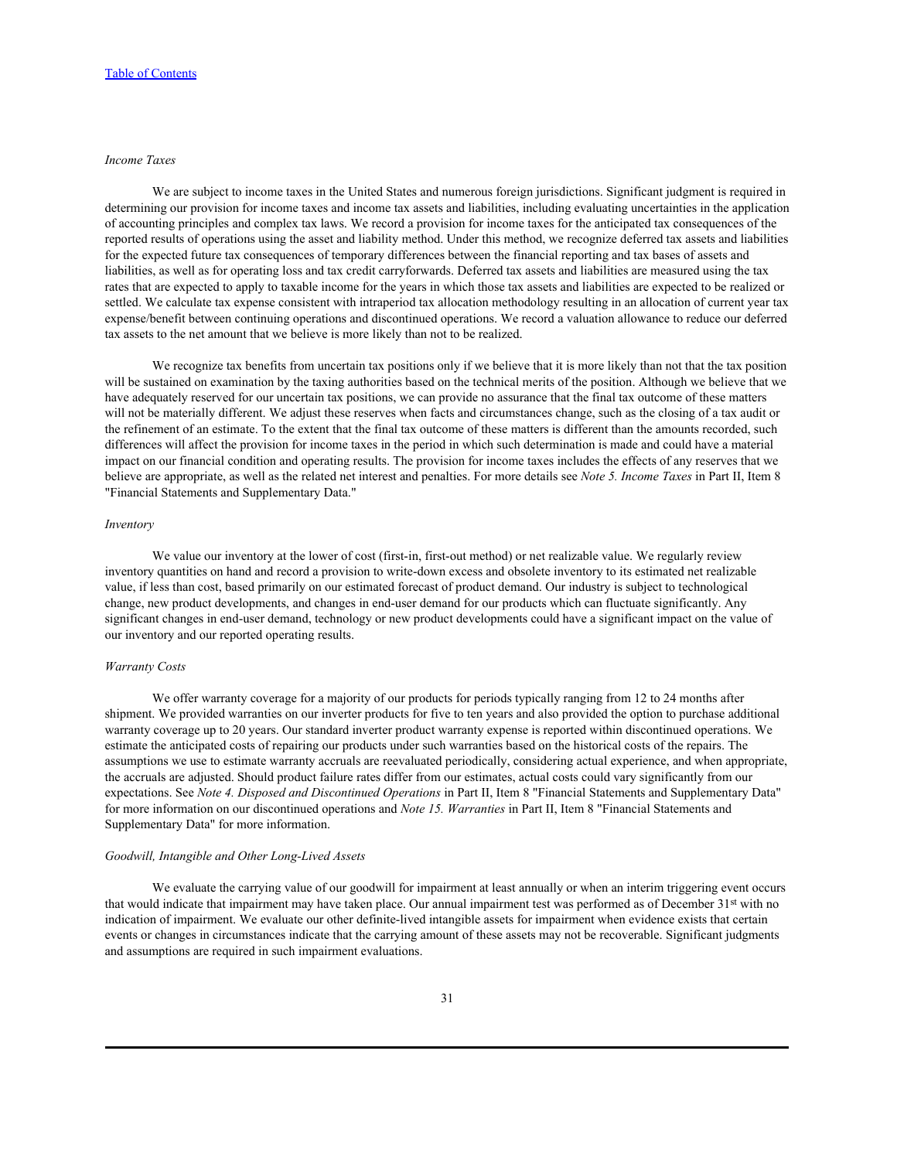# *Income Taxes*

We are subject to income taxes in the United States and numerous foreign jurisdictions. Significant judgment is required in determining our provision for income taxes and income tax assets and liabilities, including evaluating uncertainties in the application of accounting principles and complex tax laws. We record a provision for income taxes for the anticipated tax consequences of the reported results of operations using the asset and liability method. Under this method, we recognize deferred tax assets and liabilities for the expected future tax consequences of temporary differences between the financial reporting and tax bases of assets and liabilities, as well as for operating loss and tax credit carryforwards. Deferred tax assets and liabilities are measured using the tax rates that are expected to apply to taxable income for the years in which those tax assets and liabilities are expected to be realized or settled. We calculate tax expense consistent with intraperiod tax allocation methodology resulting in an allocation of current year tax expense/benefit between continuing operations and discontinued operations. We record a valuation allowance to reduce our deferred tax assets to the net amount that we believe is more likely than not to be realized.

We recognize tax benefits from uncertain tax positions only if we believe that it is more likely than not that the tax position will be sustained on examination by the taxing authorities based on the technical merits of the position. Although we believe that we have adequately reserved for our uncertain tax positions, we can provide no assurance that the final tax outcome of these matters will not be materially different. We adjust these reserves when facts and circumstances change, such as the closing of a tax audit or the refinement of an estimate. To the extent that the final tax outcome of these matters is different than the amounts recorded, such differences will affect the provision for income taxes in the period in which such determination is made and could have a material impact on our financial condition and operating results. The provision for income taxes includes the effects of any reserves that we believe are appropriate, as well as the related net interest and penalties. For more details see *Note 5. Income Taxes* in Part II, Item 8 "Financial Statements and Supplementary Data."

#### *Inventory*

We value our inventory at the lower of cost (first-in, first-out method) or net realizable value. We regularly review inventory quantities on hand and record a provision to write-down excess and obsolete inventory to its estimated net realizable value, if less than cost, based primarily on our estimated forecast of product demand. Our industry is subject to technological change, new product developments, and changes in end-user demand for our products which can fluctuate significantly. Any significant changes in end-user demand, technology or new product developments could have a significant impact on the value of our inventory and our reported operating results.

#### *Warranty Costs*

We offer warranty coverage for a majority of our products for periods typically ranging from 12 to 24 months after shipment. We provided warranties on our inverter products for five to ten years and also provided the option to purchase additional warranty coverage up to 20 years. Our standard inverter product warranty expense is reported within discontinued operations. We estimate the anticipated costs of repairing our products under such warranties based on the historical costs of the repairs. The assumptions we use to estimate warranty accruals are reevaluated periodically, considering actual experience, and when appropriate, the accruals are adjusted. Should product failure rates differ from our estimates, actual costs could vary significantly from our expectations. See *Note 4. Disposed and Discontinued Operations* in Part II, Item 8 "Financial Statements and Supplementary Data" for more information on our discontinued operations and *Note 15. Warranties* in Part II, Item 8 "Financial Statements and Supplementary Data" for more information.

# *Goodwill, Intangible and Other Long-Lived Assets*

We evaluate the carrying value of our goodwill for impairment at least annually or when an interim triggering event occurs that would indicate that impairment may have taken place. Our annual impairment test was performed as of December 31st with no indication of impairment. We evaluate our other definite-lived intangible assets for impairment when evidence exists that certain events or changes in circumstances indicate that the carrying amount of these assets may not be recoverable. Significant judgments and assumptions are required in such impairment evaluations.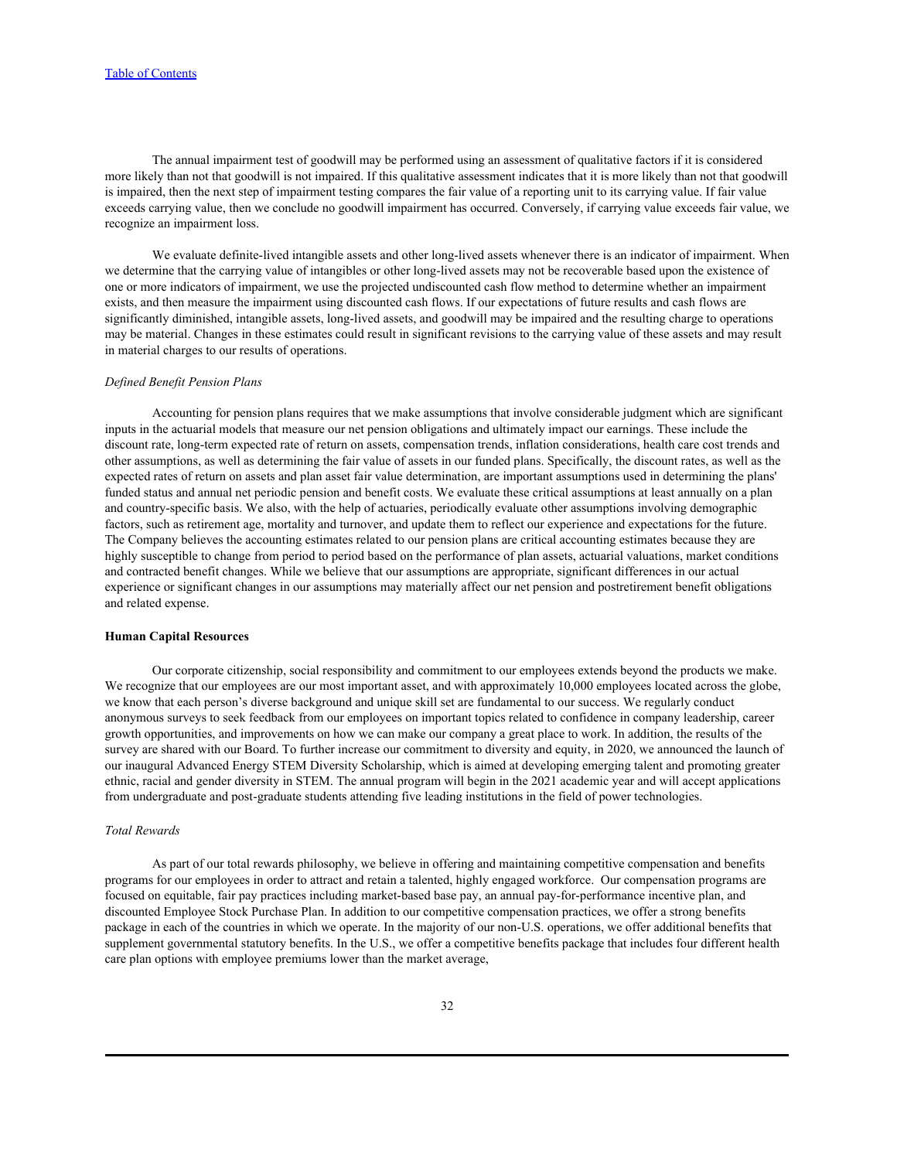The annual impairment test of goodwill may be performed using an assessment of qualitative factors if it is considered more likely than not that goodwill is not impaired. If this qualitative assessment indicates that it is more likely than not that goodwill is impaired, then the next step of impairment testing compares the fair value of a reporting unit to its carrying value. If fair value exceeds carrying value, then we conclude no goodwill impairment has occurred. Conversely, if carrying value exceeds fair value, we recognize an impairment loss.

We evaluate definite-lived intangible assets and other long-lived assets whenever there is an indicator of impairment. When we determine that the carrying value of intangibles or other long-lived assets may not be recoverable based upon the existence of one or more indicators of impairment, we use the projected undiscounted cash flow method to determine whether an impairment exists, and then measure the impairment using discounted cash flows. If our expectations of future results and cash flows are significantly diminished, intangible assets, long-lived assets, and goodwill may be impaired and the resulting charge to operations may be material. Changes in these estimates could result in significant revisions to the carrying value of these assets and may result in material charges to our results of operations.

#### *Defined Benefit Pension Plans*

Accounting for pension plans requires that we make assumptions that involve considerable judgment which are significant inputs in the actuarial models that measure our net pension obligations and ultimately impact our earnings. These include the discount rate, long-term expected rate of return on assets, compensation trends, inflation considerations, health care cost trends and other assumptions, as well as determining the fair value of assets in our funded plans. Specifically, the discount rates, as well as the expected rates of return on assets and plan asset fair value determination, are important assumptions used in determining the plans' funded status and annual net periodic pension and benefit costs. We evaluate these critical assumptions at least annually on a plan and country-specific basis. We also, with the help of actuaries, periodically evaluate other assumptions involving demographic factors, such as retirement age, mortality and turnover, and update them to reflect our experience and expectations for the future. The Company believes the accounting estimates related to our pension plans are critical accounting estimates because they are highly susceptible to change from period to period based on the performance of plan assets, actuarial valuations, market conditions and contracted benefit changes. While we believe that our assumptions are appropriate, significant differences in our actual experience or significant changes in our assumptions may materially affect our net pension and postretirement benefit obligations and related expense.

# **Human Capital Resources**

Our corporate citizenship, social responsibility and commitment to our employees extends beyond the products we make. We recognize that our employees are our most important asset, and with approximately 10,000 employees located across the globe, we know that each person's diverse background and unique skill set are fundamental to our success. We regularly conduct anonymous surveys to seek feedback from our employees on important topics related to confidence in company leadership, career growth opportunities, and improvements on how we can make our company a great place to work. In addition, the results of the survey are shared with our Board. To further increase our commitment to diversity and equity, in 2020, we announced the launch of our inaugural Advanced Energy STEM Diversity Scholarship, which is aimed at developing emerging talent and promoting greater ethnic, racial and gender diversity in STEM. The annual program will begin in the 2021 academic year and will accept applications from undergraduate and post-graduate students attending five leading institutions in the field of power technologies.

# *Total Rewards*

As part of our total rewards philosophy, we believe in offering and maintaining competitive compensation and benefits programs for our employees in order to attract and retain a talented, highly engaged workforce. Our compensation programs are focused on equitable, fair pay practices including market-based base pay, an annual pay-for-performance incentive plan, and discounted Employee Stock Purchase Plan. In addition to our competitive compensation practices, we offer a strong benefits package in each of the countries in which we operate. In the majority of our non-U.S. operations, we offer additional benefits that supplement governmental statutory benefits. In the U.S., we offer a competitive benefits package that includes four different health care plan options with employee premiums lower than the market average,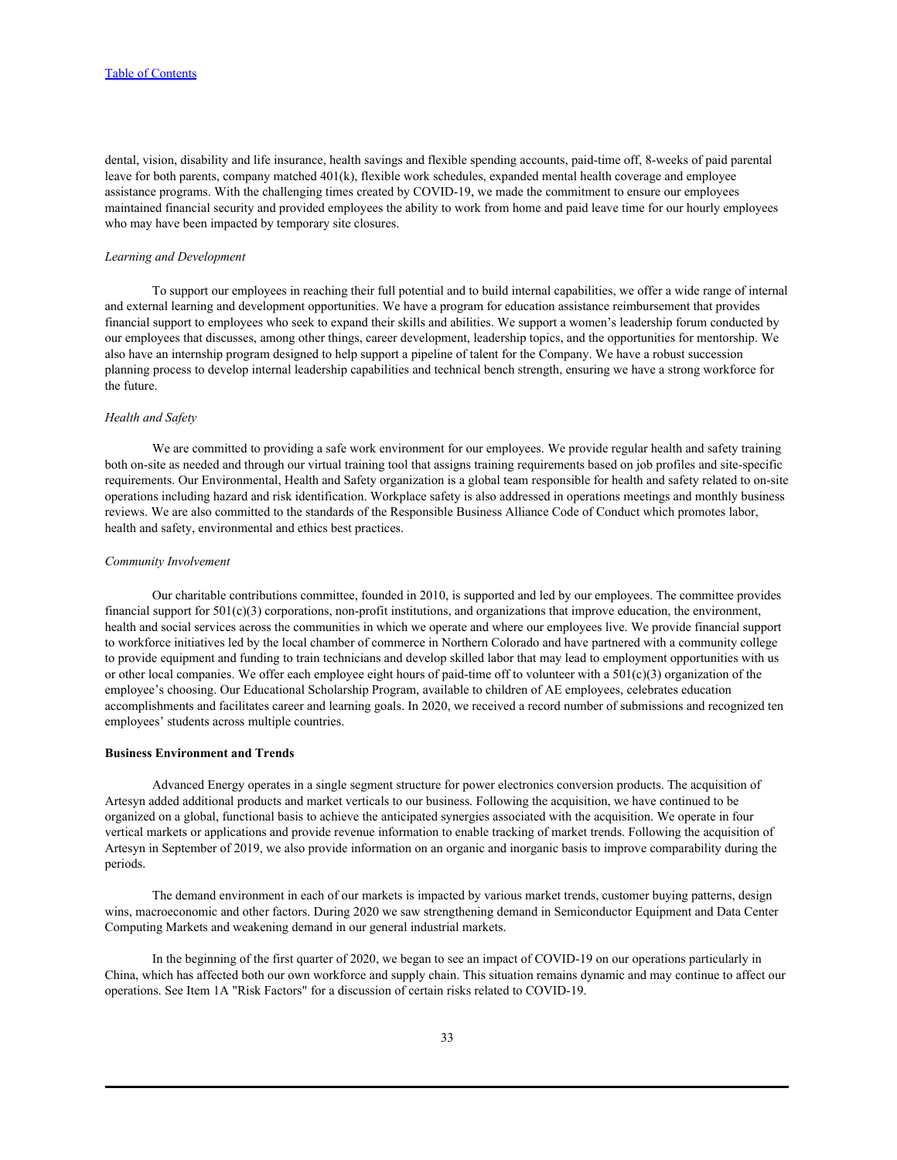dental, vision, disability and life insurance, health savings and flexible spending accounts, paid-time off, 8-weeks of paid parental leave for both parents, company matched 401(k), flexible work schedules, expanded mental health coverage and employee assistance programs. With the challenging times created by COVID-19, we made the commitment to ensure our employees maintained financial security and provided employees the ability to work from home and paid leave time for our hourly employees who may have been impacted by temporary site closures.

## *Learning and Development*

To support our employees in reaching their full potential and to build internal capabilities, we offer a wide range of internal and external learning and development opportunities. We have a program for education assistance reimbursement that provides financial support to employees who seek to expand their skills and abilities. We support a women's leadership forum conducted by our employees that discusses, among other things, career development, leadership topics, and the opportunities for mentorship. We also have an internship program designed to help support a pipeline of talent for the Company. We have a robust succession planning process to develop internal leadership capabilities and technical bench strength, ensuring we have a strong workforce for the future.

### *Health and Safety*

We are committed to providing a safe work environment for our employees. We provide regular health and safety training both on-site as needed and through our virtual training tool that assigns training requirements based on job profiles and site-specific requirements. Our Environmental, Health and Safety organization is a global team responsible for health and safety related to on-site operations including hazard and risk identification. Workplace safety is also addressed in operations meetings and monthly business reviews. We are also committed to the standards of the Responsible Business Alliance Code of Conduct which promotes labor, health and safety, environmental and ethics best practices.

#### *Community Involvement*

Our charitable contributions committee, founded in 2010, is supported and led by our employees. The committee provides financial support for  $501(c)(3)$  corporations, non-profit institutions, and organizations that improve education, the environment, health and social services across the communities in which we operate and where our employees live. We provide financial support to workforce initiatives led by the local chamber of commerce in Northern Colorado and have partnered with a community college to provide equipment and funding to train technicians and develop skilled labor that may lead to employment opportunities with us or other local companies. We offer each employee eight hours of paid-time off to volunteer with a  $501(c)(3)$  organization of the employee's choosing. Our Educational Scholarship Program, available to children of AE employees, celebrates education accomplishments and facilitates career and learning goals. In 2020, we received a record number of submissions and recognized ten employees' students across multiple countries.

#### **Business Environment and Trends**

Advanced Energy operates in a single segment structure for power electronics conversion products. The acquisition of Artesyn added additional products and market verticals to our business. Following the acquisition, we have continued to be organized on a global, functional basis to achieve the anticipated synergies associated with the acquisition. We operate in four vertical markets or applications and provide revenue information to enable tracking of market trends. Following the acquisition of Artesyn in September of 2019, we also provide information on an organic and inorganic basis to improve comparability during the periods.

The demand environment in each of our markets is impacted by various market trends, customer buying patterns, design wins, macroeconomic and other factors. During 2020 we saw strengthening demand in Semiconductor Equipment and Data Center Computing Markets and weakening demand in our general industrial markets.

In the beginning of the first quarter of 2020, we began to see an impact of COVID-19 on our operations particularly in China, which has affected both our own workforce and supply chain. This situation remains dynamic and may continue to affect our operations. See Item 1A "Risk Factors" for a discussion of certain risks related to COVID-19.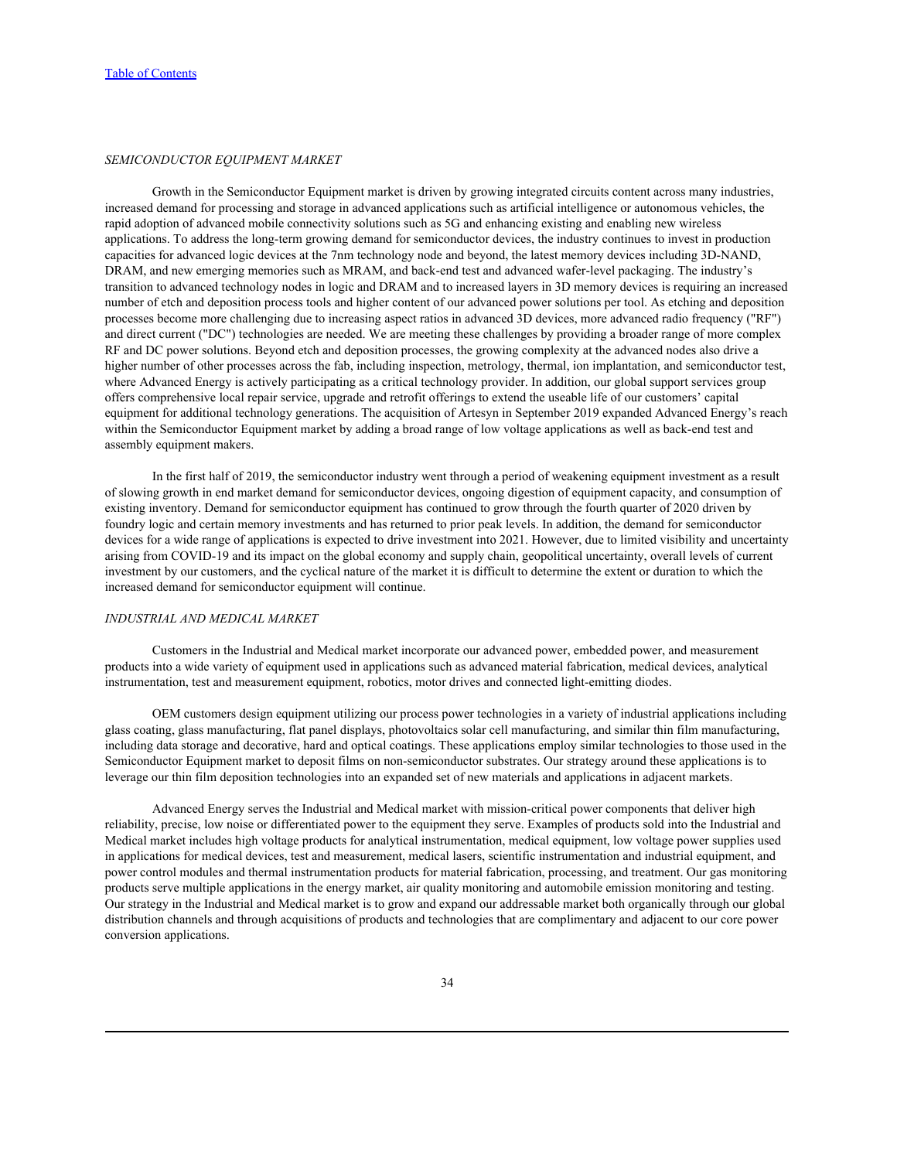# *SEMICONDUCTOR EQUIPMENT MARKET*

Growth in the Semiconductor Equipment market is driven by growing integrated circuits content across many industries, increased demand for processing and storage in advanced applications such as artificial intelligence or autonomous vehicles, the rapid adoption of advanced mobile connectivity solutions such as 5G and enhancing existing and enabling new wireless applications. To address the long-term growing demand for semiconductor devices, the industry continues to invest in production capacities for advanced logic devices at the 7nm technology node and beyond, the latest memory devices including 3D-NAND, DRAM, and new emerging memories such as MRAM, and back-end test and advanced wafer-level packaging. The industry's transition to advanced technology nodes in logic and DRAM and to increased layers in 3D memory devices is requiring an increased number of etch and deposition process tools and higher content of our advanced power solutions per tool. As etching and deposition processes become more challenging due to increasing aspect ratios in advanced 3D devices, more advanced radio frequency ("RF") and direct current ("DC") technologies are needed. We are meeting these challenges by providing a broader range of more complex RF and DC power solutions. Beyond etch and deposition processes, the growing complexity at the advanced nodes also drive a higher number of other processes across the fab, including inspection, metrology, thermal, ion implantation, and semiconductor test, where Advanced Energy is actively participating as a critical technology provider. In addition, our global support services group offers comprehensive local repair service, upgrade and retrofit offerings to extend the useable life of our customers' capital equipment for additional technology generations. The acquisition of Artesyn in September 2019 expanded Advanced Energy's reach within the Semiconductor Equipment market by adding a broad range of low voltage applications as well as back-end test and assembly equipment makers.

In the first half of 2019, the semiconductor industry went through a period of weakening equipment investment as a result of slowing growth in end market demand for semiconductor devices, ongoing digestion of equipment capacity, and consumption of existing inventory. Demand for semiconductor equipment has continued to grow through the fourth quarter of 2020 driven by foundry logic and certain memory investments and has returned to prior peak levels. In addition, the demand for semiconductor devices for a wide range of applications is expected to drive investment into 2021. However, due to limited visibility and uncertainty arising from COVID-19 and its impact on the global economy and supply chain, geopolitical uncertainty, overall levels of current investment by our customers, and the cyclical nature of the market it is difficult to determine the extent or duration to which the increased demand for semiconductor equipment will continue.

### *INDUSTRIAL AND MEDICAL MARKET*

Customers in the Industrial and Medical market incorporate our advanced power, embedded power, and measurement products into a wide variety of equipment used in applications such as advanced material fabrication, medical devices, analytical instrumentation, test and measurement equipment, robotics, motor drives and connected light-emitting diodes.

OEM customers design equipment utilizing our process power technologies in a variety of industrial applications including glass coating, glass manufacturing, flat panel displays, photovoltaics solar cell manufacturing, and similar thin film manufacturing, including data storage and decorative, hard and optical coatings. These applications employ similar technologies to those used in the Semiconductor Equipment market to deposit films on non-semiconductor substrates. Our strategy around these applications is to leverage our thin film deposition technologies into an expanded set of new materials and applications in adjacent markets.

Advanced Energy serves the Industrial and Medical market with mission-critical power components that deliver high reliability, precise, low noise or differentiated power to the equipment they serve. Examples of products sold into the Industrial and Medical market includes high voltage products for analytical instrumentation, medical equipment, low voltage power supplies used in applications for medical devices, test and measurement, medical lasers, scientific instrumentation and industrial equipment, and power control modules and thermal instrumentation products for material fabrication, processing, and treatment. Our gas monitoring products serve multiple applications in the energy market, air quality monitoring and automobile emission monitoring and testing. Our strategy in the Industrial and Medical market is to grow and expand our addressable market both organically through our global distribution channels and through acquisitions of products and technologies that are complimentary and adjacent to our core power conversion applications.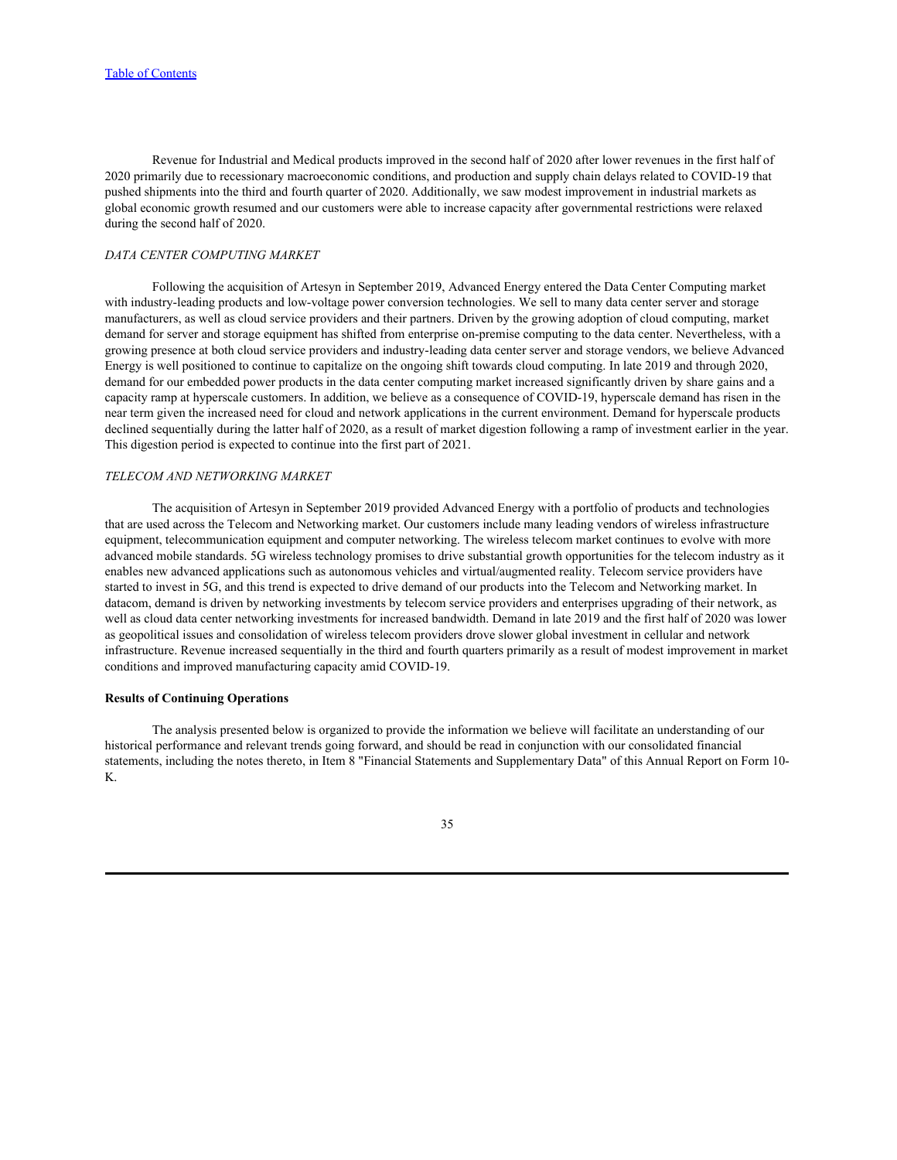Revenue for Industrial and Medical products improved in the second half of 2020 after lower revenues in the first half of 2020 primarily due to recessionary macroeconomic conditions, and production and supply chain delays related to COVID-19 that pushed shipments into the third and fourth quarter of 2020. Additionally, we saw modest improvement in industrial markets as global economic growth resumed and our customers were able to increase capacity after governmental restrictions were relaxed during the second half of 2020.

#### *DATA CENTER COMPUTING MARKET*

Following the acquisition of Artesyn in September 2019, Advanced Energy entered the Data Center Computing market with industry-leading products and low-voltage power conversion technologies. We sell to many data center server and storage manufacturers, as well as cloud service providers and their partners. Driven by the growing adoption of cloud computing, market demand for server and storage equipment has shifted from enterprise on-premise computing to the data center. Nevertheless, with a growing presence at both cloud service providers and industry-leading data center server and storage vendors, we believe Advanced Energy is well positioned to continue to capitalize on the ongoing shift towards cloud computing. In late 2019 and through 2020, demand for our embedded power products in the data center computing market increased significantly driven by share gains and a capacity ramp at hyperscale customers. In addition, we believe as a consequence of COVID-19, hyperscale demand has risen in the near term given the increased need for cloud and network applications in the current environment. Demand for hyperscale products declined sequentially during the latter half of 2020, as a result of market digestion following a ramp of investment earlier in the year. This digestion period is expected to continue into the first part of 2021.

# *TELECOM AND NETWORKING MARKET*

The acquisition of Artesyn in September 2019 provided Advanced Energy with a portfolio of products and technologies that are used across the Telecom and Networking market. Our customers include many leading vendors of wireless infrastructure equipment, telecommunication equipment and computer networking. The wireless telecom market continues to evolve with more advanced mobile standards. 5G wireless technology promises to drive substantial growth opportunities for the telecom industry as it enables new advanced applications such as autonomous vehicles and virtual/augmented reality. Telecom service providers have started to invest in 5G, and this trend is expected to drive demand of our products into the Telecom and Networking market. In datacom, demand is driven by networking investments by telecom service providers and enterprises upgrading of their network, as well as cloud data center networking investments for increased bandwidth. Demand in late 2019 and the first half of 2020 was lower as geopolitical issues and consolidation of wireless telecom providers drove slower global investment in cellular and network infrastructure. Revenue increased sequentially in the third and fourth quarters primarily as a result of modest improvement in market conditions and improved manufacturing capacity amid COVID-19.

#### **Results of Continuing Operations**

The analysis presented below is organized to provide the information we believe will facilitate an understanding of our historical performance and relevant trends going forward, and should be read in conjunction with our consolidated financial statements, including the notes thereto, in Item 8 "Financial Statements and Supplementary Data" of this Annual Report on Form 10- K.

### 35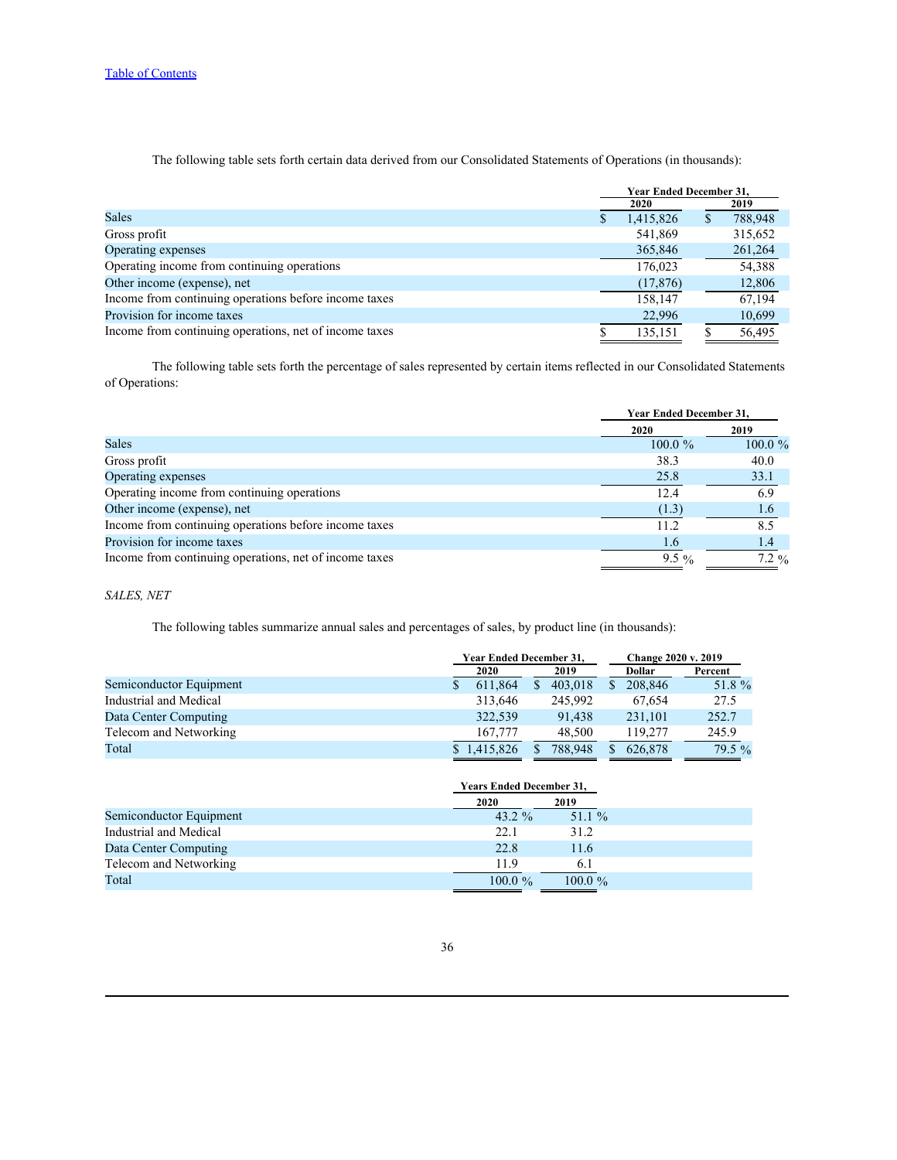|                                                        | <b>Year Ended December 31,</b> |         |
|--------------------------------------------------------|--------------------------------|---------|
|                                                        | 2020                           | 2019    |
| <b>Sales</b>                                           | 1,415,826                      | 788,948 |
| Gross profit                                           | 541,869                        | 315,652 |
| Operating expenses                                     | 365,846                        | 261,264 |
| Operating income from continuing operations            | 176.023                        | 54,388  |
| Other income (expense), net                            | (17, 876)                      | 12,806  |
| Income from continuing operations before income taxes  | 158.147                        | 67.194  |
| Provision for income taxes                             | 22,996                         | 10,699  |
| Income from continuing operations, net of income taxes | 135,151                        | 56,495  |

The following table sets forth certain data derived from our Consolidated Statements of Operations (in thousands):

The following table sets forth the percentage of sales represented by certain items reflected in our Consolidated Statements of Operations:

| 2020<br>2019                                                                 |
|------------------------------------------------------------------------------|
|                                                                              |
| <b>Sales</b><br>$100.0 \%$<br>100.0%                                         |
| Gross profit<br>40.0<br>38.3                                                 |
| 33.1<br>Operating expenses<br>25.8                                           |
| Operating income from continuing operations<br>12.4<br>6.9                   |
| Other income (expense), net<br>(1.3)<br>6 <sup>1</sup>                       |
| Income from continuing operations before income taxes<br>8.5                 |
| Provision for income taxes<br>4.4<br>$4.6^{\circ}$                           |
| Income from continuing operations, net of income taxes<br>$9.5\%$<br>$7.2\%$ |

# *SALES, NET*

The following tables summarize annual sales and percentages of sales, by product line (in thousands):

|                         | <b>Year Ended December 31,</b> |         | <b>Change 2020 v. 2019</b> |         |
|-------------------------|--------------------------------|---------|----------------------------|---------|
|                         | 2020                           | 2019    | Dollar                     | Percent |
| Semiconductor Equipment | 611,864                        | 403,018 | 208,846                    | 51.8 %  |
| Industrial and Medical  | 313,646                        | 245,992 | 67,654                     | 27.5    |
| Data Center Computing   | 322,539                        | 91,438  | 231,101                    | 252.7   |
| Telecom and Networking  | 167,777                        | 48,500  | 119,277                    | 245.9   |
| Total                   | 1,415,826                      | 788.948 | 626,878                    | 79.5 %  |
|                         |                                |         |                            |         |

|                         | <b>Years Ended December 31,</b> |            |  |
|-------------------------|---------------------------------|------------|--|
|                         | 2020                            | 2019       |  |
| Semiconductor Equipment | 43.2 $\%$                       | 51.1%      |  |
| Industrial and Medical  | 22.1                            | 31.2       |  |
| Data Center Computing   | 22.8                            | 11.6       |  |
| Telecom and Networking  | 11.9                            | 0.1        |  |
| Total                   | $100.0 \%$                      | $100.0 \%$ |  |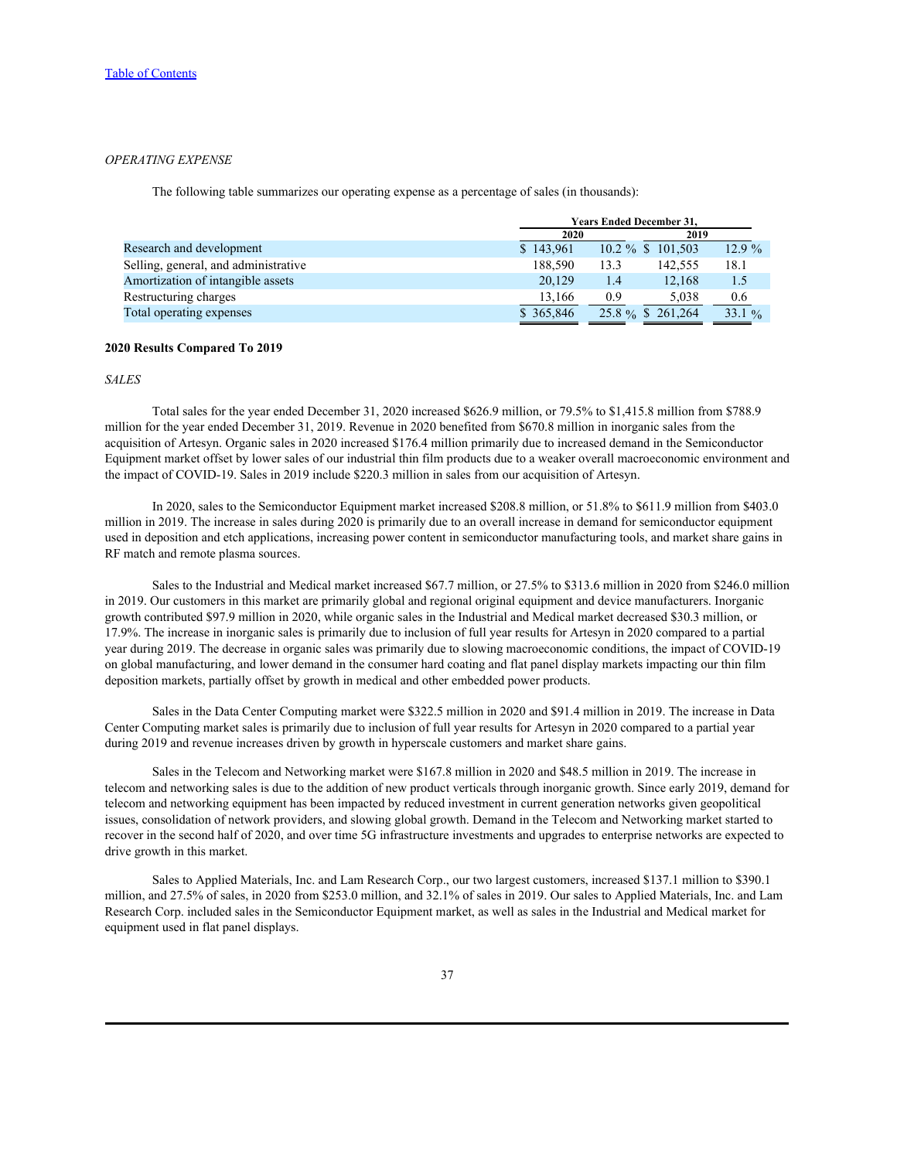### *OPERATING EXPENSE*

The following table summarizes our operating expense as a percentage of sales (in thousands):

|                                      |           | <b>Years Ended December 31.</b> |                      |           |
|--------------------------------------|-----------|---------------------------------|----------------------|-----------|
|                                      | 2020      |                                 | 2019                 |           |
| Research and development             | \$143,961 |                                 | $10.2 \%$ \$ 101,503 | 12.9%     |
| Selling, general, and administrative | 188,590   | 13.3                            | 142,555              | 18.1      |
| Amortization of intangible assets    | 20,129    | 1.4                             | 12,168               | 1.5       |
| Restructuring charges                | 13.166    | 0.9                             | 5,038                | 0.6       |
| Total operating expenses             | \$365,846 |                                 | 25.8 % \$ 261,264    | 33.1 $\%$ |

#### **2020 Results Compared To 2019**

#### *SALES*

Total sales for the year ended December 31, 2020 increased \$626.9 million, or 79.5% to \$1,415.8 million from \$788.9 million for the year ended December 31, 2019. Revenue in 2020 benefited from \$670.8 million in inorganic sales from the acquisition of Artesyn. Organic sales in 2020 increased \$176.4 million primarily due to increased demand in the Semiconductor Equipment market offset by lower sales of our industrial thin film products due to a weaker overall macroeconomic environment and the impact of COVID-19. Sales in 2019 include \$220.3 million in sales from our acquisition of Artesyn.

In 2020, sales to the Semiconductor Equipment market increased \$208.8 million, or 51.8% to \$611.9 million from \$403.0 million in 2019. The increase in sales during 2020 is primarily due to an overall increase in demand for semiconductor equipment used in deposition and etch applications, increasing power content in semiconductor manufacturing tools, and market share gains in RF match and remote plasma sources.

Sales to the Industrial and Medical market increased \$67.7 million, or 27.5% to \$313.6 million in 2020 from \$246.0 million in 2019. Our customers in this market are primarily global and regional original equipment and device manufacturers. Inorganic growth contributed \$97.9 million in 2020, while organic sales in the Industrial and Medical market decreased \$30.3 million, or 17.9%. The increase in inorganic sales is primarily due to inclusion of full year results for Artesyn in 2020 compared to a partial year during 2019. The decrease in organic sales was primarily due to slowing macroeconomic conditions, the impact of COVID-19 on global manufacturing, and lower demand in the consumer hard coating and flat panel display markets impacting our thin film deposition markets, partially offset by growth in medical and other embedded power products.

Sales in the Data Center Computing market were \$322.5 million in 2020 and \$91.4 million in 2019. The increase in Data Center Computing market sales is primarily due to inclusion of full year results for Artesyn in 2020 compared to a partial year during 2019 and revenue increases driven by growth in hyperscale customers and market share gains.

Sales in the Telecom and Networking market were \$167.8 million in 2020 and \$48.5 million in 2019. The increase in telecom and networking sales is due to the addition of new product verticals through inorganic growth. Since early 2019, demand for telecom and networking equipment has been impacted by reduced investment in current generation networks given geopolitical issues, consolidation of network providers, and slowing global growth. Demand in the Telecom and Networking market started to recover in the second half of 2020, and over time 5G infrastructure investments and upgrades to enterprise networks are expected to drive growth in this market.

Sales to Applied Materials, Inc. and Lam Research Corp., our two largest customers, increased \$137.1 million to \$390.1 million, and 27.5% of sales, in 2020 from \$253.0 million, and 32.1% of sales in 2019. Our sales to Applied Materials, Inc. and Lam Research Corp. included sales in the Semiconductor Equipment market, as well as sales in the Industrial and Medical market for equipment used in flat panel displays.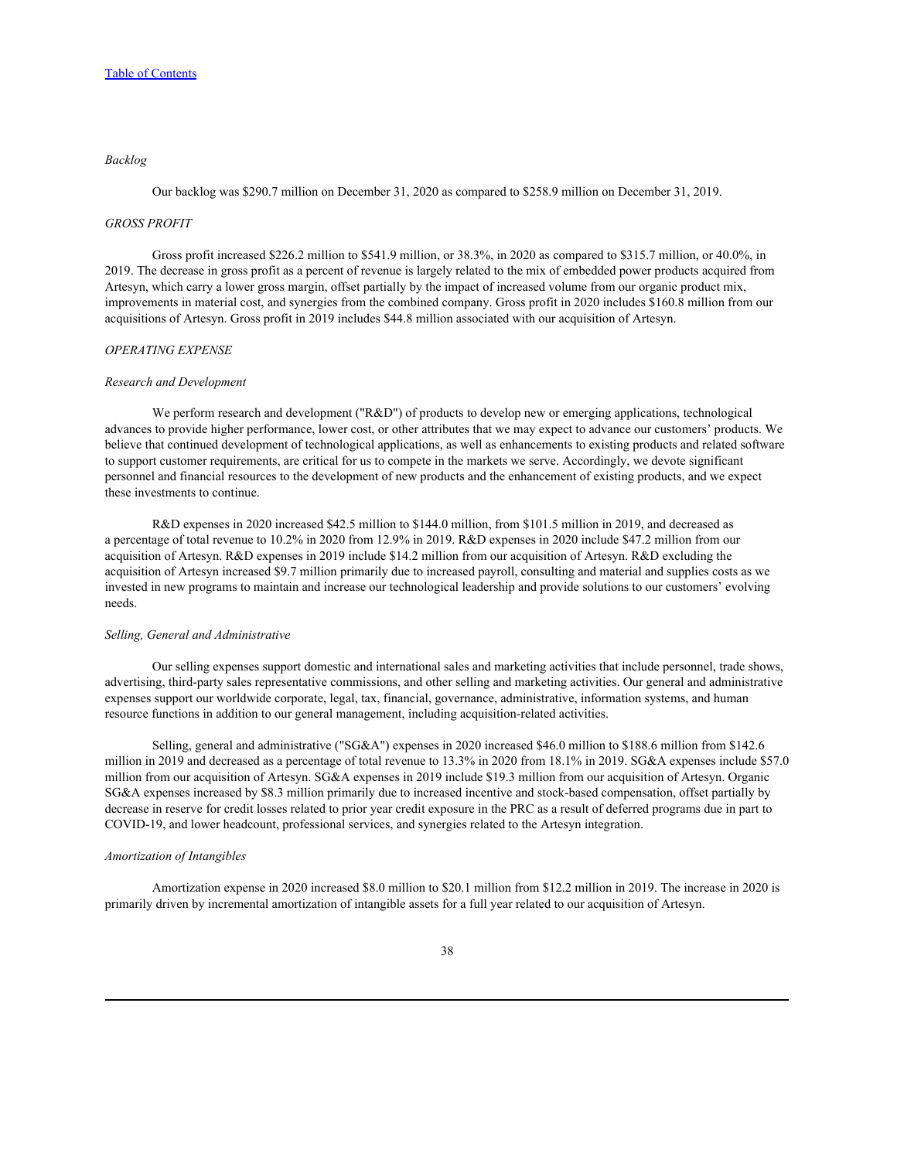### *Backlog*

Our backlog was \$290.7 million on December 31, 2020 as compared to \$258.9 million on December 31, 2019.

#### *GROSS PROFIT*

Gross profit increased \$226.2 million to \$541.9 million, or 38.3%, in 2020 as compared to \$315.7 million, or 40.0%, in 2019. The decrease in gross profit as a percent of revenue is largely related to the mix of embedded power products acquired from Artesyn, which carry a lower gross margin, offset partially by the impact of increased volume from our organic product mix, improvements in material cost, and synergies from the combined company. Gross profit in 2020 includes \$160.8 million from our acquisitions of Artesyn. Gross profit in 2019 includes \$44.8 million associated with our acquisition of Artesyn.

#### *OPERATING EXPENSE*

#### *Research and Development*

We perform research and development ("R&D") of products to develop new or emerging applications, technological advances to provide higher performance, lower cost, or other attributes that we may expect to advance our customers' products. We believe that continued development of technological applications, as well as enhancements to existing products and related software to support customer requirements, are critical for us to compete in the markets we serve. Accordingly, we devote significant personnel and financial resources to the development of new products and the enhancement of existing products, and we expect these investments to continue.

R&D expenses in 2020 increased \$42.5 million to \$144.0 million, from \$101.5 million in 2019, and decreased as a percentage of total revenue to 10.2% in 2020 from 12.9% in 2019. R&D expenses in 2020 include \$47.2 million from our acquisition of Artesyn. R&D expenses in 2019 include \$14.2 million from our acquisition of Artesyn. R&D excluding the acquisition of Artesyn increased \$9.7 million primarily due to increased payroll, consulting and material and supplies costs as we invested in new programs to maintain and increase our technological leadership and provide solutions to our customers' evolving needs.

### *Selling, General and Administrative*

Our selling expenses support domestic and international sales and marketing activities that include personnel, trade shows, advertising, third-party sales representative commissions, and other selling and marketing activities. Our general and administrative expenses support our worldwide corporate, legal, tax, financial, governance, administrative, information systems, and human resource functions in addition to our general management, including acquisition-related activities.

Selling, general and administrative ("SG&A") expenses in 2020 increased \$46.0 million to \$188.6 million from \$142.6 million in 2019 and decreased as a percentage of total revenue to 13.3% in 2020 from 18.1% in 2019. SG&A expenses include \$57.0 million from our acquisition of Artesyn. SG&A expenses in 2019 include \$19.3 million from our acquisition of Artesyn. Organic SG&A expenses increased by \$8.3 million primarily due to increased incentive and stock-based compensation, offset partially by decrease in reserve for credit losses related to prior year credit exposure in the PRC as a result of deferred programs due in part to COVID-19, and lower headcount, professional services, and synergies related to the Artesyn integration.

#### *Amortization of Intangibles*

Amortization expense in 2020 increased \$8.0 million to \$20.1 million from \$12.2 million in 2019. The increase in 2020 is primarily driven by incremental amortization of intangible assets for a full year related to our acquisition of Artesyn.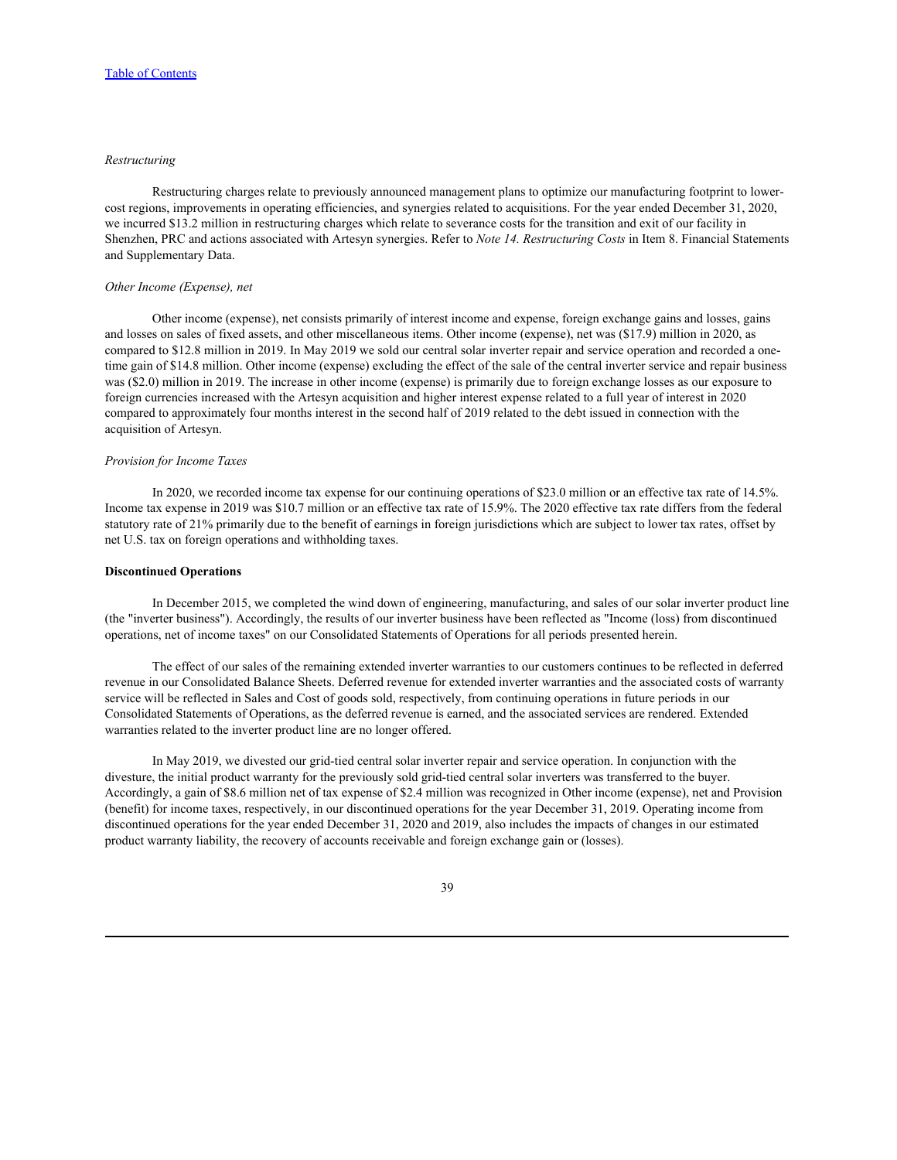#### *Restructuring*

Restructuring charges relate to previously announced management plans to optimize our manufacturing footprint to lowercost regions, improvements in operating efficiencies, and synergies related to acquisitions. For the year ended December 31, 2020, we incurred \$13.2 million in restructuring charges which relate to severance costs for the transition and exit of our facility in Shenzhen, PRC and actions associated with Artesyn synergies. Refer to *Note 14. Restructuring Costs* in Item 8. Financial Statements and Supplementary Data.

### *Other Income (Expense), net*

Other income (expense), net consists primarily of interest income and expense, foreign exchange gains and losses, gains and losses on sales of fixed assets, and other miscellaneous items. Other income (expense), net was (\$17.9) million in 2020, as compared to \$12.8 million in 2019. In May 2019 we sold our central solar inverter repair and service operation and recorded a onetime gain of \$14.8 million. Other income (expense) excluding the effect of the sale of the central inverter service and repair business was (\$2.0) million in 2019. The increase in other income (expense) is primarily due to foreign exchange losses as our exposure to foreign currencies increased with the Artesyn acquisition and higher interest expense related to a full year of interest in 2020 compared to approximately four months interest in the second half of 2019 related to the debt issued in connection with the acquisition of Artesyn.

### *Provision for Income Taxes*

In 2020, we recorded income tax expense for our continuing operations of \$23.0 million or an effective tax rate of 14.5%. Income tax expense in 2019 was \$10.7 million or an effective tax rate of 15.9%. The 2020 effective tax rate differs from the federal statutory rate of 21% primarily due to the benefit of earnings in foreign jurisdictions which are subject to lower tax rates, offset by net U.S. tax on foreign operations and withholding taxes.

#### **Discontinued Operations**

In December 2015, we completed the wind down of engineering, manufacturing, and sales of our solar inverter product line (the "inverter business"). Accordingly, the results of our inverter business have been reflected as "Income (loss) from discontinued operations, net of income taxes" on our Consolidated Statements of Operations for all periods presented herein.

The effect of our sales of the remaining extended inverter warranties to our customers continues to be reflected in deferred revenue in our Consolidated Balance Sheets. Deferred revenue for extended inverter warranties and the associated costs of warranty service will be reflected in Sales and Cost of goods sold, respectively, from continuing operations in future periods in our Consolidated Statements of Operations, as the deferred revenue is earned, and the associated services are rendered. Extended warranties related to the inverter product line are no longer offered.

In May 2019, we divested our grid-tied central solar inverter repair and service operation. In conjunction with the divesture, the initial product warranty for the previously sold grid-tied central solar inverters was transferred to the buyer. Accordingly, a gain of \$8.6 million net of tax expense of \$2.4 million was recognized in Other income (expense), net and Provision (benefit) for income taxes, respectively, in our discontinued operations for the year December 31, 2019. Operating income from discontinued operations for the year ended December 31, 2020 and 2019, also includes the impacts of changes in our estimated product warranty liability, the recovery of accounts receivable and foreign exchange gain or (losses).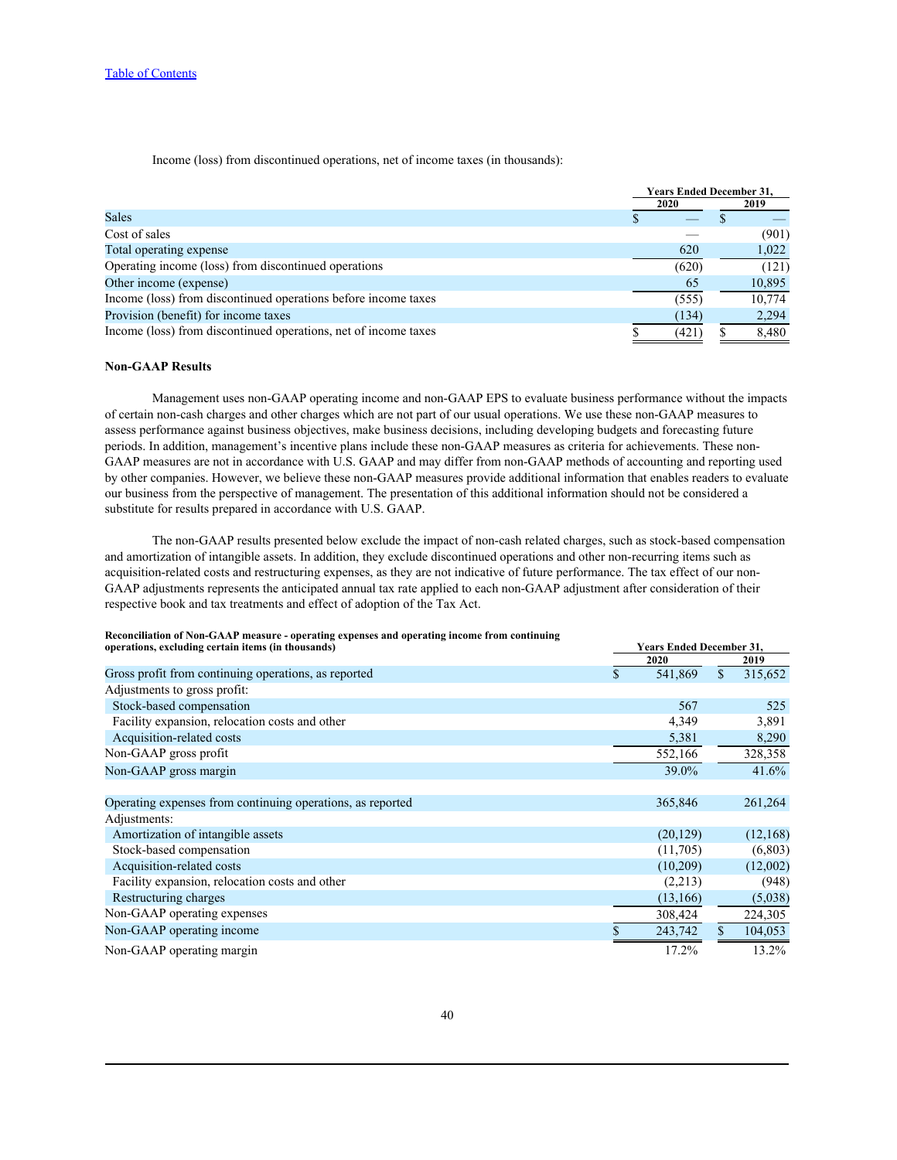Income (loss) from discontinued operations, net of income taxes (in thousands):

| 2020              |  | 2019                            |  |  |  |
|-------------------|--|---------------------------------|--|--|--|
| $-$               |  |                                 |  |  |  |
| $\hspace{0.05cm}$ |  | (901)                           |  |  |  |
| 620               |  | 1,022                           |  |  |  |
| (620)             |  | (121)                           |  |  |  |
| 65                |  | 10,895                          |  |  |  |
| (555)             |  | 10,774                          |  |  |  |
| (134)             |  | 2,294                           |  |  |  |
| (421)             |  | 8,480                           |  |  |  |
|                   |  | <b>Years Ended December 31.</b> |  |  |  |

### **Non-GAAP Results**

Management uses non-GAAP operating income and non-GAAP EPS to evaluate business performance without the impacts of certain non-cash charges and other charges which are not part of our usual operations. We use these non-GAAP measures to assess performance against business objectives, make business decisions, including developing budgets and forecasting future periods. In addition, management's incentive plans include these non-GAAP measures as criteria for achievements. These non-GAAP measures are not in accordance with U.S. GAAP and may differ from non-GAAP methods of accounting and reporting used by other companies. However, we believe these non-GAAP measures provide additional information that enables readers to evaluate our business from the perspective of management. The presentation of this additional information should not be considered a substitute for results prepared in accordance with U.S. GAAP.

The non-GAAP results presented below exclude the impact of non-cash related charges, such as stock-based compensation and amortization of intangible assets. In addition, they exclude discontinued operations and other non-recurring items such as acquisition-related costs and restructuring expenses, as they are not indicative of future performance. The tax effect of our non-GAAP adjustments represents the anticipated annual tax rate applied to each non-GAAP adjustment after consideration of their respective book and tax treatments and effect of adoption of the Tax Act.

#### **Reconciliation of Non-GAAP measure - operating expenses and operating income from continuing operations, excluding certain items (in thousands)**

|                                                            | 2020      | 2019      |
|------------------------------------------------------------|-----------|-----------|
| Gross profit from continuing operations, as reported       | 541,869   | 315,652   |
| Adjustments to gross profit:                               |           |           |
| Stock-based compensation                                   | 567       | 525       |
| Facility expansion, relocation costs and other             | 4,349     | 3,891     |
| Acquisition-related costs                                  | 5,381     | 8,290     |
| Non-GAAP gross profit                                      | 552,166   | 328,358   |
| Non-GAAP gross margin                                      | 39.0%     | 41.6%     |
|                                                            |           |           |
| Operating expenses from continuing operations, as reported | 365,846   | 261,264   |
| Adjustments:                                               |           |           |
| Amortization of intangible assets                          | (20, 129) | (12, 168) |
| Stock-based compensation                                   | (11,705)  | (6,803)   |
| Acquisition-related costs                                  | (10,209)  | (12,002)  |
| Facility expansion, relocation costs and other             | (2,213)   | (948)     |
| Restructuring charges                                      | (13,166)  | (5,038)   |
| Non-GAAP operating expenses                                | 308,424   | 224,305   |
| Non-GAAP operating income                                  | 243,742   | 104,053   |
| Non-GAAP operating margin                                  | 17.2%     | 13.2%     |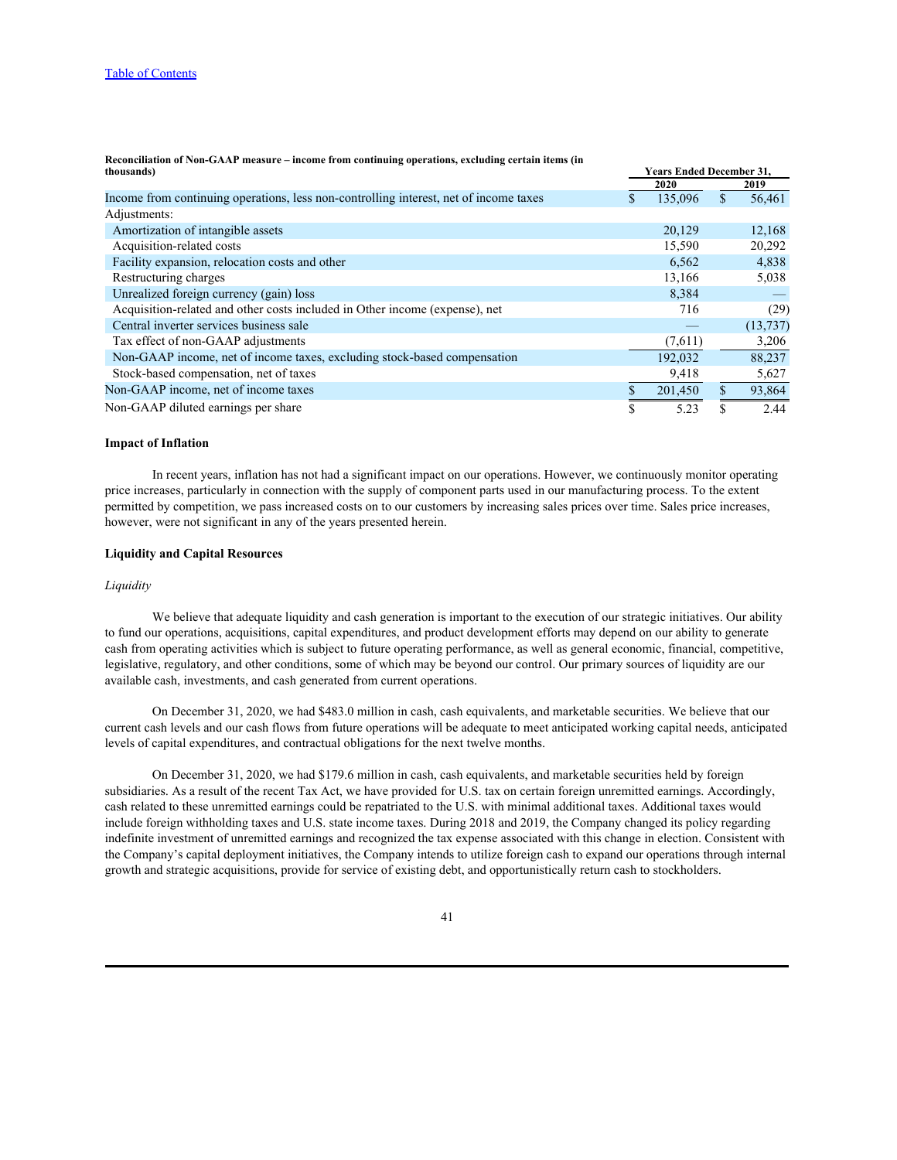| Reconciliation of Non-GAAP measure – income from continuing operations, excluding certain items (in |                                 |           |
|-----------------------------------------------------------------------------------------------------|---------------------------------|-----------|
| thousands)                                                                                          | <b>Years Ended December 31,</b> |           |
|                                                                                                     | 2020                            | 2019      |
| Income from continuing operations, less non-controlling interest, net of income taxes               | 135,096                         | 56,461    |
| Adjustments:                                                                                        |                                 |           |
| Amortization of intangible assets                                                                   | 20,129                          | 12,168    |
| Acquisition-related costs                                                                           | 15,590                          | 20,292    |
| Facility expansion, relocation costs and other                                                      | 6,562                           | 4,838     |
| Restructuring charges                                                                               | 13,166                          | 5,038     |
| Unrealized foreign currency (gain) loss                                                             | 8,384                           |           |
| Acquisition-related and other costs included in Other income (expense), net                         | 716                             | (29)      |
| Central inverter services business sale                                                             | $\qquad \qquad \longleftarrow$  | (13, 737) |
| Tax effect of non-GAAP adjustments                                                                  | (7,611)                         | 3,206     |
| Non-GAAP income, net of income taxes, excluding stock-based compensation                            | 192,032                         | 88,237    |
| Stock-based compensation, net of taxes                                                              | 9,418                           | 5,627     |
| Non-GAAP income, net of income taxes                                                                | 201,450                         | 93,864    |
| Non-GAAP diluted earnings per share                                                                 | 5.23                            | 2.44      |

**Impact of Inflation**

In recent years, inflation has not had a significant impact on our operations. However, we continuously monitor operating price increases, particularly in connection with the supply of component parts used in our manufacturing process. To the extent permitted by competition, we pass increased costs on to our customers by increasing sales prices over time. Sales price increases, however, were not significant in any of the years presented herein.

### **Liquidity and Capital Resources**

#### *Liquidity*

We believe that adequate liquidity and cash generation is important to the execution of our strategic initiatives. Our ability to fund our operations, acquisitions, capital expenditures, and product development efforts may depend on our ability to generate cash from operating activities which is subject to future operating performance, as well as general economic, financial, competitive, legislative, regulatory, and other conditions, some of which may be beyond our control. Our primary sources of liquidity are our available cash, investments, and cash generated from current operations.

On December 31, 2020, we had \$483.0 million in cash, cash equivalents, and marketable securities. We believe that our current cash levels and our cash flows from future operations will be adequate to meet anticipated working capital needs, anticipated levels of capital expenditures, and contractual obligations for the next twelve months.

On December 31, 2020, we had \$179.6 million in cash, cash equivalents, and marketable securities held by foreign subsidiaries. As a result of the recent Tax Act, we have provided for U.S. tax on certain foreign unremitted earnings. Accordingly, cash related to these unremitted earnings could be repatriated to the U.S. with minimal additional taxes. Additional taxes would include foreign withholding taxes and U.S. state income taxes. During 2018 and 2019, the Company changed its policy regarding indefinite investment of unremitted earnings and recognized the tax expense associated with this change in election. Consistent with the Company's capital deployment initiatives, the Company intends to utilize foreign cash to expand our operations through internal growth and strategic acquisitions, provide for service of existing debt, and opportunistically return cash to stockholders.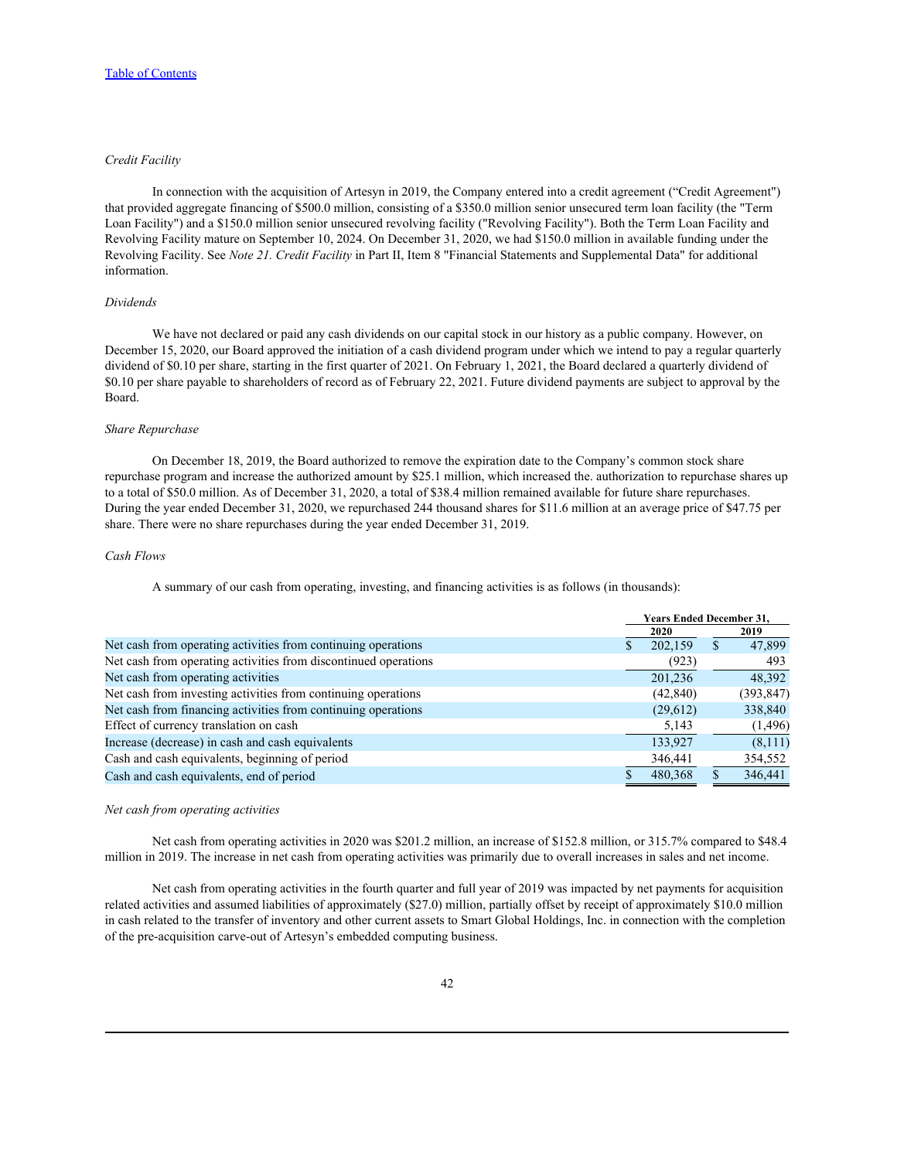### *Credit Facility*

In connection with the acquisition of Artesyn in 2019, the Company entered into a credit agreement ("Credit Agreement") that provided aggregate financing of \$500.0 million, consisting of a \$350.0 million senior unsecured term loan facility (the "Term Loan Facility") and a \$150.0 million senior unsecured revolving facility ("Revolving Facility"). Both the Term Loan Facility and Revolving Facility mature on September 10, 2024. On December 31, 2020, we had \$150.0 million in available funding under the Revolving Facility. See *Note 21. Credit Facility* in Part II, Item 8 "Financial Statements and Supplemental Data" for additional information.

### *Dividends*

We have not declared or paid any cash dividends on our capital stock in our history as a public company. However, on December 15, 2020, our Board approved the initiation of a cash dividend program under which we intend to pay a regular quarterly dividend of \$0.10 per share, starting in the first quarter of 2021. On February 1, 2021, the Board declared a quarterly dividend of \$0.10 per share payable to shareholders of record as of February 22, 2021. Future dividend payments are subject to approval by the Board.

#### *Share Repurchase*

On December 18, 2019, the Board authorized to remove the expiration date to the Company's common stock share repurchase program and increase the authorized amount by \$25.1 million, which increased the. authorization to repurchase shares up to a total of \$50.0 million. As of December 31, 2020, a total of \$38.4 million remained available for future share repurchases. During the year ended December 31, 2020, we repurchased 244 thousand shares for \$11.6 million at an average price of \$47.75 per share. There were no share repurchases during the year ended December 31, 2019.

#### *Cash Flows*

A summary of our cash from operating, investing, and financing activities is as follows (in thousands):

|                                                                 | <b>Years Ended December 31,</b> |            |
|-----------------------------------------------------------------|---------------------------------|------------|
|                                                                 | 2020                            | 2019       |
| Net cash from operating activities from continuing operations   | 202,159                         | 47,899     |
| Net cash from operating activities from discontinued operations | (923)                           | 493        |
| Net cash from operating activities                              | 201,236                         | 48,392     |
| Net cash from investing activities from continuing operations   | (42, 840)                       | (393, 847) |
| Net cash from financing activities from continuing operations   | (29,612)                        | 338,840    |
| Effect of currency translation on cash                          | 5,143                           | (1,496)    |
| Increase (decrease) in cash and cash equivalents                | 133.927                         | (8,111)    |
| Cash and cash equivalents, beginning of period                  | 346,441                         | 354,552    |
| Cash and cash equivalents, end of period                        | 480,368                         | 346,441    |

#### *Net cash from operating activities*

Net cash from operating activities in 2020 was \$201.2 million, an increase of \$152.8 million, or 315.7% compared to \$48.4 million in 2019. The increase in net cash from operating activities was primarily due to overall increases in sales and net income.

Net cash from operating activities in the fourth quarter and full year of 2019 was impacted by net payments for acquisition related activities and assumed liabilities of approximately (\$27.0) million, partially offset by receipt of approximately \$10.0 million in cash related to the transfer of inventory and other current assets to Smart Global Holdings, Inc. in connection with the completion of the pre-acquisition carve-out of Artesyn's embedded computing business.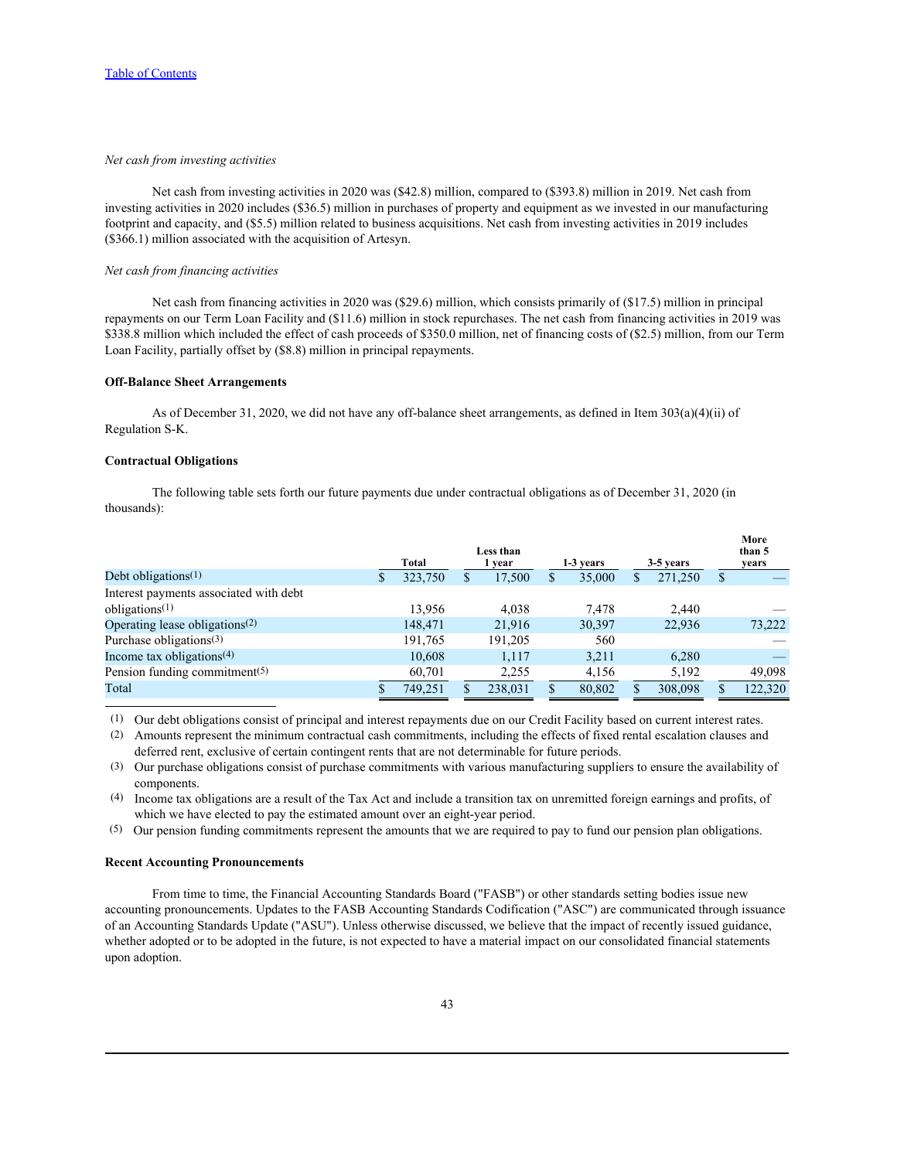### *Net cash from investing activities*

Net cash from investing activities in 2020 was (\$42.8) million, compared to (\$393.8) million in 2019. Net cash from investing activities in 2020 includes (\$36.5) million in purchases of property and equipment as we invested in our manufacturing footprint and capacity, and (\$5.5) million related to business acquisitions. Net cash from investing activities in 2019 includes (\$366.1) million associated with the acquisition of Artesyn.

### *Net cash from financing activities*

Net cash from financing activities in 2020 was (\$29.6) million, which consists primarily of (\$17.5) million in principal repayments on our Term Loan Facility and (\$11.6) million in stock repurchases. The net cash from financing activities in 2019 was \$338.8 million which included the effect of cash proceeds of \$350.0 million, net of financing costs of (\$2.5) million, from our Term Loan Facility, partially offset by (\$8.8) million in principal repayments.

#### **Off-Balance Sheet Arrangements**

As of December 31, 2020, we did not have any off-balance sheet arrangements, as defined in Item 303(a)(4)(ii) of Regulation S-K.

### **Contractual Obligations**

The following table sets forth our future payments due under contractual obligations as of December 31, 2020 (in thousands):

|                                            |              | Less than |           |           | More<br>than 5                 |
|--------------------------------------------|--------------|-----------|-----------|-----------|--------------------------------|
|                                            | <b>Total</b> | l vear    | 1-3 years | 3-5 years | years                          |
| Debt obligations <sup>(1)</sup>            | 323,750      | 17,500    | 35,000    | 271,250   |                                |
| Interest payments associated with debt     |              |           |           |           |                                |
| obligations <sup>(1)</sup>                 | 13,956       | 4,038     | 7,478     | 2,440     | $\overbrace{\hspace{25mm}}^{}$ |
| Operating lease obligations <sup>(2)</sup> | 148,471      | 21,916    | 30,397    | 22,936    | 73,222                         |
| Purchase obligations $(3)$                 | 191,765      | 191,205   | 560       |           |                                |
| Income tax obligations $(4)$               | 10,608       | 1,117     | 3,211     | 6,280     | $\overline{\phantom{m}}$       |
| Pension funding commitment <sup>(5)</sup>  | 60,701       | 2,255     | 4,156     | 5,192     | 49,098                         |
| Total                                      | 749,251      | 238,031   | 80,802    | 308,098   | 122,320                        |
|                                            |              |           |           |           |                                |

(1) Our debt obligations consist of principal and interest repayments due on our Credit Facility based on current interest rates.

(2) Amounts represent the minimum contractual cash commitments, including the effects of fixed rental escalation clauses and deferred rent, exclusive of certain contingent rents that are not determinable for future periods.

(3) Our purchase obligations consist of purchase commitments with various manufacturing suppliers to ensure the availability of components.

(4) Income tax obligations are a result of the Tax Act and include a transition tax on unremitted foreign earnings and profits, of which we have elected to pay the estimated amount over an eight-year period.

(5) Our pension funding commitments represent the amounts that we are required to pay to fund our pension plan obligations.

### **Recent Accounting Pronouncements**

From time to time, the Financial Accounting Standards Board ("FASB") or other standards setting bodies issue new accounting pronouncements. Updates to the FASB Accounting Standards Codification ("ASC") are communicated through issuance of an Accounting Standards Update ("ASU"). Unless otherwise discussed, we believe that the impact of recently issued guidance, whether adopted or to be adopted in the future, is not expected to have a material impact on our consolidated financial statements upon adoption.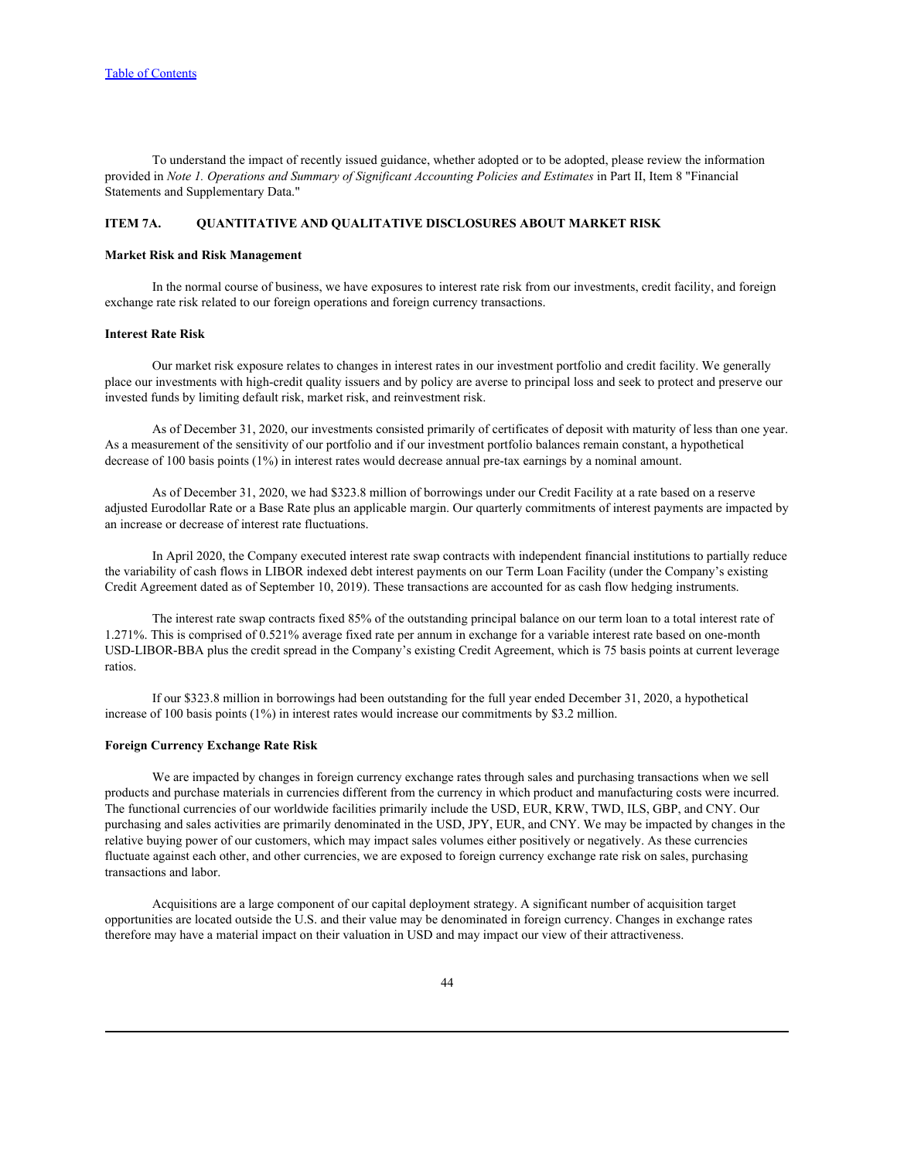To understand the impact of recently issued guidance, whether adopted or to be adopted, please review the information provided in *Note 1. Operations and Summary of Significant Accounting Policies and Estimates* in Part II, Item 8 "Financial Statements and Supplementary Data."

### **ITEM 7A. QUANTITATIVE AND QUALITATIVE DISCLOSURES ABOUT MARKET RISK**

#### **Market Risk and Risk Management**

In the normal course of business, we have exposures to interest rate risk from our investments, credit facility, and foreign exchange rate risk related to our foreign operations and foreign currency transactions.

### **Interest Rate Risk**

Our market risk exposure relates to changes in interest rates in our investment portfolio and credit facility. We generally place our investments with high-credit quality issuers and by policy are averse to principal loss and seek to protect and preserve our invested funds by limiting default risk, market risk, and reinvestment risk.

As of December 31, 2020, our investments consisted primarily of certificates of deposit with maturity of less than one year. As a measurement of the sensitivity of our portfolio and if our investment portfolio balances remain constant, a hypothetical decrease of 100 basis points (1%) in interest rates would decrease annual pre-tax earnings by a nominal amount.

As of December 31, 2020, we had \$323.8 million of borrowings under our Credit Facility at a rate based on a reserve adjusted Eurodollar Rate or a Base Rate plus an applicable margin. Our quarterly commitments of interest payments are impacted by an increase or decrease of interest rate fluctuations.

In April 2020, the Company executed interest rate swap contracts with independent financial institutions to partially reduce the variability of cash flows in LIBOR indexed debt interest payments on our Term Loan Facility (under the Company's existing Credit Agreement dated as of September 10, 2019). These transactions are accounted for as cash flow hedging instruments.

The interest rate swap contracts fixed 85% of the outstanding principal balance on our term loan to a total interest rate of 1.271%. This is comprised of 0.521% average fixed rate per annum in exchange for a variable interest rate based on one-month USD-LIBOR-BBA plus the credit spread in the Company's existing Credit Agreement, which is 75 basis points at current leverage ratios.

If our \$323.8 million in borrowings had been outstanding for the full year ended December 31, 2020, a hypothetical increase of 100 basis points (1%) in interest rates would increase our commitments by \$3.2 million.

#### **Foreign Currency Exchange Rate Risk**

We are impacted by changes in foreign currency exchange rates through sales and purchasing transactions when we sell products and purchase materials in currencies different from the currency in which product and manufacturing costs were incurred. The functional currencies of our worldwide facilities primarily include the USD, EUR, KRW, TWD, ILS, GBP, and CNY. Our purchasing and sales activities are primarily denominated in the USD, JPY, EUR, and CNY. We may be impacted by changes in the relative buying power of our customers, which may impact sales volumes either positively or negatively. As these currencies fluctuate against each other, and other currencies, we are exposed to foreign currency exchange rate risk on sales, purchasing transactions and labor.

Acquisitions are a large component of our capital deployment strategy. A significant number of acquisition target opportunities are located outside the U.S. and their value may be denominated in foreign currency. Changes in exchange rates therefore may have a material impact on their valuation in USD and may impact our view of their attractiveness.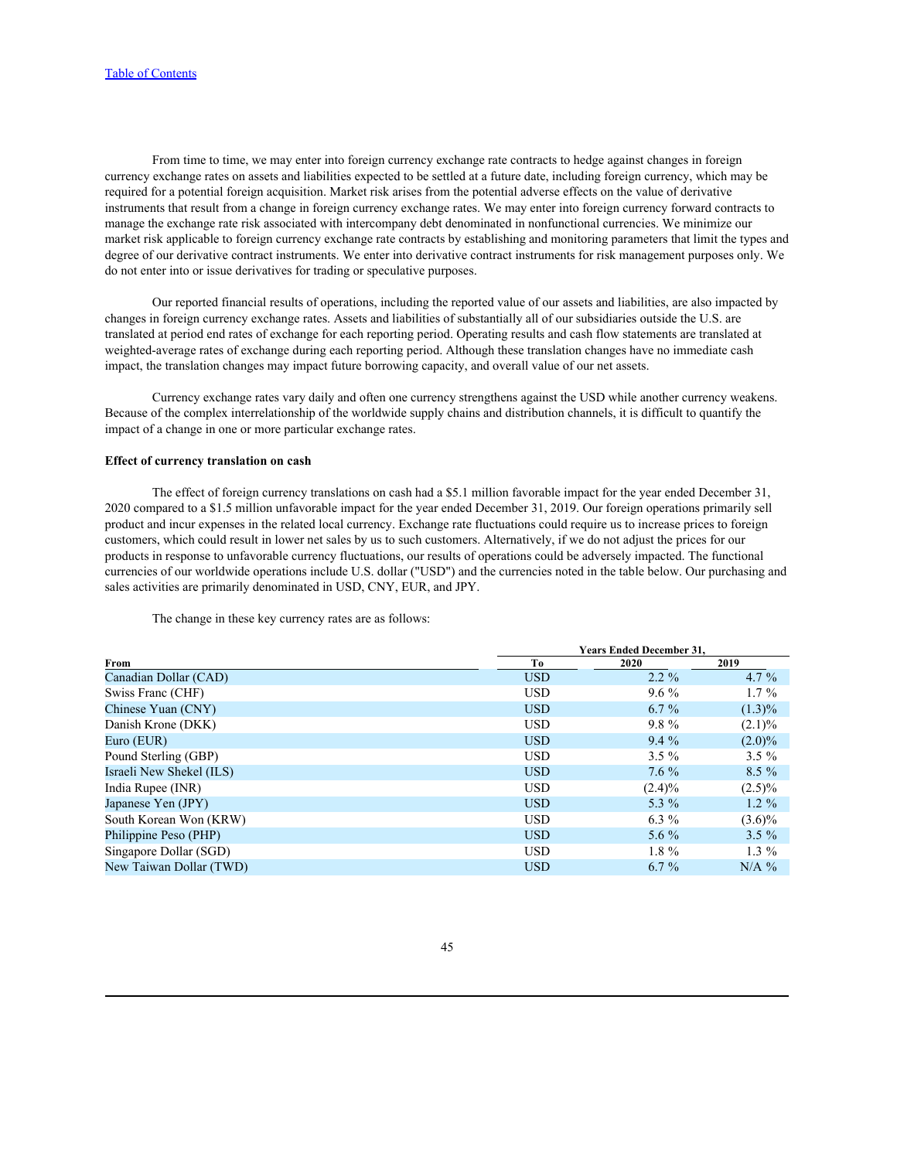From time to time, we may enter into foreign currency exchange rate contracts to hedge against changes in foreign currency exchange rates on assets and liabilities expected to be settled at a future date, including foreign currency, which may be required for a potential foreign acquisition. Market risk arises from the potential adverse effects on the value of derivative instruments that result from a change in foreign currency exchange rates. We may enter into foreign currency forward contracts to manage the exchange rate risk associated with intercompany debt denominated in nonfunctional currencies. We minimize our market risk applicable to foreign currency exchange rate contracts by establishing and monitoring parameters that limit the types and degree of our derivative contract instruments. We enter into derivative contract instruments for risk management purposes only. We do not enter into or issue derivatives for trading or speculative purposes.

Our reported financial results of operations, including the reported value of our assets and liabilities, are also impacted by changes in foreign currency exchange rates. Assets and liabilities of substantially all of our subsidiaries outside the U.S. are translated at period end rates of exchange for each reporting period. Operating results and cash flow statements are translated at weighted-average rates of exchange during each reporting period. Although these translation changes have no immediate cash impact, the translation changes may impact future borrowing capacity, and overall value of our net assets.

Currency exchange rates vary daily and often one currency strengthens against the USD while another currency weakens. Because of the complex interrelationship of the worldwide supply chains and distribution channels, it is difficult to quantify the impact of a change in one or more particular exchange rates.

### **Effect of currency translation on cash**

The effect of foreign currency translations on cash had a \$5.1 million favorable impact for the year ended December 31, 2020 compared to a \$1.5 million unfavorable impact for the year ended December 31, 2019. Our foreign operations primarily sell product and incur expenses in the related local currency. Exchange rate fluctuations could require us to increase prices to foreign customers, which could result in lower net sales by us to such customers. Alternatively, if we do not adjust the prices for our products in response to unfavorable currency fluctuations, our results of operations could be adversely impacted. The functional currencies of our worldwide operations include U.S. dollar ("USD") and the currencies noted in the table below. Our purchasing and sales activities are primarily denominated in USD, CNY, EUR, and JPY.

The change in these key currency rates are as follows:

|                          |                | <b>Years Ended December 31.</b> |           |
|--------------------------|----------------|---------------------------------|-----------|
| From                     | T <sub>0</sub> | <b>2020</b>                     | 2019      |
| Canadian Dollar (CAD)    | <b>USD</b>     | $2.2\%$                         | 4.7 $%$   |
| Swiss Franc (CHF)        | <b>USD</b>     | $9.6\%$                         | $1.7\%$   |
| Chinese Yuan (CNY)       | <b>USD</b>     | $6.7\%$                         | $(1.3)\%$ |
| Danish Krone (DKK)       | <b>USD</b>     | $9.8 \%$                        | $(2.1)\%$ |
| Euro (EUR)               | <b>USD</b>     | $9.4\%$                         | $(2.0)\%$ |
| Pound Sterling (GBP)     | <b>USD</b>     | $3.5 \%$                        | $3.5 \%$  |
| Israeli New Shekel (ILS) | <b>USD</b>     | $7.6\%$                         | $8.5\%$   |
| India Rupee (INR)        | <b>USD</b>     | $(2.4)\%$                       | $(2.5)\%$ |
| Japanese Yen (JPY)       | <b>USD</b>     | 5.3 $%$                         | $1.2 \%$  |
| South Korean Won (KRW)   | <b>USD</b>     | 6.3 $%$                         | $(3.6)\%$ |
| Philippine Peso (PHP)    | <b>USD</b>     | 5.6 $%$                         | $3.5 \%$  |
| Singapore Dollar (SGD)   | <b>USD</b>     | $1.8 \%$                        | $1.3\%$   |
| New Taiwan Dollar (TWD)  | <b>USD</b>     | $6.7\%$                         | $N/A$ %   |
|                          |                |                                 |           |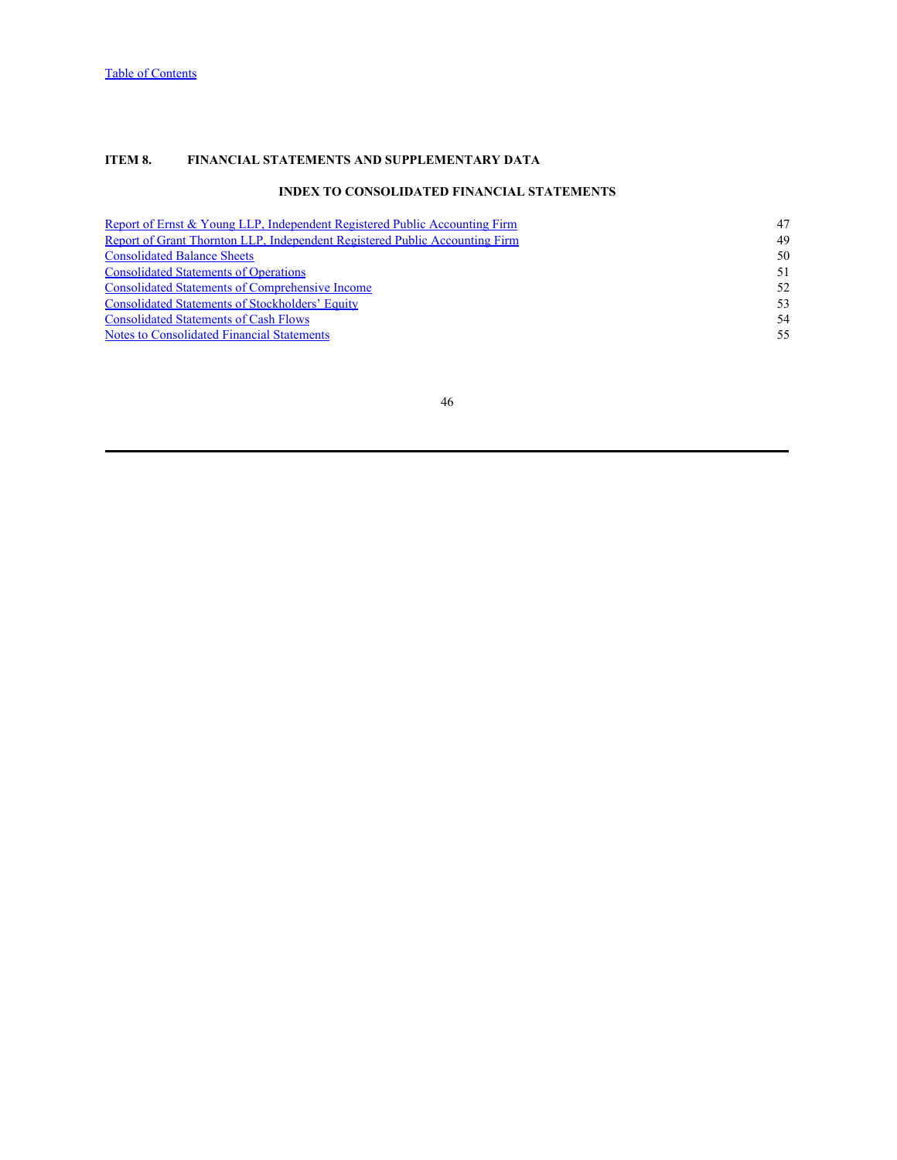# **ITEM 8. FINANCIAL STATEMENTS AND SUPPLEMENTARY DATA**

## **INDEX TO CONSOLIDATED FINANCIAL STATEMENTS**

| 47 |  |
|----|--|
| 49 |  |
| 50 |  |
| 51 |  |
|    |  |
|    |  |
| 54 |  |
|    |  |
|    |  |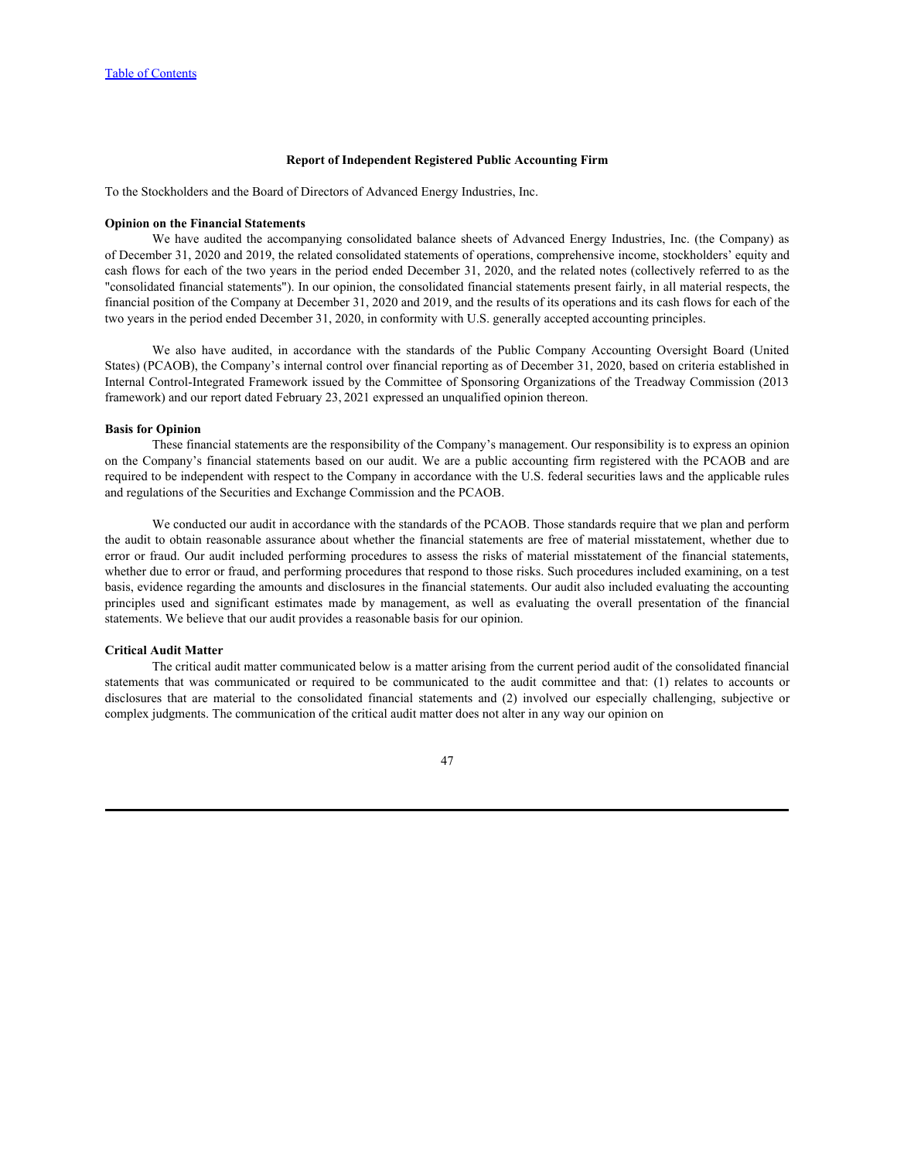### **Report of Independent Registered Public Accounting Firm**

<span id="page-46-0"></span>To the Stockholders and the Board of Directors of Advanced Energy Industries, Inc.

#### **Opinion on the Financial Statements**

Contents<br> **Report of Independent Registered Public Accounting Firm**<br> **on the Financial Statements**<br> **on the Financial Statements**<br>
We have audited the accompanying consolidated balance sheets of Advanced Energy Industries, of December 31, 2020 and 2019, the related consolidated statements of operations, comprehensive income, stockholders' equity and cash flows for each of the two years in the period ended December 31, 2020, and the related notes (collectively referred to as the "consolidated financial statements"). In our opinion, the consolidated financial statements present fairly, in all material respects, the financial position of the Company at December 31, 2020 and 2019, and the results of its operations and its cash flows for each of the two years in the period ended December 31, 2020, in conformity with U.S. generally accepted accounting principles. **Example 18**<br> **Report of Independent Registered Public Accounting Firm**<br> **on the Finnarial Statements** of Advanced Faregy Industries, Inc.<br>
We have audited the accompanying consolidated balance sheets of Advanced Energy In

States) (PCAOB), the Company's internal control over financial reporting as of December 31, 2020, based on criteria established in Internal Control-Integrated Framework issued by the Committee of Sponsoring Organizations of the Treadway Commission (2013 framework) and our report dated February 23, 2021 expressed an unqualified opinion thereon.

#### **Basis for Opinion**

These financial statements are the responsibility of the Company's management. Our responsibility is to express an opinion on the Company's financial statements based on our audit. We are a public accounting firm registered with the PCAOB and are required to be independent with respect to the Company in accordance with the U.S. federal securities laws and the applicable rules and regulations of the Securities and Exchange Commission and the PCAOB.

We conducted our audit in accordance with the standards of the PCAOB. Those standards require that we plan and perform the audit to obtain reasonable assurance about whether the financial statements are free of material misstatement, whether due to error or fraud. Our audit included performing procedures to assess the risks of material misstatement of the financial statements, whether due to error or fraud, and performing procedures that respond to those risks. Such procedures included examining, on a test basis, evidence regarding the amounts and disclosures in the financial statements. Our audit also included evaluating the accounting **Points Suchholders and the Boott of Distrement Reportered Public Accounting tifien<br>
Option on the Financial Statements<br>
Option on the Financial Statements<br>
of Discorder 11, 2003 and 2019 the related convolutional shateme** statements. We believe that our audit provides a reasonable basis for our opinion. **Option on the Financial Statements**<br>
We there and/ind the necessary ing correlational hatment selects of Advanced length particular (Figures 1, 2000 and 2019, the related consolidated attachments of operations, emptthem Optimin on the Financial Material to the statements of Arbunea consolidated financial to the consolidated financial statements of operations, correspondently in 2010, and the collecter big are considered to the consolidat

### **Critical Audit Matter**

The critical audit matter communicated below is a matter arising from the current period audit of the consolidated financial complex judgments. The communication of the critical audit matter does not alter in any way our opinion on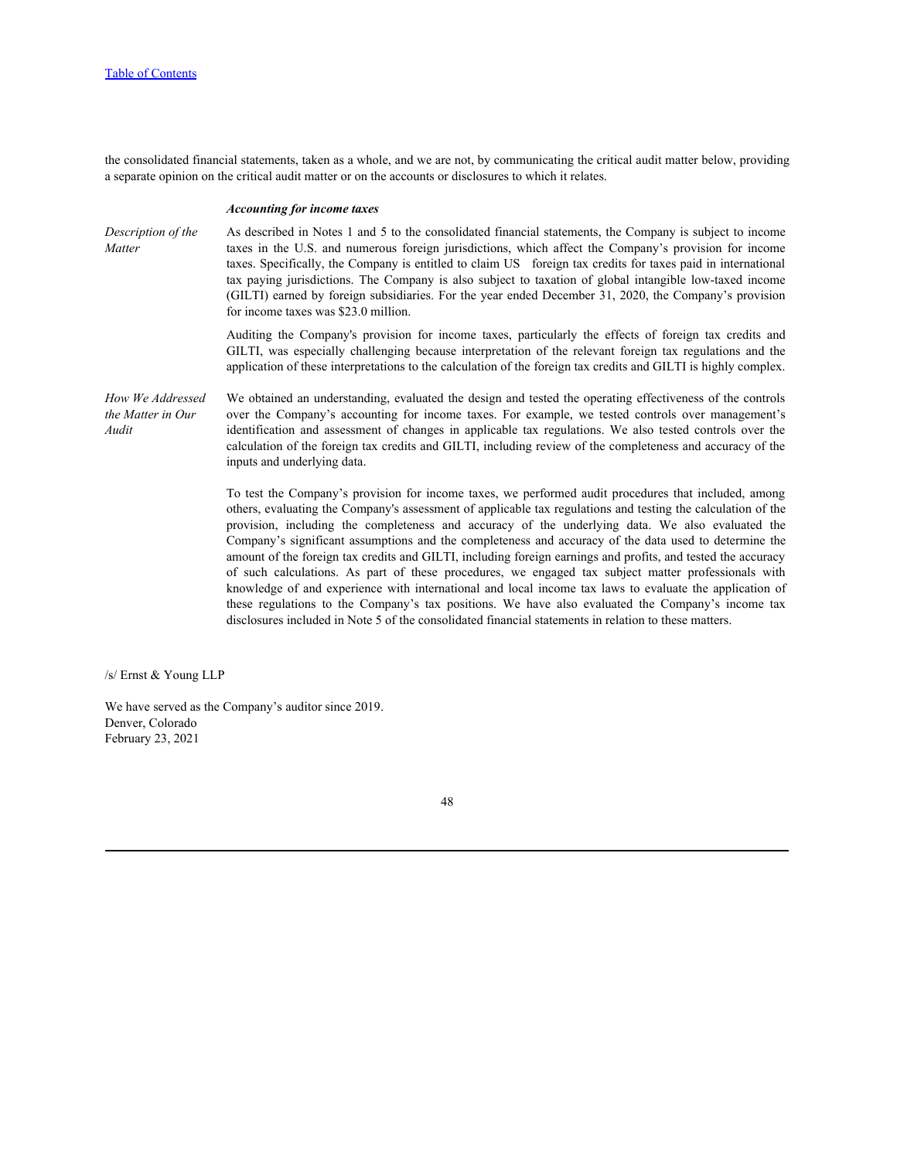the consolidated financial statements, taken as a whole, and we are not, by communicating the critical audit matter below, providing a separate opinion on the critical audit matter or on the accounts or disclosures to which it relates.

#### *Accounting for income taxes*

*Description of the* As described in Notes 1 and 5 to the consolidated financial statements, the Company is subject to income *Matter* taxes in the U.S. and numerous foreign jurisdictions, which affect the Company's provision for income ial statements, taken as a whole, and we are not, by communicating the critical audit matter below, providing<br>e critical audit matter or on the accounts or disclosures to which it relates.<br>Accounting for income taxes<br>As de taxes. Specifically, the Company is entitled to claim US foreign tax credits for taxes paid in international ial statements, taken as a whole, and we are not, by communicating the critical audit matter below, providing<br>e critical audit matter or on the accounts or disclosures to which it relates.<br>Accounting for income taxes<br>as th (GILTI) earned by foreign subsidiaries. For the year ended December 31, 2020, the Company's provision for income taxes was \$23.0 million. ial statements, taken as a whole, and we are not, by communicating the critical audit matter below, providing<br>e critical audit matter or on the accounts or disclosures to which it relates.<br>Accounting for income taxes<br>escri al statements, taken as a whole, and we are not, by communicating the critical and<br>it matter below, providing the tritical and its of the relevant of the<br>Accounting for income taxes<br>As described in Notes 1 and 5 to the con and statements, taken as a whole, and we are not, by communicating the critical audit matter below, providing<br>e critical audit matter or on the accounts or disclosures to which it relates.<br>Accounting for income taxes<br>Accou ind statements, taken as a whole, and we are not, by communicating the critical audit matter below, providing<br>electrical audit matter or on the accounts or disclosures to which it relates.<br>Accounting for income taxes<br>Asses

application of these interpretations to the calculation of the foreign tax credits and GILTI is highly complex.

*How We Addressed* We obtained an understanding, evaluated the design and tested the operating effectiveness of the controls *the Matter in Our* over the Company's accounting for income taxes. For example, we tested controls over management's *Audit* identification and assessment of changes in applicable tax regulations. We also tested controls over the calculation of the foreign tax credits and GILTI, including review of the completeness and accuracy of the inputs and underlying data.

al statements, taken as a whole, and we are not by communicating the critical audit matter below, providing<br>electrical audit matter or on the accounts or disclosures to which it relates.<br>As described in Notes 1 and 5 to th others, evaluating the Company's assessment of applicable tax regulations and testing the calculation of the id statements, taken as a whole, and we are not, by communicating the critical audit matter below, providing ericlearities and the comparison of the comparison of the comparison of the underlying the international statemen Company's significant assumptions and the completeness and accuracy of the data used to determine the amount of the foreign tax credits and GILTI, including foreign earnings and profits, and tested the accuracy al statements, taken as a whole, and we are not, by communicating the critical audit matter below, providing<br>exertical and matter or on the accounts or disclosures to which it relates.<br>Accounting for income taxes<br>As execut is al statements, taken as a whole, and we are not, by communicating the critical andit matter below, providing<br>
Accounting for income taxes in the accounts or disclosures to which it relates.<br>
Accounting for income taxes al statements, taken as a whole, and we are not, by communicating the critical andt matter below, providing<br>c critical and it matter or on the accounts or disclosures to which it relates.<br>Accounting for income taxes<br>As des disclosures included in Note 5 of the consolidated financial statements in relation to these matters.

/s/ Ernst & Young LLP

We have served as the Company's auditor since 2019. Denver, Colorado February 23, 2021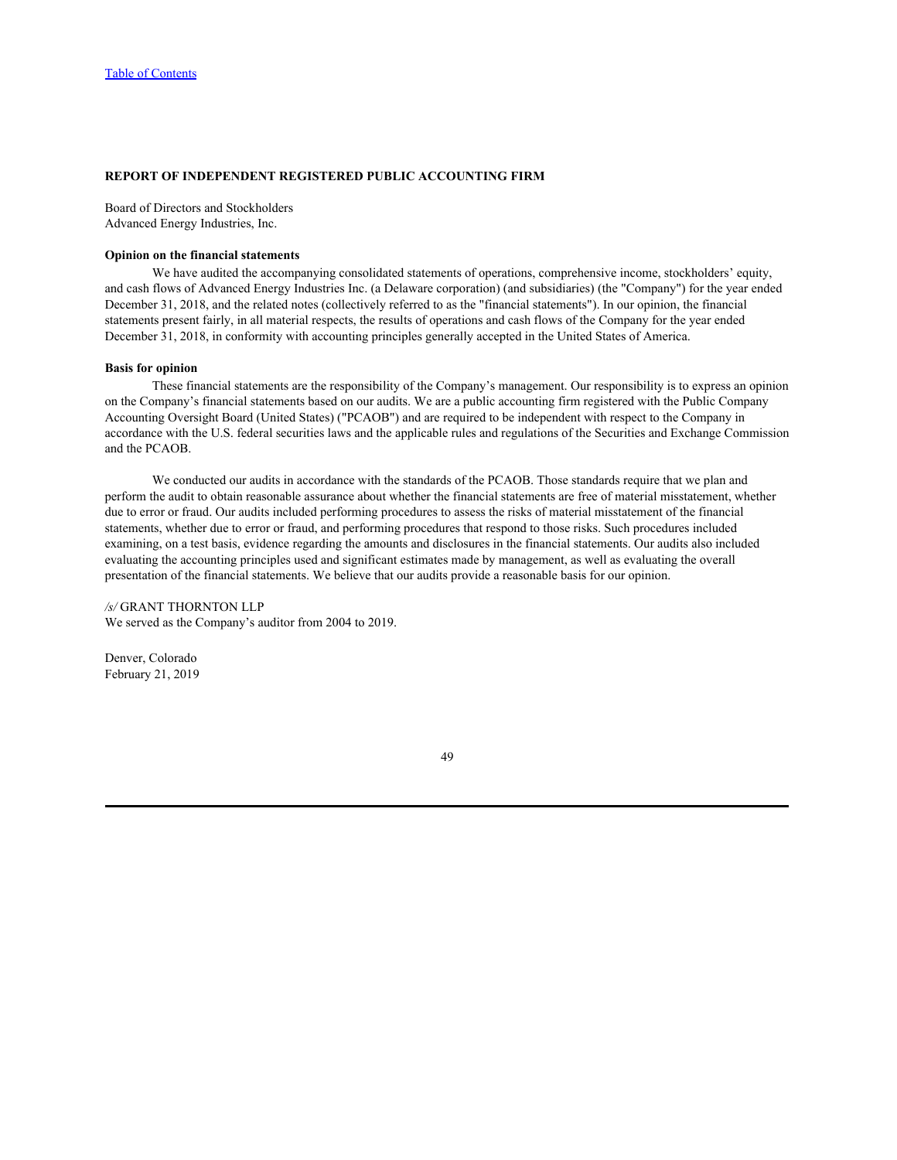### <span id="page-48-0"></span>**REPORT OF INDEPENDENT REGISTERED PUBLIC ACCOUNTING FIRM**

Board of Directors and Stockholders Advanced Energy Industries, Inc.

#### **Opinion on the financial statements**

We have audited the accompanying consolidated statements of operations, comprehensive income, stockholders' equity, and cash flows of Advanced Energy Industries Inc. (a Delaware corporation) (and subsidiaries) (the "Company") for the year ended December 31, 2018, and the related notes (collectively referred to as the "financial statements"). In our opinion, the financial statements present fairly, in all material respects, the results of operations and cash flows of the Company for the year ended December 31, 2018, in conformity with accounting principles generally accepted in the United States of America.

#### **Basis for opinion**

These financial statements are the responsibility of the Company's management. Our responsibility is to express an opinion on the Company's financial statements based on our audits. We are a public accounting firm registered with the Public Company Accounting Oversight Board (United States) ("PCAOB") and are required to be independent with respect to the Company in accordance with the U.S. federal securities laws and the applicable rules and regulations of the Securities and Exchange Commission and the PCAOB.

We conducted our audits in accordance with the standards of the PCAOB. Those standards require that we plan and perform the audit to obtain reasonable assurance about whether the financial statements are free of material misstatement, whether due to error or fraud. Our audits included performing procedures to assess the risks of material misstatement of the financial statements, whether due to error or fraud, and performing procedures that respond to those risks. Such procedures included examining, on a test basis, evidence regarding the amounts and disclosures in the financial statements. Our audits also included evaluating the accounting principles used and significant estimates made by management, as well as evaluating the overall presentation of the financial statements. We believe that our audits provide a reasonable basis for our opinion.

*/s/* GRANT THORNTON LLP We served as the Company's auditor from 2004 to 2019.

Denver, Colorado February 21, 2019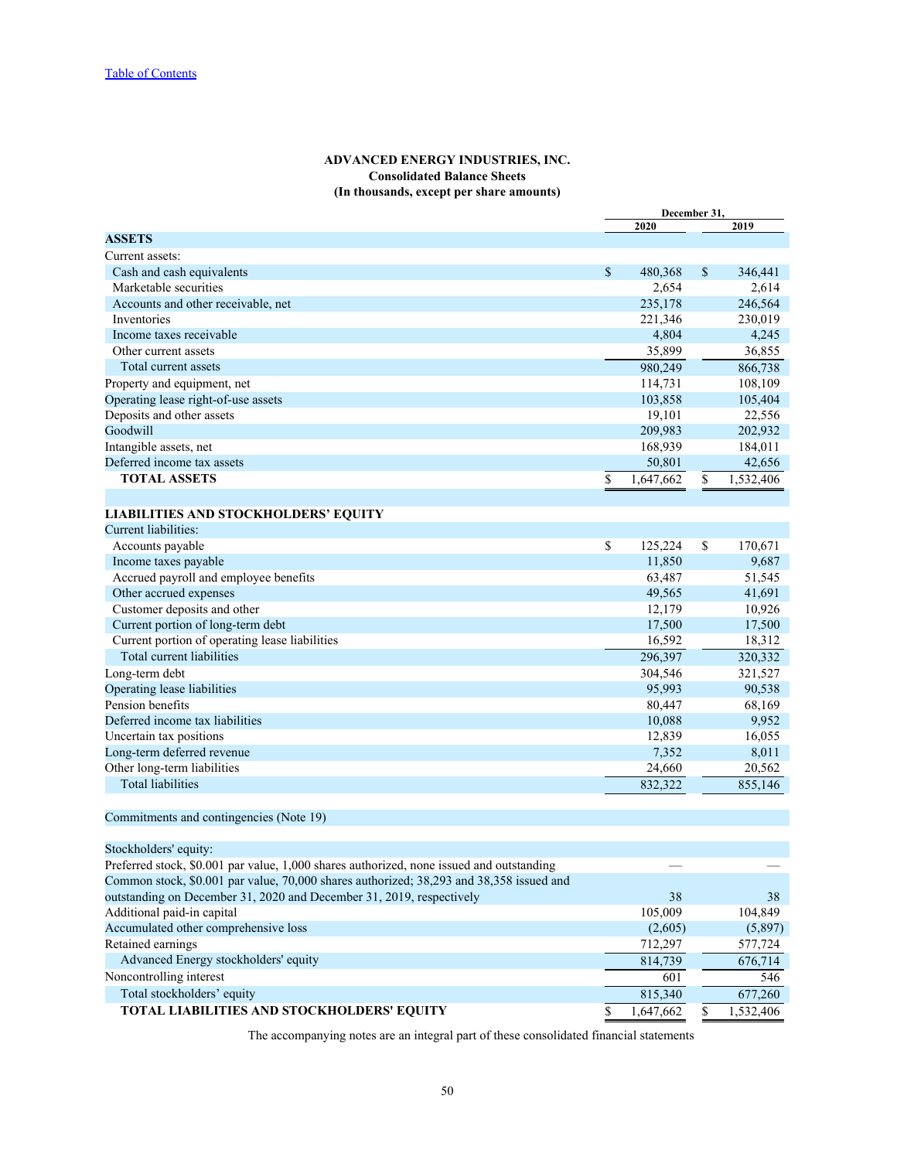## **ADVANCED ENERGY INDUSTRIES, INC. Consolidated Balance Sheets (In thousands, except per share amounts)**

<span id="page-49-0"></span>

|    |                       |                                                                                                                                                                                                                                                                                                  | 2019                            |
|----|-----------------------|--------------------------------------------------------------------------------------------------------------------------------------------------------------------------------------------------------------------------------------------------------------------------------------------------|---------------------------------|
|    |                       |                                                                                                                                                                                                                                                                                                  |                                 |
|    |                       |                                                                                                                                                                                                                                                                                                  |                                 |
|    |                       |                                                                                                                                                                                                                                                                                                  | 346,441                         |
|    |                       |                                                                                                                                                                                                                                                                                                  | 2,614                           |
|    |                       |                                                                                                                                                                                                                                                                                                  | 246,564                         |
|    |                       |                                                                                                                                                                                                                                                                                                  | 230,019                         |
|    |                       |                                                                                                                                                                                                                                                                                                  | 4,245                           |
|    |                       |                                                                                                                                                                                                                                                                                                  | 36,855                          |
|    |                       |                                                                                                                                                                                                                                                                                                  | 866,738                         |
|    |                       |                                                                                                                                                                                                                                                                                                  | 108,109                         |
|    |                       |                                                                                                                                                                                                                                                                                                  | 105,404                         |
|    |                       |                                                                                                                                                                                                                                                                                                  | 22,556                          |
|    | 209,983               |                                                                                                                                                                                                                                                                                                  | 202,932                         |
|    | 168,939               |                                                                                                                                                                                                                                                                                                  | 184,011                         |
|    | 50,801                |                                                                                                                                                                                                                                                                                                  | 42,656                          |
|    | 1,647,662             | <sup>S</sup>                                                                                                                                                                                                                                                                                     | 1,532,406                       |
|    |                       |                                                                                                                                                                                                                                                                                                  |                                 |
|    |                       |                                                                                                                                                                                                                                                                                                  |                                 |
|    |                       |                                                                                                                                                                                                                                                                                                  |                                 |
|    |                       |                                                                                                                                                                                                                                                                                                  | 170,671                         |
|    |                       |                                                                                                                                                                                                                                                                                                  | 9,687                           |
|    |                       |                                                                                                                                                                                                                                                                                                  | 51,545                          |
|    |                       |                                                                                                                                                                                                                                                                                                  | 41,691                          |
|    |                       |                                                                                                                                                                                                                                                                                                  | 10,926                          |
|    |                       |                                                                                                                                                                                                                                                                                                  | 17,500                          |
|    |                       |                                                                                                                                                                                                                                                                                                  | 18,312                          |
|    |                       |                                                                                                                                                                                                                                                                                                  |                                 |
|    |                       |                                                                                                                                                                                                                                                                                                  | 320,332                         |
|    |                       |                                                                                                                                                                                                                                                                                                  | 321,527                         |
|    |                       |                                                                                                                                                                                                                                                                                                  | 90,538                          |
|    |                       |                                                                                                                                                                                                                                                                                                  | 68,169                          |
|    |                       |                                                                                                                                                                                                                                                                                                  | 9,952                           |
|    |                       |                                                                                                                                                                                                                                                                                                  | 16,055                          |
|    |                       |                                                                                                                                                                                                                                                                                                  | 8,011                           |
|    |                       |                                                                                                                                                                                                                                                                                                  | 20,562                          |
|    |                       |                                                                                                                                                                                                                                                                                                  | 855,146                         |
|    |                       |                                                                                                                                                                                                                                                                                                  |                                 |
|    |                       |                                                                                                                                                                                                                                                                                                  |                                 |
|    |                       |                                                                                                                                                                                                                                                                                                  |                                 |
|    |                       |                                                                                                                                                                                                                                                                                                  |                                 |
|    |                       |                                                                                                                                                                                                                                                                                                  | $\hspace{0.1mm}-\hspace{0.1mm}$ |
|    |                       |                                                                                                                                                                                                                                                                                                  |                                 |
|    |                       |                                                                                                                                                                                                                                                                                                  | 38                              |
|    | 105,009               |                                                                                                                                                                                                                                                                                                  | 104,849                         |
|    | (2,605)               |                                                                                                                                                                                                                                                                                                  | (5,897)                         |
|    | 712,297               |                                                                                                                                                                                                                                                                                                  | 577,724                         |
|    | 814,739               |                                                                                                                                                                                                                                                                                                  | 676,714                         |
|    | 601                   |                                                                                                                                                                                                                                                                                                  | 546                             |
|    |                       |                                                                                                                                                                                                                                                                                                  | 677,260                         |
| -S | 1,647,662             | <sup>S</sup>                                                                                                                                                                                                                                                                                     | 1,532,406                       |
|    | - \$<br><sup>\$</sup> | 2020<br>480,368<br>2,654<br>235,178<br>221,346<br>4,804<br>35,899<br>980,249<br>114,731<br>103,858<br>19,101<br>125,224<br>11,850<br>63,487<br>49,565<br>12,179<br>17,500<br>16,592<br>296,397<br>304,546<br>95,993<br>80,447<br>10,088<br>12,839<br>7,352<br>24,660<br>832,322<br>38<br>815,340 | December 31,<br>-S<br>\$        |

The accompanying notes are an integral part of these consolidated financial statements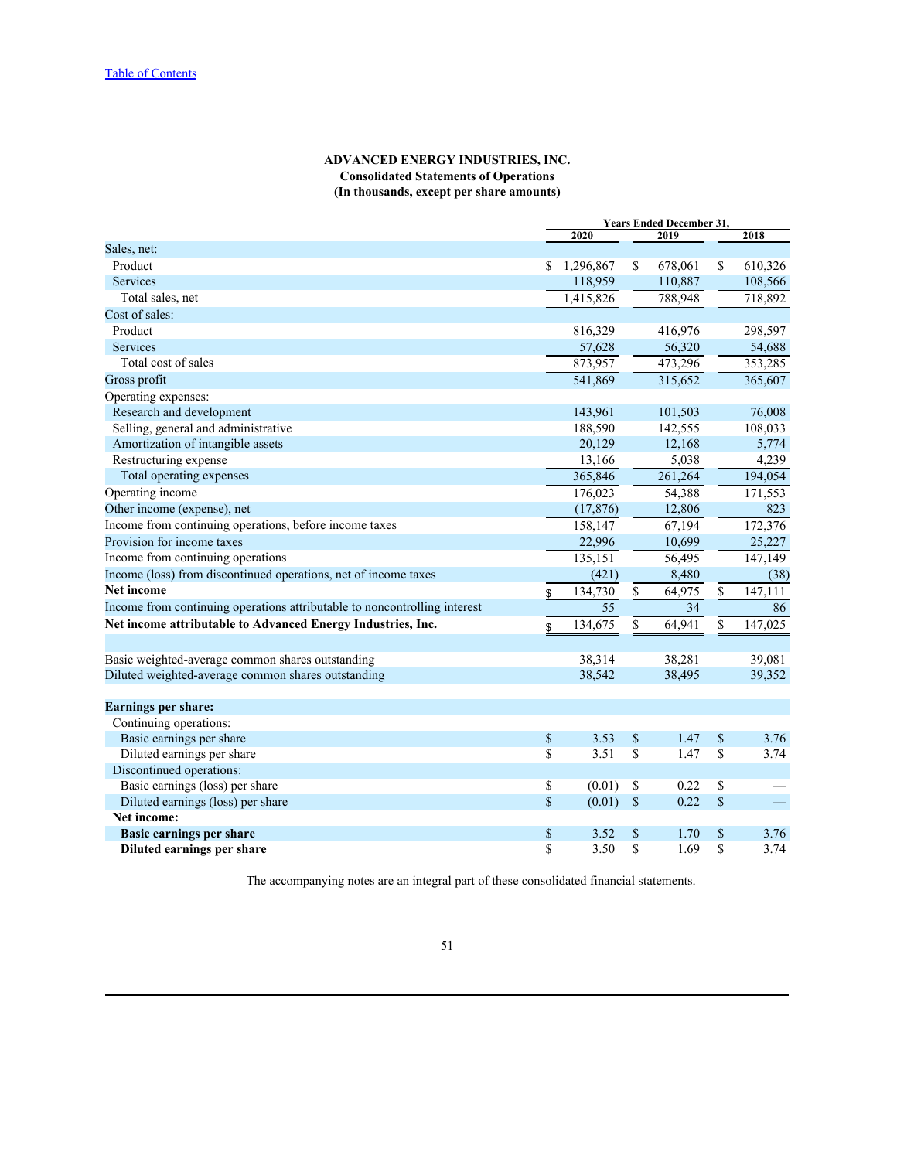## **ADVANCED ENERGY INDUSTRIES, INC. Consolidated Statements of Operations (In thousands, except per share amounts)**

<span id="page-51-0"></span>

|                                                                           |              |                 |               | <b>Years Ended December 31,</b> |               |         |
|---------------------------------------------------------------------------|--------------|-----------------|---------------|---------------------------------|---------------|---------|
|                                                                           |              | 2020            |               | 2019                            |               | 2018    |
| Sales, net:                                                               |              |                 |               |                                 |               |         |
| Product                                                                   |              | \$1,296,867     | <sup>S</sup>  | 678,061                         | <sup>\$</sup> | 610,326 |
| Services                                                                  |              | 118,959         |               | 110,887                         |               | 108,566 |
| Total sales, net                                                          |              | 1,415,826       |               | 788,948                         |               | 718,892 |
| Cost of sales:                                                            |              |                 |               |                                 |               |         |
| Product                                                                   |              | 816,329         |               | 416,976                         |               | 298,597 |
| Services                                                                  |              | 57,628          |               | 56,320                          |               | 54,688  |
| Total cost of sales                                                       |              | 873,957         |               | 473,296                         |               | 353,285 |
| Gross profit                                                              |              | 541,869         |               | 315,652                         |               | 365,607 |
| Operating expenses:                                                       |              |                 |               |                                 |               |         |
| Research and development                                                  |              | 143,961         |               | 101,503                         |               | 76,008  |
| Selling, general and administrative                                       |              | 188,590         |               | 142,555                         |               | 108,033 |
| Amortization of intangible assets                                         |              | 20,129          |               | 12,168                          |               | 5,774   |
| Restructuring expense                                                     |              | 13,166          |               | 5,038                           |               | 4,239   |
| Total operating expenses                                                  |              | 365,846         |               | 261,264                         |               | 194,054 |
| Operating income                                                          |              | 176,023         |               | 54,388                          |               | 171,553 |
| Other income (expense), net                                               |              | (17, 876)       |               | 12,806                          |               | 823     |
| Income from continuing operations, before income taxes                    |              | 158,147         |               | 67,194                          |               | 172,376 |
| Provision for income taxes                                                |              | 22,996          |               | 10,699                          |               | 25,227  |
| Income from continuing operations                                         |              | 135,151         |               | 56,495                          |               | 147,149 |
| Income (loss) from discontinued operations, net of income taxes           |              | (421)           |               | 8,480                           |               | (38)    |
| Net income                                                                |              | 134,730         | <sup>S</sup>  | 64,975                          | <sup>S</sup>  | 147,111 |
| Income from continuing operations attributable to noncontrolling interest |              | $\overline{55}$ |               | $\overline{34}$                 |               | 86      |
| Net income attributable to Advanced Energy Industries, Inc.               |              | 134,675         | <sup>\$</sup> | 64,941                          | $\mathbb{S}$  | 147,025 |
|                                                                           |              |                 |               |                                 |               |         |
| Basic weighted-average common shares outstanding                          |              | 38,314          |               | 38,281                          |               | 39,081  |
| Diluted weighted-average common shares outstanding                        |              | 38,542          |               | 38,495                          |               | 39,352  |
|                                                                           |              |                 |               |                                 |               |         |
| <b>Earnings per share:</b>                                                |              |                 |               |                                 |               |         |
| Continuing operations:                                                    |              |                 |               |                                 |               |         |
| Basic earnings per share                                                  | $\mathbb{S}$ | 3.53            | $\mathbb{S}$  | 1.47                            | $\mathcal{S}$ | 3.76    |
| Diluted earnings per share                                                | \$           | 3.51            | $\mathbb{S}$  | 1.47                            | - S           | 3.74    |
| Discontinued operations:                                                  |              |                 |               |                                 |               |         |
| Basic earnings (loss) per share                                           | \$           | $(0.01)$ \$     |               | 0.22                            | <sup>S</sup>  |         |
| Diluted earnings (loss) per share                                         | $\mathbb{S}$ | $(0.01)$ \$     |               | $0.22$ \$                       |               |         |
| Net income:                                                               |              |                 |               |                                 |               |         |
| <b>Basic earnings per share</b>                                           | $\mathbb{S}$ | 3.52            | $\mathbb{S}$  | 1.70                            | -\$           | 3.76    |
| Diluted earnings per share                                                | $\mathbf S$  | 3.50            | $\mathbb{S}$  | 1.69                            | $\mathbf S$   | 3.74    |
|                                                                           |              |                 |               |                                 |               |         |

The accompanying notes are an integral part of these consolidated financial statements.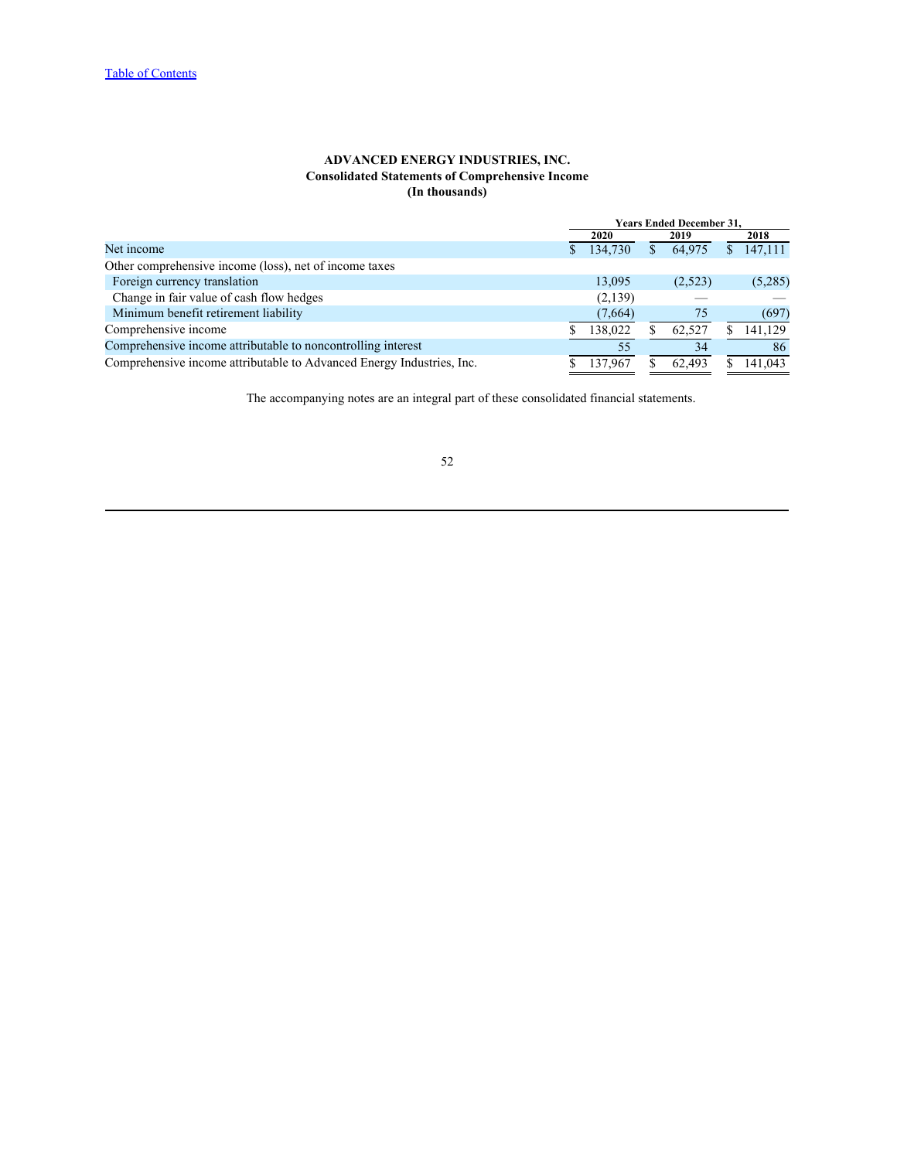### **ADVANCED ENERGY INDUSTRIES, INC. Consolidated Statements of Comprehensive Income (In thousands)**

<span id="page-52-0"></span>

|                                                                       |         | <b>Years Ended December 31.</b> |         |
|-----------------------------------------------------------------------|---------|---------------------------------|---------|
|                                                                       | 2020    | 2019                            | 2018    |
| Net income                                                            | 134,730 | 64,975                          | 147,111 |
| Other comprehensive income (loss), net of income taxes                |         |                                 |         |
| Foreign currency translation                                          | 13,095  | (2,523)                         | (5,285) |
| Change in fair value of cash flow hedges                              | (2,139) |                                 |         |
| Minimum benefit retirement liability                                  | (7,664) |                                 | (697)   |
| Comprehensive income                                                  | 138.022 | 62.527                          | 141.129 |
| Comprehensive income attributable to noncontrolling interest          | 55      |                                 |         |
| Comprehensive income attributable to Advanced Energy Industries, Inc. | 137.967 | 62.493                          | 141.043 |

The accompanying notes are an integral part of these consolidated financial statements.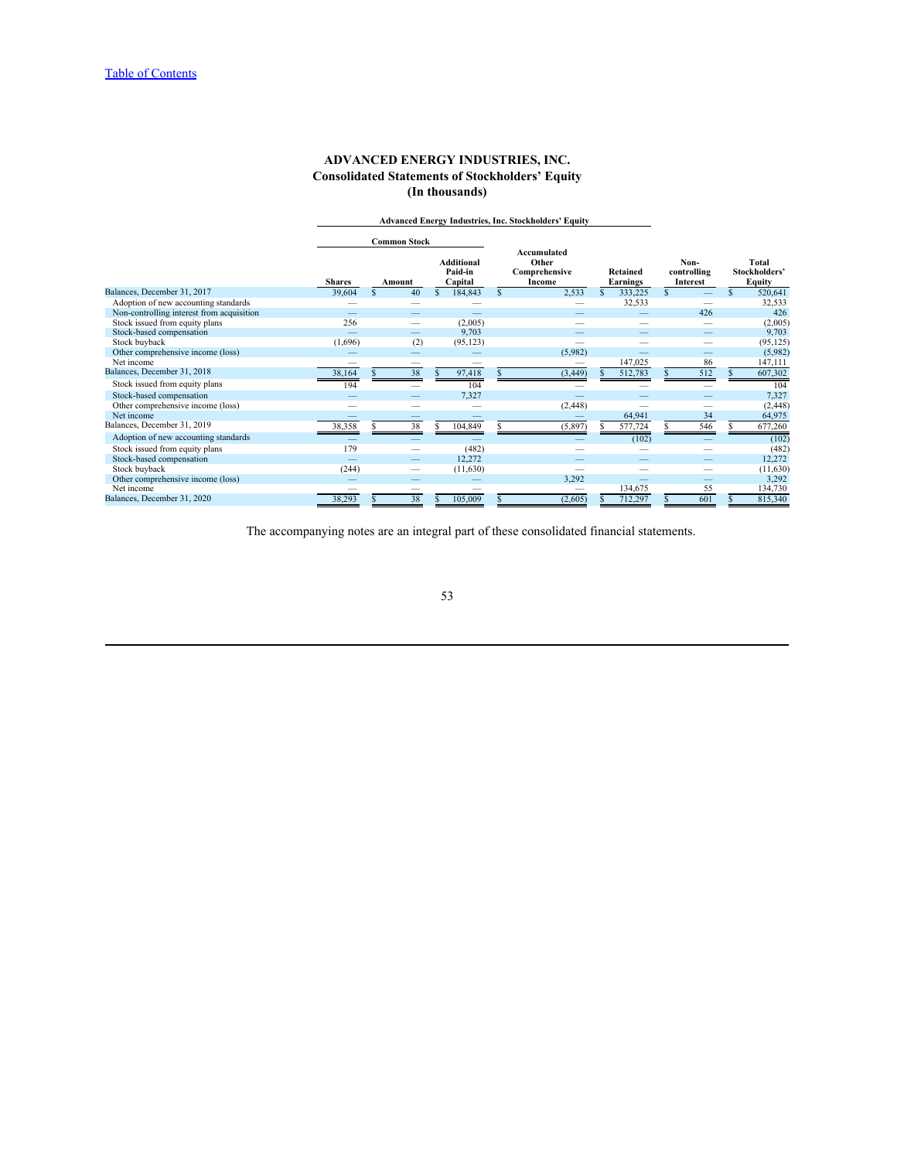### **ADVANCED ENERGY INDUSTRIES, INC. Consolidated Statements of Stockholders' Equity (In thousands)**

<span id="page-53-0"></span>

|                                           |                          |                          |                                         | <b>Advanced Energy Industries, Inc. Stockholders' Equity</b> |                          |                                        |                                  |  |
|-------------------------------------------|--------------------------|--------------------------|-----------------------------------------|--------------------------------------------------------------|--------------------------|----------------------------------------|----------------------------------|--|
|                                           |                          | <b>Common Stock</b>      |                                         |                                                              |                          |                                        |                                  |  |
|                                           | <b>Shares</b>            | Amount                   | <b>Additional</b><br>Paid-in<br>Capital | Accumulated<br>Other<br>Comprehensive<br>Income              | Retained<br>Earnings     | Non-<br>controlling<br><b>Interest</b> | Total<br>Stockholders'<br>Equity |  |
| Balances, December 31, 2017               | 39,604                   | 40                       | 184,843                                 | 2,533                                                        | 333,225                  | –                                      | 520,641                          |  |
| Adoption of new accounting standards      |                          | -                        | -                                       |                                                              | 32,533                   |                                        | 32,533                           |  |
| Non-controlling interest from acquisition | $\overline{\phantom{m}}$ |                          |                                         | $\overline{\phantom{a}}$                                     |                          | 426                                    | 426                              |  |
| Stock issued from equity plans            | 256                      |                          | (2,005)                                 | -                                                            | -                        | $\hspace{0.05cm}$                      | (2,005)                          |  |
| Stock-based compensation                  | $\overline{\phantom{m}}$ |                          | 9,703                                   | _                                                            |                          | $\overline{\phantom{m}}$               | 9,703                            |  |
| Stock buyback                             | (1,696)                  | (2)                      | (95, 123)                               |                                                              | -                        |                                        | (95, 125)                        |  |
| Other comprehensive income (loss)         |                          |                          |                                         | (5,982)                                                      |                          | $\overline{\phantom{m}}$               | (5,982)                          |  |
| Net income                                |                          | -                        |                                         |                                                              | 147,025                  | 86                                     | 147,111                          |  |
| Balances, December 31, 2018               | 38,164                   | 38                       | 97,418                                  | (3, 449)                                                     | 512,783                  | 512                                    | 607,302                          |  |
| Stock issued from equity plans            | 194                      | -                        | 104                                     | $\overline{\phantom{a}}$                                     | -                        | $\hspace{0.05cm}$                      | 104                              |  |
| Stock-based compensation                  | $\qquad \qquad -$        | $\qquad \qquad -$        | 7,327                                   | $\overline{\phantom{0}}$                                     | $\overline{\phantom{m}}$ | $\overline{\phantom{m}}$               | 7,327                            |  |
| Other comprehensive income (loss)         | $\overline{\phantom{a}}$ | -                        |                                         | (2, 448)                                                     | $\overline{\phantom{m}}$ | $\hspace{0.05cm}$                      | (2, 448)                         |  |
| Net income                                | $\qquad \qquad -$        |                          |                                         | $\qquad \qquad -$                                            | 64,941                   | 34                                     | 64,975                           |  |
| Balances, December 31, 2019               | 38,358                   | 38                       | 104,849                                 | (5, 897)                                                     | 577,724                  | 546                                    | 677,260                          |  |
| Adoption of new accounting standards      | _                        |                          |                                         | _                                                            | (102)                    | $\overline{\phantom{a}}$               | (102)                            |  |
| Stock issued from equity plans            | 179                      | $\overline{\phantom{0}}$ | (482)                                   |                                                              |                          | $\hspace{0.05cm}$                      | (482)                            |  |
| Stock-based compensation                  | $\overline{\phantom{m}}$ |                          | 12,272                                  | _                                                            |                          | $\overline{\phantom{m}}$               | 12,272                           |  |
| Stock buyback                             | (244)                    |                          | (11, 630)                               |                                                              |                          | $\overline{\phantom{m}}$               | (11,630)                         |  |
| Other comprehensive income (loss)         |                          |                          |                                         | 3,292                                                        |                          | $\qquad \qquad -$                      | 3,292                            |  |
| Net income                                |                          |                          | -                                       |                                                              | 134,675                  | 55                                     | 134,730                          |  |
| Balances, December 31, 2020               | 38,293                   | 38                       | 105,009                                 | (2,605)                                                      | 712,297                  | 601                                    | 815,340                          |  |
|                                           |                          |                          |                                         |                                                              |                          |                                        |                                  |  |

The accompanying notes are an integral part of these consolidated financial statements.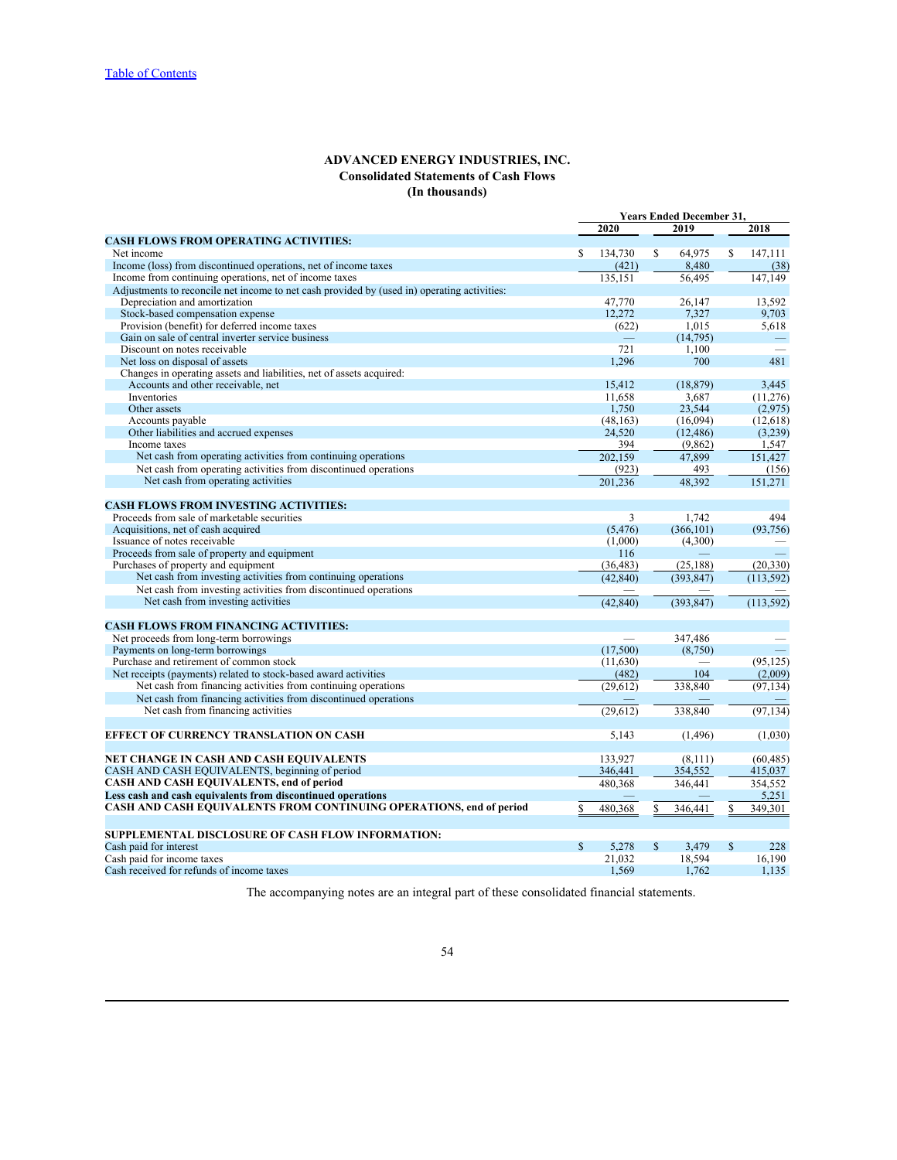### **ADVANCED ENERGY INDUSTRIES, INC. Consolidated Statements of Cash Flows (In thousands)**

<span id="page-54-0"></span>

|                                                                                             | <b>Years Ended December 31,</b> |                        |                               |  |  |
|---------------------------------------------------------------------------------------------|---------------------------------|------------------------|-------------------------------|--|--|
|                                                                                             | 2020                            | 2019                   | 2018                          |  |  |
| <b>CASH FLOWS FROM OPERATING ACTIVITIES:</b>                                                |                                 |                        |                               |  |  |
| Net income                                                                                  | \$134,730                       | 64,975<br><sup>S</sup> | $\mathbf{s}$<br>147,111       |  |  |
| Income (loss) from discontinued operations, net of income taxes                             | (421)                           | 8,480                  | (38)                          |  |  |
| Income from continuing operations, net of income taxes                                      | 135,151                         | 56,495                 | 147,149                       |  |  |
| Adjustments to reconcile net income to net cash provided by (used in) operating activities: |                                 |                        |                               |  |  |
| Depreciation and amortization                                                               | 47.770                          | 26.147                 | 13.592                        |  |  |
| Stock-based compensation expense                                                            | 12,272                          | 7,327                  | 9,703                         |  |  |
| Provision (benefit) for deferred income taxes                                               | (622)                           | 1,015                  | 5,618                         |  |  |
|                                                                                             |                                 |                        |                               |  |  |
| Gain on sale of central inverter service business                                           |                                 | (14, 795)              | $\qquad \qquad -$             |  |  |
| Discount on notes receivable                                                                | 721                             | 1,100                  |                               |  |  |
| Net loss on disposal of assets                                                              | 1,296                           | 700                    | 481                           |  |  |
| Changes in operating assets and liabilities, net of assets acquired:                        |                                 |                        |                               |  |  |
| Accounts and other receivable, net                                                          | 15,412                          | (18, 879)              | 3,445                         |  |  |
| Inventories                                                                                 | 11.658                          | 3,687                  | (11,276)                      |  |  |
| Other assets                                                                                | 1,750                           | 23,544                 | (2,975)                       |  |  |
| Accounts payable                                                                            | (48, 163)                       | (16,094)               | (12,618)                      |  |  |
| Other liabilities and accrued expenses                                                      | 24,520                          | (12, 486)              | (3,239)                       |  |  |
| Income taxes                                                                                | 394                             | (9,862)                | 1,547                         |  |  |
| Net cash from operating activities from continuing operations                               | 202.159                         | 47,899                 | 151,427                       |  |  |
| Net cash from operating activities from discontinued operations                             | (923)                           | 493                    | (156)                         |  |  |
| Net cash from operating activities                                                          | 201,236                         | 48.392                 | 151,271                       |  |  |
|                                                                                             |                                 |                        |                               |  |  |
|                                                                                             |                                 |                        |                               |  |  |
| <b>CASH FLOWS FROM INVESTING ACTIVITIES:</b>                                                |                                 |                        |                               |  |  |
| Proceeds from sale of marketable securities                                                 | $\overline{3}$                  | 1,742                  | 494                           |  |  |
| Acquisitions, net of cash acquired                                                          | (5, 476)                        | (366, 101)             | (93, 756)                     |  |  |
| Issuance of notes receivable                                                                | (1,000)                         | (4,300)                | $\overbrace{\phantom{12332}}$ |  |  |
| Proceeds from sale of property and equipment                                                | 116                             |                        | ÷                             |  |  |
| Purchases of property and equipment                                                         | (36, 483)                       | (25, 188)              | (20.330)                      |  |  |
| Net cash from investing activities from continuing operations                               | (42, 840)                       | (393, 847)             | (113, 592)                    |  |  |
| Net cash from investing activities from discontinued operations                             |                                 |                        |                               |  |  |
| Net cash from investing activities                                                          | (42, 840)                       | (393, 847)             | (113,592)                     |  |  |
|                                                                                             |                                 |                        |                               |  |  |
| <b>CASH FLOWS FROM FINANCING ACTIVITIES:</b>                                                |                                 |                        |                               |  |  |
|                                                                                             |                                 |                        |                               |  |  |
| Net proceeds from long-term borrowings                                                      | $\overline{\phantom{m}}$        | 347,486                |                               |  |  |
| Payments on long-term borrowings                                                            | (17,500)                        | (8,750)                |                               |  |  |
| Purchase and retirement of common stock                                                     | (11,630)                        |                        | (95, 125)                     |  |  |
| Net receipts (payments) related to stock-based award activities                             | (482)                           | 104                    | (2,009)                       |  |  |
| Net cash from financing activities from continuing operations                               | (29, 612)                       | 338,840                | (97, 134)                     |  |  |
| Net cash from financing activities from discontinued operations                             |                                 |                        |                               |  |  |
| Net cash from financing activities                                                          | (29,612)                        | 338,840                | (97, 134)                     |  |  |
|                                                                                             |                                 |                        |                               |  |  |
| <b>EFFECT OF CURRENCY TRANSLATION ON CASH</b>                                               | 5,143                           | (1,496)                | (1,030)                       |  |  |
|                                                                                             |                                 |                        |                               |  |  |
| NET CHANGE IN CASH AND CASH EQUIVALENTS                                                     | 133.927                         | (8,111)                | (60, 485)                     |  |  |
|                                                                                             |                                 |                        |                               |  |  |
| CASH AND CASH EQUIVALENTS, beginning of period                                              | 346,441                         | 354,552                | 415,037                       |  |  |
| CASH AND CASH EQUIVALENTS, end of period                                                    | 480,368                         | 346,441                | 354,552                       |  |  |
| Less cash and cash equivalents from discontinued operations                                 |                                 |                        | 5.251                         |  |  |
| CASH AND CASH EQUIVALENTS FROM CONTINUING OPERATIONS, end of period                         | 480,368                         | 346,441                | 349,301<br>-8                 |  |  |
|                                                                                             |                                 |                        |                               |  |  |
| SUPPLEMENTAL DISCLOSURE OF CASH FLOW INFORMATION:                                           |                                 |                        |                               |  |  |
|                                                                                             | ¢                               |                        | $\mathcal{S}$<br>228          |  |  |
| Cash paid for interest                                                                      | 5,278                           | 3,479                  |                               |  |  |
| Cash paid for income taxes                                                                  | 21,032                          | 18,594                 | 16,190                        |  |  |
| Cash received for refunds of income taxes                                                   | 1.569                           | 1.762                  | 1.135                         |  |  |

The accompanying notes are an integral part of these consolidated financial statements.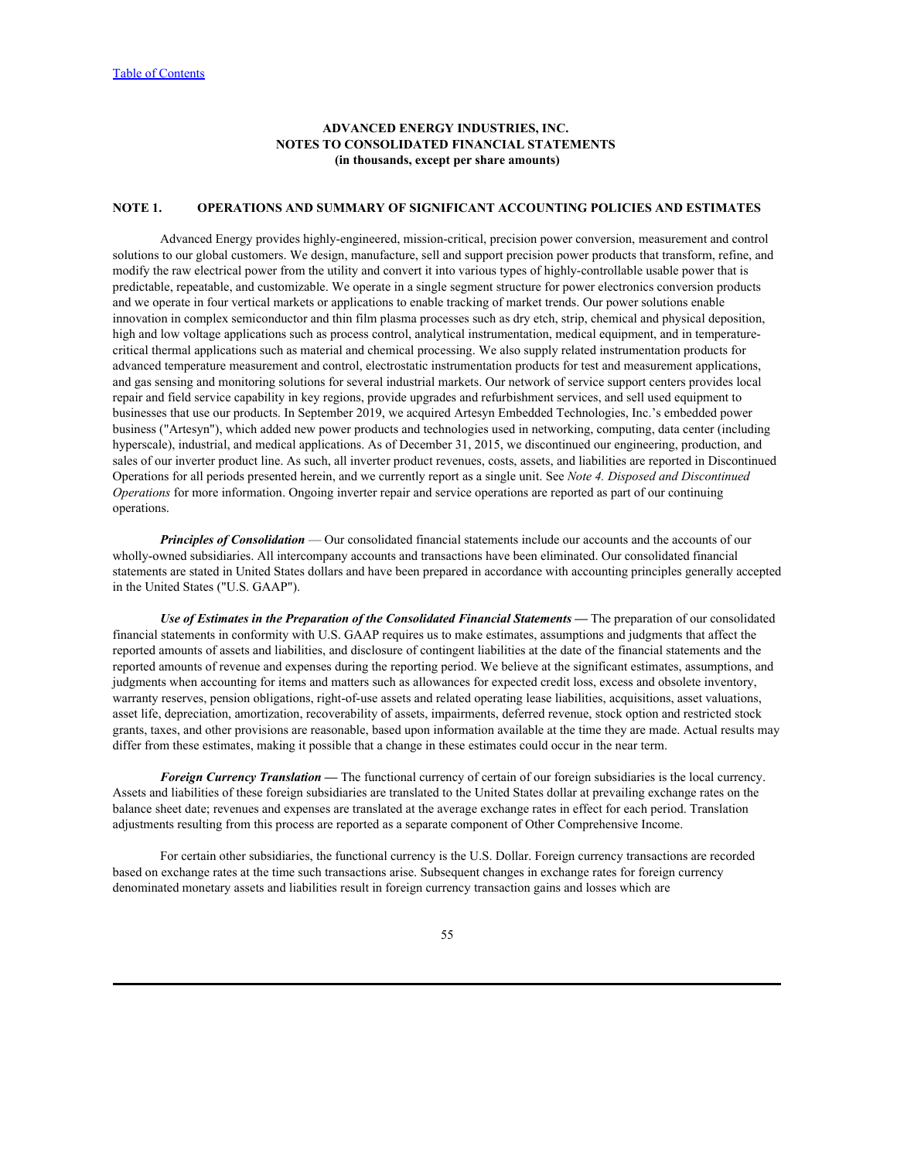### <span id="page-55-0"></span>**NOTE 1. OPERATIONS AND SUMMARY OF SIGNIFICANT ACCOUNTING POLICIES AND ESTIMATES**

Advanced Energy provides highly-engineered, mission-critical, precision power conversion, measurement and control solutions to our global customers. We design, manufacture, sell and support precision power products that transform, refine, and modify the raw electrical power from the utility and convert it into various types of highly-controllable usable power that is predictable, repeatable, and customizable. We operate in a single segment structure for power electronics conversion products and we operate in four vertical markets or applications to enable tracking of market trends. Our power solutions enable innovation in complex semiconductor and thin film plasma processes such as dry etch, strip, chemical and physical deposition, high and low voltage applications such as process control, analytical instrumentation, medical equipment, and in temperaturecritical thermal applications such as material and chemical processing. We also supply related instrumentation products for advanced temperature measurement and control, electrostatic instrumentation products for test and measurement applications, and gas sensing and monitoring solutions for several industrial markets. Our network of service support centers provides local repair and field service capability in key regions, provide upgrades and refurbishment services, and sell used equipment to businesses that use our products. In September 2019, we acquired Artesyn Embedded Technologies, Inc.'s embedded power business ("Artesyn"), which added new power products and technologies used in networking, computing, data center (including hyperscale), industrial, and medical applications. As of December 31, 2015, we discontinued our engineering, production, and sales of our inverter product line. As such, all inverter product revenues, costs, assets, and liabilities are reported in Discontinued Operations for all periods presented herein, and we currently report as a single unit. See *Note 4. Disposed and Discontinued Operations* for more information. Ongoing inverter repair and service operations are reported as part of our continuing operations.

*Principles of Consolidation* — Our consolidated financial statements include our accounts and the accounts of our wholly-owned subsidiaries. All intercompany accounts and transactions have been eliminated. Our consolidated financial statements are stated in United States dollars and have been prepared in accordance with accounting principles generally accepted in the United States ("U.S. GAAP").

*Use of Estimates in the Preparation of the Consolidated Financial Statements —* The preparation of our consolidated financial statements in conformity with U.S. GAAP requires us to make estimates, assumptions and judgments that affect the reported amounts of assets and liabilities, and disclosure of contingent liabilities at the date of the financial statements and the reported amounts of revenue and expenses during the reporting period. We believe at the significant estimates, assumptions, and judgments when accounting for items and matters such as allowances for expected credit loss, excess and obsolete inventory, warranty reserves, pension obligations, right-of-use assets and related operating lease liabilities, acquisitions, asset valuations, asset life, depreciation, amortization, recoverability of assets, impairments, deferred revenue, stock option and restricted stock grants, taxes, and other provisions are reasonable, based upon information available at the time they are made. Actual results may differ from these estimates, making it possible that a change in these estimates could occur in the near term.

*Foreign Currency Translation —* The functional currency of certain of our foreign subsidiaries is the local currency. Assets and liabilities of these foreign subsidiaries are translated to the United States dollar at prevailing exchange rates on the balance sheet date; revenues and expenses are translated at the average exchange rates in effect for each period. Translation adjustments resulting from this process are reported as a separate component of Other Comprehensive Income.

For certain other subsidiaries, the functional currency is the U.S. Dollar. Foreign currency transactions are recorded based on exchange rates at the time such transactions arise. Subsequent changes in exchange rates for foreign currency denominated monetary assets and liabilities result in foreign currency transaction gains and losses which are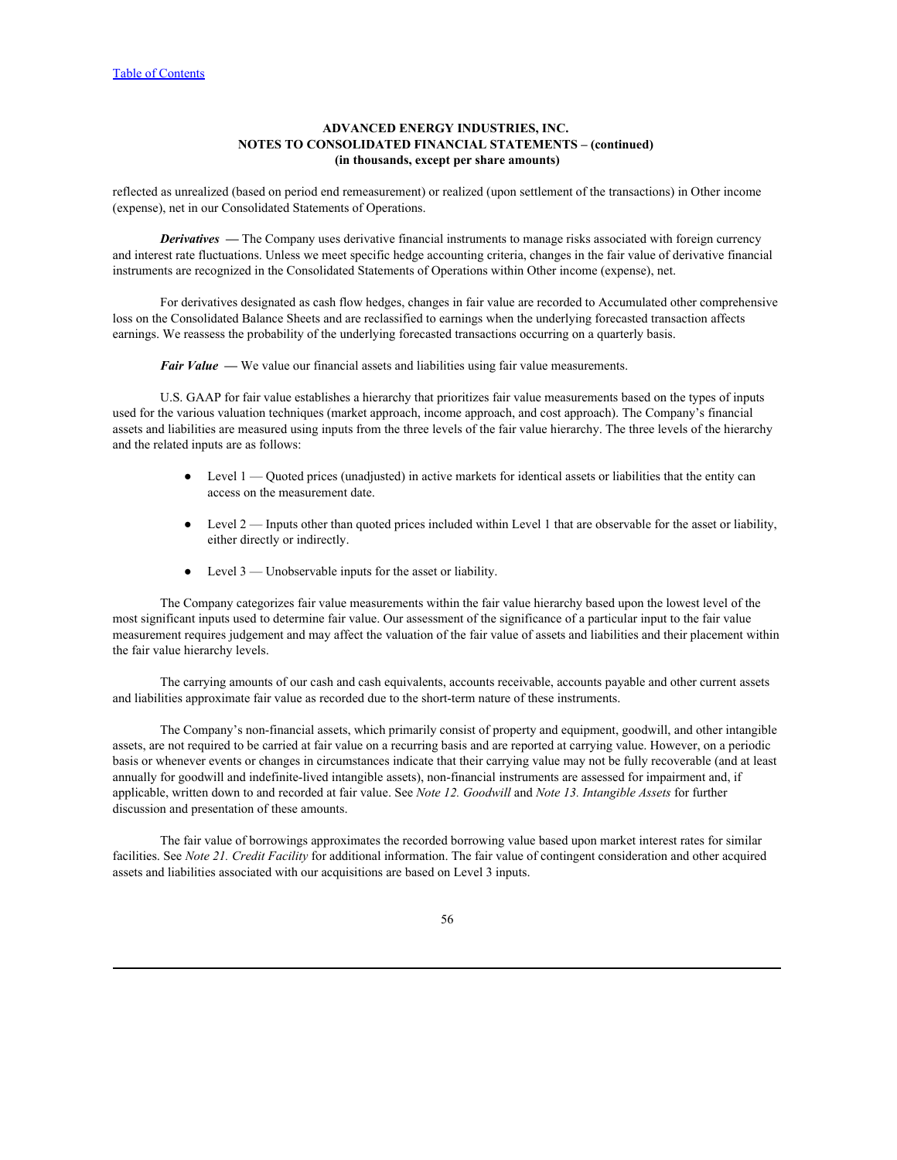reflected as unrealized (based on period end remeasurement) or realized (upon settlement of the transactions) in Other income (expense), net in our Consolidated Statements of Operations.

*Derivatives —* The Company uses derivative financial instruments to manage risks associated with foreign currency and interest rate fluctuations. Unless we meet specific hedge accounting criteria, changes in the fair value of derivative financial instruments are recognized in the Consolidated Statements of Operations within Other income (expense), net.

For derivatives designated as cash flow hedges, changes in fair value are recorded to Accumulated other comprehensive loss on the Consolidated Balance Sheets and are reclassified to earnings when the underlying forecasted transaction affects earnings. We reassess the probability of the underlying forecasted transactions occurring on a quarterly basis.

*Fair Value* — We value our financial assets and liabilities using fair value measurements.

U.S. GAAP for fair value establishes a hierarchy that prioritizes fair value measurements based on the types of inputs used for the various valuation techniques (market approach, income approach, and cost approach). The Company's financial assets and liabilities are measured using inputs from the three levels of the fair value hierarchy. The three levels of the hierarchy and the related inputs are as follows:

- Level 1 Quoted prices (unadjusted) in active markets for identical assets or liabilities that the entity can access on the measurement date.
- Level 2 Inputs other than quoted prices included within Level 1 that are observable for the asset or liability, either directly or indirectly.
- Level 3 Unobservable inputs for the asset or liability.

The Company categorizes fair value measurements within the fair value hierarchy based upon the lowest level of the most significant inputs used to determine fair value. Our assessment of the significance of a particular input to the fair value measurement requires judgement and may affect the valuation of the fair value of assets and liabilities and their placement within the fair value hierarchy levels.

The carrying amounts of our cash and cash equivalents, accounts receivable, accounts payable and other current assets and liabilities approximate fair value as recorded due to the short-term nature of these instruments.

The Company's non-financial assets, which primarily consist of property and equipment, goodwill, and other intangible assets, are not required to be carried at fair value on a recurring basis and are reported at carrying value. However, on a periodic basis or whenever events or changes in circumstances indicate that their carrying value may not be fully recoverable (and at least annually for goodwill and indefinite-lived intangible assets), non-financial instruments are assessed for impairment and, if applicable, written down to and recorded at fair value. See *Note 12. Goodwill* and *Note 13. Intangible Assets* for further discussion and presentation of these amounts.

The fair value of borrowings approximates the recorded borrowing value based upon market interest rates for similar facilities. See *Note 21. Credit Facility* for additional information. The fair value of contingent consideration and other acquired assets and liabilities associated with our acquisitions are based on Level 3 inputs.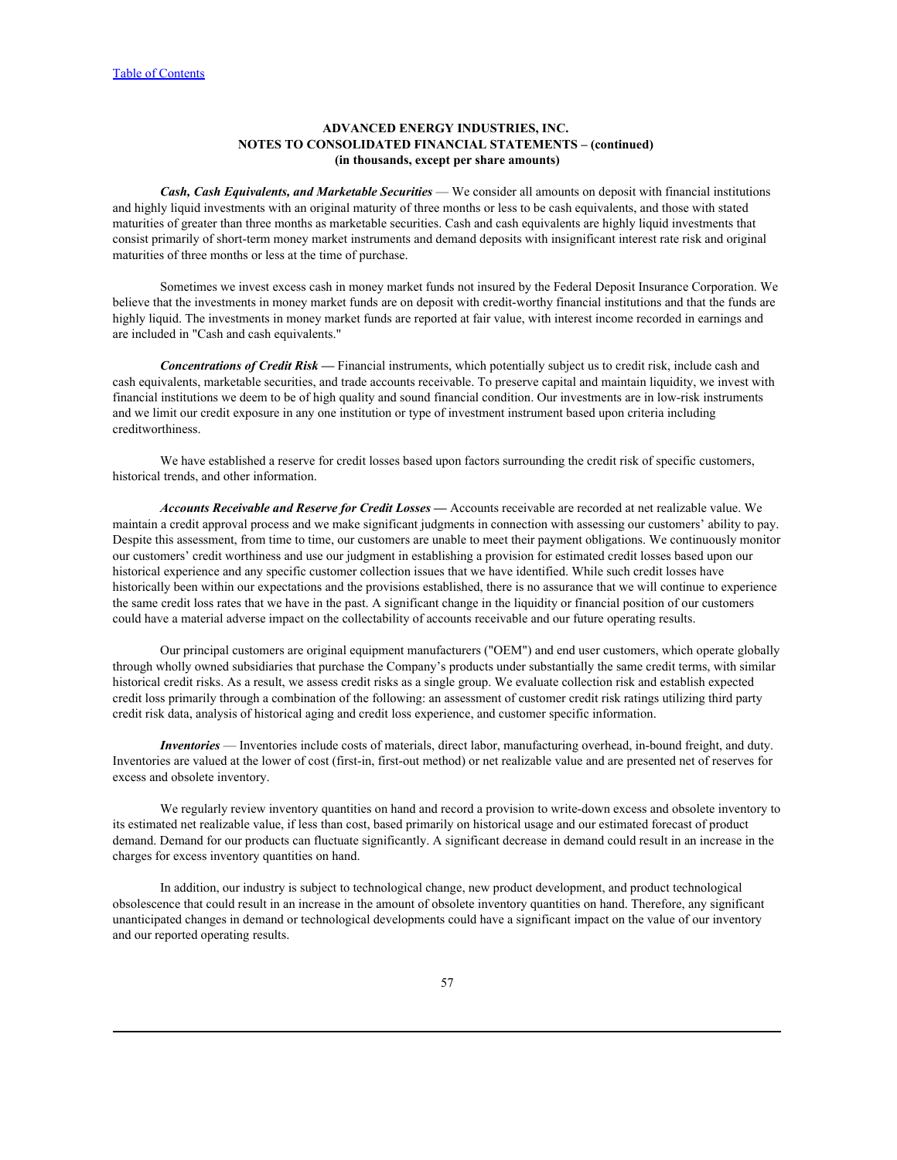*Cash, Cash Equivalents, and Marketable Securities* — We consider all amounts on deposit with financial institutions and highly liquid investments with an original maturity of three months or less to be cash equivalents, and those with stated maturities of greater than three months as marketable securities. Cash and cash equivalents are highly liquid investments that consist primarily of short-term money market instruments and demand deposits with insignificant interest rate risk and original maturities of three months or less at the time of purchase.

Sometimes we invest excess cash in money market funds not insured by the Federal Deposit Insurance Corporation. We believe that the investments in money market funds are on deposit with credit-worthy financial institutions and that the funds are highly liquid. The investments in money market funds are reported at fair value, with interest income recorded in earnings and are included in "Cash and cash equivalents."

*Concentrations of Credit Risk —* Financial instruments, which potentially subject us to credit risk, include cash and cash equivalents, marketable securities, and trade accounts receivable. To preserve capital and maintain liquidity, we invest with financial institutions we deem to be of high quality and sound financial condition. Our investments are in low-risk instruments and we limit our credit exposure in any one institution or type of investment instrument based upon criteria including creditworthiness.

We have established a reserve for credit losses based upon factors surrounding the credit risk of specific customers, historical trends, and other information.

*Accounts Receivable and Reserve for Credit Losses —* Accounts receivable are recorded at net realizable value. We maintain a credit approval process and we make significant judgments in connection with assessing our customers' ability to pay. Despite this assessment, from time to time, our customers are unable to meet their payment obligations. We continuously monitor our customers' credit worthiness and use our judgment in establishing a provision for estimated credit losses based upon our historical experience and any specific customer collection issues that we have identified. While such credit losses have historically been within our expectations and the provisions established, there is no assurance that we will continue to experience the same credit loss rates that we have in the past. A significant change in the liquidity or financial position of our customers could have a material adverse impact on the collectability of accounts receivable and our future operating results.

Our principal customers are original equipment manufacturers ("OEM") and end user customers, which operate globally through wholly owned subsidiaries that purchase the Company's products under substantially the same credit terms, with similar historical credit risks. As a result, we assess credit risks as a single group. We evaluate collection risk and establish expected credit loss primarily through a combination of the following: an assessment of customer credit risk ratings utilizing third party credit risk data, analysis of historical aging and credit loss experience, and customer specific information.

*Inventories* — Inventories include costs of materials, direct labor, manufacturing overhead, in-bound freight, and duty. Inventories are valued at the lower of cost (first-in, first-out method) or net realizable value and are presented net of reserves for excess and obsolete inventory.

We regularly review inventory quantities on hand and record a provision to write-down excess and obsolete inventory to its estimated net realizable value, if less than cost, based primarily on historical usage and our estimated forecast of product demand. Demand for our products can fluctuate significantly. A significant decrease in demand could result in an increase in the charges for excess inventory quantities on hand.

In addition, our industry is subject to technological change, new product development, and product technological obsolescence that could result in an increase in the amount of obsolete inventory quantities on hand. Therefore, any significant unanticipated changes in demand or technological developments could have a significant impact on the value of our inventory and our reported operating results.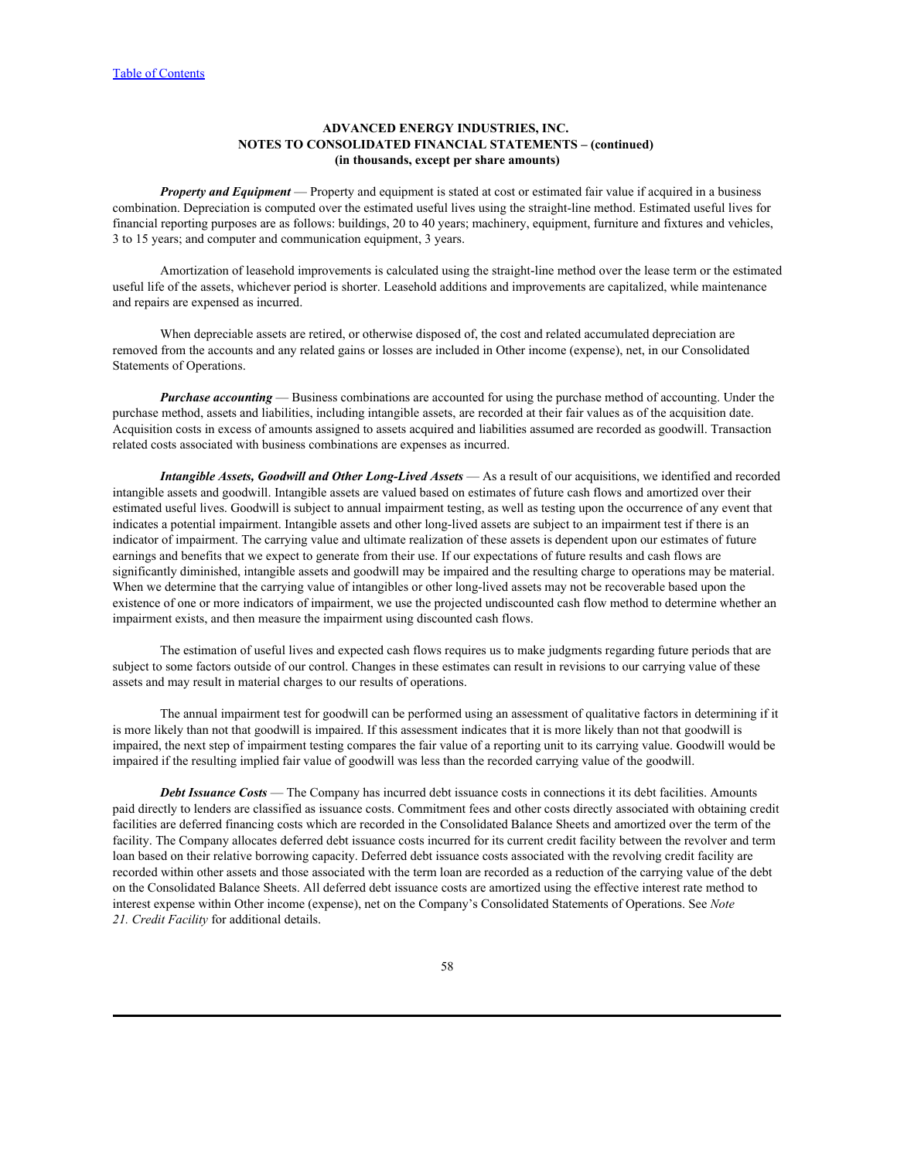*Property and Equipment* — Property and equipment is stated at cost or estimated fair value if acquired in a business combination. Depreciation is computed over the estimated useful lives using the straight-line method. Estimated useful lives for financial reporting purposes are as follows: buildings, 20 to 40 years; machinery, equipment, furniture and fixtures and vehicles, 3 to 15 years; and computer and communication equipment, 3 years.

Amortization of leasehold improvements is calculated using the straight-line method over the lease term or the estimated useful life of the assets, whichever period is shorter. Leasehold additions and improvements are capitalized, while maintenance and repairs are expensed as incurred.

When depreciable assets are retired, or otherwise disposed of, the cost and related accumulated depreciation are removed from the accounts and any related gains or losses are included in Other income (expense), net, in our Consolidated Statements of Operations.

*Purchase accounting* — Business combinations are accounted for using the purchase method of accounting. Under the purchase method, assets and liabilities, including intangible assets, are recorded at their fair values as of the acquisition date. Acquisition costs in excess of amounts assigned to assets acquired and liabilities assumed are recorded as goodwill. Transaction related costs associated with business combinations are expenses as incurred.

*Intangible Assets, Goodwill and Other Long-Lived Assets* — As a result of our acquisitions, we identified and recorded intangible assets and goodwill. Intangible assets are valued based on estimates of future cash flows and amortized over their estimated useful lives. Goodwill is subject to annual impairment testing, as well as testing upon the occurrence of any event that indicates a potential impairment. Intangible assets and other long-lived assets are subject to an impairment test if there is an indicator of impairment. The carrying value and ultimate realization of these assets is dependent upon our estimates of future earnings and benefits that we expect to generate from their use. If our expectations of future results and cash flows are significantly diminished, intangible assets and goodwill may be impaired and the resulting charge to operations may be material. When we determine that the carrying value of intangibles or other long-lived assets may not be recoverable based upon the existence of one or more indicators of impairment, we use the projected undiscounted cash flow method to determine whether an impairment exists, and then measure the impairment using discounted cash flows.

The estimation of useful lives and expected cash flows requires us to make judgments regarding future periods that are subject to some factors outside of our control. Changes in these estimates can result in revisions to our carrying value of these assets and may result in material charges to our results of operations.

The annual impairment test for goodwill can be performed using an assessment of qualitative factors in determining if it is more likely than not that goodwill is impaired. If this assessment indicates that it is more likely than not that goodwill is impaired, the next step of impairment testing compares the fair value of a reporting unit to its carrying value. Goodwill would be impaired if the resulting implied fair value of goodwill was less than the recorded carrying value of the goodwill.

*Debt Issuance Costs* — The Company has incurred debt issuance costs in connections it its debt facilities. Amounts paid directly to lenders are classified as issuance costs. Commitment fees and other costs directly associated with obtaining credit facilities are deferred financing costs which are recorded in the Consolidated Balance Sheets and amortized over the term of the facility. The Company allocates deferred debt issuance costs incurred for its current credit facility between the revolver and term loan based on their relative borrowing capacity. Deferred debt issuance costs associated with the revolving credit facility are recorded within other assets and those associated with the term loan are recorded as a reduction of the carrying value of the debt on the Consolidated Balance Sheets. All deferred debt issuance costs are amortized using the effective interest rate method to interest expense within Other income (expense), net on the Company's Consolidated Statements of Operations. See *Note 21. Credit Facility* for additional details.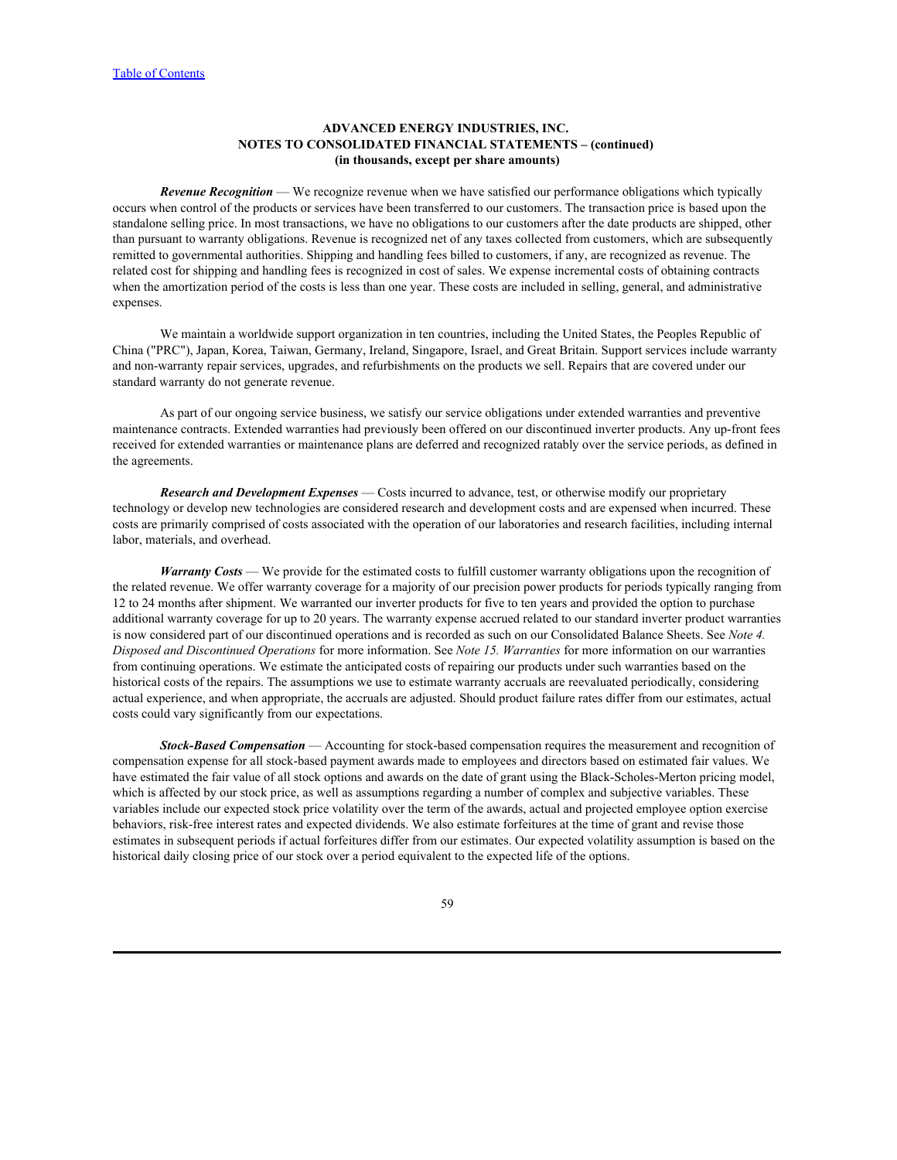*Revenue Recognition* — We recognize revenue when we have satisfied our performance obligations which typically occurs when control of the products or services have been transferred to our customers. The transaction price is based upon the standalone selling price. In most transactions, we have no obligations to our customers after the date products are shipped, other than pursuant to warranty obligations. Revenue is recognized net of any taxes collected from customers, which are subsequently remitted to governmental authorities. Shipping and handling fees billed to customers, if any, are recognized as revenue. The related cost for shipping and handling fees is recognized in cost of sales. We expense incremental costs of obtaining contracts when the amortization period of the costs is less than one year. These costs are included in selling, general, and administrative expenses.

We maintain a worldwide support organization in ten countries, including the United States, the Peoples Republic of China ("PRC"), Japan, Korea, Taiwan, Germany, Ireland, Singapore, Israel, and Great Britain. Support services include warranty and non-warranty repair services, upgrades, and refurbishments on the products we sell. Repairs that are covered under our standard warranty do not generate revenue.

As part of our ongoing service business, we satisfy our service obligations under extended warranties and preventive maintenance contracts. Extended warranties had previously been offered on our discontinued inverter products. Any up-front fees received for extended warranties or maintenance plans are deferred and recognized ratably over the service periods, as defined in the agreements.

*Research and Development Expenses* — Costs incurred to advance, test, or otherwise modify our proprietary technology or develop new technologies are considered research and development costs and are expensed when incurred. These costs are primarily comprised of costs associated with the operation of our laboratories and research facilities, including internal labor, materials, and overhead.

*Warranty Costs* — We provide for the estimated costs to fulfill customer warranty obligations upon the recognition of the related revenue. We offer warranty coverage for a majority of our precision power products for periods typically ranging from 12 to 24 months after shipment. We warranted our inverter products for five to ten years and provided the option to purchase additional warranty coverage for up to 20 years. The warranty expense accrued related to our standard inverter product warranties is now considered part of our discontinued operations and is recorded as such on our Consolidated Balance Sheets. See *Note 4. Disposed and Discontinued Operations* for more information. See *Note 15. Warranties* for more information on our warranties from continuing operations. We estimate the anticipated costs of repairing our products under such warranties based on the historical costs of the repairs. The assumptions we use to estimate warranty accruals are reevaluated periodically, considering actual experience, and when appropriate, the accruals are adjusted. Should product failure rates differ from our estimates, actual costs could vary significantly from our expectations.

*Stock-Based Compensation* — Accounting for stock-based compensation requires the measurement and recognition of compensation expense for all stock-based payment awards made to employees and directors based on estimated fair values. We have estimated the fair value of all stock options and awards on the date of grant using the Black-Scholes-Merton pricing model, which is affected by our stock price, as well as assumptions regarding a number of complex and subjective variables. These variables include our expected stock price volatility over the term of the awards, actual and projected employee option exercise behaviors, risk-free interest rates and expected dividends. We also estimate forfeitures at the time of grant and revise those estimates in subsequent periods if actual forfeitures differ from our estimates. Our expected volatility assumption is based on the historical daily closing price of our stock over a period equivalent to the expected life of the options.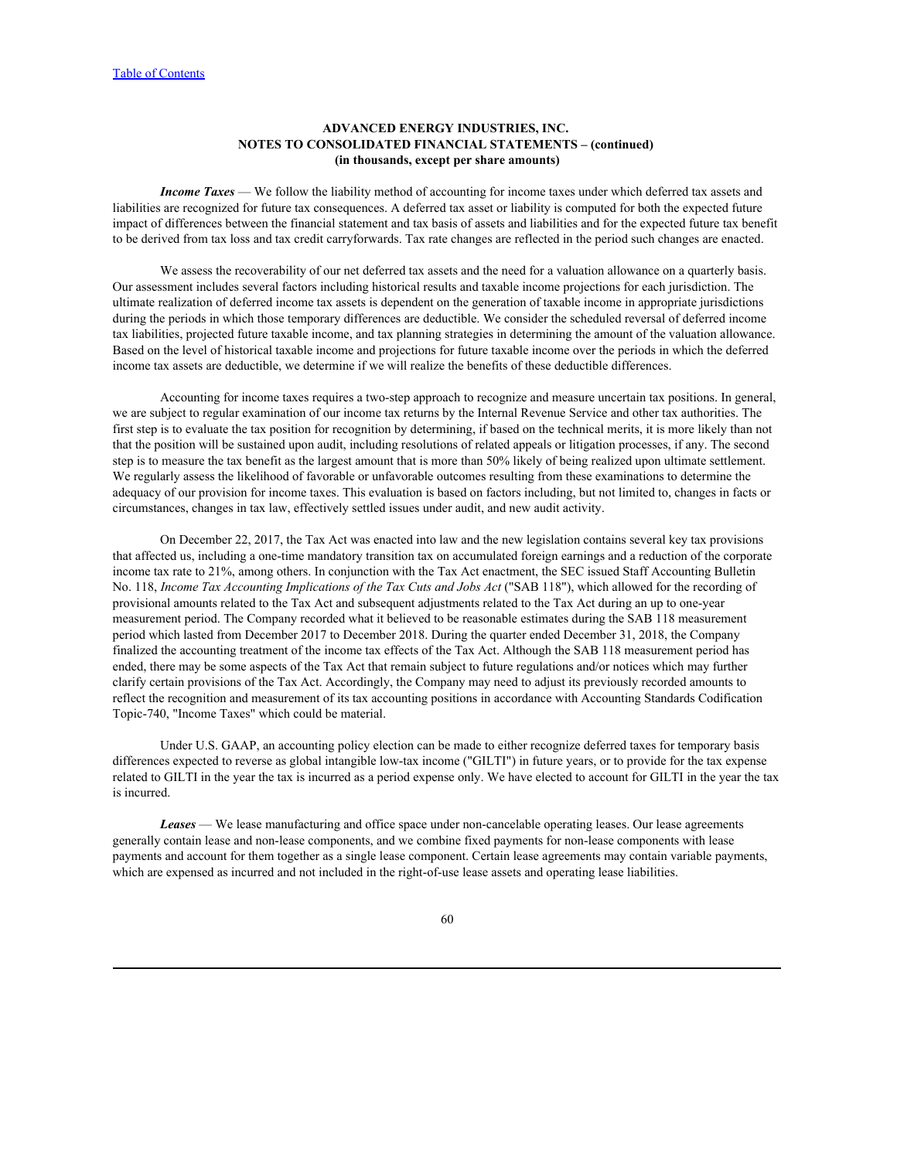*Income Taxes* — We follow the liability method of accounting for income taxes under which deferred tax assets and liabilities are recognized for future tax consequences. A deferred tax asset or liability is computed for both the expected future impact of differences between the financial statement and tax basis of assets and liabilities and for the expected future tax benefit to be derived from tax loss and tax credit carryforwards. Tax rate changes are reflected in the period such changes are enacted.

We assess the recoverability of our net deferred tax assets and the need for a valuation allowance on a quarterly basis. Our assessment includes several factors including historical results and taxable income projections for each jurisdiction. The ultimate realization of deferred income tax assets is dependent on the generation of taxable income in appropriate jurisdictions during the periods in which those temporary differences are deductible. We consider the scheduled reversal of deferred income tax liabilities, projected future taxable income, and tax planning strategies in determining the amount of the valuation allowance. Based on the level of historical taxable income and projections for future taxable income over the periods in which the deferred income tax assets are deductible, we determine if we will realize the benefits of these deductible differences.

Accounting for income taxes requires a two-step approach to recognize and measure uncertain tax positions. In general, we are subject to regular examination of our income tax returns by the Internal Revenue Service and other tax authorities. The first step is to evaluate the tax position for recognition by determining, if based on the technical merits, it is more likely than not that the position will be sustained upon audit, including resolutions of related appeals or litigation processes, if any. The second step is to measure the tax benefit as the largest amount that is more than 50% likely of being realized upon ultimate settlement. We regularly assess the likelihood of favorable or unfavorable outcomes resulting from these examinations to determine the adequacy of our provision for income taxes. This evaluation is based on factors including, but not limited to, changes in facts or circumstances, changes in tax law, effectively settled issues under audit, and new audit activity.

On December 22, 2017, the Tax Act was enacted into law and the new legislation contains several key tax provisions that affected us, including a one-time mandatory transition tax on accumulated foreign earnings and a reduction of the corporate income tax rate to 21%, among others. In conjunction with the Tax Act enactment, the SEC issued Staff Accounting Bulletin No. 118, *Income Tax Accounting Implications of the Tax Cuts and Jobs Act* ("SAB 118"), which allowed for the recording of provisional amounts related to the Tax Act and subsequent adjustments related to the Tax Act during an up to one-year measurement period. The Company recorded what it believed to be reasonable estimates during the SAB 118 measurement period which lasted from December 2017 to December 2018. During the quarter ended December 31, 2018, the Company finalized the accounting treatment of the income tax effects of the Tax Act. Although the SAB 118 measurement period has ended, there may be some aspects of the Tax Act that remain subject to future regulations and/or notices which may further clarify certain provisions of the Tax Act. Accordingly, the Company may need to adjust its previously recorded amounts to reflect the recognition and measurement of its tax accounting positions in accordance with Accounting Standards Codification Topic-740, "Income Taxes" which could be material.

Under U.S. GAAP, an accounting policy election can be made to either recognize deferred taxes for temporary basis differences expected to reverse as global intangible low-tax income ("GILTI") in future years, or to provide for the tax expense related to GILTI in the year the tax is incurred as a period expense only. We have elected to account for GILTI in the year the tax is incurred.

*Leases* — We lease manufacturing and office space under non-cancelable operating leases. Our lease agreements generally contain lease and non-lease components, and we combine fixed payments for non-lease components with lease payments and account for them together as a single lease component. Certain lease agreements may contain variable payments, which are expensed as incurred and not included in the right-of-use lease assets and operating lease liabilities.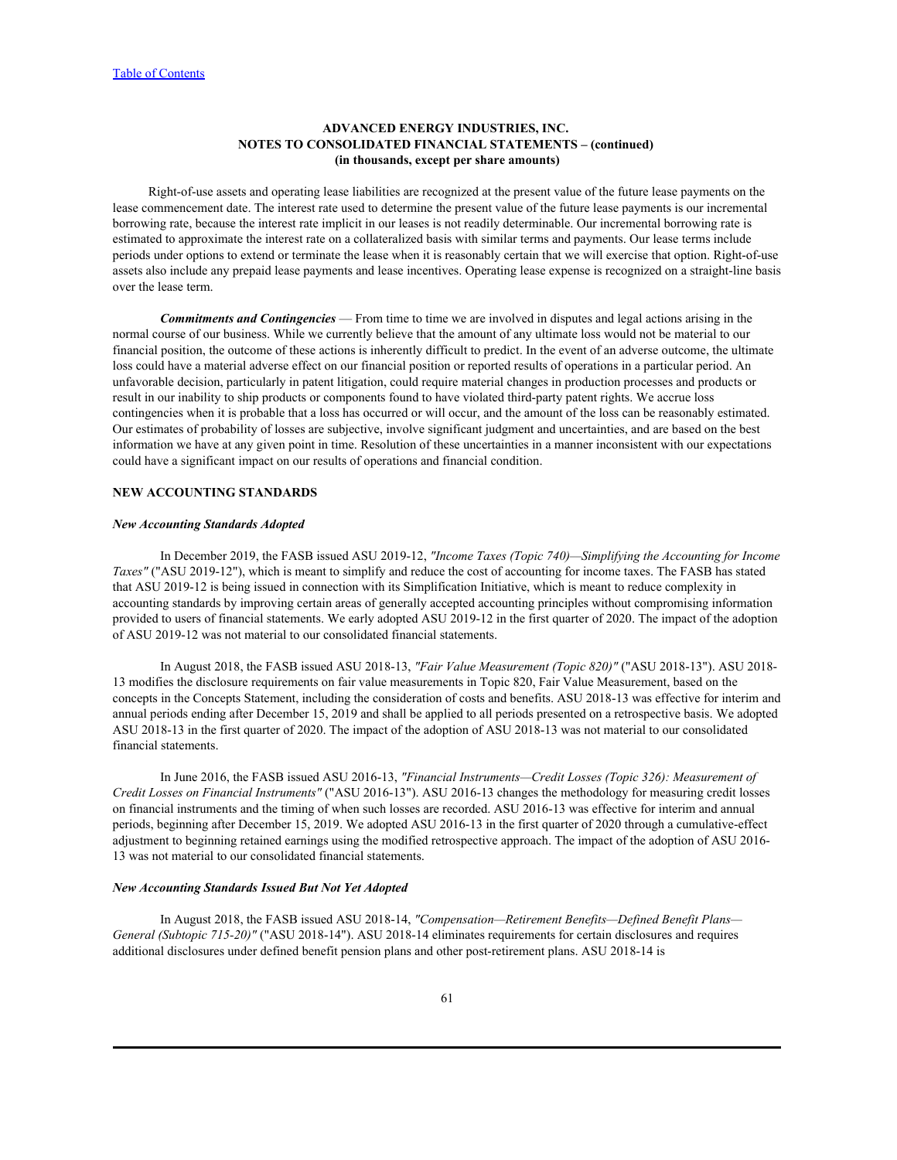Right-of-use assets and operating lease liabilities are recognized at the present value of the future lease payments on the lease commencement date. The interest rate used to determine the present value of the future lease payments is our incremental borrowing rate, because the interest rate implicit in our leases is not readily determinable. Our incremental borrowing rate is estimated to approximate the interest rate on a collateralized basis with similar terms and payments. Our lease terms include periods under options to extend or terminate the lease when it is reasonably certain that we will exercise that option. Right-of-use assets also include any prepaid lease payments and lease incentives. Operating lease expense is recognized on a straight-line basis over the lease term.

*Commitments and Contingencies* — From time to time we are involved in disputes and legal actions arising in the normal course of our business. While we currently believe that the amount of any ultimate loss would not be material to our financial position, the outcome of these actions is inherently difficult to predict. In the event of an adverse outcome, the ultimate loss could have a material adverse effect on our financial position or reported results of operations in a particular period. An unfavorable decision, particularly in patent litigation, could require material changes in production processes and products or result in our inability to ship products or components found to have violated third-party patent rights. We accrue loss contingencies when it is probable that a loss has occurred or will occur, and the amount of the loss can be reasonably estimated. Our estimates of probability of losses are subjective, involve significant judgment and uncertainties, and are based on the best information we have at any given point in time. Resolution of these uncertainties in a manner inconsistent with our expectations could have a significant impact on our results of operations and financial condition.

### **NEW ACCOUNTING STANDARDS**

#### *New Accounting Standards Adopted*

In December 2019, the FASB issued ASU 2019-12, *"Income Taxes (Topic 740)—Simplifying the Accounting for Income Taxes"* ("ASU 2019-12"), which is meant to simplify and reduce the cost of accounting for income taxes. The FASB has stated that ASU 2019-12 is being issued in connection with its Simplification Initiative, which is meant to reduce complexity in accounting standards by improving certain areas of generally accepted accounting principles without compromising information provided to users of financial statements. We early adopted ASU 2019-12 in the first quarter of 2020. The impact of the adoption of ASU 2019-12 was not material to our consolidated financial statements.

In August 2018, the FASB issued ASU 2018-13, *"Fair Value Measurement (Topic 820)"* ("ASU 2018-13"). ASU 2018- 13 modifies the disclosure requirements on fair value measurements in Topic 820, Fair Value Measurement, based on the concepts in the Concepts Statement, including the consideration of costs and benefits. ASU 2018-13 was effective for interim and annual periods ending after December 15, 2019 and shall be applied to all periods presented on a retrospective basis. We adopted ASU 2018-13 in the first quarter of 2020. The impact of the adoption of ASU 2018-13 was not material to our consolidated financial statements.

In June 2016, the FASB issued ASU 2016-13, *"Financial Instruments—Credit Losses (Topic 326): Measurement of Credit Losses on Financial Instruments"* ("ASU 2016-13"). ASU 2016-13 changes the methodology for measuring credit losses on financial instruments and the timing of when such losses are recorded. ASU 2016-13 was effective for interim and annual periods, beginning after December 15, 2019. We adopted ASU 2016-13 in the first quarter of 2020 through a cumulative-effect adjustment to beginning retained earnings using the modified retrospective approach. The impact of the adoption of ASU 2016- 13 was not material to our consolidated financial statements.

#### *New Accounting Standards Issued But Not Yet Adopted*

In August 2018, the FASB issued ASU 2018-14, *"Compensation—Retirement Benefits—Defined Benefit Plans— General (Subtopic 715-20)"* ("ASU 2018-14"). ASU 2018-14 eliminates requirements for certain disclosures and requires additional disclosures under defined benefit pension plans and other post-retirement plans. ASU 2018-14 is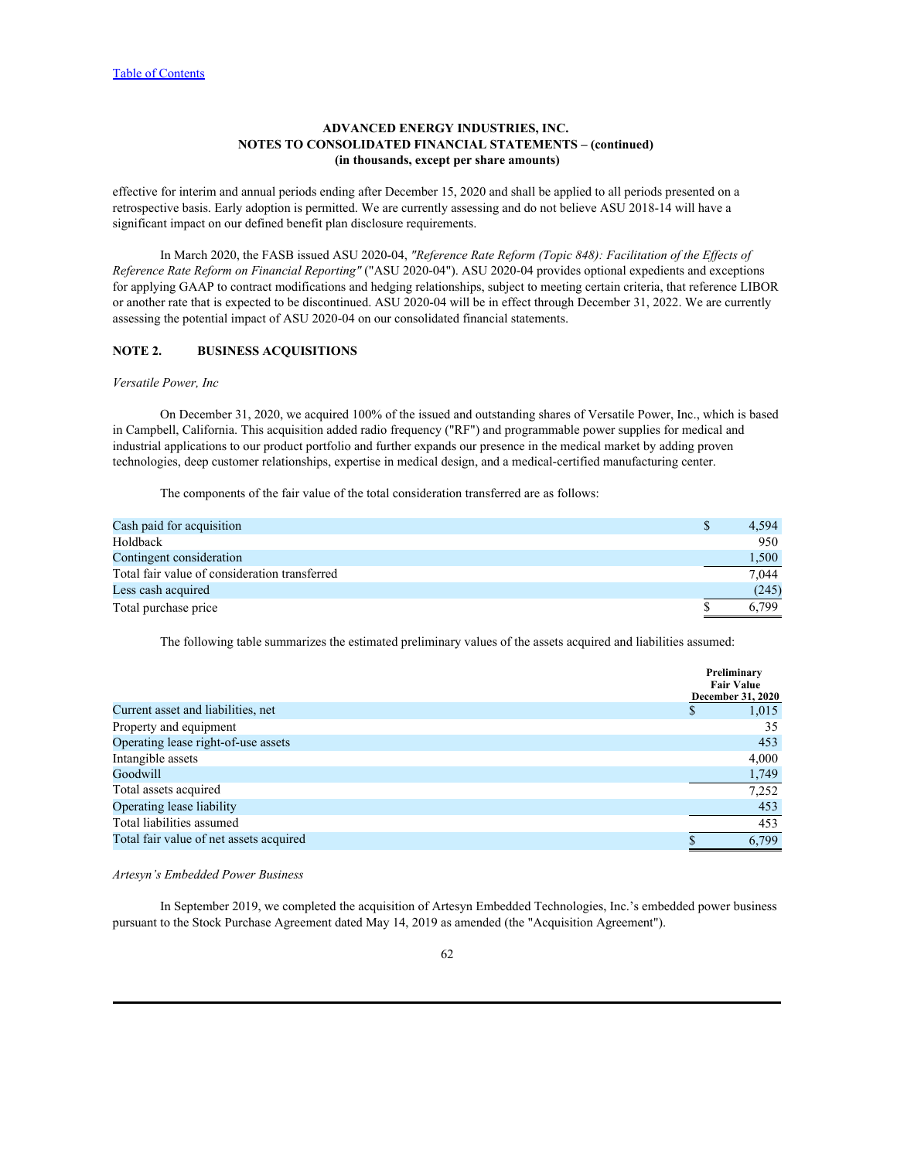effective for interim and annual periods ending after December 15, 2020 and shall be applied to all periods presented on a retrospective basis. Early adoption is permitted. We are currently assessing and do not believe ASU 2018-14 will have a significant impact on our defined benefit plan disclosure requirements.

In March 2020, the FASB issued ASU 2020-04, *"Reference Rate Reform (Topic 848): Facilitation of the Effects of Reference Rate Reform on Financial Reporting"* ("ASU 2020-04"). ASU 2020-04 provides optional expedients and exceptions for applying GAAP to contract modifications and hedging relationships, subject to meeting certain criteria, that reference LIBOR or another rate that is expected to be discontinued. ASU 2020-04 will be in effect through December 31, 2022. We are currently assessing the potential impact of ASU 2020-04 on our consolidated financial statements.

### **NOTE 2. BUSINESS ACQUISITIONS**

#### *Versatile Power, Inc*

On December 31, 2020, we acquired 100% of the issued and outstanding shares of Versatile Power, Inc., which is based in Campbell, California. This acquisition added radio frequency ("RF") and programmable power supplies for medical and industrial applications to our product portfolio and further expands our presence in the medical market by adding proven technologies, deep customer relationships, expertise in medical design, and a medical-certified manufacturing center.

The components of the fair value of the total consideration transferred are as follows:

| Cash paid for acquisition                     | 4,594 |
|-----------------------------------------------|-------|
| Holdback                                      | 950   |
| Contingent consideration                      | 1,500 |
| Total fair value of consideration transferred | 7,044 |
| Less cash acquired                            | (245) |
| Total purchase price                          | 6,799 |

The following table summarizes the estimated preliminary values of the assets acquired and liabilities assumed:

|                                         | Preliminary<br><b>Fair Value</b> |       |
|-----------------------------------------|----------------------------------|-------|
|                                         | December 31, 2020                |       |
| Current asset and liabilities, net      |                                  | 1,015 |
| Property and equipment                  |                                  | 35    |
| Operating lease right-of-use assets     |                                  | 453   |
| Intangible assets                       |                                  | 4,000 |
| Goodwill                                |                                  | 1,749 |
| Total assets acquired                   |                                  | 7,252 |
| Operating lease liability               |                                  | 453   |
| Total liabilities assumed               |                                  | 453   |
| Total fair value of net assets acquired |                                  | 6,799 |

*Artesyn's Embedded Power Business*

In September 2019, we completed the acquisition of Artesyn Embedded Technologies, Inc.'s embedded power business pursuant to the Stock Purchase Agreement dated May 14, 2019 as amended (the "Acquisition Agreement").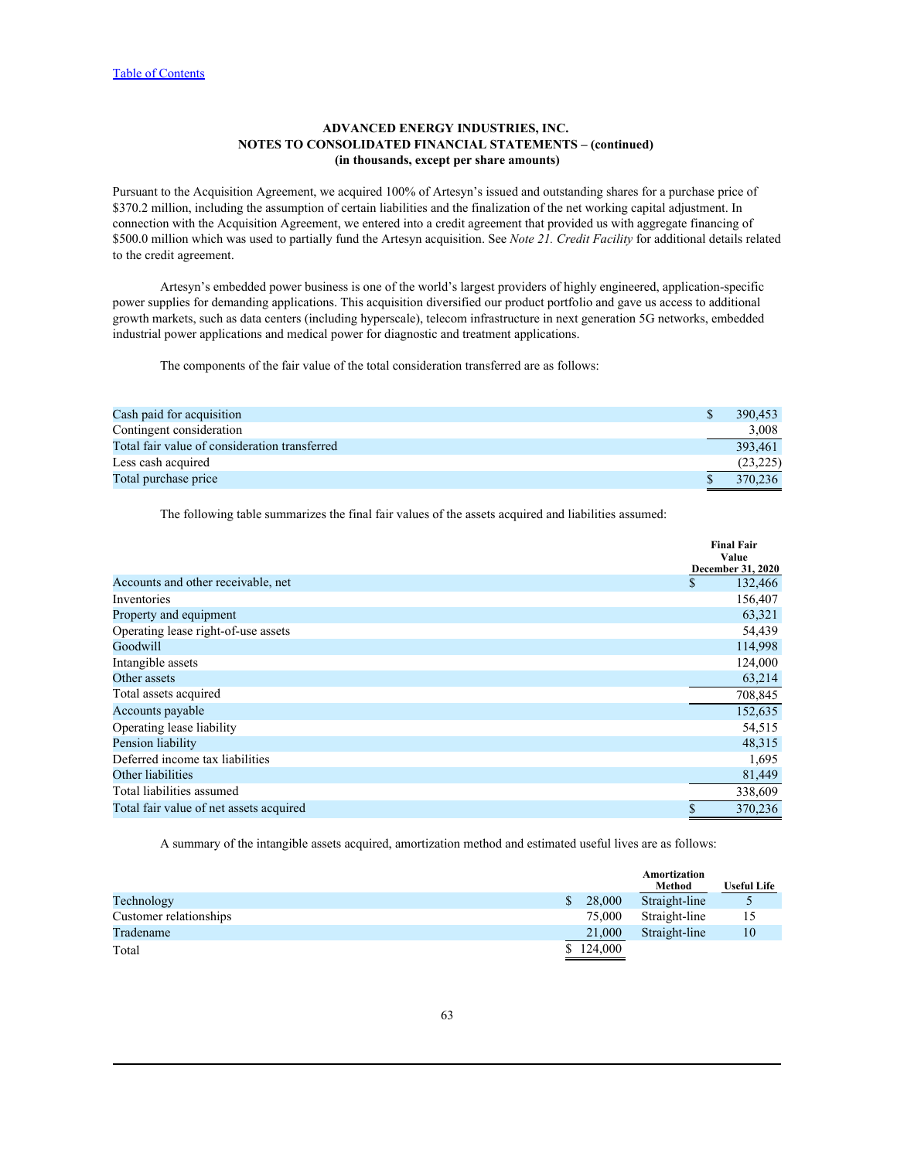Pursuant to the Acquisition Agreement, we acquired 100% of Artesyn's issued and outstanding shares for a purchase price of \$370.2 million, including the assumption of certain liabilities and the finalization of the net working capital adjustment. In connection with the Acquisition Agreement, we entered into a credit agreement that provided us with aggregate financing of \$500.0 million which was used to partially fund the Artesyn acquisition. See *Note 21. Credit Facility* for additional details related to the credit agreement.

Artesyn's embedded power business is one of the world's largest providers of highly engineered, application-specific power supplies for demanding applications. This acquisition diversified our product portfolio and gave us access to additional growth markets, such as data centers (including hyperscale), telecom infrastructure in next generation 5G networks, embedded industrial power applications and medical power for diagnostic and treatment applications.

The components of the fair value of the total consideration transferred are as follows:

| Cash paid for acquisition                     | 390,453       |
|-----------------------------------------------|---------------|
| Contingent consideration                      | 3,008         |
| Total fair value of consideration transferred | 393,461       |
| Less cash acquired                            | (23, 225)     |
| Total purchase price                          | 370,236       |
|                                               | $\sim$ $\sim$ |

The following table summarizes the final fair values of the assets acquired and liabilities assumed:

| <b>Final Fair</b><br>Value |
|----------------------------|
| December 31, 2020          |
| 132,466                    |
| 156,407                    |
| 63,321                     |
| 54,439                     |
| 114,998                    |
| 124,000                    |
| 63,214                     |
| 708,845                    |
| 152,635                    |
| 54,515                     |
| 48,315                     |
| 1,695                      |
| 81,449                     |
| 338,609                    |
| 370,236                    |
|                            |

A summary of the intangible assets acquired, amortization method and estimated useful lives are as follows:

|                        |           | Amortization  |                    |
|------------------------|-----------|---------------|--------------------|
|                        |           | <b>Method</b> | <b>Useful Life</b> |
| Technology             | 28,000    | Straight-line |                    |
| Customer relationships | 75,000    | Straight-line | $12^{\circ}$       |
| Tradename              | 21,000    | Straight-line | 10                 |
| Total                  | \$124,000 |               |                    |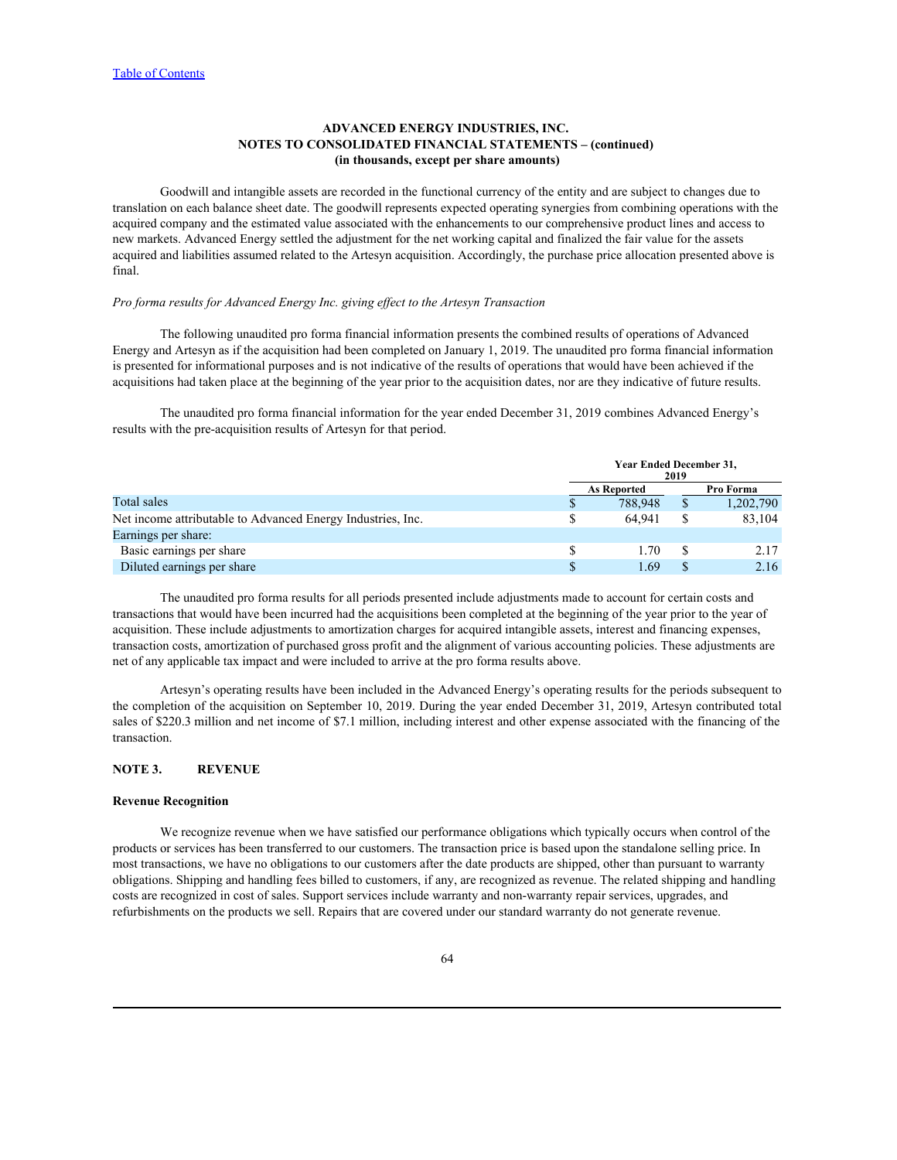Goodwill and intangible assets are recorded in the functional currency of the entity and are subject to changes due to translation on each balance sheet date. The goodwill represents expected operating synergies from combining operations with the acquired company and the estimated value associated with the enhancements to our comprehensive product lines and access to new markets. Advanced Energy settled the adjustment for the net working capital and finalized the fair value for the assets acquired and liabilities assumed related to the Artesyn acquisition. Accordingly, the purchase price allocation presented above is final.

#### *Pro forma results for Advanced Energy Inc. giving effect to the Artesyn Transaction*

The following unaudited pro forma financial information presents the combined results of operations of Advanced Energy and Artesyn as if the acquisition had been completed on January 1, 2019. The unaudited pro forma financial information is presented for informational purposes and is not indicative of the results of operations that would have been achieved if the acquisitions had taken place at the beginning of the year prior to the acquisition dates, nor are they indicative of future results.

The unaudited pro forma financial information for the year ended December 31, 2019 combines Advanced Energy's results with the pre-acquisition results of Artesyn for that period.

|                                                             |                    | <b>Year Ended December 31,</b><br>2019 |           |  |  |  |
|-------------------------------------------------------------|--------------------|----------------------------------------|-----------|--|--|--|
|                                                             | <b>As Reported</b> |                                        | Pro Forma |  |  |  |
| Total sales                                                 | 788,948            |                                        | 1,202,790 |  |  |  |
| Net income attributable to Advanced Energy Industries, Inc. | 64,941             |                                        | 83,104    |  |  |  |
| Earnings per share:                                         |                    |                                        |           |  |  |  |
| Basic earnings per share                                    | .70                |                                        | 2.17      |  |  |  |
| Diluted earnings per share                                  | l.69               |                                        | 2.16      |  |  |  |

The unaudited pro forma results for all periods presented include adjustments made to account for certain costs and transactions that would have been incurred had the acquisitions been completed at the beginning of the year prior to the year of acquisition. These include adjustments to amortization charges for acquired intangible assets, interest and financing expenses, transaction costs, amortization of purchased gross profit and the alignment of various accounting policies. These adjustments are net of any applicable tax impact and were included to arrive at the pro forma results above.

Artesyn's operating results have been included in the Advanced Energy's operating results for the periods subsequent to the completion of the acquisition on September 10, 2019. During the year ended December 31, 2019, Artesyn contributed total sales of \$220.3 million and net income of \$7.1 million, including interest and other expense associated with the financing of the transaction.

#### **NOTE 3. REVENUE**

#### **Revenue Recognition**

We recognize revenue when we have satisfied our performance obligations which typically occurs when control of the products or services has been transferred to our customers. The transaction price is based upon the standalone selling price. In most transactions, we have no obligations to our customers after the date products are shipped, other than pursuant to warranty obligations. Shipping and handling fees billed to customers, if any, are recognized as revenue. The related shipping and handling costs are recognized in cost of sales. Support services include warranty and non-warranty repair services, upgrades, and refurbishments on the products we sell. Repairs that are covered under our standard warranty do not generate revenue.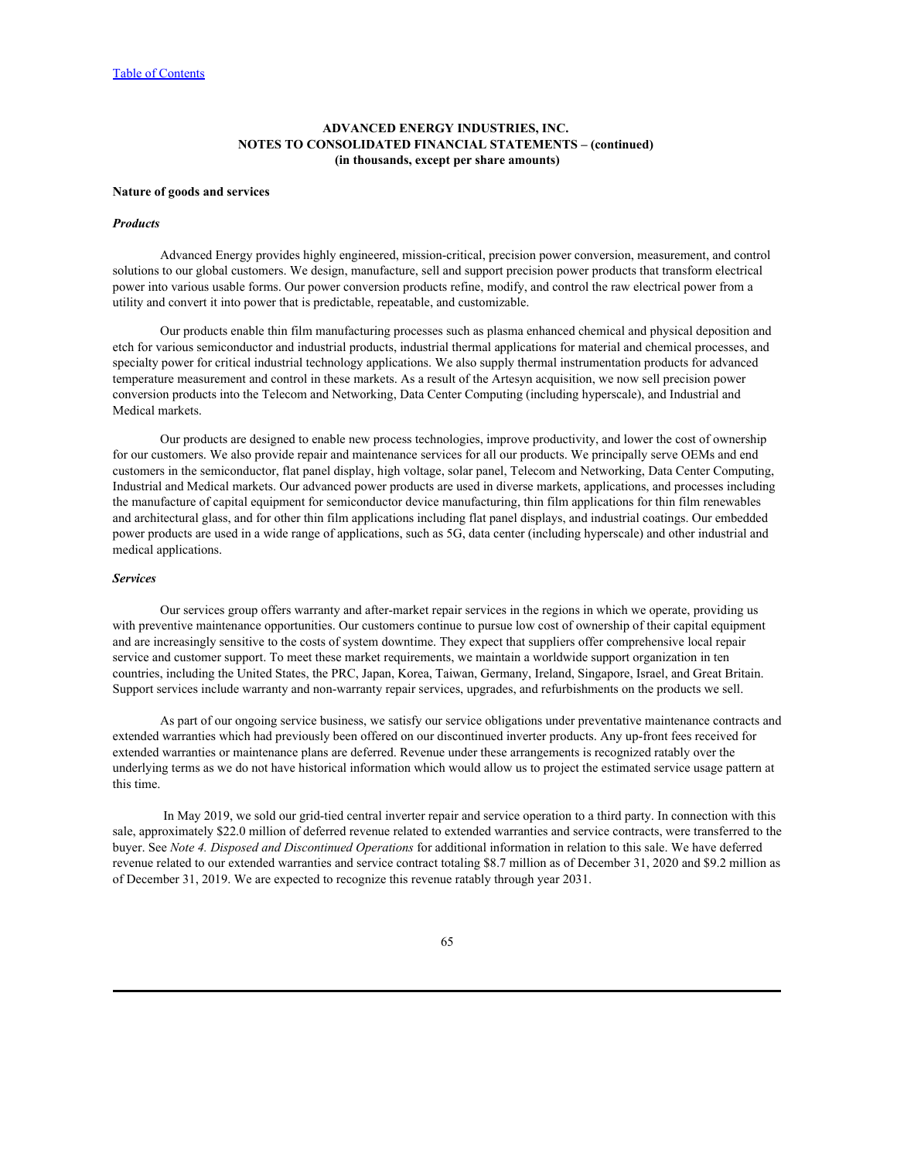#### **Nature of goods and services**

#### *Products*

Advanced Energy provides highly engineered, mission-critical, precision power conversion, measurement, and control solutions to our global customers. We design, manufacture, sell and support precision power products that transform electrical power into various usable forms. Our power conversion products refine, modify, and control the raw electrical power from a utility and convert it into power that is predictable, repeatable, and customizable.

Our products enable thin film manufacturing processes such as plasma enhanced chemical and physical deposition and etch for various semiconductor and industrial products, industrial thermal applications for material and chemical processes, and specialty power for critical industrial technology applications. We also supply thermal instrumentation products for advanced temperature measurement and control in these markets. As a result of the Artesyn acquisition, we now sell precision power conversion products into the Telecom and Networking, Data Center Computing (including hyperscale), and Industrial and Medical markets.

Our products are designed to enable new process technologies, improve productivity, and lower the cost of ownership for our customers. We also provide repair and maintenance services for all our products. We principally serve OEMs and end customers in the semiconductor, flat panel display, high voltage, solar panel, Telecom and Networking, Data Center Computing, Industrial and Medical markets. Our advanced power products are used in diverse markets, applications, and processes including the manufacture of capital equipment for semiconductor device manufacturing, thin film applications for thin film renewables and architectural glass, and for other thin film applications including flat panel displays, and industrial coatings. Our embedded power products are used in a wide range of applications, such as 5G, data center (including hyperscale) and other industrial and medical applications.

### *Services*

Our services group offers warranty and after-market repair services in the regions in which we operate, providing us with preventive maintenance opportunities. Our customers continue to pursue low cost of ownership of their capital equipment and are increasingly sensitive to the costs of system downtime. They expect that suppliers offer comprehensive local repair service and customer support. To meet these market requirements, we maintain a worldwide support organization in ten countries, including the United States, the PRC, Japan, Korea, Taiwan, Germany, Ireland, Singapore, Israel, and Great Britain. Support services include warranty and non-warranty repair services, upgrades, and refurbishments on the products we sell.

As part of our ongoing service business, we satisfy our service obligations under preventative maintenance contracts and extended warranties which had previously been offered on our discontinued inverter products. Any up-front fees received for extended warranties or maintenance plans are deferred. Revenue under these arrangements is recognized ratably over the underlying terms as we do not have historical information which would allow us to project the estimated service usage pattern at this time.

 In May 2019, we sold our grid-tied central inverter repair and service operation to a third party. In connection with this sale, approximately \$22.0 million of deferred revenue related to extended warranties and service contracts, were transferred to the buyer. See *Note 4. Disposed and Discontinued Operations* for additional information in relation to this sale. We have deferred revenue related to our extended warranties and service contract totaling \$8.7 million as of December 31, 2020 and \$9.2 million as of December 31, 2019. We are expected to recognize this revenue ratably through year 2031.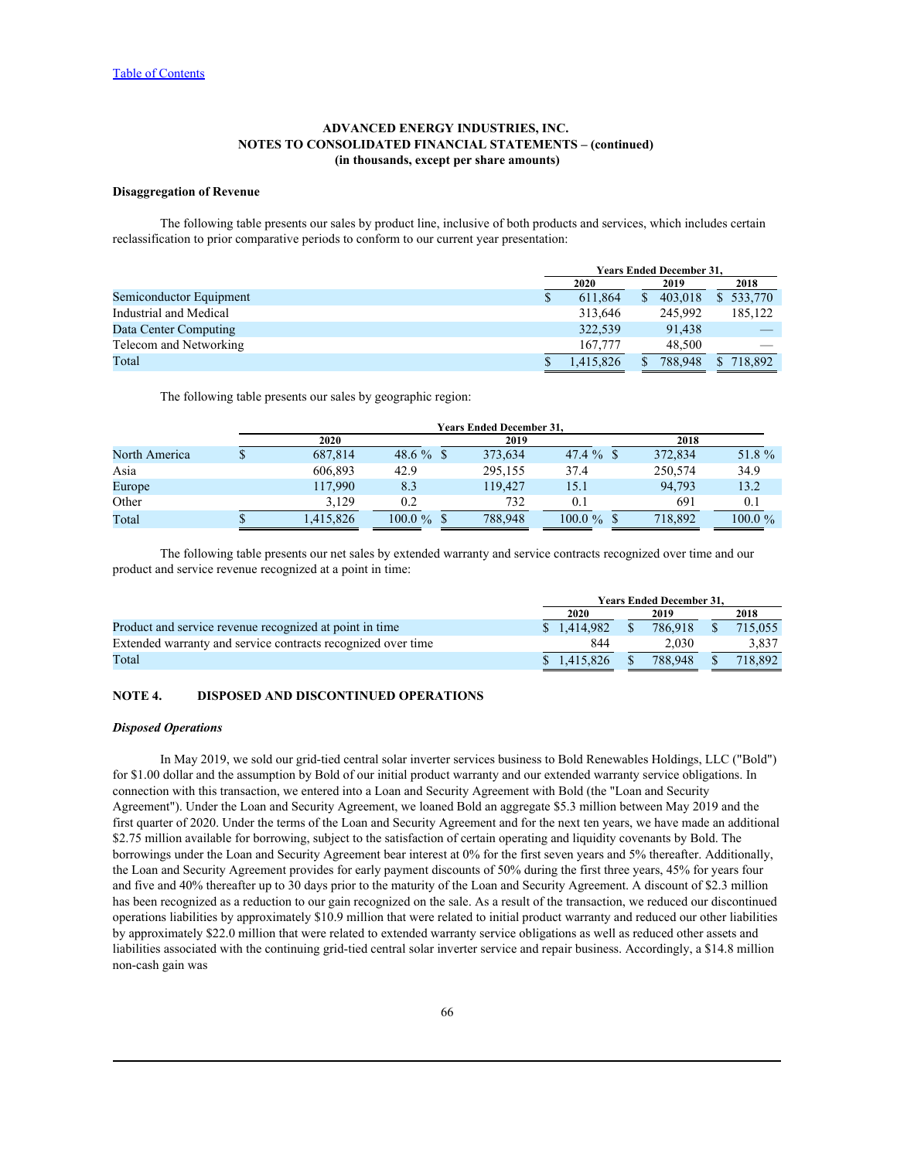### **Disaggregation of Revenue**

The following table presents our sales by product line, inclusive of both products and services, which includes certain reclassification to prior comparative periods to conform to our current year presentation:

|                         | <b>Years Ended December 31,</b> |         |                                 |  |  |
|-------------------------|---------------------------------|---------|---------------------------------|--|--|
|                         | <b>2020</b>                     | 2019    | 2018                            |  |  |
| Semiconductor Equipment | 611,864                         | 403,018 | \$533,770                       |  |  |
| Industrial and Medical  | 313,646                         | 245,992 | 185,122                         |  |  |
| Data Center Computing   | 322,539                         | 91,438  | $\hspace{0.1mm}-\hspace{0.1mm}$ |  |  |
| Telecom and Networking  | 167,777                         | 48,500  | $\hspace{0.1mm}-\hspace{0.1mm}$ |  |  |
| Total                   | 415,826                         | 788,948 | 718,892                         |  |  |

The following table presents our sales by geographic region:

|               |          |              | <b>Years Ended December 31,</b> |            |         |           |
|---------------|----------|--------------|---------------------------------|------------|---------|-----------|
|               | 2020     |              | 2019                            |            | 2018    |           |
| North America | 687,814  | 48.6 $%$ \$  | 373,634                         | 47.4%      | 372,834 | 51.8 %    |
| Asia          | 606,893  | 42.9         | 295,155                         | 37.4       | 250,574 | 34.9      |
| Europe        | 117,990  | 8.3          | 119,427                         | 15.1       | 94,793  | 13.2      |
| Other         | 3,129    | 0.2          | 732                             | 0.1        | 691     | 0.1       |
| Total         | ,415,826 | $100.0\%$ \, | 788,948                         | $100.0 \%$ | 718,892 | 100.0 $%$ |

The following table presents our net sales by extended warranty and service contracts recognized over time and our product and service revenue recognized at a point in time:

|                                                              |          |  | <b>Years Ended December 31.</b> |  |         |  |  |
|--------------------------------------------------------------|----------|--|---------------------------------|--|---------|--|--|
|                                                              | 2020     |  | 2019                            |  | 2018    |  |  |
| Product and service revenue recognized at point in time      | .414.982 |  | 786.918                         |  | 715,055 |  |  |
| Extended warranty and service contracts recognized over time | 844      |  | 2.030                           |  | 3,837   |  |  |
| Total                                                        | .415.826 |  | 788.948                         |  | 718.892 |  |  |

### **NOTE 4. DISPOSED AND DISCONTINUED OPERATIONS**

#### *Disposed Operations*

In May 2019, we sold our grid-tied central solar inverter services business to Bold Renewables Holdings, LLC ("Bold") for \$1.00 dollar and the assumption by Bold of our initial product warranty and our extended warranty service obligations. In connection with this transaction, we entered into a Loan and Security Agreement with Bold (the "Loan and Security Agreement"). Under the Loan and Security Agreement, we loaned Bold an aggregate \$5.3 million between May 2019 and the first quarter of 2020. Under the terms of the Loan and Security Agreement and for the next ten years, we have made an additional \$2.75 million available for borrowing, subject to the satisfaction of certain operating and liquidity covenants by Bold. The borrowings under the Loan and Security Agreement bear interest at 0% for the first seven years and 5% thereafter. Additionally, the Loan and Security Agreement provides for early payment discounts of 50% during the first three years, 45% for years four and five and 40% thereafter up to 30 days prior to the maturity of the Loan and Security Agreement. A discount of \$2.3 million has been recognized as a reduction to our gain recognized on the sale. As a result of the transaction, we reduced our discontinued operations liabilities by approximately \$10.9 million that were related to initial product warranty and reduced our other liabilities by approximately \$22.0 million that were related to extended warranty service obligations as well as reduced other assets and liabilities associated with the continuing grid-tied central solar inverter service and repair business. Accordingly, a \$14.8 million non-cash gain was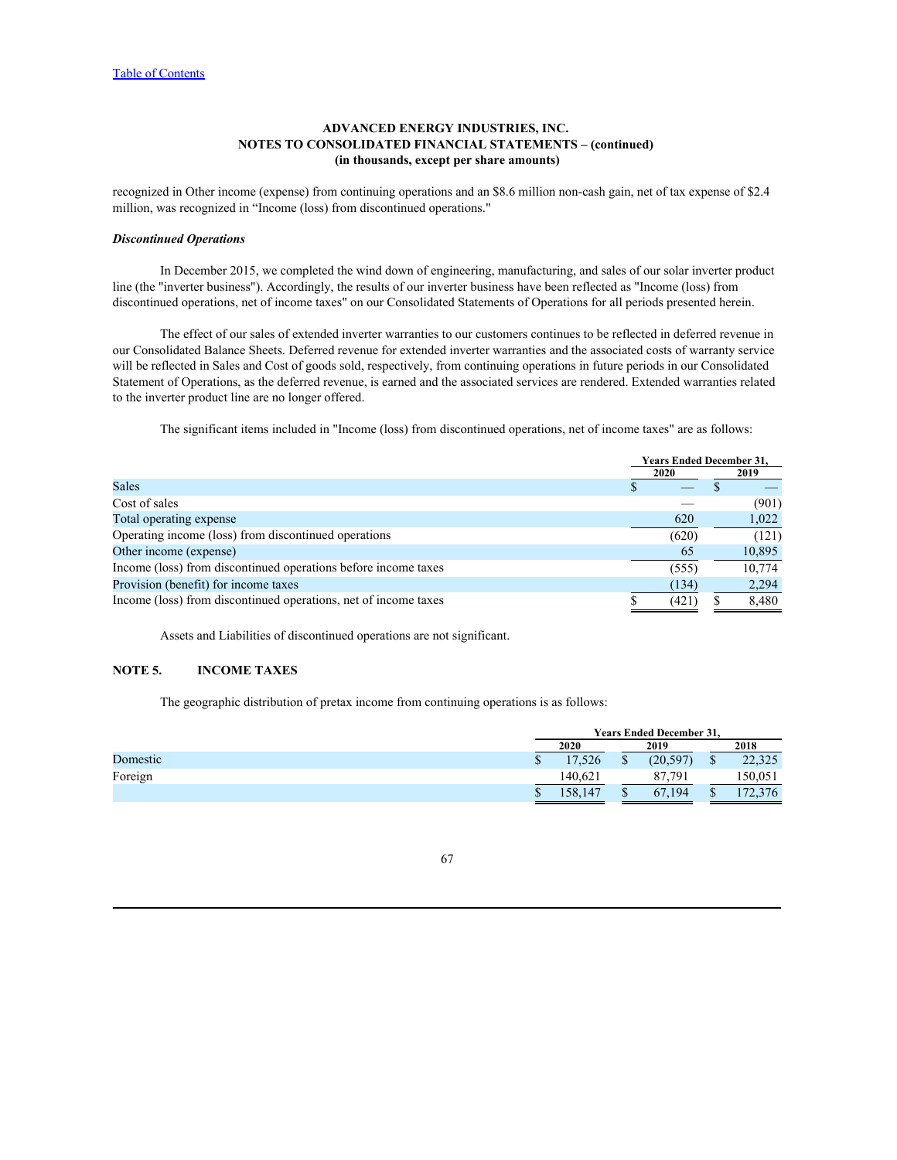recognized in Other income (expense) from continuing operations and an \$8.6 million non-cash gain, net of tax expense of \$2.4 million, was recognized in "Income (loss) from discontinued operations."

### *Discontinued Operations*

In December 2015, we completed the wind down of engineering, manufacturing, and sales of our solar inverter product line (the "inverter business"). Accordingly, the results of our inverter business have been reflected as "Income (loss) from discontinued operations, net of income taxes" on our Consolidated Statements of Operations for all periods presented herein.

The effect of our sales of extended inverter warranties to our customers continues to be reflected in deferred revenue in our Consolidated Balance Sheets. Deferred revenue for extended inverter warranties and the associated costs of warranty service will be reflected in Sales and Cost of goods sold, respectively, from continuing operations in future periods in our Consolidated Statement of Operations, as the deferred revenue, is earned and the associated services are rendered. Extended warranties related to the inverter product line are no longer offered.

The significant items included in "Income (loss) from discontinued operations, net of income taxes" are as follows:

| 2020 | 2019                                    |
|------|-----------------------------------------|
|      |                                         |
|      |                                         |
|      | (901)                                   |
|      | 1,022                                   |
|      | (121)                                   |
| 65   | 10,895                                  |
|      | 10,774                                  |
|      | 2,294                                   |
|      | 8,480                                   |
|      | 620<br>(620)<br>(555)<br>(134)<br>(421) |

Assets and Liabilities of discontinued operations are not significant.

## **NOTE 5. INCOME TAXES**

The geographic distribution of pretax income from continuing operations is as follows:

|          |         | <b>Years Ended December 31,</b> |           |            |         |  |
|----------|---------|---------------------------------|-----------|------------|---------|--|
|          | 2020    |                                 | 2019      |            | 2018    |  |
| Domestic | 17,526  |                                 | (20, 597) | $\sqrt{2}$ | 22,325  |  |
| Foreign  | 140,621 |                                 | 87,791    |            | 150,051 |  |
|          | 158,147 |                                 | 67.194    |            | 172,376 |  |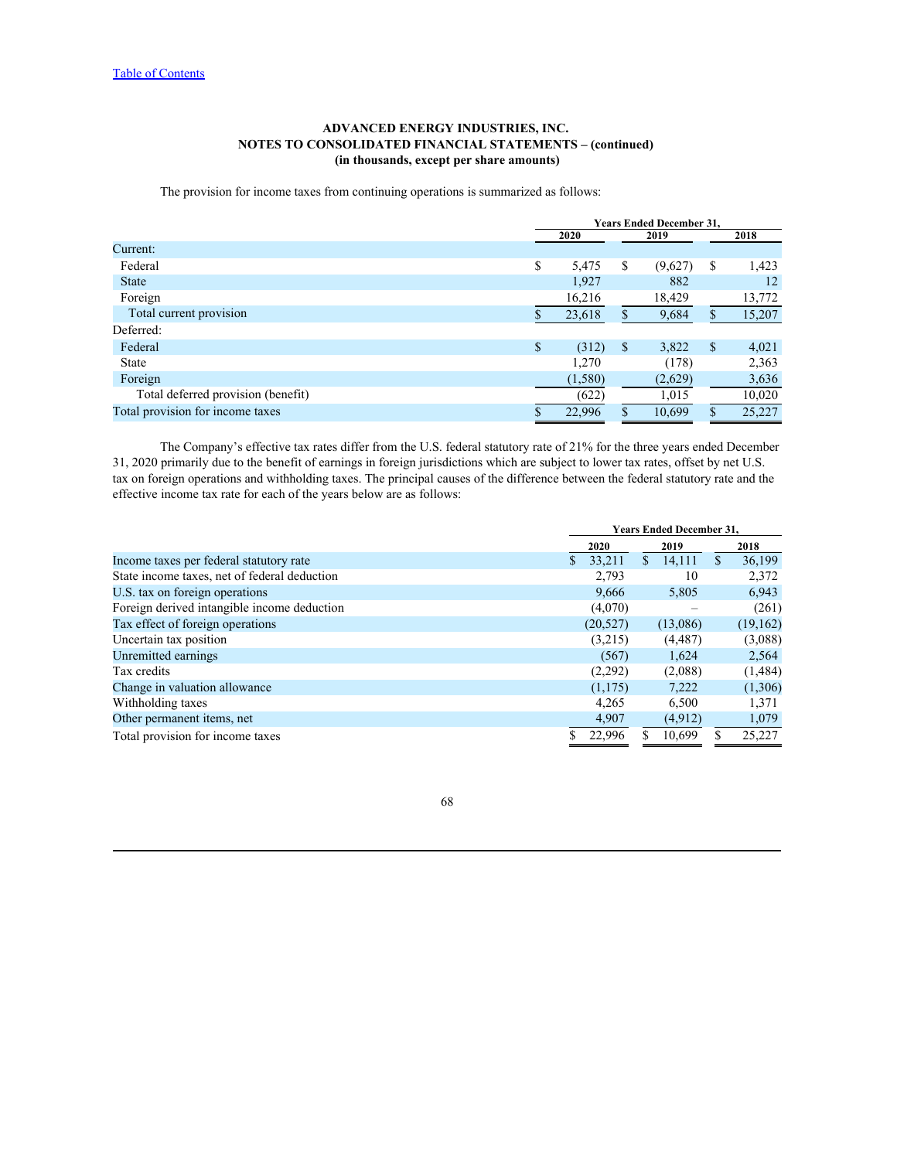The provision for income taxes from continuing operations is summarized as follows:

|                                    | <b>Years Ended December 31.</b> |          |    |         |               |        |
|------------------------------------|---------------------------------|----------|----|---------|---------------|--------|
|                                    |                                 | 2020     |    | 2019    |               | 2018   |
| Current:                           |                                 |          |    |         |               |        |
| Federal                            | S.                              | 5,475    | S  | (9,627) | -S            | 1,423  |
| <b>State</b>                       |                                 | 1,927    |    | 882     |               | 12     |
| Foreign                            |                                 | 16,216   |    | 18,429  |               | 13,772 |
| Total current provision            |                                 | 23,618   |    | 9,684   |               | 15,207 |
| Deferred:                          |                                 |          |    |         |               |        |
| Federal                            |                                 | (312)    | -S | 3,822   | <sup>\$</sup> | 4,021  |
| State                              |                                 | 1,270    |    | (178)   |               | 2,363  |
| Foreign                            |                                 | (1, 580) |    | (2,629) |               | 3,636  |
| Total deferred provision (benefit) |                                 | (622)    |    | 1,015   |               | 10,020 |
| Total provision for income taxes   |                                 | 22,996   |    | 10,699  |               | 25,227 |

The Company's effective tax rates differ from the U.S. federal statutory rate of 21% for the three years ended December 31, 2020 primarily due to the benefit of earnings in foreign jurisdictions which are subject to lower tax rates, offset by net U.S. tax on foreign operations and withholding taxes. The principal causes of the difference between the federal statutory rate and the effective income tax rate for each of the years below are as follows:

|                                              | <b>Years Ended December 31.</b> |          |  |          |  |  |
|----------------------------------------------|---------------------------------|----------|--|----------|--|--|
|                                              | 2020                            | 2019     |  | 2018     |  |  |
| Income taxes per federal statutory rate      | \$33,211                        | 14,111   |  | 36,199   |  |  |
| State income taxes, net of federal deduction | 2,793                           | 10       |  | 2,372    |  |  |
| U.S. tax on foreign operations               | 9,666                           | 5,805    |  | 6,943    |  |  |
| Foreign derived intangible income deduction  | (4,070)                         |          |  | (261)    |  |  |
| Tax effect of foreign operations             | (20, 527)                       | (13,086) |  | (19,162) |  |  |
| Uncertain tax position                       | (3,215)                         | (4, 487) |  | (3,088)  |  |  |
| Unremitted earnings                          | (567)                           | 1,624    |  | 2,564    |  |  |
| Tax credits                                  | (2,292)                         | (2,088)  |  | (1,484)  |  |  |
| Change in valuation allowance                | (1,175)                         | 7,222    |  | (1,306)  |  |  |
| Withholding taxes                            | 4,265                           | 6,500    |  | 1,371    |  |  |
| Other permanent items, net                   | 4,907                           | (4,912)  |  | 1,079    |  |  |
| Total provision for income taxes             | 22,996                          | 10,699   |  | 25,227   |  |  |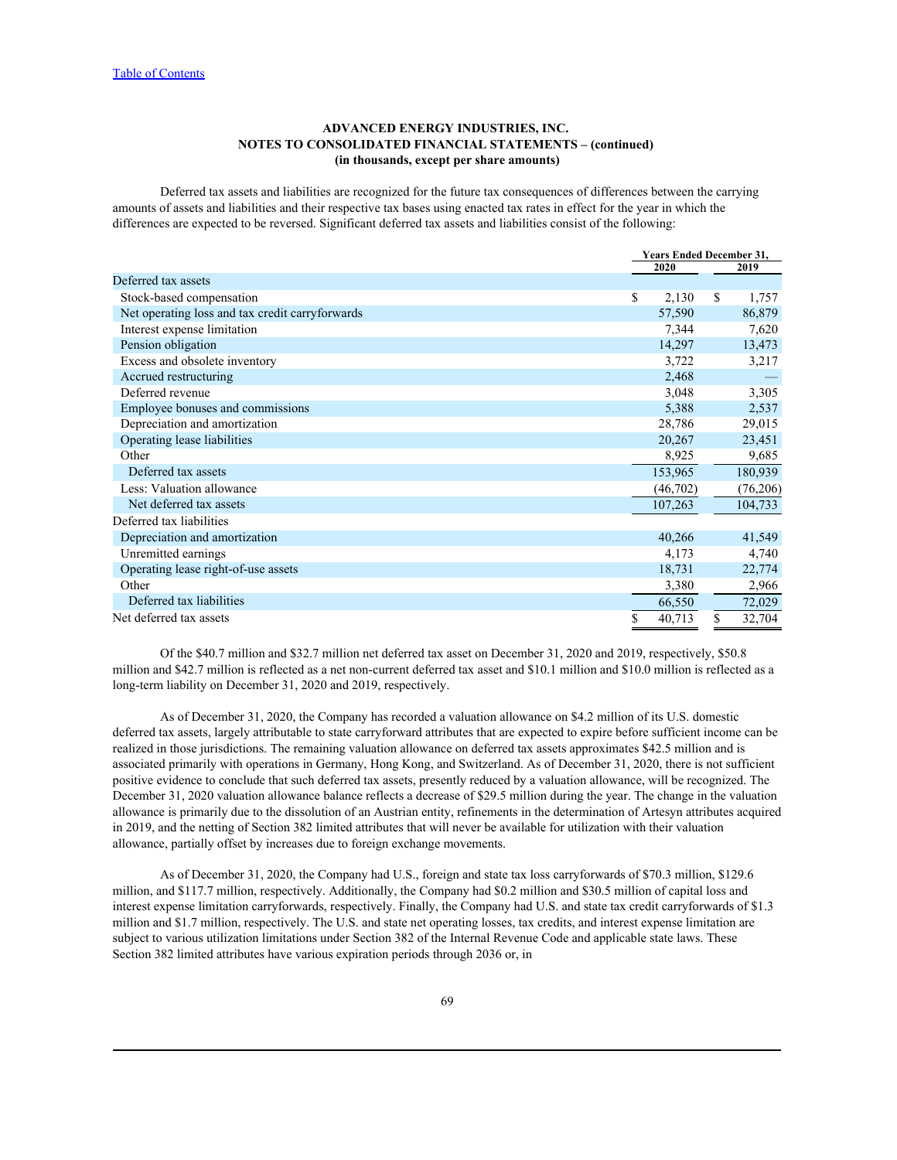Deferred tax assets and liabilities are recognized for the future tax consequences of differences between the carrying amounts of assets and liabilities and their respective tax bases using enacted tax rates in effect for the year in which the differences are expected to be reversed. Significant deferred tax assets and liabilities consist of the following:

|                                                 |           | <b>Years Ended December 31,</b> |  |
|-------------------------------------------------|-----------|---------------------------------|--|
|                                                 | 2020      | 2019                            |  |
| Deferred tax assets                             |           |                                 |  |
| Stock-based compensation                        | 2,130     | 1,757<br>- S                    |  |
| Net operating loss and tax credit carryforwards | 57,590    | 86,879                          |  |
| Interest expense limitation                     | 7,344     | 7,620                           |  |
| Pension obligation                              | 14,297    | 13,473                          |  |
| Excess and obsolete inventory                   | 3,722     | 3,217                           |  |
| Accrued restructuring                           | 2,468     |                                 |  |
| Deferred revenue                                | 3,048     | 3,305                           |  |
| Employee bonuses and commissions                | 5,388     | 2,537                           |  |
| Depreciation and amortization                   | 28,786    | 29,015                          |  |
| Operating lease liabilities                     | 20,267    | 23,451                          |  |
| Other                                           | 8,925     | 9,685                           |  |
| Deferred tax assets                             | 153,965   | 180,939                         |  |
| Less: Valuation allowance                       | (46, 702) | (76,206)                        |  |
| Net deferred tax assets                         | 107,263   | 104,733                         |  |
| Deferred tax liabilities                        |           |                                 |  |
| Depreciation and amortization                   | 40,266    | 41,549                          |  |
| Unremitted earnings                             | 4,173     | 4,740                           |  |
| Operating lease right-of-use assets             | 18,731    | 22,774                          |  |
| Other                                           | 3,380     | 2,966                           |  |
| Deferred tax liabilities                        | 66,550    | 72,029                          |  |
| Net deferred tax assets                         | 40,713    | 32,704                          |  |
|                                                 |           |                                 |  |

Of the \$40.7 million and \$32.7 million net deferred tax asset on December 31, 2020 and 2019, respectively, \$50.8 million and \$42.7 million is reflected as a net non-current deferred tax asset and \$10.1 million and \$10.0 million is reflected as a long-term liability on December 31, 2020 and 2019, respectively.

As of December 31, 2020, the Company has recorded a valuation allowance on \$4.2 million of its U.S. domestic deferred tax assets, largely attributable to state carryforward attributes that are expected to expire before sufficient income can be realized in those jurisdictions. The remaining valuation allowance on deferred tax assets approximates \$42.5 million and is associated primarily with operations in Germany, Hong Kong, and Switzerland. As of December 31, 2020, there is not sufficient positive evidence to conclude that such deferred tax assets, presently reduced by a valuation allowance, will be recognized. The December 31, 2020 valuation allowance balance reflects a decrease of \$29.5 million during the year. The change in the valuation allowance is primarily due to the dissolution of an Austrian entity, refinements in the determination of Artesyn attributes acquired in 2019, and the netting of Section 382 limited attributes that will never be available for utilization with their valuation allowance, partially offset by increases due to foreign exchange movements.

As of December 31, 2020, the Company had U.S., foreign and state tax loss carryforwards of \$70.3 million, \$129.6 million, and \$117.7 million, respectively. Additionally, the Company had \$0.2 million and \$30.5 million of capital loss and interest expense limitation carryforwards, respectively. Finally, the Company had U.S. and state tax credit carryforwards of \$1.3 million and \$1.7 million, respectively. The U.S. and state net operating losses, tax credits, and interest expense limitation are subject to various utilization limitations under Section 382 of the Internal Revenue Code and applicable state laws. These Section 382 limited attributes have various expiration periods through 2036 or, in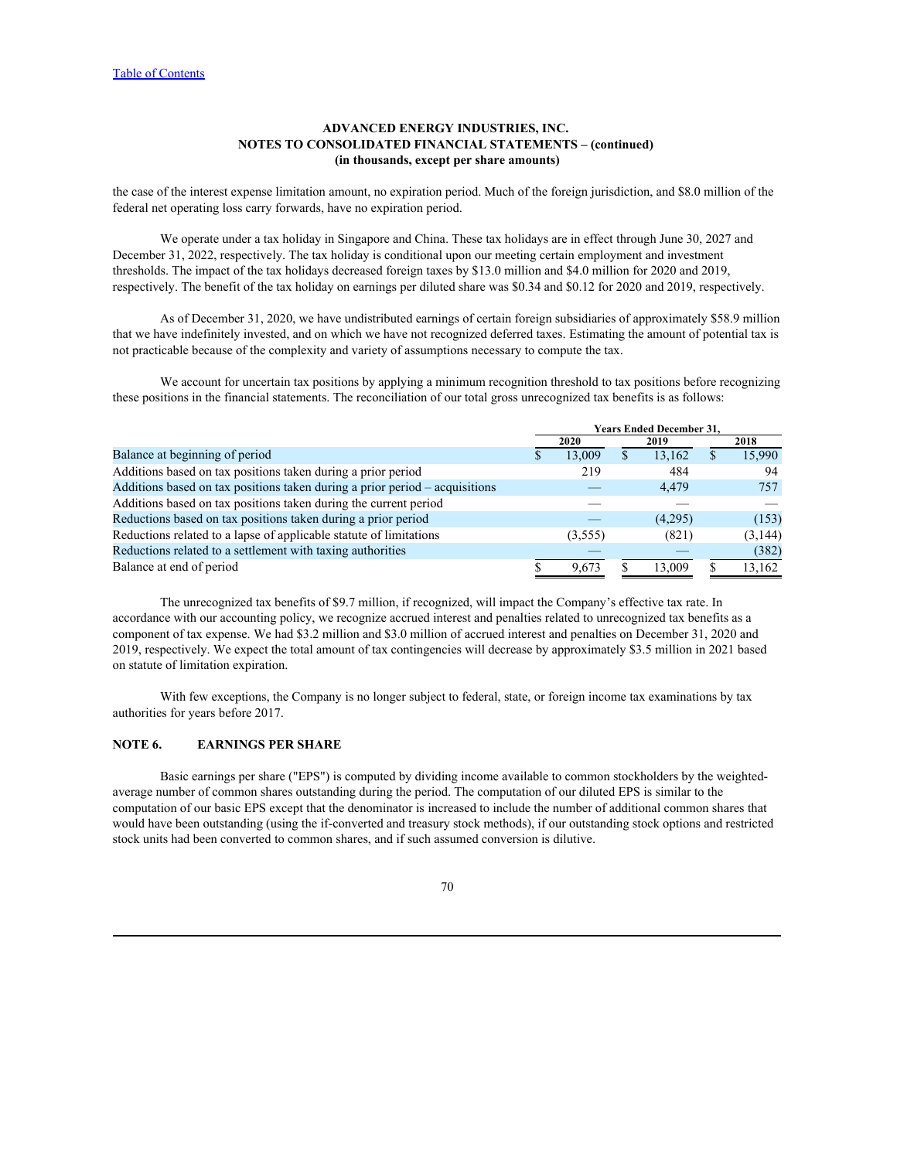the case of the interest expense limitation amount, no expiration period. Much of the foreign jurisdiction, and \$8.0 million of the federal net operating loss carry forwards, have no expiration period.

We operate under a tax holiday in Singapore and China. These tax holidays are in effect through June 30, 2027 and December 31, 2022, respectively. The tax holiday is conditional upon our meeting certain employment and investment thresholds. The impact of the tax holidays decreased foreign taxes by \$13.0 million and \$4.0 million for 2020 and 2019, respectively. The benefit of the tax holiday on earnings per diluted share was \$0.34 and \$0.12 for 2020 and 2019, respectively.

As of December 31, 2020, we have undistributed earnings of certain foreign subsidiaries of approximately \$58.9 million that we have indefinitely invested, and on which we have not recognized deferred taxes. Estimating the amount of potential tax is not practicable because of the complexity and variety of assumptions necessary to compute the tax.

We account for uncertain tax positions by applying a minimum recognition threshold to tax positions before recognizing these positions in the financial statements. The reconciliation of our total gross unrecognized tax benefits is as follows:

|                                                                             |                                | <b>Years Ended December 31.</b> |  |          |  |  |
|-----------------------------------------------------------------------------|--------------------------------|---------------------------------|--|----------|--|--|
|                                                                             | 2020                           | 2019                            |  | 2018     |  |  |
| Balance at beginning of period                                              | 13,009                         | 13,162                          |  | 15,990   |  |  |
| Additions based on tax positions taken during a prior period                | 219                            | 484                             |  |          |  |  |
| Additions based on tax positions taken during a prior period – acquisitions |                                | 4,479                           |  | 757      |  |  |
| Additions based on tax positions taken during the current period            | $\overbrace{\hspace{25mm}}^{}$ |                                 |  |          |  |  |
| Reductions based on tax positions taken during a prior period               |                                | (4,295)                         |  | (153)    |  |  |
| Reductions related to a lapse of applicable statute of limitations          | (3,555)                        | (821)                           |  | (3, 144) |  |  |
| Reductions related to a settlement with taxing authorities                  |                                |                                 |  | (382)    |  |  |
| Balance at end of period                                                    | 9.673                          | 13.009                          |  | 13,162   |  |  |
|                                                                             |                                |                                 |  |          |  |  |

The unrecognized tax benefits of \$9.7 million, if recognized, will impact the Company's effective tax rate. In accordance with our accounting policy, we recognize accrued interest and penalties related to unrecognized tax benefits as a component of tax expense. We had \$3.2 million and \$3.0 million of accrued interest and penalties on December 31, 2020 and 2019, respectively. We expect the total amount of tax contingencies will decrease by approximately \$3.5 million in 2021 based on statute of limitation expiration.

With few exceptions, the Company is no longer subject to federal, state, or foreign income tax examinations by tax authorities for years before 2017.

### **NOTE 6. EARNINGS PER SHARE**

Basic earnings per share ("EPS") is computed by dividing income available to common stockholders by the weightedaverage number of common shares outstanding during the period. The computation of our diluted EPS is similar to the computation of our basic EPS except that the denominator is increased to include the number of additional common shares that would have been outstanding (using the if-converted and treasury stock methods), if our outstanding stock options and restricted stock units had been converted to common shares, and if such assumed conversion is dilutive.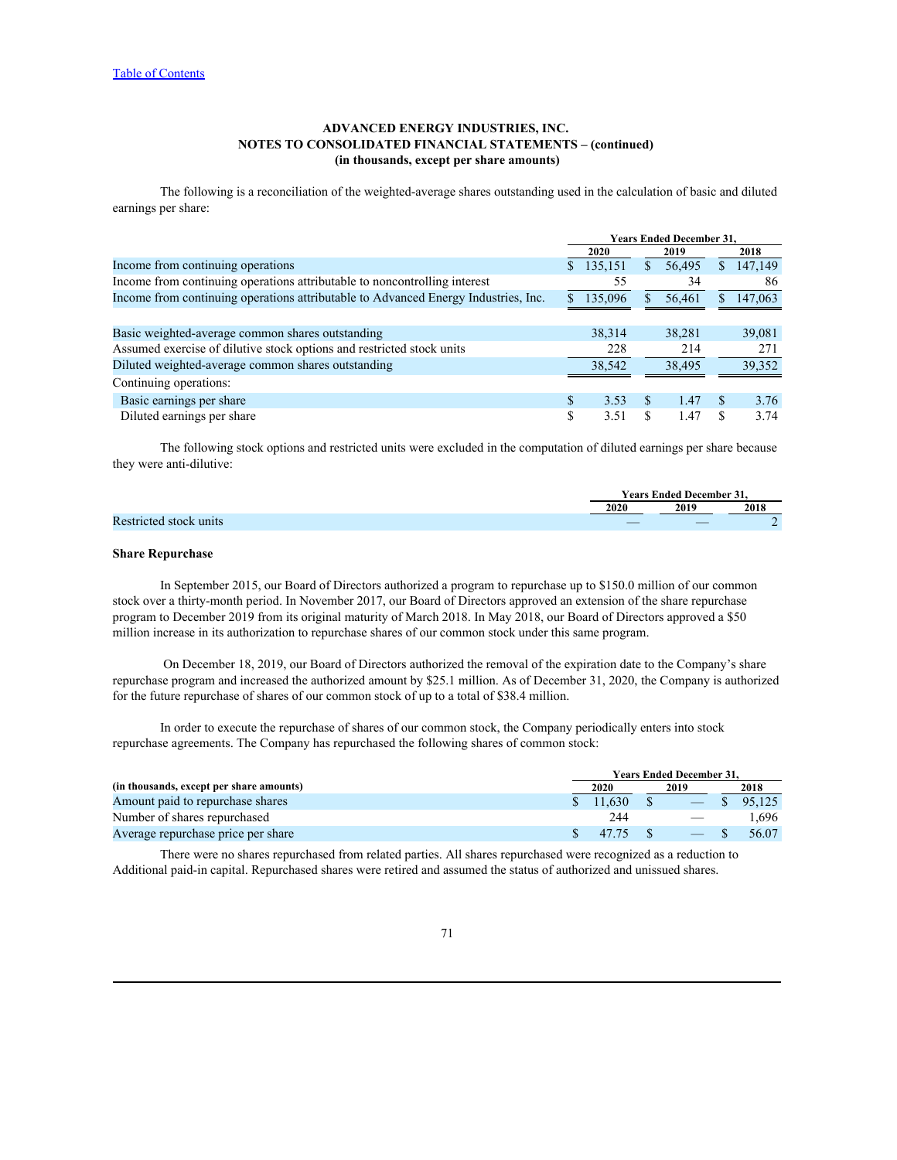The following is a reconciliation of the weighted-average shares outstanding used in the calculation of basic and diluted earnings per share:

|                                                                                    | <b>Years Ended December 31.</b> |             |  |        |  |         |  |
|------------------------------------------------------------------------------------|---------------------------------|-------------|--|--------|--|---------|--|
|                                                                                    |                                 | <b>2020</b> |  | 2019   |  | 2018    |  |
| Income from continuing operations                                                  |                                 | 135,151     |  | 56,495 |  | 147,149 |  |
| Income from continuing operations attributable to noncontrolling interest          |                                 | 55          |  | 34     |  | 86      |  |
| Income from continuing operations attributable to Advanced Energy Industries, Inc. |                                 | 135,096     |  | 56,461 |  | 147,063 |  |
|                                                                                    |                                 |             |  |        |  |         |  |
| Basic weighted-average common shares outstanding                                   |                                 | 38,314      |  | 38,281 |  | 39,081  |  |
| Assumed exercise of dilutive stock options and restricted stock units              |                                 | 228         |  | 214    |  | 271     |  |
| Diluted weighted-average common shares outstanding                                 |                                 | 38,542      |  | 38,495 |  | 39,352  |  |
| Continuing operations:                                                             |                                 |             |  |        |  |         |  |
| Basic earnings per share                                                           |                                 | 3.53        |  | 1.47   |  | 3.76    |  |
| Diluted earnings per share                                                         |                                 | 3.51        |  | . 47   |  | 3.74    |  |

The following stock options and restricted units were excluded in the computation of diluted earnings per share because they were anti-dilutive:

|                                                  | Year:<br>-Ended -                                                                                                                                           | d December 31.         |      |
|--------------------------------------------------|-------------------------------------------------------------------------------------------------------------------------------------------------------------|------------------------|------|
|                                                  | 2020                                                                                                                                                        | 2019                   | 2018 |
| Restricted stock units<br><b>Service Service</b> | $\overline{\phantom{a}}$<br>$\mathcal{L}^{\text{max}}_{\text{max}}$ and $\mathcal{L}^{\text{max}}_{\text{max}}$ and $\mathcal{L}^{\text{max}}_{\text{max}}$ | <b>Service Service</b> |      |

### **Share Repurchase**

In September 2015, our Board of Directors authorized a program to repurchase up to \$150.0 million of our common stock over a thirty-month period. In November 2017, our Board of Directors approved an extension of the share repurchase program to December 2019 from its original maturity of March 2018. In May 2018, our Board of Directors approved a \$50 million increase in its authorization to repurchase shares of our common stock under this same program.

 On December 18, 2019, our Board of Directors authorized the removal of the expiration date to the Company's share repurchase program and increased the authorized amount by \$25.1 million. As of December 31, 2020, the Company is authorized for the future repurchase of shares of our common stock of up to a total of \$38.4 million.

In order to execute the repurchase of shares of our common stock, the Company periodically enters into stock repurchase agreements. The Company has repurchased the following shares of common stock:

|                                          |       | <b>Years Ended December 31.</b> |        |
|------------------------------------------|-------|---------------------------------|--------|
| (in thousands, except per share amounts) | 2020  | 2019                            | 2018   |
| Amount paid to repurchase shares         | 1,630 | $\overline{\phantom{m}}$        | 95,125 |
| Number of shares repurchased             |       |                                 | .696   |
| Average repurchase price per share       | 47.75 |                                 | 56.07  |

There were no shares repurchased from related parties. All shares repurchased were recognized as a reduction to Additional paid-in capital. Repurchased shares were retired and assumed the status of authorized and unissued shares.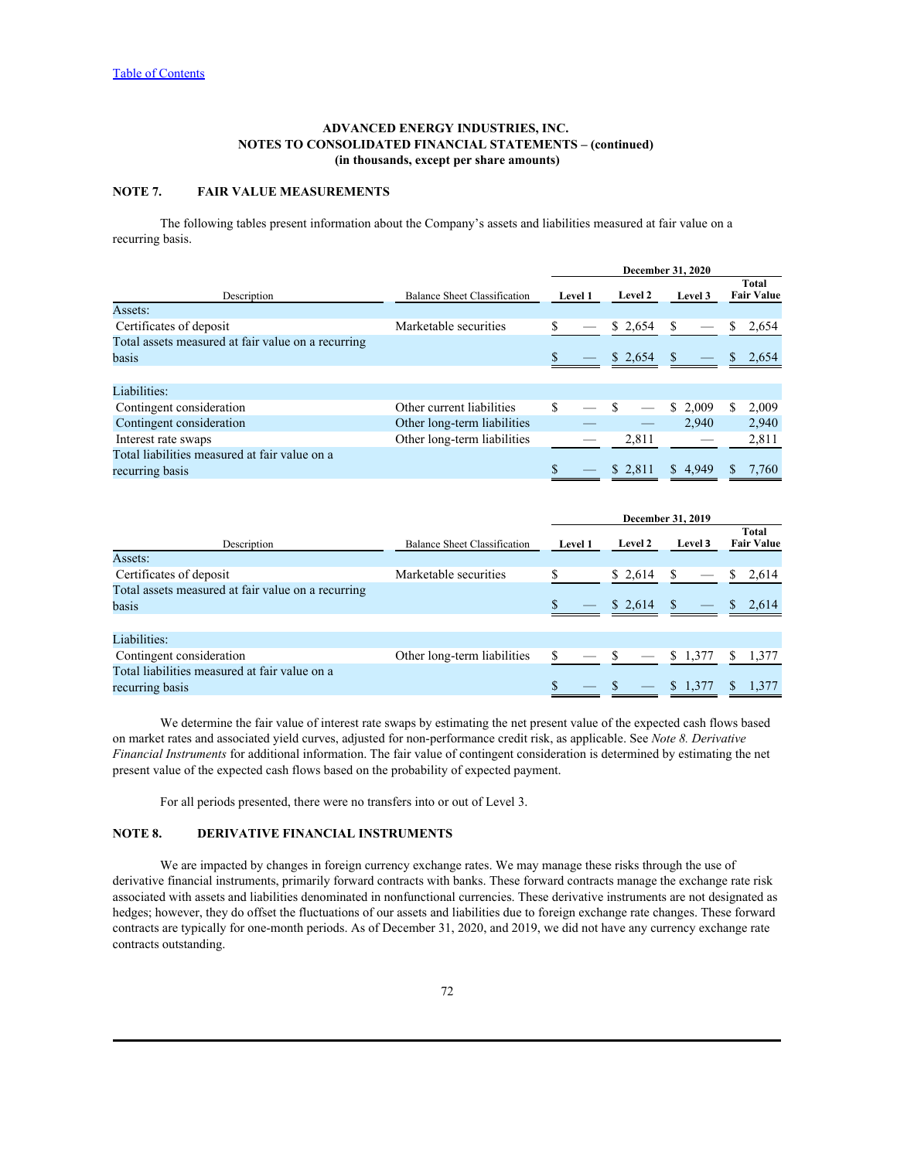## **NOTE 7. FAIR VALUE MEASUREMENTS**

The following tables present information about the Company's assets and liabilities measured at fair value on a recurring basis.

|                                                             |                                     | December 31, 2020               |                |                          |                            |
|-------------------------------------------------------------|-------------------------------------|---------------------------------|----------------|--------------------------|----------------------------|
| Description<br>Assets:                                      | <b>Balance Sheet Classification</b> | Level 1                         | <b>Level 2</b> | Level 3                  | Total<br><b>Fair Value</b> |
| Certificates of deposit                                     | Marketable securities               |                                 | \$2,654        | $\overline{\phantom{0}}$ | \$2,654                    |
| Total assets measured at fair value on a recurring<br>basis |                                     | $\hspace{0.1mm}-\hspace{0.1mm}$ | \$2.654        | $\overline{\phantom{0}}$ | 2,654                      |
| Liabilities:                                                |                                     |                                 |                |                          |                            |
| Contingent consideration                                    | Other current liabilities           |                                 |                | 52,009                   | 2,009                      |
| Contingent consideration                                    | Other long-term liabilities         |                                 | __             | 2,940                    | 2,940                      |
| Interest rate swaps                                         | Other long-term liabilities         |                                 | 2,811          |                          | 2,811                      |
| Total liabilities measured at fair value on a               |                                     |                                 |                |                          |                            |
| recurring basis                                             |                                     |                                 | 2,811          | \$4,949                  | 7,760                      |

|                                     |                          | December 31, 2019               |         |                                   |  |  |  |
|-------------------------------------|--------------------------|---------------------------------|---------|-----------------------------------|--|--|--|
| <b>Balance Sheet Classification</b> | Level 1                  | <b>Level 2</b>                  | Level 3 | <b>Total</b><br><b>Fair Value</b> |  |  |  |
| Marketable securities               |                          | \$2,614                         |         | \$2,614                           |  |  |  |
|                                     |                          |                                 |         |                                   |  |  |  |
|                                     | $\hspace{0.05cm}$        | \$2.614                         |         | \$2,614                           |  |  |  |
|                                     |                          |                                 |         |                                   |  |  |  |
|                                     |                          |                                 |         |                                   |  |  |  |
| Other long-term liabilities         |                          | $\hspace{0.1mm}-\hspace{0.1mm}$ | \$1,377 | \$1,377                           |  |  |  |
|                                     |                          |                                 |         |                                   |  |  |  |
|                                     | $\overline{\phantom{a}}$ | $\hspace{0.05cm}$               | \$1.377 | 1,377                             |  |  |  |
|                                     |                          |                                 |         |                                   |  |  |  |

We determine the fair value of interest rate swaps by estimating the net present value of the expected cash flows based on market rates and associated yield curves, adjusted for non-performance credit risk, as applicable. See *Note 8. Derivative Financial Instruments* for additional information. The fair value of contingent consideration is determined by estimating the net present value of the expected cash flows based on the probability of expected payment.

For all periods presented, there were no transfers into or out of Level3.

## **NOTE 8. DERIVATIVE FINANCIAL INSTRUMENTS**

We are impacted by changes in foreign currency exchange rates. We may manage these risks through the use of derivative financial instruments, primarily forward contracts with banks. These forward contracts manage the exchange rate risk associated with assets and liabilities denominated in nonfunctional currencies. These derivative instruments are not designated as hedges; however, they do offset the fluctuations of our assets and liabilities due to foreign exchange rate changes. These forward contracts are typically for one-month periods. As of December 31, 2020, and 2019, we did not have any currency exchange rate contracts outstanding.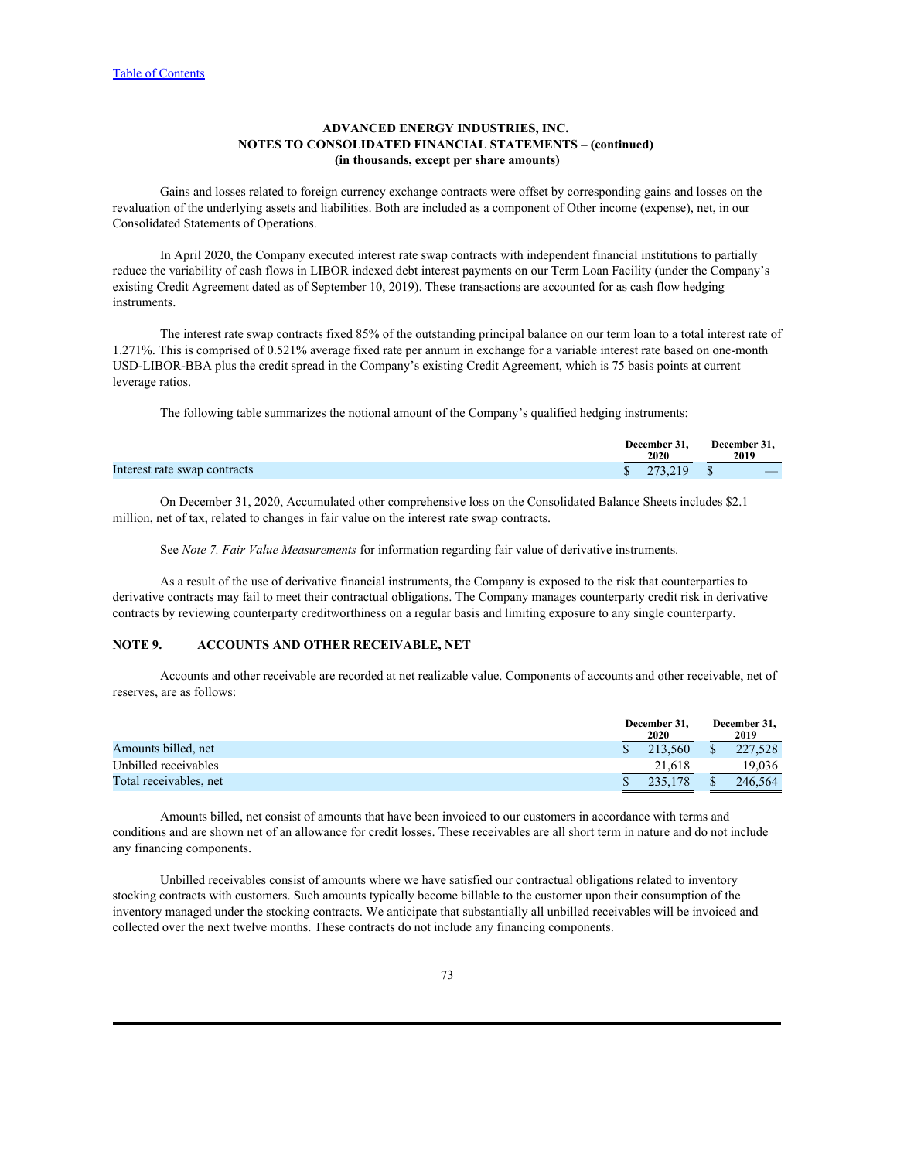Gains and losses related to foreign currency exchange contracts were offset by corresponding gains and losses on the revaluation of the underlying assets and liabilities. Both are included as a component of Other income (expense), net, in our Consolidated Statements of Operations.

In April 2020, the Company executed interest rate swap contracts with independent financial institutions to partially reduce the variability of cash flows in LIBOR indexed debt interest payments on our Term Loan Facility (under the Company's existing Credit Agreement dated as of September 10, 2019). These transactions are accounted for as cash flow hedging instruments.

The interest rate swap contracts fixed 85% of the outstanding principal balance on our term loan to a total interest rate of 1.271%. This is comprised of 0.521% average fixed rate per annum in exchange for a variable interest rate based on one-month USD-LIBOR-BBA plus the credit spread in the Company's existing Credit Agreement, which is 75 basis points at current leverage ratios.

The following table summarizes the notional amount of the Company's qualified hedging instruments:

|                              | - 33<br>December 31, | December 31, |  |
|------------------------------|----------------------|--------------|--|
|                              | 2020                 | 2019         |  |
| Interest rate swap contracts | 273.219<br>213.212   |              |  |

On December 31, 2020, Accumulated other comprehensive loss on the Consolidated Balance Sheets includes \$2.1 million, net of tax, related to changes in fair value on the interest rate swap contracts.

See *Note 7. Fair Value Measurements* for information regarding fair value of derivative instruments.

As a result of the use of derivative financial instruments, the Company is exposed to the risk that counterparties to derivative contracts may fail to meet their contractual obligations. The Company manages counterparty credit risk in derivative contracts by reviewing counterparty creditworthiness on a regular basis and limiting exposure to any single counterparty.

## **NOTE 9. ACCOUNTS AND OTHER RECEIVABLE, NET**

Accounts and other receivable are recorded at net realizable value. Components of accounts and other receivable, net of reserves, are as follows:

|                        | December 31,<br>2020 | December 31,<br>2019 |  |
|------------------------|----------------------|----------------------|--|
| Amounts billed, net    | 213,560              | 227,528              |  |
| Unbilled receivables   | 21.618               | 19,036               |  |
| Total receivables, net | 235,178              | 246,564              |  |

Amounts billed, net consist of amounts that have been invoiced to our customers in accordance with terms and conditions and are shown net of an allowance for credit losses. These receivables are all short term in nature and do not include any financing components.

Unbilled receivables consist of amounts where we have satisfied our contractual obligations related to inventory stocking contracts with customers. Such amounts typically become billable to the customer upon their consumption of the inventory managed under the stocking contracts. We anticipate that substantially all unbilled receivables will be invoiced and collected over the next twelve months. These contracts do not include any financing components.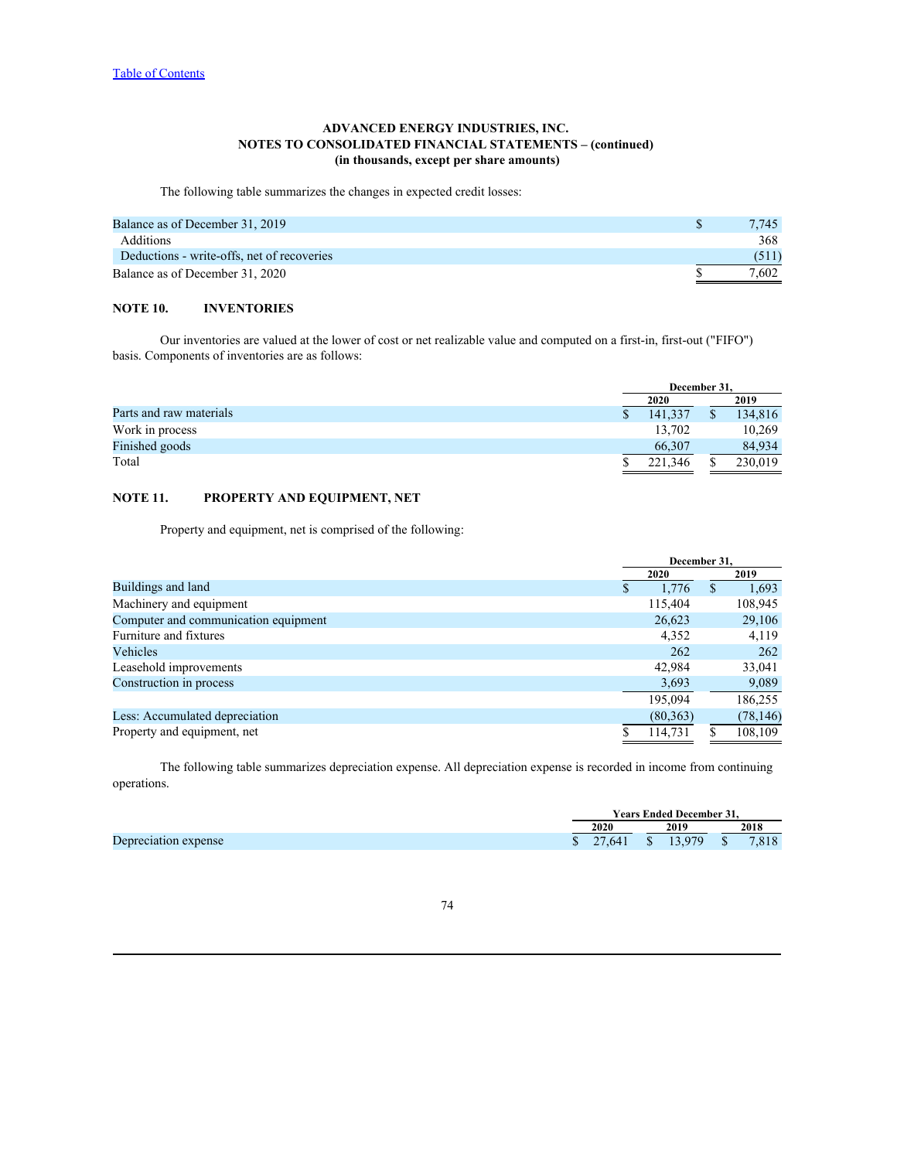The following table summarizes the changes in expected credit losses:

| Balance as of December 31, 2019            | 7,745 |
|--------------------------------------------|-------|
| Additions                                  | 368   |
| Deductions - write-offs, net of recoveries | (511) |
| Balance as of December 31, 2020            | 7,602 |

#### **NOTE 10. INVENTORIES**

Our inventories are valued at the lower of cost or net realizable value and computed on a first-in, first-out ("FIFO") basis. Components of inventories are as follows:

|                         | December 31, |         |  |         |
|-------------------------|--------------|---------|--|---------|
|                         |              | 2020    |  | 2019    |
| Parts and raw materials |              | 141,337 |  | 134,816 |
| Work in process         |              | 13,702  |  | 10,269  |
| Finished goods          |              | 66,307  |  | 84,934  |
| Total                   |              | 221,346 |  | 230,019 |
|                         |              |         |  |         |

# **NOTE 11. PROPERTY AND EQUIPMENT, NET**

Property and equipment, net is comprised of the following:

|                                      | December 31, |           |  |           |  |
|--------------------------------------|--------------|-----------|--|-----------|--|
|                                      | <b>2020</b>  |           |  | 2019      |  |
| Buildings and land                   |              | 1,776     |  | 1,693     |  |
| Machinery and equipment              |              | 115,404   |  | 108,945   |  |
| Computer and communication equipment |              | 26,623    |  | 29,106    |  |
| Furniture and fixtures               |              | 4,352     |  | 4,119     |  |
| Vehicles                             |              | 262       |  | 262       |  |
| Leasehold improvements               |              | 42,984    |  | 33,041    |  |
| Construction in process              |              | 3,693     |  | 9,089     |  |
|                                      |              | 195,094   |  | 186,255   |  |
| Less: Accumulated depreciation       |              | (80, 363) |  | (78, 146) |  |
| Property and equipment, net          |              | 114,731   |  | 108,109   |  |

The following table summarizes depreciation expense. All depreciation expense is recorded in income from continuing operations.

|                      |        | <b>Years Ended December 31.</b> |              |
|----------------------|--------|---------------------------------|--------------|
|                      | 2020   | 2019                            | 2018         |
| Depreciation expense | 27.641 | 12.070                          | 7010<br>.010 |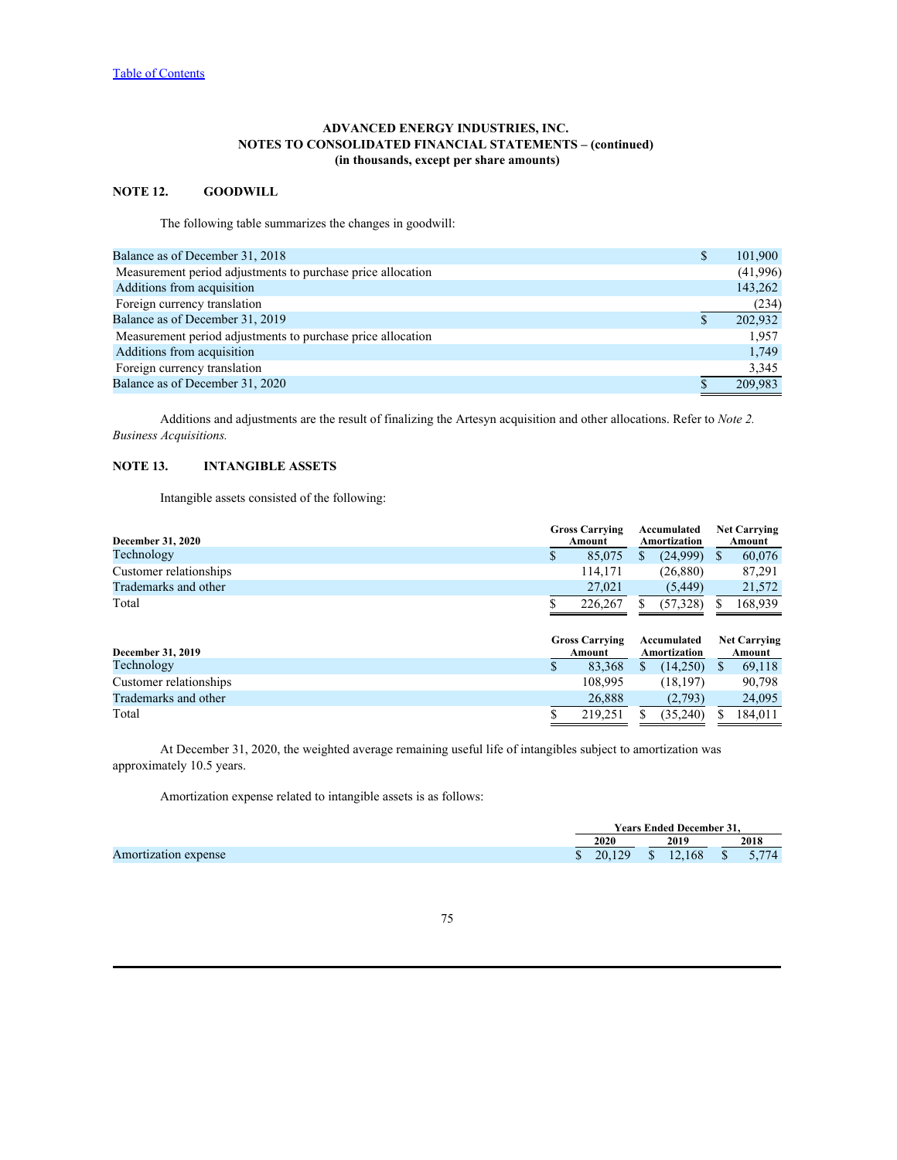## **NOTE 12. GOODWILL**

The following table summarizes the changes in goodwill:

| Balance as of December 31, 2018                             | 101,900  |
|-------------------------------------------------------------|----------|
| Measurement period adjustments to purchase price allocation | (41,996) |
| Additions from acquisition                                  | 143,262  |
| Foreign currency translation                                | (234)    |
| Balance as of December 31, 2019                             | 202,932  |
| Measurement period adjustments to purchase price allocation | 1,957    |
| Additions from acquisition                                  | 1,749    |
| Foreign currency translation                                | 3,345    |
| Balance as of December 31, 2020                             | 209,983  |
|                                                             |          |

Additions and adjustments are the result of finalizing the Artesyn acquisition and other allocations. Refer to *Note 2. Business Acquisitions.*

## **NOTE 13. INTANGIBLE ASSETS**

Intangible assets consisted of the following:

|                          | <b>Gross Carrying</b> |                       | Accumulated |              | <b>Net Carrying</b> |                     |
|--------------------------|-----------------------|-----------------------|-------------|--------------|---------------------|---------------------|
| <b>December 31, 2020</b> |                       | Amount                |             | Amortization |                     | Amount              |
| Technology               |                       | 85,075                |             | (24,999)     |                     | 60,076              |
| Customer relationships   |                       | 114,171               |             | (26,880)     |                     | 87,291              |
| Trademarks and other     |                       | 27,021                |             | (5, 449)     |                     | 21,572              |
| Total                    |                       | 226,267               |             | (57, 328)    |                     | 168,939             |
|                          |                       |                       |             |              |                     |                     |
|                          |                       |                       |             |              |                     |                     |
|                          |                       | <b>Gross Carrying</b> |             | Accumulated  |                     | <b>Net Carrying</b> |
| December 31, 2019        |                       | Amount                |             | Amortization |                     | Amount              |
| Technology               |                       | 83,368                | S           | (14,250)     | S.                  | 69,118              |
| Customer relationships   |                       | 108,995               |             | (18, 197)    |                     | 90,798              |
| Trademarks and other     |                       | 26,888                |             | (2,793)      |                     | 24,095              |

At December 31, 2020, the weighted average remaining useful life of intangibles subject to amortization was approximately 10.5 years.

Amortization expense related to intangible assets is as follows:

|                      |        | <b>Years Ended December 31,</b>  |                          |
|----------------------|--------|----------------------------------|--------------------------|
|                      | 2020   | 2019                             | 2018                     |
| Amortization expense | 20.129 | .168<br>$\sim$<br>$\overline{1}$ | $-$<br>$\prime$ $\prime$ |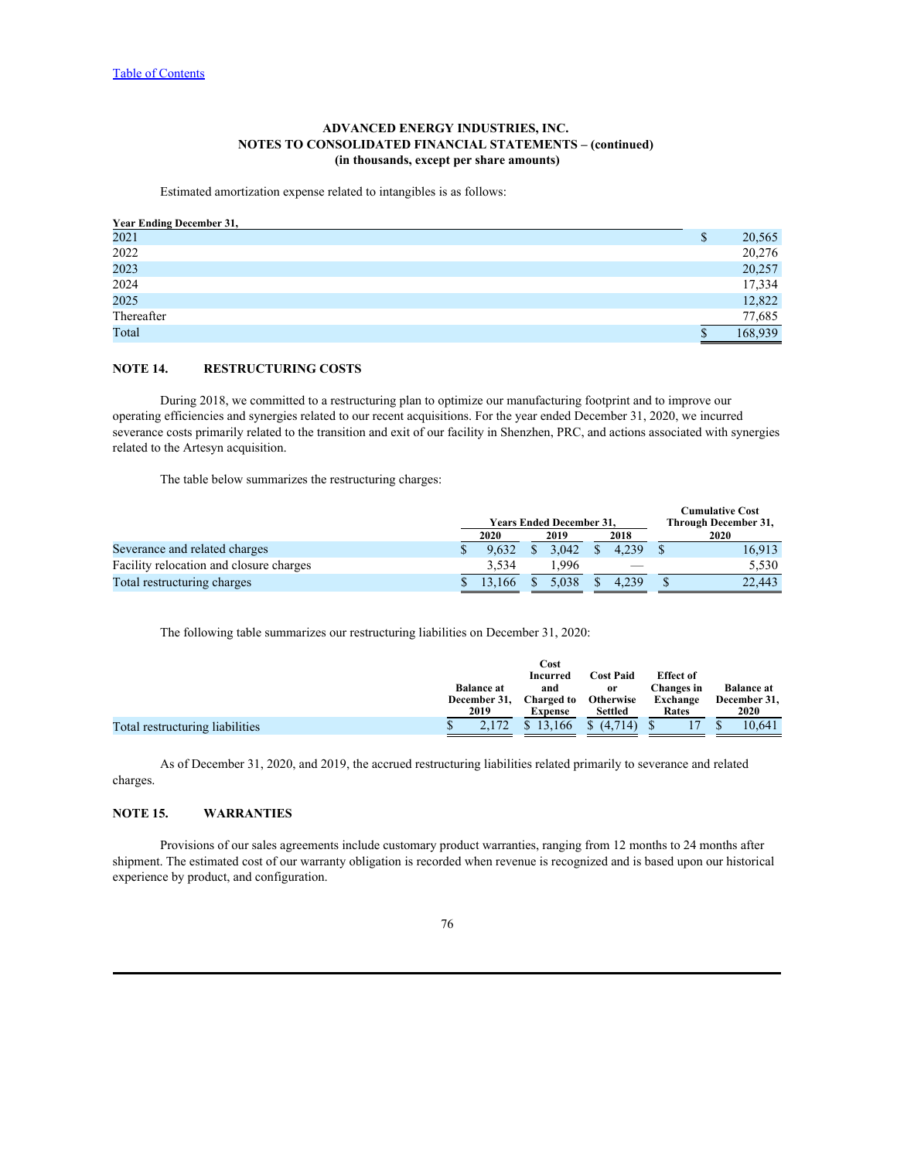Estimated amortization expense related to intangibles is as follows:

| <b>Year Ending December 31,</b> |         |
|---------------------------------|---------|
| 2021                            | 20,565  |
| 2022                            | 20,276  |
| 2023                            | 20,257  |
| 2024                            | 17,334  |
| 2025                            | 12,822  |
| Thereafter                      | 77,685  |
| Total                           | 168,939 |
|                                 |         |

# **NOTE 14. RESTRUCTURING COSTS**

During 2018, we committed to a restructuring plan to optimize our manufacturing footprint and to improve our operating efficiencies and synergies related to our recent acquisitions. For the year ended December 31, 2020, we incurred severance costs primarily related to the transition and exit of our facility in Shenzhen, PRC, and actions associated with synergies related to the Artesyn acquisition.

The table below summarizes the restructuring charges:

|                                         |       |                                 |                      | <b>Cumulative Cost</b> |  |  |  |  |
|-----------------------------------------|-------|---------------------------------|----------------------|------------------------|--|--|--|--|
|                                         |       | <b>Years Ended December 31,</b> | Through December 31, |                        |  |  |  |  |
|                                         | 2020  | 2019                            | 2018                 | 2020                   |  |  |  |  |
| Severance and related charges           | 9,632 | .042                            | 1,239                | 16,913                 |  |  |  |  |
| Facility relocation and closure charges | 3.534 | .996                            |                      | 5,530                  |  |  |  |  |
| Total restructuring charges             | 3,166 | 038                             | .239                 | 22,443                 |  |  |  |  |

The following table summarizes our restructuring liabilities on December 31, 2020:

|                                 |                      | Cost       |                  |                  |                   |  |  |
|---------------------------------|----------------------|------------|------------------|------------------|-------------------|--|--|
|                                 |                      | Incurred   |                  | <b>Effect</b> of |                   |  |  |
|                                 | <b>Balance</b> at    | and        | or               | Changes in       | <b>Balance at</b> |  |  |
|                                 | December 31,         | Charged to | <b>Otherwise</b> | Exchange         | December 31,      |  |  |
|                                 | 2019                 | Expense    | <b>Settled</b>   | <b>Rates</b>     | 2020              |  |  |
| Total restructuring liabilities | 172<br>$\sim$ $\sim$ | 13,166     | (4,714)          |                  | 10,641            |  |  |
|                                 |                      |            |                  |                  |                   |  |  |

As of December 31, 2020, and 2019, the accrued restructuring liabilities related primarily to severance and related charges.

## **NOTE 15. WARRANTIES**

Provisions of our sales agreements include customary product warranties, ranging from 12 months to 24 months after shipment. The estimated cost of our warranty obligation is recorded when revenue is recognized and is based upon our historical experience by product, and configuration.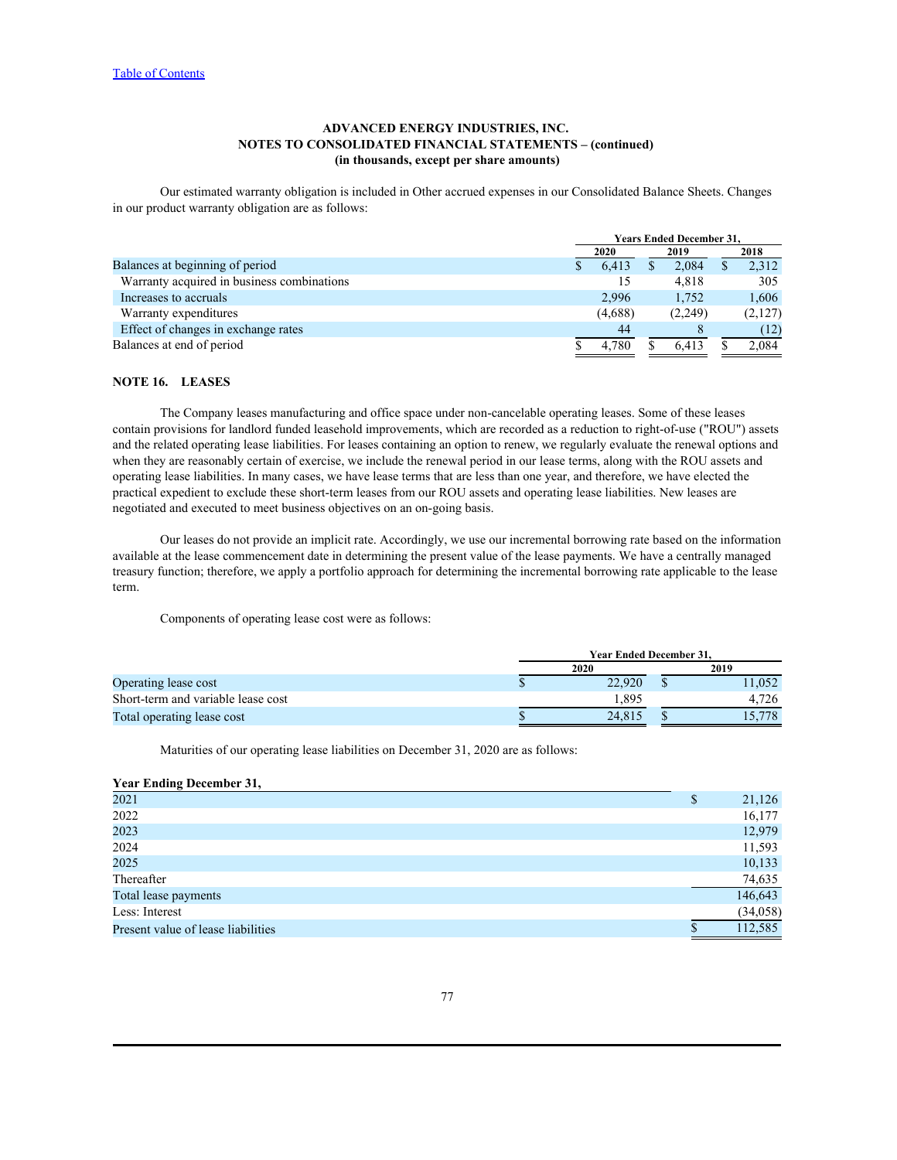Our estimated warranty obligation is included in Other accrued expenses in our Consolidated Balance Sheets. Changes in our product warranty obligation are as follows:

| <b>Years Ended December 31.</b> |         |  |         |  |         |  |  |  |
|---------------------------------|---------|--|---------|--|---------|--|--|--|
|                                 | 2020    |  | 2019    |  | 2018    |  |  |  |
|                                 | 6,413   |  | 2,084   |  | 2,312   |  |  |  |
|                                 |         |  | 4,818   |  | 305     |  |  |  |
|                                 | 2,996   |  | 1,752   |  | 1,606   |  |  |  |
|                                 | (4,688) |  | (2,249) |  | (2,127) |  |  |  |
|                                 | 44      |  |         |  | (12)    |  |  |  |
|                                 | 4,780   |  | 6.413   |  | 2,084   |  |  |  |
|                                 |         |  |         |  |         |  |  |  |

## **NOTE 16. LEASES**

The Company leases manufacturing and office space under non-cancelable operating leases. Some of these leases contain provisions for landlord funded leasehold improvements, which are recorded as a reduction to right-of-use ("ROU") assets and the related operating lease liabilities. For leases containing an option to renew, we regularly evaluate the renewal options and when they are reasonably certain of exercise, we include the renewal period in our lease terms, along with the ROU assets and operating lease liabilities. In many cases, we have lease terms that are less than one year, and therefore, we have elected the practical expedient to exclude these short-term leases from our ROU assets and operating lease liabilities. New leases are negotiated and executed to meet business objectives on an on-going basis.

Our leases do not provide an implicit rate. Accordingly, we use our incremental borrowing rate based on the information available at the lease commencement date in determining the present value of the lease payments. We have a centrally managed treasury function; therefore, we apply a portfolio approach for determining the incremental borrowing rate applicable to the lease term.

Components of operating lease cost were as follows:

|                                    | <b>Year Ended December 31.</b> |        |      |        |  |  |  |
|------------------------------------|--------------------------------|--------|------|--------|--|--|--|
|                                    | 2020                           |        | 2019 |        |  |  |  |
| Operating lease cost               |                                | 22,920 |      | 11,052 |  |  |  |
| Short-term and variable lease cost |                                | .895   |      | 1,726  |  |  |  |
| Total operating lease cost         |                                | 24,815 |      | 15,778 |  |  |  |

Maturities of our operating lease liabilities on December 31, 2020 are as follows:

| 21,126    |
|-----------|
| 16,177    |
| 12,979    |
| 11,593    |
| 10,133    |
| 74,635    |
| 146,643   |
| (34, 058) |
| 112,585   |
|           |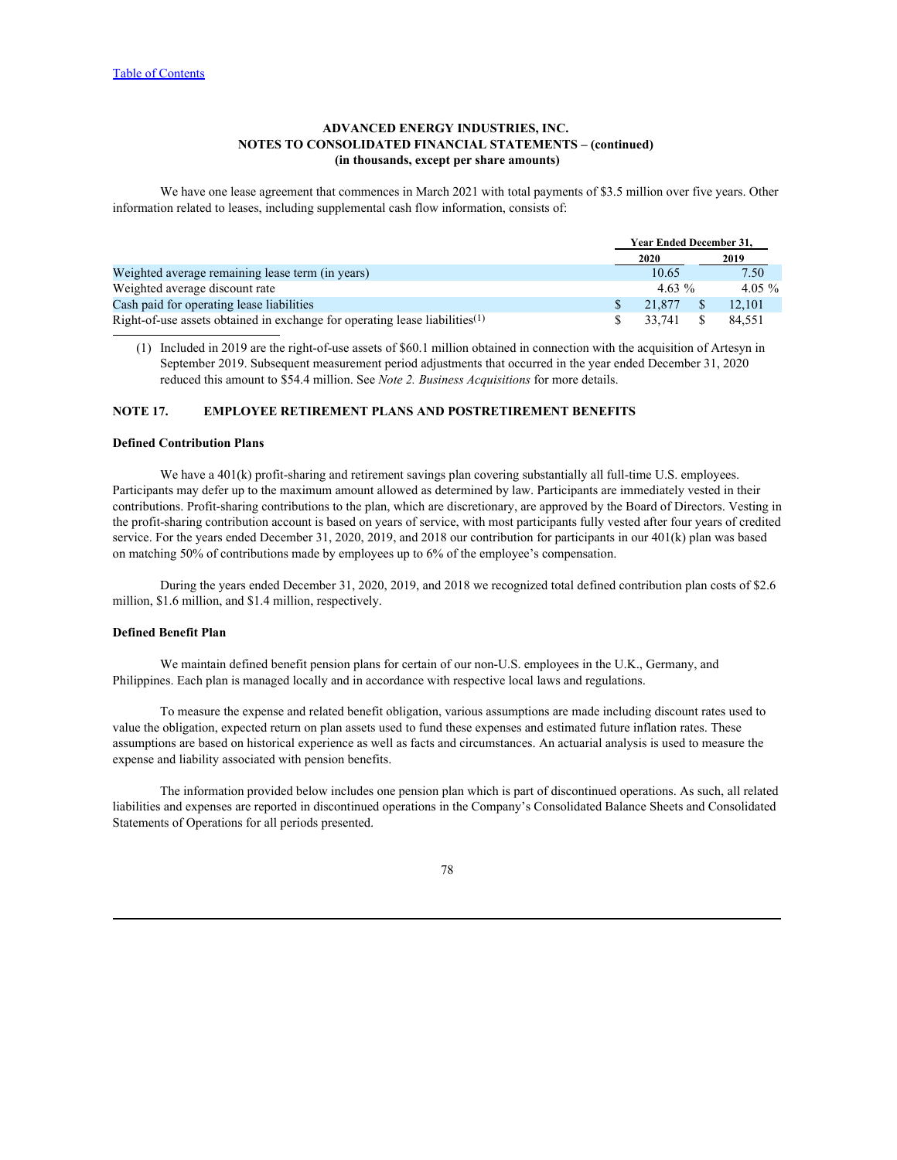We have one lease agreement that commences in March 2021 with total payments of \$3.5 million over five years. Other information related to leases, including supplemental cash flow information, consists of:

|                                                                                |          | <b>Year Ended December 31,</b> |  |  |
|--------------------------------------------------------------------------------|----------|--------------------------------|--|--|
|                                                                                | 2020     | 2019                           |  |  |
| Weighted average remaining lease term (in years)                               | 10.65    | 7.50                           |  |  |
| Weighted average discount rate                                                 | 4.63 $%$ | 4.05 $%$                       |  |  |
| Cash paid for operating lease liabilities                                      | 21,877   | 12.101                         |  |  |
| Right-of-use assets obtained in exchange for operating lease liabilities $(1)$ | 33.741   | 84,551                         |  |  |

(1) Included in 2019 are the right-of-use assets of \$60.1 million obtained in connection with the acquisition of Artesyn in September 2019. Subsequent measurement period adjustments that occurred in the year ended December 31, 2020 reduced this amount to \$54.4 million. See *Note 2. Business Acquisitions* for more details.

## **NOTE 17. EMPLOYEE RETIREMENT PLANS AND POSTRETIREMENT BENEFITS**

#### **Defined Contribution Plans**

We have a 401(k) profit-sharing and retirement savings plan covering substantially all full-time U.S. employees. Participants may defer up to the maximum amount allowed as determined by law. Participants are immediately vested in their contributions. Profit-sharing contributions to the plan, which are discretionary, are approved by the Board of Directors. Vesting in the profit-sharing contribution account is based on years of service, with most participants fully vested after four years of credited service. For the years ended December 31, 2020, 2019, and 2018 our contribution for participants in our 401(k) plan was based on matching 50% of contributions made by employees up to 6% of the employee's compensation.

During the years ended December 31, 2020, 2019, and 2018 we recognized total defined contribution plan costs of \$2.6 million, \$1.6 million, and \$1.4 million, respectively.

#### **Defined Benefit Plan**

We maintain defined benefit pension plans for certain of our non-U.S. employees in the U.K., Germany, and Philippines. Each plan is managed locally and in accordance with respective local laws and regulations.

To measure the expense and related benefit obligation, various assumptions are made including discount rates used to value the obligation, expected return on plan assets used to fund these expenses and estimated future inflation rates. These assumptions are based on historical experience as well as facts and circumstances. An actuarial analysis is used to measure the expense and liability associated with pension benefits.

The information provided below includes one pension plan which is part of discontinued operations. As such, all related liabilities and expenses are reported in discontinued operations in the Company's Consolidated Balance Sheets and Consolidated Statements of Operations for all periods presented.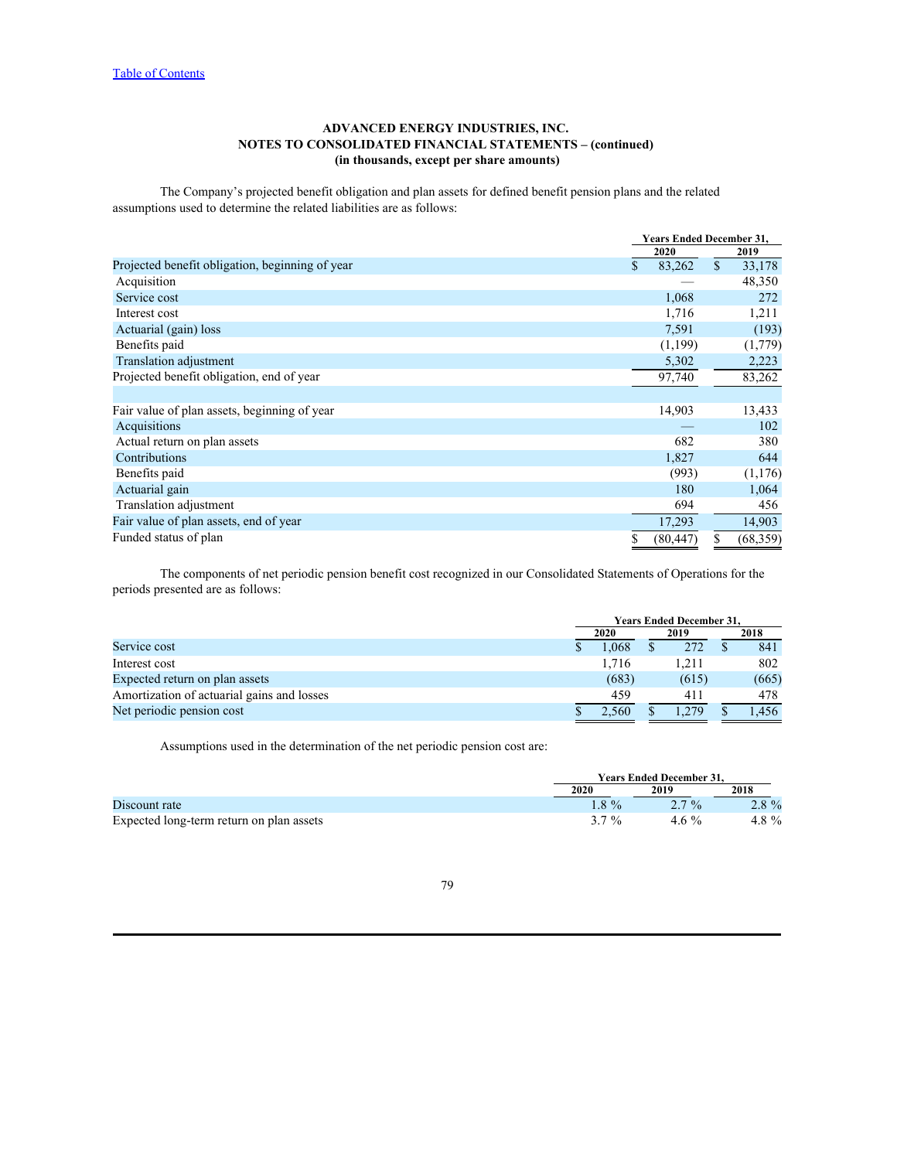The Company's projected benefit obligation and plan assets for defined benefit pension plans and the related assumptions used to determine the related liabilities are as follows:

|                                                 | <b>Years Ended December 31,</b> |           |
|-------------------------------------------------|---------------------------------|-----------|
|                                                 | 2020                            | 2019      |
| Projected benefit obligation, beginning of year | 83,262                          | 33,178    |
| Acquisition                                     | $\hspace{0.05cm}$               | 48,350    |
| Service cost                                    | 1,068                           | 272       |
| Interest cost                                   | 1,716                           | 1,211     |
| Actuarial (gain) loss                           | 7,591                           | (193)     |
| Benefits paid                                   | (1,199)                         | (1,779)   |
| Translation adjustment                          | 5,302                           | 2,223     |
| Projected benefit obligation, end of year       | 97,740                          | 83,262    |
|                                                 |                                 |           |
| Fair value of plan assets, beginning of year    | 14,903                          | 13,433    |
| Acquisitions                                    |                                 | 102       |
| Actual return on plan assets                    | 682                             | 380       |
| Contributions                                   | 1,827                           | 644       |
| Benefits paid                                   | (993)                           | (1,176)   |
| Actuarial gain                                  | 180                             | 1,064     |
| Translation adjustment                          | 694                             | 456       |
| Fair value of plan assets, end of year          | 17,293                          | 14,903    |
| Funded status of plan                           | (80, 447)                       | (68, 359) |

The components of net periodic pension benefit cost recognized in our Consolidated Statements of Operations for the periods presented are as follows:

|                                            | <b>Years Ended December 31.</b> |       |  |       |  |       |  |  |  |
|--------------------------------------------|---------------------------------|-------|--|-------|--|-------|--|--|--|
|                                            |                                 | 2020  |  | 2019  |  | 2018  |  |  |  |
| Service cost                               |                                 | .068  |  | 272   |  | 841   |  |  |  |
| Interest cost                              |                                 | .716  |  | 1,211 |  | 802   |  |  |  |
| Expected return on plan assets             |                                 | (683) |  | (615) |  | (665) |  |  |  |
| Amortization of actuarial gains and losses |                                 | 459   |  | 41    |  | 478   |  |  |  |
| Net periodic pension cost                  |                                 | .,560 |  | .279  |  | .456  |  |  |  |

Assumptions used in the determination of the net periodic pension cost are:

|                                          |         | <b>Years Ended December 31,</b> |                          |  |
|------------------------------------------|---------|---------------------------------|--------------------------|--|
|                                          | 2020    | 2019                            | 2018                     |  |
| Discount rate                            | 1.8 %   | 270                             | 200<br>$-0.070$          |  |
| Expected long-term return on plan assets | $3.7\%$ | +.v 7                           | $\sqrt{0}$<br>$4.0 \t/0$ |  |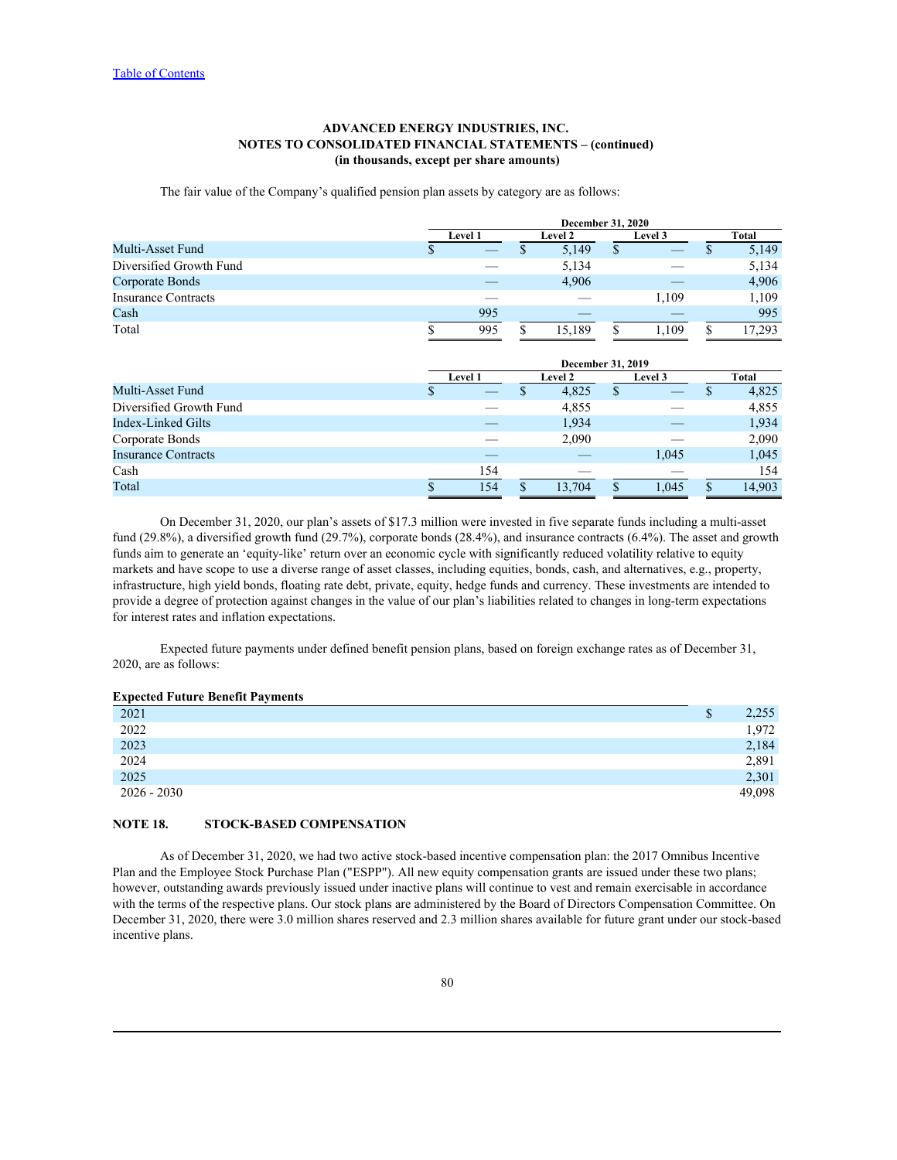The fair value of the Company's qualified pension plan assets by category are as follows:

|                            |                                 | <b>December 31, 2020</b> |                |  |                                 |  |        |  |  |  |  |
|----------------------------|---------------------------------|--------------------------|----------------|--|---------------------------------|--|--------|--|--|--|--|
|                            | <b>Level 1</b>                  |                          | <b>Level 2</b> |  | <b>Level 3</b>                  |  | Total  |  |  |  |  |
| Multi-Asset Fund           |                                 |                          | 5,149          |  | $-$                             |  | 5,149  |  |  |  |  |
| Diversified Growth Fund    | $\hspace{0.1mm}-\hspace{0.1mm}$ |                          | 5,134          |  | $\overline{\phantom{m}}$        |  | 5,134  |  |  |  |  |
| Corporate Bonds            |                                 |                          | 4,906          |  | $\hspace{0.1mm}-\hspace{0.1mm}$ |  | 4,906  |  |  |  |  |
| <b>Insurance Contracts</b> | $\overbrace{\hspace{25mm}}^{}$  |                          |                |  | 1,109                           |  | 1,109  |  |  |  |  |
| Cash                       | 995                             |                          |                |  | $-$                             |  | 995    |  |  |  |  |
| Total                      | 995                             |                          | 5,189          |  | ,109                            |  | 17,293 |  |  |  |  |

|                            | December 31, 2019               |  |                                |  |                                 |       |        |  |  |  |
|----------------------------|---------------------------------|--|--------------------------------|--|---------------------------------|-------|--------|--|--|--|
|                            | <b>Level 1</b>                  |  | <b>Level 2</b>                 |  | Level 3                         | Total |        |  |  |  |
| Multi-Asset Fund           | $\hspace{0.1mm}-\hspace{0.1mm}$ |  | 4,825                          |  | $-$                             |       | 4,825  |  |  |  |
| Diversified Growth Fund    | $\hspace{0.05cm}$               |  | 4,855                          |  |                                 |       | 4,855  |  |  |  |
| Index-Linked Gilts         | $\hspace{0.1mm}-\hspace{0.1mm}$ |  | 1,934                          |  | $\qquad \qquad \longleftarrow$  |       | 1,934  |  |  |  |
| Corporate Bonds            |                                 |  | 2,090                          |  | —                               |       | 2,090  |  |  |  |
| <b>Insurance Contracts</b> |                                 |  | $\qquad \qquad \longleftarrow$ |  | 1,045                           |       | 1,045  |  |  |  |
| Cash                       | 154                             |  |                                |  | $\hspace{0.1mm}-\hspace{0.1mm}$ |       | 154    |  |  |  |
| Total                      | 154                             |  | 3,704                          |  | 1,045                           |       | 14,903 |  |  |  |

On December 31, 2020, our plan's assets of \$17.3 million were invested in five separate funds including a multi-asset fund (29.8%), a diversified growth fund (29.7%), corporate bonds (28.4%), and insurance contracts (6.4%). The asset and growth funds aim to generate an 'equity-like' return over an economic cycle with significantly reduced volatility relative to equity markets and have scope to use a diverse range of asset classes, including equities, bonds, cash, and alternatives, e.g., property, infrastructure, high yield bonds, floating rate debt, private, equity, hedge funds and currency. These investments are intended to provide a degree of protection against changes in the value of our plan's liabilities related to changes in long-term expectations for interest rates and inflation expectations.

Expected future payments under defined benefit pension plans, based on foreign exchange rates as of December 31, 2020, are as follows:

#### **Expected Future Benefit Payments**

| 2021          | 2,255<br>Ψ |
|---------------|------------|
| 2022          | 1,972      |
| 2023          | 2,184      |
| 2024          | 2,891      |
| 2025          | 2,301      |
| $2026 - 2030$ | 49,098     |
|               |            |

#### **NOTE 18. STOCK-BASED COMPENSATION**

As of December 31, 2020, we had two active stock-based incentive compensation plan: the 2017 Omnibus Incentive Plan and the Employee Stock Purchase Plan ("ESPP"). All new equity compensation grants are issued under these two plans; however, outstanding awards previously issued under inactive plans will continue to vest and remain exercisable in accordance with the terms of the respective plans. Our stock plans are administered by the Board of Directors Compensation Committee. On December 31, 2020, there were 3.0 million shares reserved and 2.3 million shares available for future grant under our stock-based incentive plans.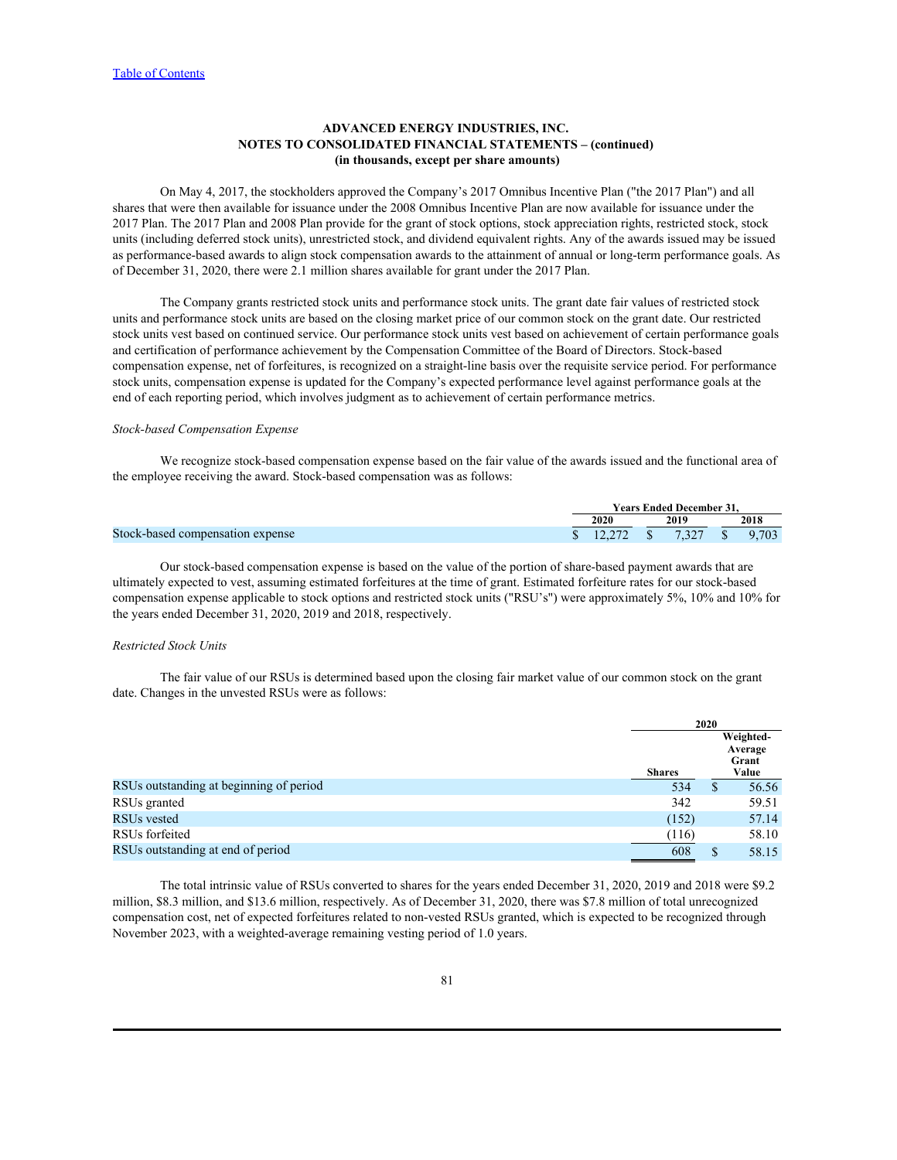On May 4, 2017, the stockholders approved the Company's 2017 Omnibus Incentive Plan ("the 2017 Plan") and all shares that were then available for issuance under the 2008 Omnibus Incentive Plan are now available for issuance under the 2017 Plan. The 2017 Plan and 2008 Plan provide for the grant of stock options, stock appreciation rights, restricted stock, stock units (including deferred stock units), unrestricted stock, and dividend equivalent rights. Any of the awards issued may be issued as performance-based awards to align stock compensation awards to the attainment of annual or long-term performance goals. As of December 31, 2020, there were 2.1 million shares available for grant under the 2017 Plan.

The Company grants restricted stock units and performance stock units. The grant date fair values of restricted stock units and performance stock units are based on the closing market price of our common stock on the grant date. Our restricted stock units vest based on continued service. Our performance stock units vest based on achievement of certain performance goals and certification of performance achievement by the Compensation Committee of the Board of Directors. Stock-based compensation expense, net of forfeitures, is recognized on a straight-line basis over the requisite service period. For performance stock units, compensation expense is updated for the Company's expected performance level against performance goals at the end of each reporting period, which involves judgment as to achievement of certain performance metrics.

#### *Stock-based Compensation Expense*

We recognize stock-based compensation expense based on the fair value of the awards issued and the functional area of the employee receiving the award. Stock-based compensation was as follows:

|                                  | Y ears                           | rs Ended December 31. |       |
|----------------------------------|----------------------------------|-----------------------|-------|
|                                  | 2020                             | 2019                  | 2018  |
| Stock-based compensation expense | $\sim$ $\sim$ $\sim$<br>1.4.4.14 | 7.005<br>ے ر          | 9,703 |

Our stock-based compensation expense is based on the value of the portion of share-based payment awards that are ultimately expected to vest, assuming estimated forfeitures at the time of grant. Estimated forfeiture rates for our stock-based compensation expense applicable to stock options and restricted stock units ("RSU's") were approximately 5%, 10% and 10% for the years ended December 31, 2020, 2019 and 2018, respectively.

#### *Restricted Stock Units*

The fair value of our RSUs is determined based upon the closing fair market value of our common stock on the grant date. Changes in the unvested RSUs were as follows:

|                                         | 2020          |  |                       |  |  |
|-----------------------------------------|---------------|--|-----------------------|--|--|
|                                         | Weighted-     |  |                       |  |  |
|                                         |               |  | Average               |  |  |
|                                         | <b>Shares</b> |  | Grant<br><b>Value</b> |  |  |
| RSUs outstanding at beginning of period | 534           |  | 56.56                 |  |  |
| RSUs granted                            | 342           |  | 59.51                 |  |  |
| RSUs vested                             | (152)         |  | 57.14                 |  |  |
| RSUs forfeited                          | (116)         |  | 58.10                 |  |  |
| RSUs outstanding at end of period       | 608           |  | 58.15                 |  |  |

The total intrinsic value of RSUs converted to shares for the years ended December 31, 2020, 2019 and 2018 were \$9.2 million, \$8.3 million, and \$13.6 million, respectively. As of December 31, 2020, there was \$7.8 million of total unrecognized compensation cost, net of expected forfeitures related to non-vested RSUs granted, which is expected to be recognized through November 2023, with a weighted-average remaining vesting period of 1.0 years.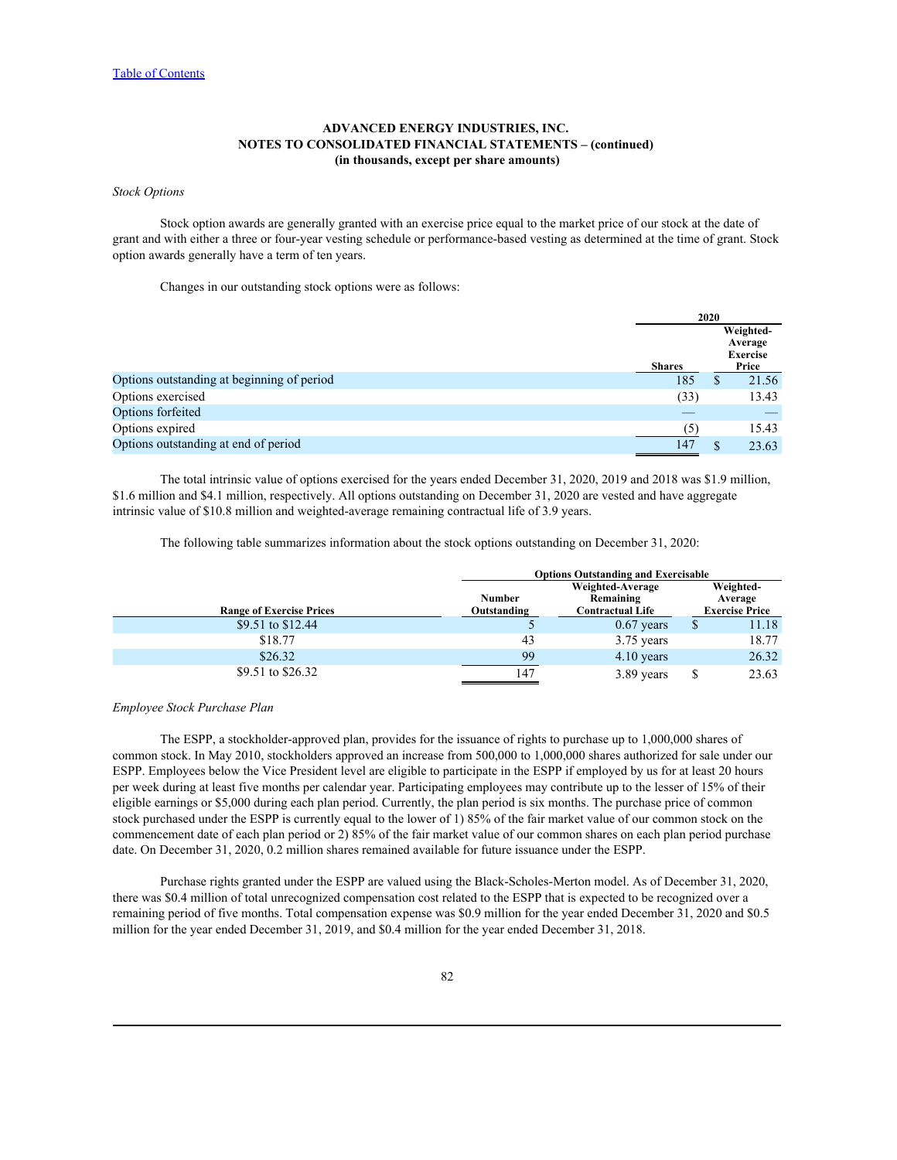#### *Stock Options*

Stock option awards are generally granted with an exercise price equal to the market price of our stock at the date of grant and with either a three or four-year vesting schedule or performance-based vesting as determined at the time of grant. Stock option awards generally have a term of ten years.

Changes in our outstanding stock options were as follows:

|                                            |               | 2020            |           |  |
|--------------------------------------------|---------------|-----------------|-----------|--|
|                                            |               |                 | Weighted- |  |
|                                            |               |                 | Average   |  |
|                                            |               | <b>Exercise</b> |           |  |
|                                            | <b>Shares</b> |                 | Price     |  |
| Options outstanding at beginning of period | 185           |                 | 21.56     |  |
| Options exercised                          | (33)          |                 | 13.43     |  |
| Options forfeited                          |               |                 |           |  |
| Options expired                            | (5)           |                 | 15.43     |  |
| Options outstanding at end of period       | 147           |                 | 23.63     |  |

The total intrinsic value of options exercised for the years ended December 31, 2020, 2019 and 2018 was \$1.9 million, \$1.6 million and \$4.1 million, respectively. All options outstanding on December 31, 2020 are vested and have aggregate intrinsic value of \$10.8 million and weighted-average remaining contractual life of 3.9 years.

The following table summarizes information about the stock options outstanding on December 31, 2020:

|                                 |             | <b>Options Outstanding and Exercisable</b> |                       |
|---------------------------------|-------------|--------------------------------------------|-----------------------|
|                                 |             | Weighted-Average                           | Weighted-             |
|                                 | Number      | Remaining                                  | Average               |
| <b>Range of Exercise Prices</b> | Outstanding | Contractual Life                           | <b>Exercise Price</b> |
| \$9.51 to \$12.44               |             | $0.67$ years                               | 11.18                 |
| \$18.77                         | 43          | $3.75$ years                               | 18.77                 |
| \$26.32                         | 99          | $4.10$ years                               | 26.32                 |
| \$9.51 to \$26.32               | 147         | 3.89 years                                 | 23.63                 |

*Employee Stock Purchase Plan*

The ESPP, a stockholder-approved plan, provides for the issuance of rights to purchase up to 1,000,000 shares of common stock. In May 2010, stockholders approved an increase from 500,000 to 1,000,000 shares authorized for sale under our ESPP. Employees below the Vice President level are eligible to participate in the ESPP if employed by us for at least 20 hours per week during at least five months per calendar year. Participating employees may contribute up to the lesser of 15% of their eligible earnings or \$5,000 during each plan period. Currently, the plan period is six months. The purchase price of common stock purchased under the ESPP is currently equal to the lower of 1) 85% of the fair market value of our common stock on the commencement date of each plan period or 2) 85% of the fair market value of our common shares on each plan period purchase date. On December 31, 2020, 0.2 million shares remained available for future issuance under the ESPP.

Purchase rights granted under the ESPP are valued using the Black-Scholes-Merton model. As of December 31, 2020, there was \$0.4 million of total unrecognized compensation cost related to the ESPP that is expected to be recognized over a remaining period of five months. Total compensation expense was \$0.9 million for the year ended December 31, 2020 and \$0.5 million for the year ended December 31, 2019, and \$0.4 million for the year ended December 31, 2018.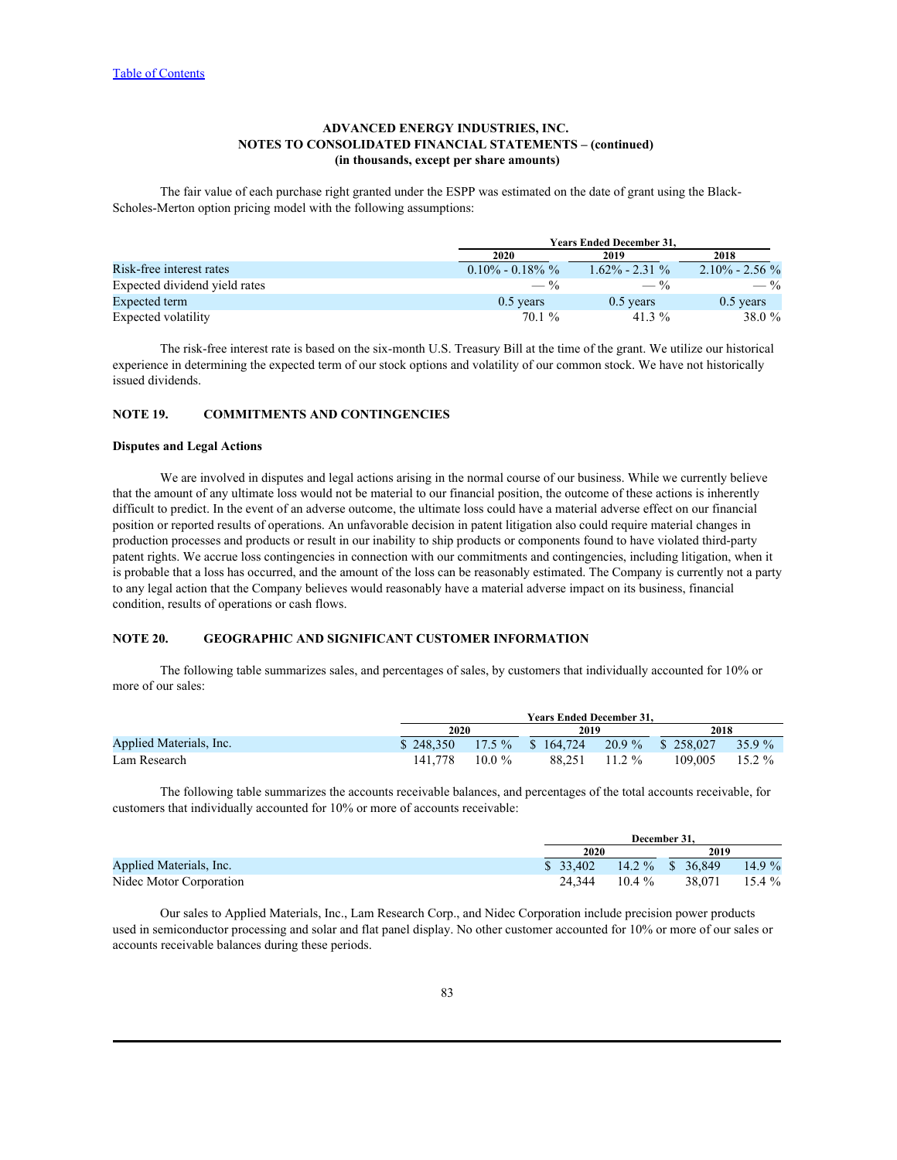The fair value of each purchase right granted under the ESPP was estimated on the date of grant using the Black-Scholes-Merton option pricing model with the following assumptions:

|                               |                       | <b>Years Ended December 31.</b> |                   |
|-------------------------------|-----------------------|---------------------------------|-------------------|
|                               | 2020                  | 2019                            | 2018              |
| Risk-free interest rates      | $0.10\%$ - 0.18% $\%$ | $1.62\% - 2.31\%$               | $2.10\% - 2.56\%$ |
| Expected dividend yield rates | $-$ %                 | $ \overline{\phantom{a}}$       | $ \frac{9}{2}$    |
| Expected term                 | $0.5$ years           | $0.5$ years                     | $0.5$ years       |
| Expected volatility           | 70.1 %                | 41.3 $%$                        | 38.0 %            |

The risk-free interest rate is based on the six-month U.S. Treasury Bill at the time of the grant. We utilize our historical experience in determining the expected term of our stock options and volatility of our common stock. We have not historically issued dividends.

#### **NOTE 19. COMMITMENTS AND CONTINGENCIES**

# **Disputes and Legal Actions**

We are involved in disputes and legal actions arising in the normal course of our business. While we currently believe that the amount of any ultimate loss would not be material to our financial position, the outcome of these actions is inherently difficult to predict. In the event of an adverse outcome, the ultimate loss could have a material adverse effect on our financial position or reported results of operations. An unfavorable decision in patent litigation also could require material changes in production processes and products or result in our inability to ship products or components found to have violated third-party patent rights. We accrue loss contingencies in connection with our commitments and contingencies, including litigation, when it is probable that a loss has occurred, and the amount of the loss can be reasonably estimated. The Company is currently not a party to any legal action that the Company believes would reasonably have a material adverse impact on its business, financial condition, results of operations or cash flows.

#### **NOTE 20. GEOGRAPHIC AND SIGNIFICANT CUSTOMER INFORMATION**

The following table summarizes sales, and percentages of sales, by customers that individually accounted for 10% or more of our sales:

|                         |             |           | <b>Years Ended December 31.</b> |                 |         |                             |
|-------------------------|-------------|-----------|---------------------------------|-----------------|---------|-----------------------------|
|                         | 2020        |           | 2019                            |                 | 2018    |                             |
| Applied Materials, Inc. | 248,350     | $17.5 \%$ | 164,724                         | 20.9 %          | 258,027 | 35.9 %                      |
| Lam Research            | .778<br>141 | $10.0 \%$ | 88,251                          | 2.96<br>$\cdot$ | 109,005 | $152\%$<br>1 <i>0.4</i> / 0 |

The following table summarizes the accounts receivable balances, and percentages of the total accounts receivable, for customers that individually accounted for 10% or more of accounts receivable:

|                         |        |           | December 31, |           |
|-------------------------|--------|-----------|--------------|-----------|
|                         | 2020   |           | 2019         |           |
| Applied Materials, Inc. | 33,402 | $14.2 \%$ | 36,849       | 14.9 %    |
| Nidec Motor Corporation | 24,344 | 10.4%     | 38.071       | $15.4 \%$ |

Our sales to Applied Materials, Inc., Lam Research Corp., and Nidec Corporation include precision power products used in semiconductor processing and solar and flat panel display. No other customer accounted for 10% or more of our sales or accounts receivable balances during these periods.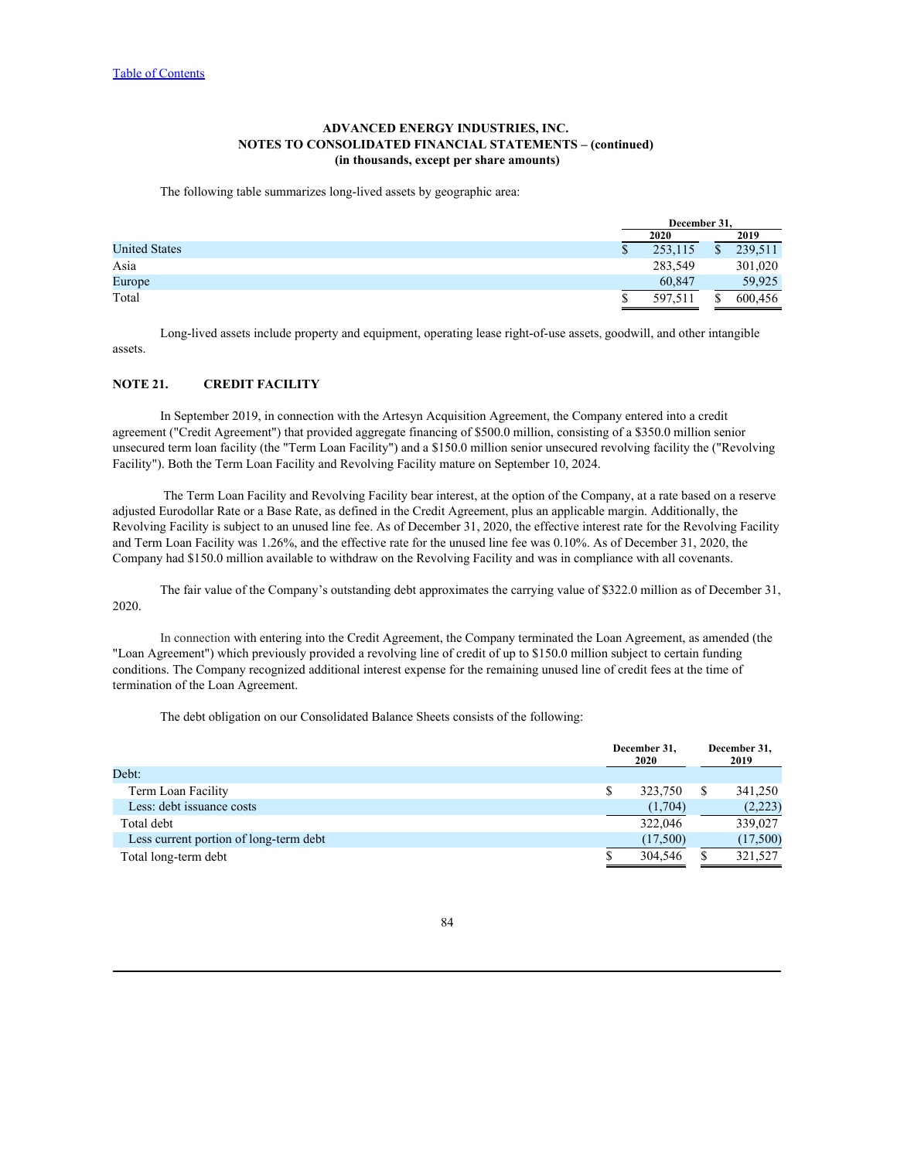The following table summarizes long-lived assets by geographic area:

|                      | December 31. |         |
|----------------------|--------------|---------|
|                      | 2020         | 2019    |
| <b>United States</b> | 253,115      | 239,511 |
| Asia                 | 283,549      | 301,020 |
| Europe               | 60,847       | 59,925  |
| Total                | 597,511      | 600,456 |

Long-lived assets include property and equipment, operating lease right-of-use assets, goodwill, and other intangible assets.

#### **NOTE 21. CREDIT FACILITY**

In September 2019, in connection with the Artesyn Acquisition Agreement, the Company entered into a credit agreement ("Credit Agreement") that provided aggregate financing of \$500.0 million, consisting of a \$350.0 million senior unsecured term loan facility (the "Term Loan Facility") and a \$150.0 million senior unsecured revolving facility the ("Revolving Facility"). Both the Term Loan Facility and Revolving Facility mature on September 10, 2024.

 The Term Loan Facility and Revolving Facility bear interest, at the option of the Company, at a rate based on a reserve adjusted Eurodollar Rate or a Base Rate, as defined in the Credit Agreement, plus an applicable margin. Additionally, the Revolving Facility is subject to an unused line fee. As of December 31, 2020, the effective interest rate for the Revolving Facility and Term Loan Facility was 1.26%, and the effective rate for the unused line fee was 0.10%. As of December 31, 2020, the Company had \$150.0 million available to withdraw on the Revolving Facility and was in compliance with all covenants.

The fair value of the Company's outstanding debt approximates the carrying value of \$322.0 million as of December 31, 2020.

In connection with entering into the Credit Agreement, the Company terminated the Loan Agreement, as amended (the "Loan Agreement") which previously provided a revolving line of credit of up to \$150.0 million subject to certain funding conditions. The Company recognized additional interest expense for the remaining unused line of credit fees at the time of termination of the Loan Agreement.

The debt obligation on our Consolidated Balance Sheets consists of the following:

|                                        | December 31,<br><b>2020</b> | December 31,<br>2019 |
|----------------------------------------|-----------------------------|----------------------|
| Debt:                                  |                             |                      |
| Term Loan Facility                     | 323,750                     | 341,250              |
| Less: debt issuance costs              | (1,704)                     | (2,223)              |
| Total debt                             | 322,046                     | 339,027              |
| Less current portion of long-term debt | (17,500)                    | (17,500)             |
| Total long-term debt                   | 304,546                     | 321,527              |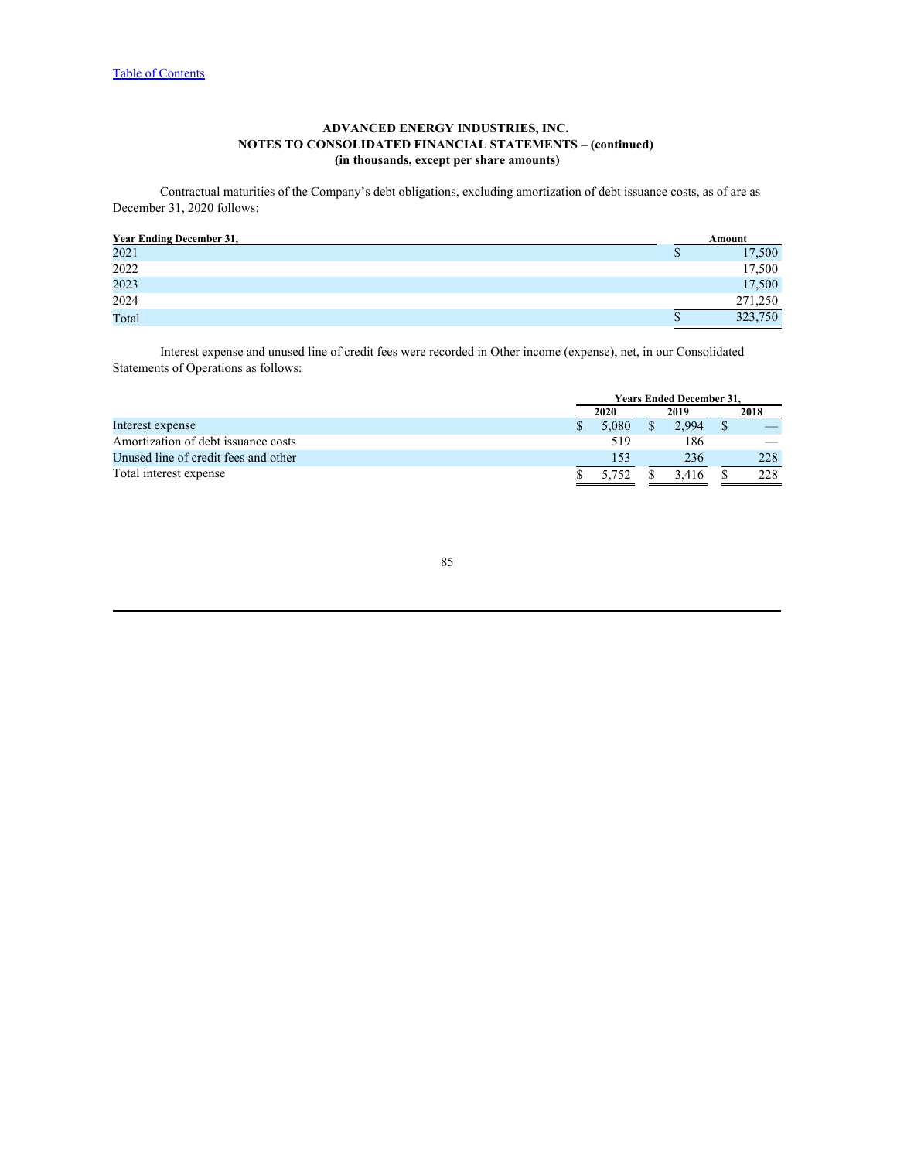Contractual maturities of the Company's debt obligations, excluding amortization of debt issuance costs, as of are as December 31, 2020 follows:

| Year Ending December 31, | Amount  |
|--------------------------|---------|
| 2021                     | 17,500  |
| 2022                     | 17,500  |
| 2023                     | 17,500  |
| 2024                     | 271,250 |
| Total                    | 323,750 |

Interest expense and unused line of credit fees were recorded in Other income (expense), net, in our Consolidated Statements of Operations as follows:

|                                      |       | <b>Years Ended December 31,</b> |       |      |            |  |
|--------------------------------------|-------|---------------------------------|-------|------|------------|--|
|                                      | 2020  |                                 | 2019  | 2018 |            |  |
| Interest expense                     | 5,080 |                                 | 2,994 |      |            |  |
| Amortization of debt issuance costs  | 519   |                                 | 186   |      |            |  |
| Unused line of credit fees and other | 153   |                                 | 236   |      | 228        |  |
| Total interest expense               | 5,752 |                                 | .416  |      | <b>228</b> |  |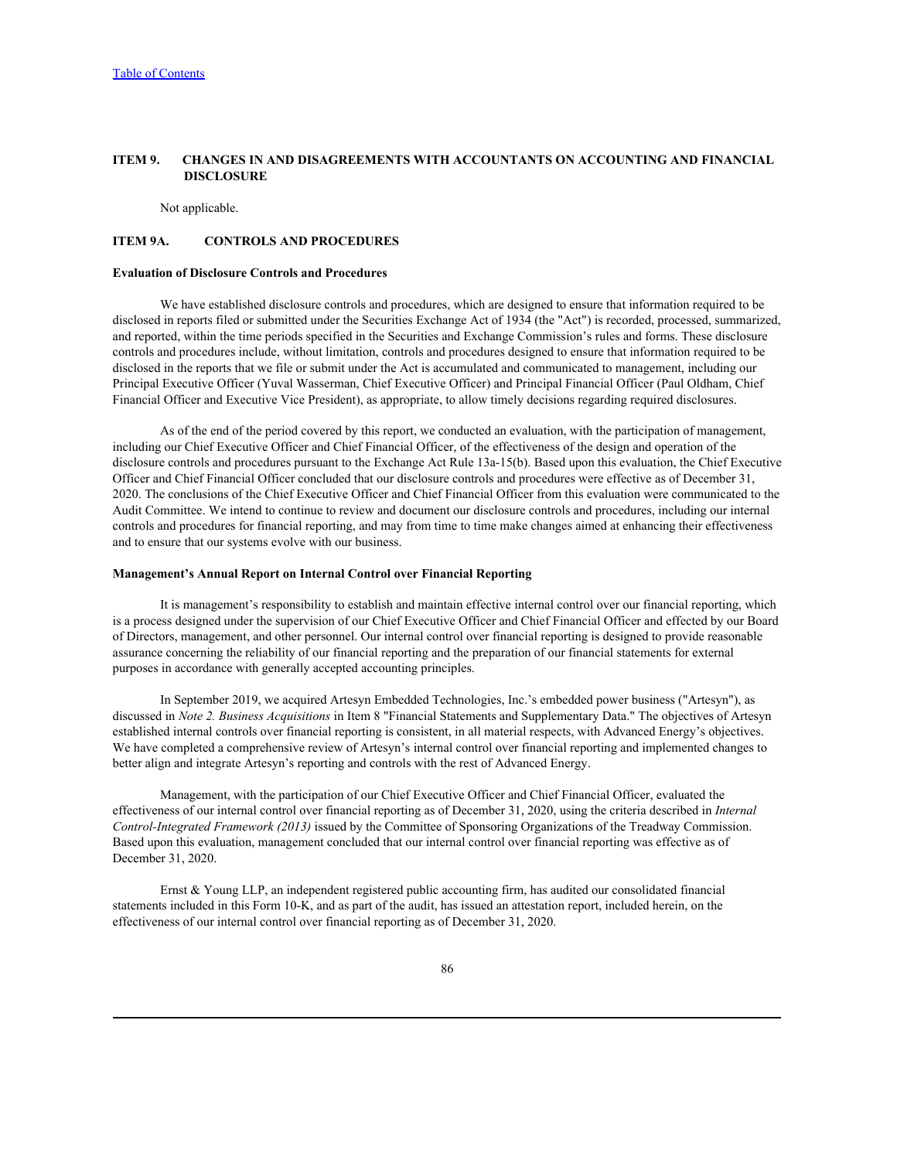#### **ITEM 9. CHANGES IN AND DISAGREEMENTS WITH ACCOUNTANTS ON ACCOUNTING AND FINANCIAL DISCLOSURE**

Not applicable.

# **ITEM 9A. CONTROLS AND PROCEDURES**

#### **Evaluation of Disclosure Controls and Procedures**

We have established disclosure controls and procedures, which are designed to ensure that information required to be disclosed in reports filed or submitted under the Securities Exchange Act of 1934 (the "Act") is recorded, processed, summarized, and reported, within the time periods specified in the Securities and Exchange Commission's rules and forms. These disclosure controls and procedures include, without limitation, controls and procedures designed to ensure that information required to be disclosed in the reports that we file or submit under the Act is accumulated and communicated to management, including our Principal Executive Officer (Yuval Wasserman, Chief Executive Officer) and Principal Financial Officer (Paul Oldham, Chief Financial Officer and Executive Vice President), as appropriate, to allow timely decisions regarding required disclosures.

As of the end of the period covered by this report, we conducted an evaluation, with the participation of management, including our Chief Executive Officer and Chief Financial Officer, of the effectiveness of the design and operation of the disclosure controls and procedures pursuant to the Exchange Act Rule 13a-15(b). Based upon this evaluation, the Chief Executive Officer and Chief Financial Officer concluded that our disclosure controls and procedures were effective as of December 31, 2020. The conclusions of the Chief Executive Officer and Chief Financial Officer from this evaluation were communicated to the Audit Committee. We intend to continue to review and document our disclosure controls and procedures, including our internal controls and procedures for financial reporting, and may from time to time make changes aimed at enhancing their effectiveness and to ensure that our systems evolve with our business.

#### **Management's Annual Report on Internal Control over Financial Reporting**

It is management's responsibility to establish and maintain effective internal control over our financial reporting, which is a process designed under the supervision of our Chief Executive Officer and Chief Financial Officer and effected by our Board of Directors, management, and other personnel. Our internal control over financial reporting is designed to provide reasonable assurance concerning the reliability of our financial reporting and the preparation of our financial statements for external purposes in accordance with generally accepted accounting principles.

In September 2019, we acquired Artesyn Embedded Technologies, Inc.'s embedded power business ("Artesyn"), as discussed in *Note 2. Business Acquisitions* in Item 8 "Financial Statements and Supplementary Data." The objectives of Artesyn established internal controls over financial reporting is consistent, in all material respects, with Advanced Energy's objectives. We have completed a comprehensive review of Artesyn's internal control over financial reporting and implemented changes to better align and integrate Artesyn's reporting and controls with the rest of Advanced Energy.

Management, with the participation of our Chief Executive Officer and Chief Financial Officer, evaluated the effectiveness of our internal control over financial reporting as of December 31, 2020, using the criteria described in *Internal Control-Integrated Framework (2013)* issued by the Committee of Sponsoring Organizations of the Treadway Commission. Based upon this evaluation, management concluded that our internal control over financial reporting was effective as of December 31, 2020.

Ernst & Young LLP, an independent registered public accounting firm, has audited our consolidated financial statements included in this Form 10-K, and as part of the audit, has issued an attestation report, included herein, on the effectiveness of our internal control over financial reporting as of December 31, 2020.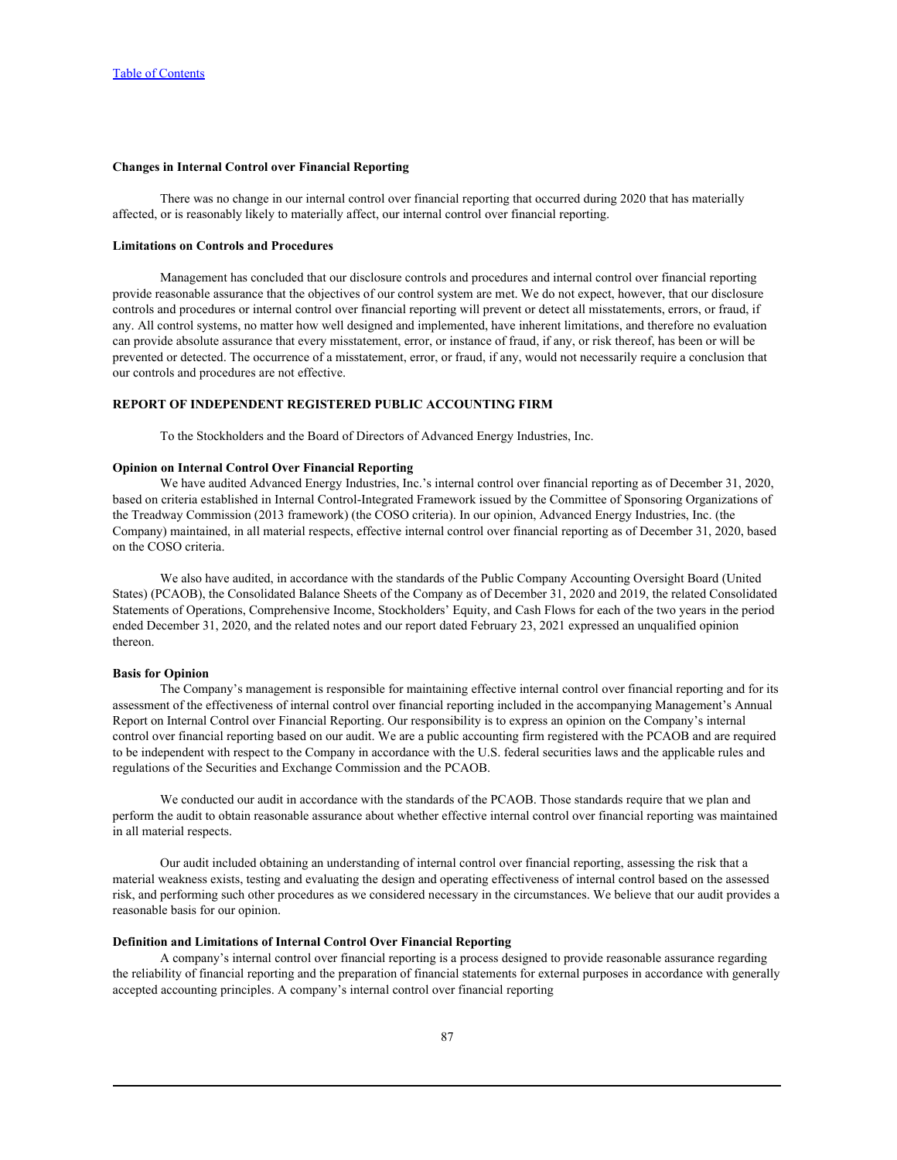#### **Changes in Internal Control over Financial Reporting**

There was no change in our internal control over financial reporting that occurred during 2020 that has materially affected, or is reasonably likely to materially affect, our internal control over financial reporting.

#### **Limitations on Controls and Procedures**

Management has concluded that our disclosure controls and procedures and internal control over financial reporting provide reasonable assurance that the objectives of our control system are met. We do not expect, however, that our disclosure controls and procedures or internal control over financial reporting will prevent or detect all misstatements, errors, or fraud, if any. All control systems, no matter how well designed and implemented, have inherent limitations, and therefore no evaluation can provide absolute assurance that every misstatement, error, or instance of fraud, if any, or risk thereof, has been or will be prevented or detected. The occurrence of a misstatement, error, or fraud, if any, would not necessarily require a conclusion that our controls and procedures are not effective.

## **REPORT OF INDEPENDENT REGISTERED PUBLIC ACCOUNTING FIRM**

To the Stockholders and the Board of Directors of Advanced Energy Industries, Inc.

#### **Opinion on Internal Control Over Financial Reporting**

We have audited Advanced Energy Industries, Inc.'s internal control over financial reporting as of December 31, 2020, based on criteria established in Internal Control-Integrated Framework issued by the Committee of Sponsoring Organizations of the Treadway Commission (2013 framework) (the COSO criteria). In our opinion, Advanced Energy Industries, Inc. (the Company) maintained, in all material respects, effective internal control over financial reporting as of December 31, 2020, based on the COSO criteria.

We also have audited, in accordance with the standards of the Public Company Accounting Oversight Board (United States) (PCAOB), the Consolidated Balance Sheets of the Company as of December 31, 2020 and 2019, the related Consolidated Statements of Operations, Comprehensive Income, Stockholders' Equity, and Cash Flows for each of the two years in the period ended December 31, 2020, and the related notes and our report dated February 23, 2021 expressed an unqualified opinion thereon.

#### **Basis for Opinion**

The Company's management is responsible for maintaining effective internal control over financial reporting and for its assessment of the effectiveness of internal control over financial reporting included in the accompanying Management's Annual Report on Internal Control over Financial Reporting. Our responsibility is to express an opinion on the Company's internal control over financial reporting based on our audit. We are a public accounting firm registered with the PCAOB and are required to be independent with respect to the Company in accordance with the U.S. federal securities laws and the applicable rules and regulations of the Securities and Exchange Commission and the PCAOB.

We conducted our audit in accordance with the standards of the PCAOB. Those standards require that we plan and perform the audit to obtain reasonable assurance about whether effective internal control over financial reporting was maintained in all material respects.

Our audit included obtaining an understanding of internal control over financial reporting, assessing the risk that a material weakness exists, testing and evaluating the design and operating effectiveness of internal control based on the assessed risk, and performing such other procedures as we considered necessary in the circumstances. We believe that our audit provides a reasonable basis for our opinion.

#### **Definition and Limitations of Internal Control Over Financial Reporting**

A company's internal control over financial reporting is a process designed to provide reasonable assurance regarding the reliability of financial reporting and the preparation of financial statements for external purposes in accordance with generally accepted accounting principles. A company's internal control over financial reporting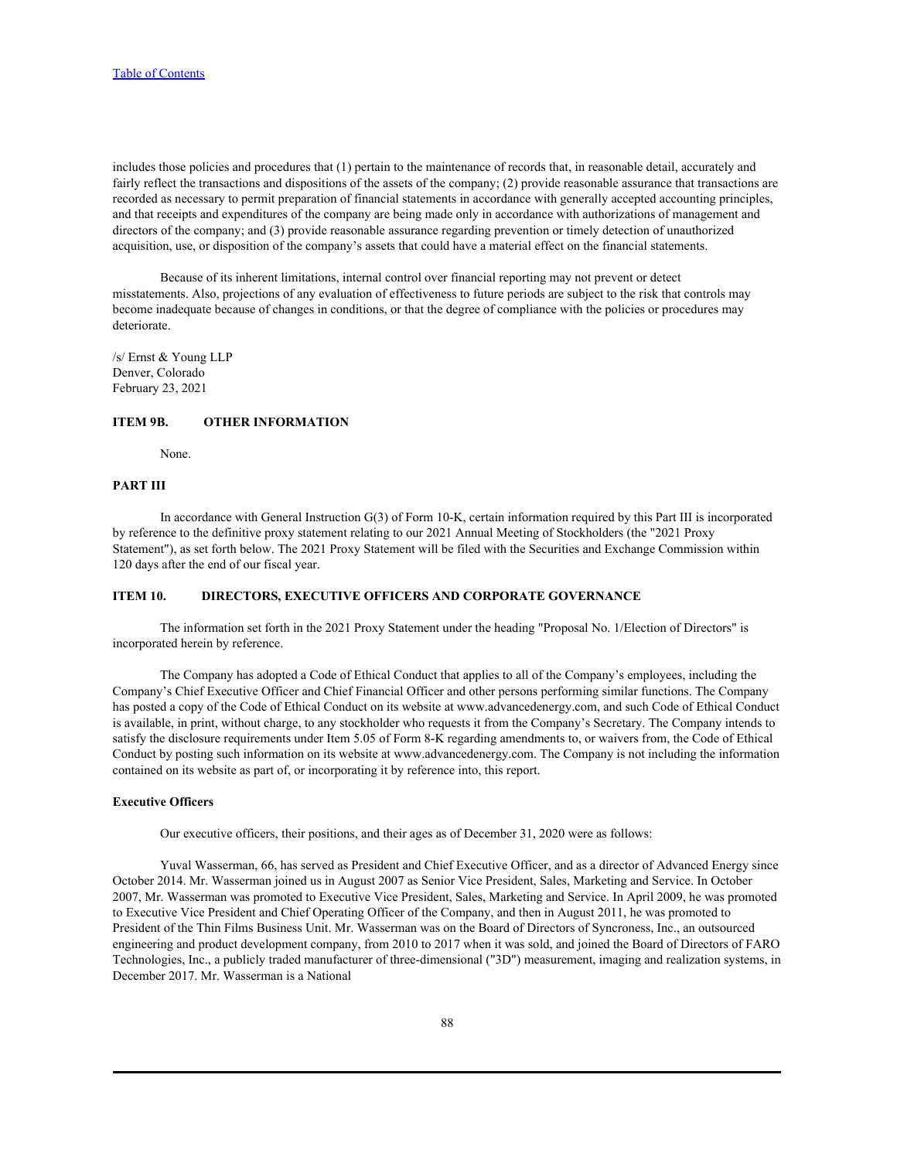includes those policies and procedures that (1) pertain to the maintenance of records that, in reasonable detail, accurately and fairly reflect the transactions and dispositions of the assets of the company; (2) provide reasonable assurance that transactions are recorded as necessary to permit preparation of financial statements in accordance with generally accepted accounting principles, and that receipts and expenditures of the company are being made only in accordance with authorizations of management and directors of the company; and (3) provide reasonable assurance regarding prevention or timely detection of unauthorized acquisition, use, or disposition of the company's assets that could have a material effect on the financial statements.

Because of its inherent limitations, internal control over financial reporting may not prevent or detect misstatements. Also, projections of any evaluation of effectiveness to future periods are subject to the risk that controls may become inadequate because of changes in conditions, or that the degree of compliance with the policies or procedures may deteriorate.

/s/ Ernst & Young LLP Denver, Colorado February 23, 2021

#### **ITEM 9B. OTHER INFORMATION**

None.

# **PART III**

In accordance with General Instruction G(3) of Form 10-K, certain information required by this Part III is incorporated by reference to the definitive proxy statement relating to our 2021 Annual Meeting of Stockholders (the "2021 Proxy Statement"), as set forth below. The 2021 Proxy Statement will be filed with the Securities and Exchange Commission within 120 days after the end of our fiscal year.

## **ITEM 10. DIRECTORS, EXECUTIVE OFFICERS AND CORPORATE GOVERNANCE**

The information set forth in the 2021 Proxy Statement under the heading "Proposal No. 1/Election of Directors" is incorporated herein by reference.

The Company has adopted a Code of Ethical Conduct that applies to all of the Company's employees, including the Company's Chief Executive Officer and Chief Financial Officer and other persons performing similar functions. The Company has posted a copy of the Code of Ethical Conduct on its website at www.advancedenergy.com, and such Code of Ethical Conduct is available, in print, without charge, to any stockholder who requests it from the Company's Secretary. The Company intends to satisfy the disclosure requirements under Item 5.05 of Form 8-K regarding amendments to, or waivers from, the Code of Ethical Conduct by posting such information on its website at www.advancedenergy.com. The Company is not including the information contained on its website as part of, or incorporating it by reference into, this report.

#### **Executive Officers**

Our executive officers, their positions, and their ages as of December 31, 2020 were as follows:

Yuval Wasserman, 66, has served as President and Chief Executive Officer, and as a director of Advanced Energy since October 2014. Mr. Wasserman joined us in August 2007 as Senior Vice President, Sales, Marketing and Service. In October 2007, Mr. Wasserman was promoted to Executive Vice President, Sales, Marketing and Service. In April 2009, he was promoted to Executive Vice President and Chief Operating Officer of the Company, and then in August 2011, he was promoted to President of the Thin Films Business Unit. Mr. Wasserman was on the Board of Directors of Syncroness, Inc., an outsourced engineering and product development company, from 2010 to 2017 when it was sold, and joined the Board of Directors of FARO Technologies, Inc., a publicly traded manufacturer of three-dimensional ("3D") measurement, imaging and realization systems, in December 2017. Mr. Wasserman is a National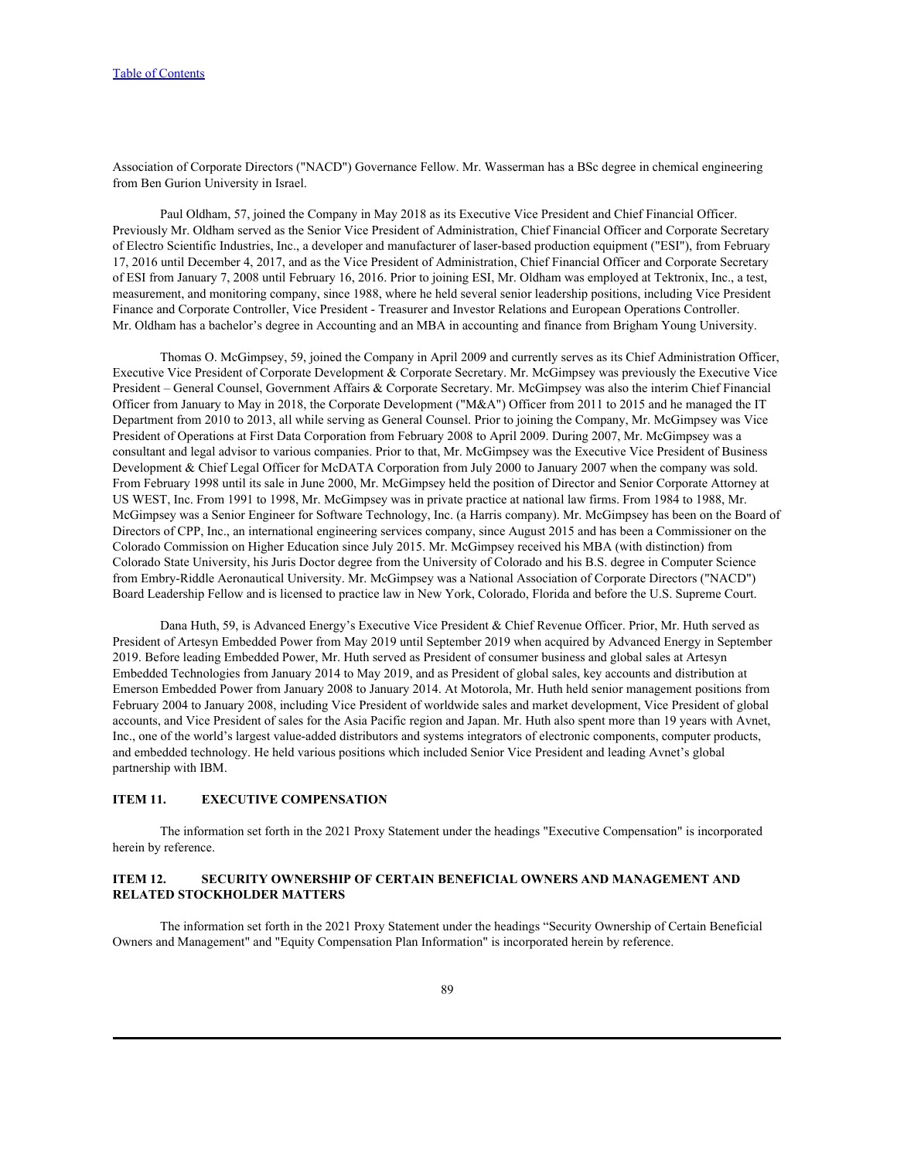Association of Corporate Directors ("NACD") Governance Fellow. Mr. Wasserman has a BSc degree in chemical engineering from Ben Gurion University in Israel.

Paul Oldham, 57, joined the Company in May 2018 as its Executive Vice President and Chief Financial Officer. Previously Mr. Oldham served as the Senior Vice President of Administration, Chief Financial Officer and Corporate Secretary of Electro Scientific Industries, Inc., a developer and manufacturer of laser-based production equipment ("ESI"), from February 17, 2016 until December 4, 2017, and as the Vice President of Administration, Chief Financial Officer and Corporate Secretary of ESI from January 7, 2008 until February 16, 2016. Prior to joining ESI, Mr. Oldham was employed at Tektronix, Inc., a test, measurement, and monitoring company, since 1988, where he held several senior leadership positions, including Vice President Finance and Corporate Controller, Vice President - Treasurer and Investor Relations and European Operations Controller. Mr. Oldham has a bachelor's degree in Accounting and an MBA in accounting and finance from Brigham Young University.

Thomas O. McGimpsey, 59, joined the Company in April 2009 and currently serves as its Chief Administration Officer, Executive Vice President of Corporate Development & Corporate Secretary. Mr. McGimpsey was previously the Executive Vice President – General Counsel, Government Affairs & Corporate Secretary. Mr. McGimpsey was also the interim Chief Financial Officer from January to May in 2018, the Corporate Development ("M&A") Officer from 2011 to 2015 and he managed the IT Department from 2010 to 2013, all while serving as General Counsel. Prior to joining the Company, Mr. McGimpsey was Vice President of Operations at First Data Corporation from February 2008 to April 2009. During 2007, Mr. McGimpsey was a consultant and legal advisor to various companies. Prior to that, Mr. McGimpsey was the Executive Vice President of Business Development & Chief Legal Officer for McDATA Corporation from July 2000 to January 2007 when the company was sold. From February 1998 until its sale in June 2000, Mr. McGimpsey held the position of Director and Senior Corporate Attorney at US WEST, Inc. From 1991 to 1998, Mr. McGimpsey was in private practice at national law firms. From 1984 to 1988, Mr. McGimpsey was a Senior Engineer for Software Technology, Inc. (a Harris company). Mr. McGimpsey has been on the Board of Directors of CPP, Inc., an international engineering services company, since August 2015 and has been a Commissioner on the Colorado Commission on Higher Education since July 2015. Mr. McGimpsey received his MBA (with distinction) from Colorado State University, his Juris Doctor degree from the University of Colorado and his B.S. degree in Computer Science from Embry-Riddle Aeronautical University. Mr. McGimpsey was a National Association of Corporate Directors ("NACD") Board Leadership Fellow and is licensed to practice law in New York, Colorado, Florida and before the U.S. Supreme Court.

Dana Huth, 59, is Advanced Energy's Executive Vice President & Chief Revenue Officer. Prior, Mr. Huth served as President of Artesyn Embedded Power from May 2019 until September 2019 when acquired by Advanced Energy in September 2019. Before leading Embedded Power, Mr. Huth served as President of consumer business and global sales at Artesyn Embedded Technologies from January 2014 to May 2019, and as President of global sales, key accounts and distribution at Emerson Embedded Power from January 2008 to January 2014. At Motorola, Mr. Huth held senior management positions from February 2004 to January 2008, including Vice President of worldwide sales and market development, Vice President of global accounts, and Vice President of sales for the Asia Pacific region and Japan. Mr. Huth also spent more than 19 years with Avnet, Inc., one of the world's largest value-added distributors and systems integrators of electronic components, computer products, and embedded technology. He held various positions which included Senior Vice President and leading Avnet's global partnership with IBM.

#### **ITEM 11. EXECUTIVE COMPENSATION**

The information set forth in the 2021 Proxy Statement under the headings "Executive Compensation" is incorporated herein by reference.

#### **ITEM 12. SECURITY OWNERSHIP OF CERTAIN BENEFICIAL OWNERS AND MANAGEMENT AND RELATED STOCKHOLDER MATTERS**

The information set forth in the 2021 Proxy Statement under the headings "Security Ownership of Certain Beneficial Owners and Management" and "Equity Compensation Plan Information" is incorporated herein by reference.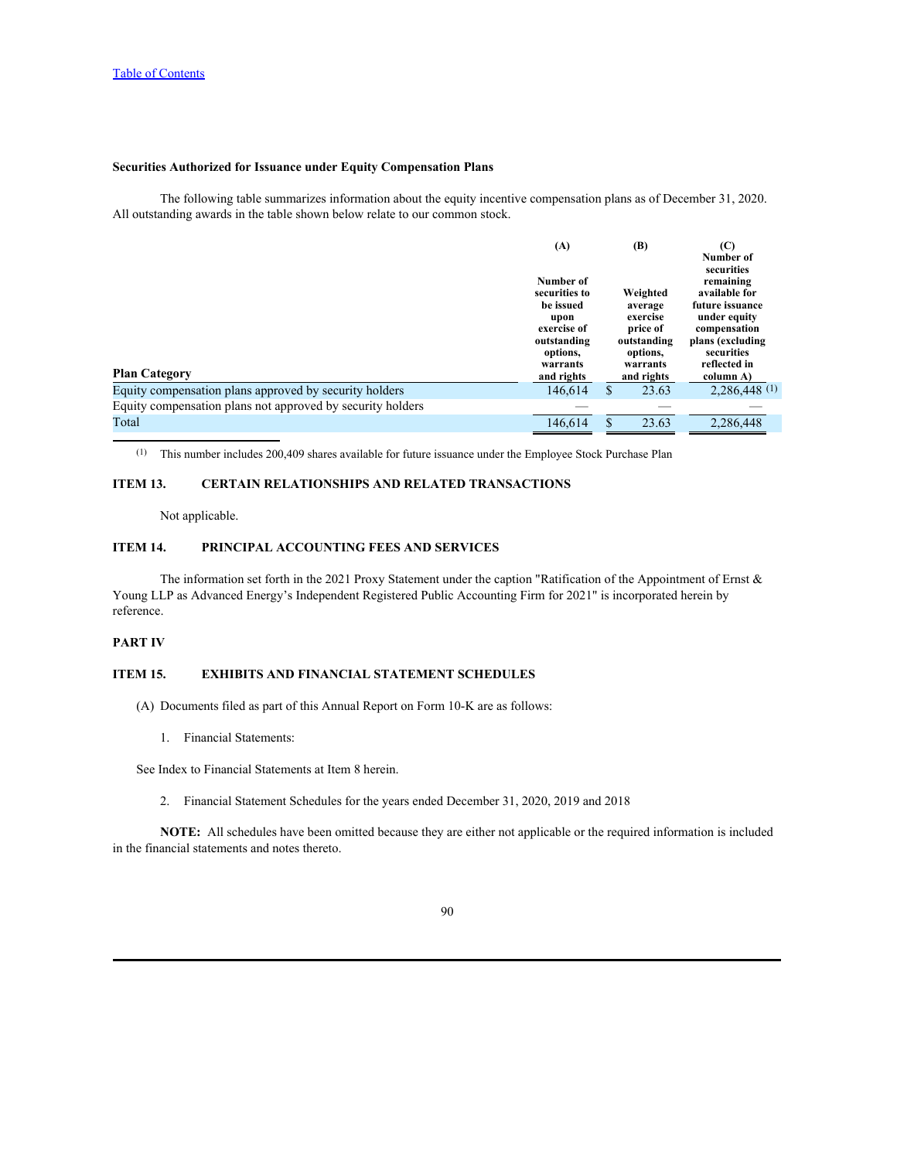# **Securities Authorized for Issuance under Equity Compensation Plans**

The following table summarizes information about the equity incentive compensation plans as of December 31, 2020. All outstanding awards in the table shown below relate to our common stock.

|                                                            | (A)           | (B)         | (C)                        |  |
|------------------------------------------------------------|---------------|-------------|----------------------------|--|
|                                                            |               |             | Number of                  |  |
|                                                            |               |             | securities                 |  |
|                                                            | Number of     |             | remaining                  |  |
|                                                            | securities to | Weighted    | available for              |  |
|                                                            | be issued     | average     | future issuance            |  |
|                                                            | upon          | exercise    | under equity               |  |
|                                                            | exercise of   | price of    | compensation               |  |
|                                                            | outstanding   | outstanding | plans (excluding           |  |
|                                                            | options,      | options,    | securities                 |  |
| <b>Plan Category</b>                                       | warrants      | warrants    | reflected in               |  |
|                                                            | and rights    | and rights  | column A)                  |  |
| Equity compensation plans approved by security holders     | 146,614       | 23.63       | $2,286,448$ <sup>(1)</sup> |  |
| Equity compensation plans not approved by security holders |               |             |                            |  |
| Total                                                      | 146,614       | 23.63       | 2,286,448                  |  |
|                                                            |               |             |                            |  |

(1) This number includes 200,409 shares available for future issuance under the Employee Stock Purchase Plan

# **ITEM 13. CERTAIN RELATIONSHIPS AND RELATED TRANSACTIONS**

Not applicable.

# **ITEM 14. PRINCIPAL ACCOUNTING FEES AND SERVICES**

The information set forth in the 2021 Proxy Statement under the caption "Ratification of the Appointment of Ernst & Young LLP as Advanced Energy's Independent Registered Public Accounting Firm for 2021" is incorporated herein by reference.

#### **PART IV**

#### **ITEM 15. EXHIBITS AND FINANCIAL STATEMENT SCHEDULES**

- (A) Documents filed as part of this Annual Report on Form 10-K are as follows:
	- 1. Financial Statements:

See Index to Financial Statements at Item 8 herein.

2. Financial Statement Schedules for the years ended December 31, 2020, 2019 and 2018

**NOTE:** All schedules have been omitted because they are either not applicable or the required information is included in the financial statements and notes thereto.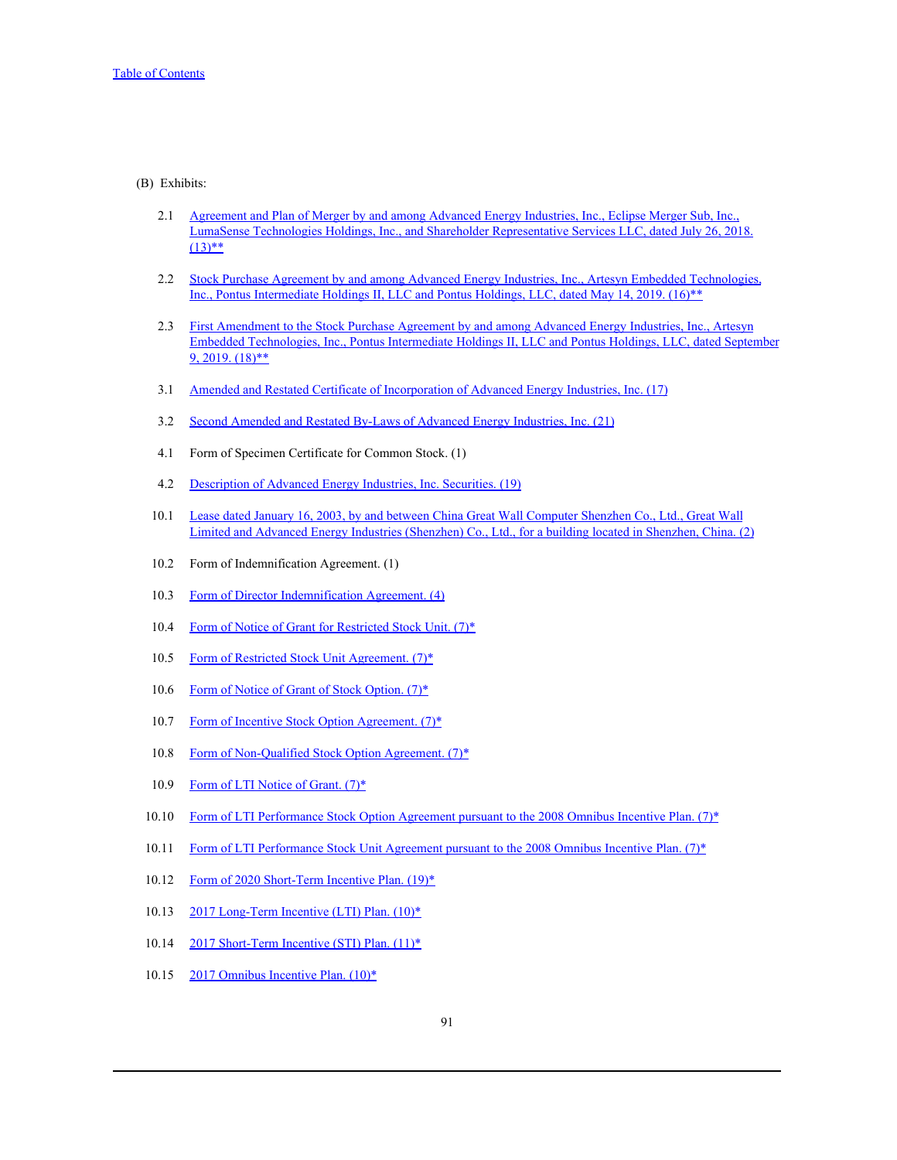#### (B) Exhibits:

- 2.1 [Agreement and Plan of Merger by and among Advanced Energy Industries, Inc., Eclipse Merger Sub, Inc.,](https://content.edgar-online.com/ExternalLink/EDGAR/0000927003-18-000038.html?hash=fbe1d3cddc554d8376ce42cab7011289c2027bd6dffb9b96152c4b386b9d86f6&dest=EXHIBIT21-MERGERAGREEMENT_HTM) [LumaSense Technologies Holdings, Inc., and Shareholder Representative Services LLC, dated July 26, 2018.](https://content.edgar-online.com/ExternalLink/EDGAR/0000927003-18-000038.html?hash=fbe1d3cddc554d8376ce42cab7011289c2027bd6dffb9b96152c4b386b9d86f6&dest=EXHIBIT21-MERGERAGREEMENT_HTM)  $(13)$ \*\*
- 2.2 [Stock Purchase Agreement by and among Advanced Energy Industries, Inc., Artesyn Embedded Technologies,](https://content.edgar-online.com/ExternalLink/EDGAR/0000927003-19-000035.html?hash=d60b31a73769a003e188e9ad6d1c298b17925645371f3b9d948c0d6cf94670db&dest=EXHIBIT21-STOCKPURCHASEAGR_HTM) [Inc., Pontus Intermediate Holdings II, LLC and Pontus Holdings, LLC, dated May 14, 2019. \(16\)\\*\\*](https://content.edgar-online.com/ExternalLink/EDGAR/0000927003-19-000035.html?hash=d60b31a73769a003e188e9ad6d1c298b17925645371f3b9d948c0d6cf94670db&dest=EXHIBIT21-STOCKPURCHASEAGR_HTM)
- 2.3 [First Amendment to the Stock Purchase Agreement by and among Advanced Energy Industries, Inc., Artesyn](https://content.edgar-online.com/ExternalLink/EDGAR/0001558370-19-008554.html?hash=2002fb2478f68d1ce688e17249dabea290105d4e80a785be872b3990b1c5402b&dest=AEIS-20190910EX22C164729_HTM) [Embedded Technologies, Inc., Pontus Intermediate Holdings II, LLC and Pontus Holdings, LLC, dated September](https://content.edgar-online.com/ExternalLink/EDGAR/0001558370-19-008554.html?hash=2002fb2478f68d1ce688e17249dabea290105d4e80a785be872b3990b1c5402b&dest=AEIS-20190910EX22C164729_HTM)  $9, 2019. (18)$ \*\*
- 3.1 [Amended and Restated Certificate of Incorporation of Advanced Energy Industries, Inc. \(17\)](https://content.edgar-online.com/ExternalLink/EDGAR/0001558370-19-007077.html?hash=9e6976c58ba0c5f66115da1b45a03e162c8b2c507153891df5dc915325992fac&dest=AEIS-20190630EX311A9CF04_HTM)
- 3.2 [Second Amended and Restated By-Laws of Advanced Energy Industries, Inc. \(21\)](https://content.edgar-online.com/ExternalLink/EDGAR/0000927003-19-000030.html?hash=2fb6719b9d6776493cfe59bc8c339d05e6d28797ecb54838a3a8ef3252f2ca0b&dest=AMENDEDANDRESTATEDBY-LAWSO_HTM)
- 4.1 Form of Specimen Certificate for Common Stock. (1)
- 4.2 [Description of Advanced Energy Industries, Inc. Securities. \(19\)](https://content.edgar-online.com/ExternalLink/EDGAR/0001558370-20-001892.html?hash=1d030761c51146d712fcc89234435015a4a965bbb37e3e8e35fb5497c23b2ca8&dest=EX-4D2_HTM)
- 10.1 [Lease dated January 16, 2003, by and between China Great Wall Computer Shenzhen Co., Ltd., Great Wall](https://content.edgar-online.com/ExternalLink/EDGAR/0001035704-04-000086.html?hash=5c5532b7b750949a2b449b0a100bfebdabed8dee5d028636b3ee595944f7ccb2&dest=D12827EXV10W18_TXT) [Limited and Advanced Energy Industries \(Shenzhen\) Co., Ltd., for a building located in Shenzhen, China. \(2\)](https://content.edgar-online.com/ExternalLink/EDGAR/0001035704-04-000086.html?hash=5c5532b7b750949a2b449b0a100bfebdabed8dee5d028636b3ee595944f7ccb2&dest=D12827EXV10W18_TXT)
- 10.2 Form of Indemnification Agreement. (1)
- 10.3 [Form of Director Indemnification Agreement. \(4\)](https://content.edgar-online.com/ExternalLink/EDGAR/0000950123-09-070574.html?hash=748d6846cbacccaf588c26102f0a7db71c30067dfd9afac824ac43ae45119940&dest=D70388EXV10W1_HTM)
- 10.4 [Form of Notice of Grant for Restricted Stock Unit. \(7\)\\*](https://content.edgar-online.com/ExternalLink/EDGAR/0000927003-13-000020.html?hash=a65af3a1e68c928ac1afdf6fb963ba4b8ed675b0067c8c4cbd2885625b470b1f&dest=EXHIBIT101NOTICEOFGRANTOFR_HTM)
- 10.5 [Form of Restricted Stock Unit Agreement. \(7\)\\*](https://content.edgar-online.com/ExternalLink/EDGAR/0000927003-13-000020.html?hash=a65af3a1e68c928ac1afdf6fb963ba4b8ed675b0067c8c4cbd2885625b470b1f&dest=EXHIBIT102RESTRICTEDSTOCKA_HTM)
- 10.6 [Form of Notice of Grant of Stock Option. \(7\)\\*](https://content.edgar-online.com/ExternalLink/EDGAR/0000927003-13-000020.html?hash=a65af3a1e68c928ac1afdf6fb963ba4b8ed675b0067c8c4cbd2885625b470b1f&dest=EXHIBIT103-XNOTICEOFGRANTO_HTM)
- 10.7 [Form of Incentive Stock Option Agreement. \(7\)\\*](https://content.edgar-online.com/ExternalLink/EDGAR/0000927003-13-000020.html?hash=a65af3a1e68c928ac1afdf6fb963ba4b8ed675b0067c8c4cbd2885625b470b1f&dest=EXHIBIT104INCENTIVESTOCKOP_HTM)
- 10.8 [Form of Non-Qualified Stock Option Agreement. \(7\)\\*](https://content.edgar-online.com/ExternalLink/EDGAR/0000927003-13-000020.html?hash=a65af3a1e68c928ac1afdf6fb963ba4b8ed675b0067c8c4cbd2885625b470b1f&dest=EXHIBIT105NON-QUALIFIEDSTO_HTM)
- 10.9 [Form of LTI Notice of Grant. \(7\)\\*](https://content.edgar-online.com/ExternalLink/EDGAR/0000927003-13-000020.html?hash=a65af3a1e68c928ac1afdf6fb963ba4b8ed675b0067c8c4cbd2885625b470b1f&dest=EXHIBIT106-XLONGXTERMINCEN_HTM)
- 10.10 [Form of LTI Performance Stock Option Agreement pursuant to the 2008 Omnibus Incentive Plan. \(7\)\\*](https://content.edgar-online.com/ExternalLink/EDGAR/0000927003-13-000020.html?hash=a65af3a1e68c928ac1afdf6fb963ba4b8ed675b0067c8c4cbd2885625b470b1f&dest=EXHIBIT107LTI-PSOAGREEMENT_HTM)
- 10.11 [Form of LTI Performance Stock Unit Agreement pursuant to the 2008 Omnibus Incentive Plan. \(7\)\\*](https://content.edgar-online.com/ExternalLink/EDGAR/0000927003-13-000020.html?hash=a65af3a1e68c928ac1afdf6fb963ba4b8ed675b0067c8c4cbd2885625b470b1f&dest=EXHIBIT108LTIPSUAGREEMENT_HTM)
- 10.12 [Form of 2020 Short-Term Incentive Plan. \(19\)\\*](https://content.edgar-online.com/ExternalLink/EDGAR/0001558370-20-001892.html?hash=1d030761c51146d712fcc89234435015a4a965bbb37e3e8e35fb5497c23b2ca8&dest=EX-10D13_HTM)
- 10.13 2017 Long-Term Incentive (LTI) Plan.  $(10)^*$
- 10.14 [2017 Short-Term Incentive \(STI\) Plan. \(11\)\\*](https://content.edgar-online.com/ExternalLink/EDGAR/0000927003-17-000022.html?hash=137551158359c5f3b3b8af73010e784d86fa688339116f50460aeeeabf26aa8c&dest=A2017DEFINITIVEPROXYSTATEM_HTM)
- 10.15 [2017 Omnibus Incentive Plan. \(10\)\\*](https://content.edgar-online.com/ExternalLink/EDGAR/0000927003-17-000022.html?hash=137551158359c5f3b3b8af73010e784d86fa688339116f50460aeeeabf26aa8c&dest=A2017DEFINITIVEPROXYSTATEM_HTM)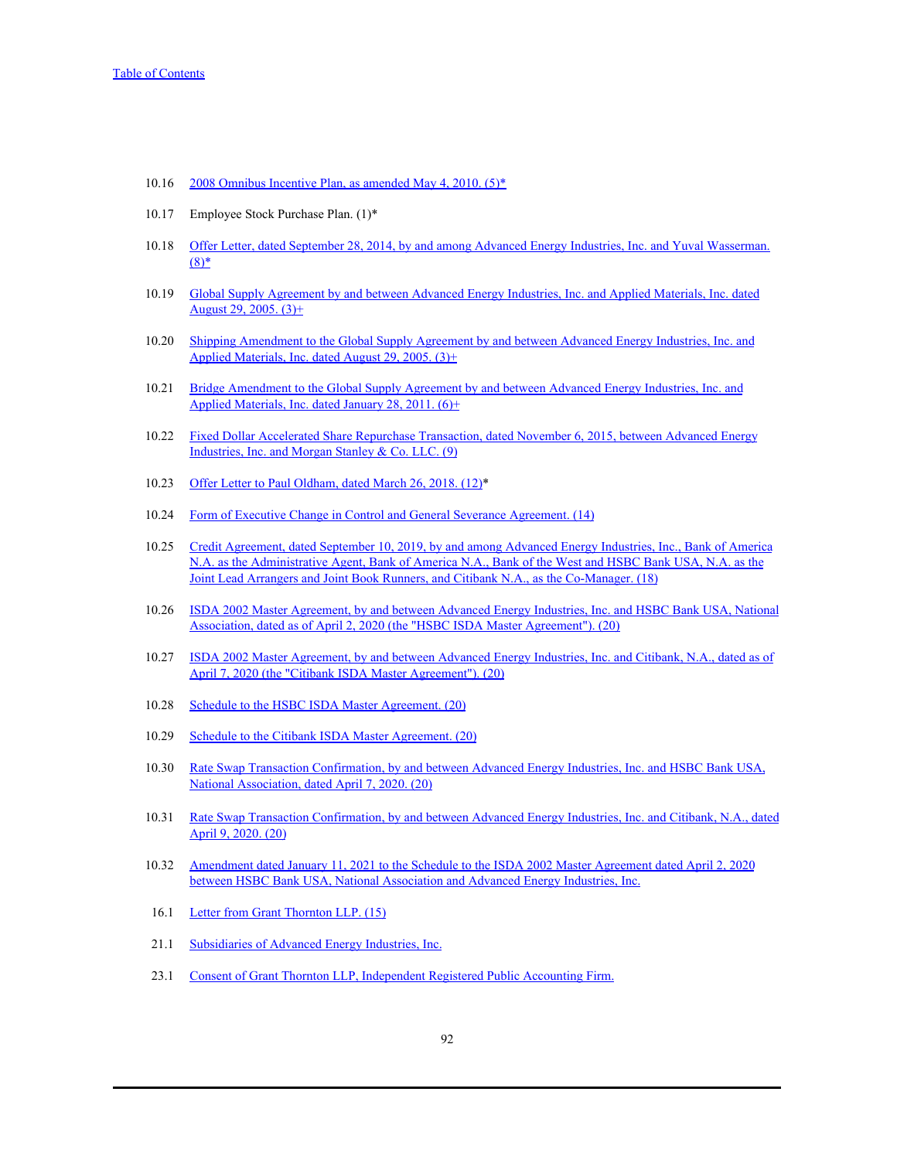- 10.16 [2008 Omnibus Incentive Plan, as amended May 4, 2010. \(5\)\\*](https://content.edgar-online.com/ExternalLink/EDGAR/0000950123-11-021198.html?hash=7fdf32a7fd586fe53ce244a2a0b71c1a9967b4a920bbf5c75ae5f3ba2f2bfffe&dest=D79941EXV10W37_HTM)
- 10.17 Employee Stock Purchase Plan. (1)\*
- 10.18 [Offer Letter, dated September 28, 2014, by and among Advanced Energy Industries, Inc. and Yuval Wasserman.](https://content.edgar-online.com/ExternalLink/EDGAR/0000927003-14-000070.html?hash=a1b32ddc2d7f7458ea93fd4655a9bf0106f8c7ef369aeed5cfef59cb5903f3e6&dest=EXHIBIT101OFFERLETTER_HTM)  $(8)^*$
- 10.19 [Global Supply Agreement by and between Advanced Energy Industries, Inc. and Applied Materials, Inc. dated](https://content.edgar-online.com/ExternalLink/EDGAR/0000950134-05-020759.html?hash=07380b5ace183e128163cc6f315d18f1e148cfb0a724f7bcabb052fe44548ed1&dest=D29290EXV10W1_HTM) August 29, 2005.  $(3)$ +
- 10.20 [Shipping Amendment to the Global Supply Agreement by and between Advanced Energy Industries, Inc. and](https://content.edgar-online.com/ExternalLink/EDGAR/0000950134-05-020759.html?hash=07380b5ace183e128163cc6f315d18f1e148cfb0a724f7bcabb052fe44548ed1&dest=D29290EXV10W2_HTM) [Applied Materials, Inc. dated August 29, 2005. \(3\)+](https://content.edgar-online.com/ExternalLink/EDGAR/0000950134-05-020759.html?hash=07380b5ace183e128163cc6f315d18f1e148cfb0a724f7bcabb052fe44548ed1&dest=D29290EXV10W2_HTM)
- 10.21 [Bridge Amendment to the Global Supply Agreement by and between Advanced Energy Industries, Inc. and](https://content.edgar-online.com/ExternalLink/EDGAR/0000950123-11-046348.html?hash=d466a35713f073e7b8169579729bce7768c13934d897743166c1d1b920d5e66c&dest=D82052EXV10W1_HTM) [Applied Materials, Inc. dated January 28, 2011. \(6\)+](https://content.edgar-online.com/ExternalLink/EDGAR/0000950123-11-046348.html?hash=d466a35713f073e7b8169579729bce7768c13934d897743166c1d1b920d5e66c&dest=D82052EXV10W1_HTM)
- 10.22 [Fixed Dollar Accelerated Share Repurchase Transaction, dated November 6, 2015, between Advanced Energy](https://content.edgar-online.com/ExternalLink/EDGAR/0000927003-15-000076.html?hash=052981cd84670c190563ec31d9cc2e534e535752f49dde62901d6e381ffb1287&dest=EXHIBIT101MORGANSTANLEYASR_HTM) [Industries, Inc. and Morgan Stanley & Co. LLC. \(9\)](https://content.edgar-online.com/ExternalLink/EDGAR/0000927003-15-000076.html?hash=052981cd84670c190563ec31d9cc2e534e535752f49dde62901d6e381ffb1287&dest=EXHIBIT101MORGANSTANLEYASR_HTM)
- 10.23 [Offer Letter to Paul Oldham, dated March 26, 2018. \(12\)\\*](https://content.edgar-online.com/ExternalLink/EDGAR/0000927003-18-000013.html?hash=ac2aa5418236eb3133c4b55343ee4fbf0c1a68fede07ff00706fecb595c4a55c&dest=EXHIBIT101-OFFERLETTERTOPA_HTM)
- 10.24 [Form of Executive Change in Control and General Severance Agreement. \(14\)](https://content.edgar-online.com/ExternalLink/EDGAR/0000927003-18-000043.html?hash=b68228afb73f8460f99c2e1fb2aa08125415ce9ac102e676af1c6f86647ee653&dest=EXHIBIT991-FORMOFEXECUTIVE_HTM)
- 10.25 [Credit Agreement, dated September 10, 2019, by and among Advanced Energy Industries, Inc., Bank of America](https://content.edgar-online.com/ExternalLink/EDGAR/0001558370-19-008554.html?hash=2002fb2478f68d1ce688e17249dabea290105d4e80a785be872b3990b1c5402b&dest=AEIS-20190910EX1012DDDE3_HTM) [N.A. as the Administrative Agent, Bank of America N.A., Bank of the West and HSBC Bank USA, N.A. as the](https://content.edgar-online.com/ExternalLink/EDGAR/0001558370-19-008554.html?hash=2002fb2478f68d1ce688e17249dabea290105d4e80a785be872b3990b1c5402b&dest=AEIS-20190910EX1012DDDE3_HTM) [Joint Lead Arrangers and Joint Book Runners, and Citibank N.A., as the Co-Manager. \(18\)](https://content.edgar-online.com/ExternalLink/EDGAR/0001558370-19-008554.html?hash=2002fb2478f68d1ce688e17249dabea290105d4e80a785be872b3990b1c5402b&dest=AEIS-20190910EX1012DDDE3_HTM)
- 10.26 [ISDA 2002 Master Agreement, by and between Advanced Energy Industries, Inc. and HSBC Bank USA, National](https://content.edgar-online.com/ExternalLink/EDGAR/0000927003-18-000043.html?hash=b68228afb73f8460f99c2e1fb2aa08125415ce9ac102e676af1c6f86647ee653&dest=EXHIBIT991-FORMOFEXECUTIVE_HTM) [Association, dated as of April 2, 2020 \(the "HSBC ISDA Master Agreement"\). \(20\)](https://content.edgar-online.com/ExternalLink/EDGAR/0000927003-18-000043.html?hash=b68228afb73f8460f99c2e1fb2aa08125415ce9ac102e676af1c6f86647ee653&dest=EXHIBIT991-FORMOFEXECUTIVE_HTM)
- 10.27 [ISDA 2002 Master Agreement, by and between Advanced Energy Industries, Inc. and Citibank, N.A., dated as of](https://content.edgar-online.com/ExternalLink/EDGAR/0000927003-18-000043.html?hash=b68228afb73f8460f99c2e1fb2aa08125415ce9ac102e676af1c6f86647ee653&dest=EXHIBIT991-FORMOFEXECUTIVE_HTM) [April 7, 2020 \(the "Citibank ISDA Master Agreement"\). \(20\)](https://content.edgar-online.com/ExternalLink/EDGAR/0000927003-18-000043.html?hash=b68228afb73f8460f99c2e1fb2aa08125415ce9ac102e676af1c6f86647ee653&dest=EXHIBIT991-FORMOFEXECUTIVE_HTM)
- 10.28 [Schedule to the HSBC ISDA Master Agreement. \(20\)](https://content.edgar-online.com/ExternalLink/EDGAR/0000927003-18-000043.html?hash=b68228afb73f8460f99c2e1fb2aa08125415ce9ac102e676af1c6f86647ee653&dest=EXHIBIT991-FORMOFEXECUTIVE_HTM)
- 10.29 [Schedule to the Citibank ISDA Master Agreement. \(20\)](https://content.edgar-online.com/ExternalLink/EDGAR/0000927003-18-000043.html?hash=b68228afb73f8460f99c2e1fb2aa08125415ce9ac102e676af1c6f86647ee653&dest=EXHIBIT991-FORMOFEXECUTIVE_HTM)
- 10.30 [Rate Swap Transaction Confirmation, by and between Advanced Energy Industries, Inc. and HSBC Bank USA,](https://content.edgar-online.com/ExternalLink/EDGAR/0000927003-18-000043.html?hash=b68228afb73f8460f99c2e1fb2aa08125415ce9ac102e676af1c6f86647ee653&dest=EXHIBIT991-FORMOFEXECUTIVE_HTM) [National Association, dated April 7, 2020. \(20\)](https://content.edgar-online.com/ExternalLink/EDGAR/0000927003-18-000043.html?hash=b68228afb73f8460f99c2e1fb2aa08125415ce9ac102e676af1c6f86647ee653&dest=EXHIBIT991-FORMOFEXECUTIVE_HTM)
- 10.31 [Rate Swap Transaction Confirmation, by and between Advanced Energy Industries, Inc. and Citibank, N.A., dated](https://content.edgar-online.com/ExternalLink/EDGAR/0000927003-18-000043.html?hash=b68228afb73f8460f99c2e1fb2aa08125415ce9ac102e676af1c6f86647ee653&dest=EXHIBIT991-FORMOFEXECUTIVE_HTM) [April 9, 2020. \(20\)](https://content.edgar-online.com/ExternalLink/EDGAR/0000927003-18-000043.html?hash=b68228afb73f8460f99c2e1fb2aa08125415ce9ac102e676af1c6f86647ee653&dest=EXHIBIT991-FORMOFEXECUTIVE_HTM)
- 10.32 [Amendment dated January 11, 2021 to the Schedule to the ISDA 2002 Master Agreement dated April 2, 2020](#page-96-0) **[between HSBC Bank USA, National Association and Advanced Energy Industries, Inc.](#page-96-0)**
- 16.1 [Letter from Grant Thornton LLP. \(15\)](https://content.edgar-online.com/ExternalLink/EDGAR/0000927003-19-000013.html?hash=6bc450c14582f5fb8dc69c6b22b57a6285057ca5c40854f7c0d1fba36e231cf9&dest=LETTERFROMGRANTTHORNTONLLP_HTM)
- 21.1 [Subsidiaries of Advanced Energy Industries, Inc.](#page-100-0)
- 23.1 [Consent of Grant Thornton LLP, Independent Registered Public Accounting Firm.](#page-103-0)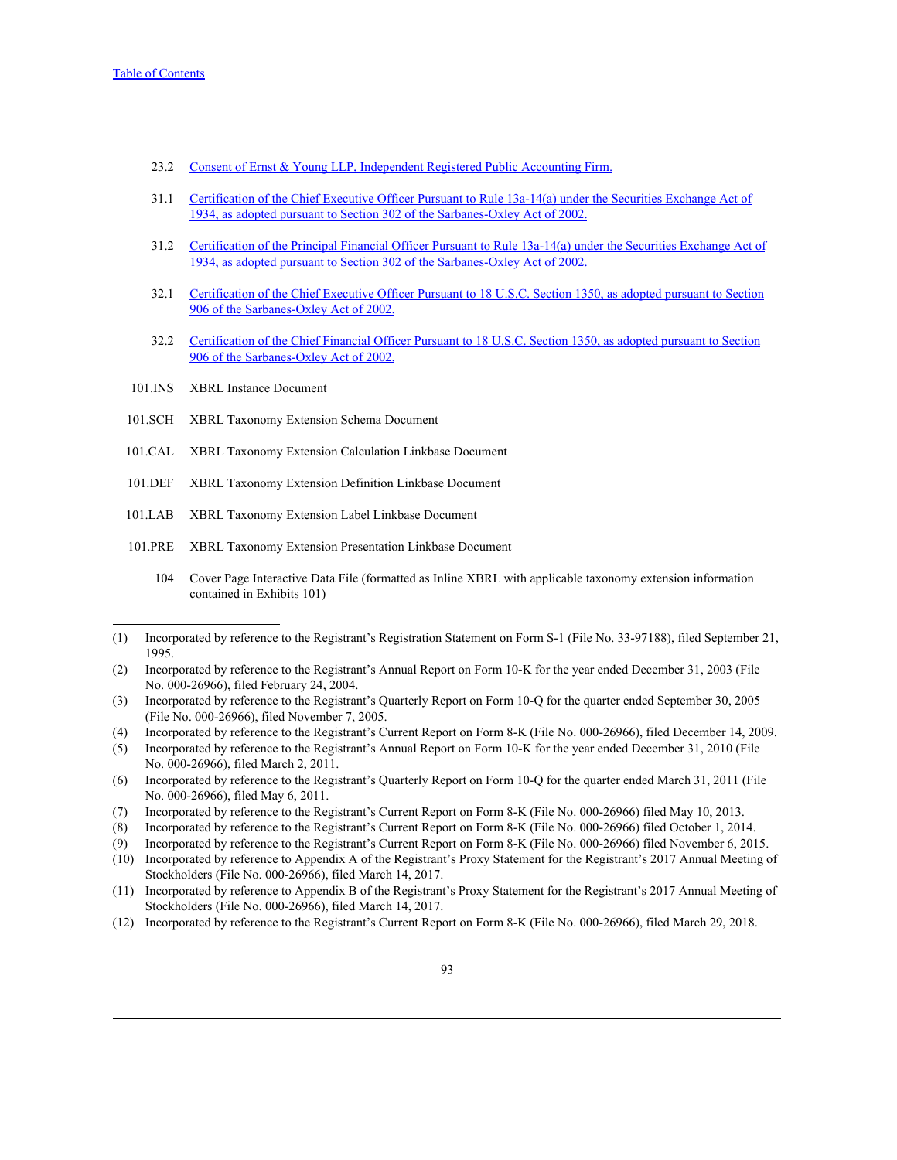- 23.2 [Consent of Ernst & Young LLP, Independent Registered Public Accounting Firm.](#page-104-0)
- 31.1 [Certification of the Chief Executive Officer Pursuant to Rule 13a-14\(a\) under the Securities Exchange Act of](#page-105-0) [1934, as adopted pursuant to Section 302 of the Sarbanes-Oxley Act of 2002.](#page-105-0)
- 31.2 [Certification of the Principal Financial Officer Pursuant to Rule 13a-14\(a\) under the Securities Exchange Act of](#page-106-0) [1934, as adopted pursuant to Section 302 of the Sarbanes-Oxley Act of 2002.](#page-106-0)
- 32.1 [Certification of the Chief Executive Officer Pursuant to 18 U.S.C. Section 1350, as adopted pursuant to Section](#page-108-0) [906 of the Sarbanes-Oxley Act of 2002.](#page-108-0)
- 32.2 [Certification of the Chief Financial Officer Pursuant to 18 U.S.C. Section 1350, as adopted pursuant to Section](#page-109-0) [906 of the Sarbanes-Oxley Act of 2002.](#page-109-0)
- 101.INS XBRL Instance Document
- 101.SCH XBRL Taxonomy Extension Schema Document
- 101.CAL XBRL Taxonomy Extension Calculation Linkbase Document
- 101.DEF XBRL Taxonomy Extension Definition Linkbase Document
- 101.LAB XBRL Taxonomy Extension Label Linkbase Document
- 101.PRE XBRL Taxonomy Extension Presentation Linkbase Document
	- 104 Cover Page Interactive Data File (formatted as Inline XBRL with applicable taxonomy extension information contained in Exhibits 101)

- (7) Incorporated by reference to the Registrant's Current Report on Form 8-K (File No. 000-26966) filed May 10, 2013.
- (8) Incorporated by reference to the Registrant's Current Report on Form 8-K (File No. 000-26966) filed October 1, 2014.
- (9) Incorporated by reference to the Registrant's Current Report on Form 8-K (File No. 000-26966) filed November 6, 2015.
- (10) Incorporated by reference to Appendix A of the Registrant's Proxy Statement for the Registrant's 2017 Annual Meeting of Stockholders (File No. 000-26966), filed March 14, 2017.
- (11) Incorporated by reference to Appendix B of the Registrant's Proxy Statement for the Registrant's 2017 Annual Meeting of Stockholders (File No. 000-26966), filed March 14, 2017.
- (12) Incorporated by reference to the Registrant's Current Report on Form 8-K (File No. 000-26966), filed March 29, 2018.

<sup>(1)</sup> Incorporated by reference to the Registrant's Registration Statement on Form S-1 (File No. 33-97188), filed September 21, 1995.

<sup>(2)</sup> Incorporated by reference to the Registrant's Annual Report on Form 10-K for the year ended December 31, 2003 (File No. 000-26966), filed February 24, 2004.

<sup>(3)</sup> Incorporated by reference to the Registrant's Quarterly Report on Form 10-Q for the quarter ended September 30, 2005 (File No. 000-26966), filed November 7, 2005.

<sup>(4)</sup> Incorporated by reference to the Registrant's Current Report on Form 8-K (File No. 000-26966), filed December 14, 2009.

<sup>(5)</sup> Incorporated by reference to the Registrant's Annual Report on Form 10-K for the year ended December 31, 2010 (File No. 000-26966), filed March 2, 2011.

<sup>(6)</sup> Incorporated by reference to the Registrant's Quarterly Report on Form 10-Q for the quarter ended March 31, 2011 (File No. 000-26966), filed May 6, 2011.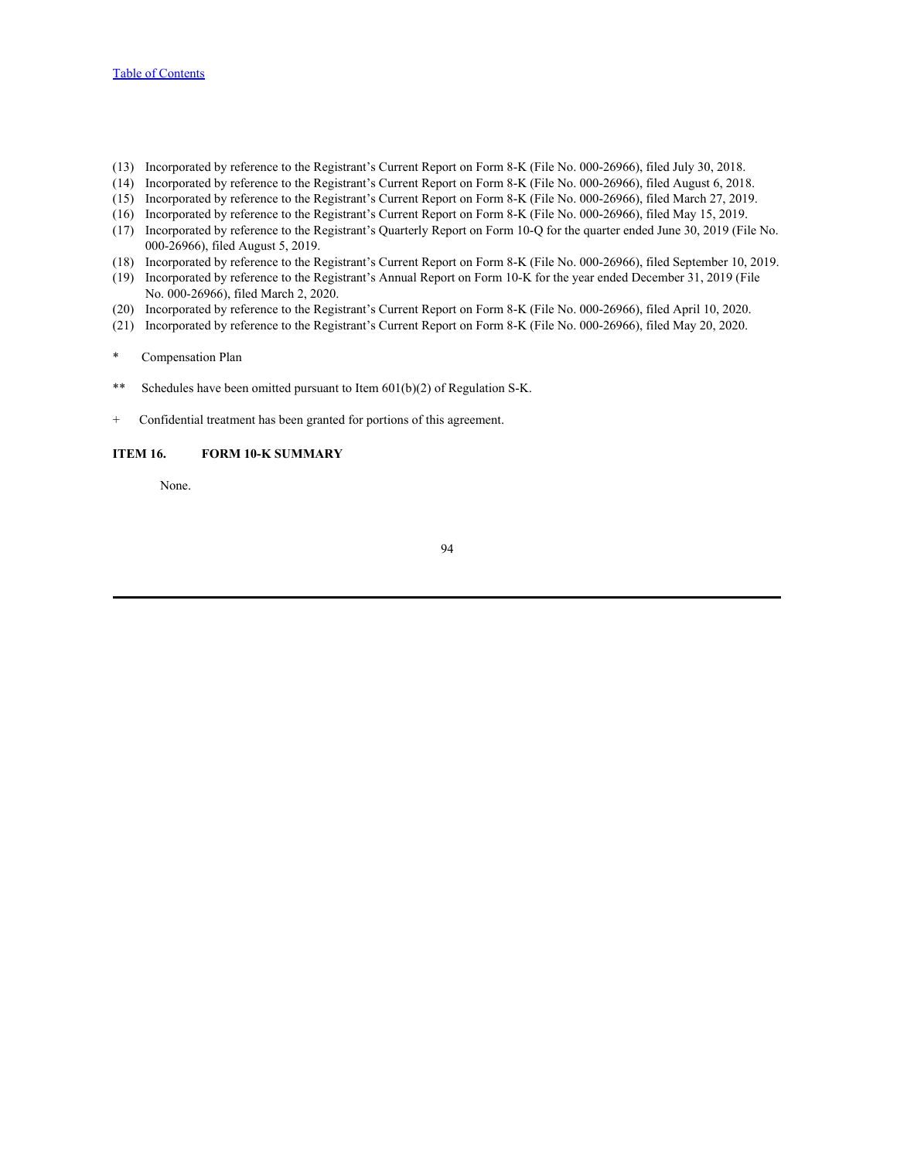- (13) Incorporated by reference to the Registrant's Current Report on Form 8-K (File No. 000-26966), filed July 30, 2018.
- (14) Incorporated by reference to the Registrant's Current Report on Form 8-K (File No. 000-26966), filed August 6, 2018.
- (15) Incorporated by reference to the Registrant's Current Report on Form 8-K (File No. 000-26966), filed March 27, 2019.
- (16) Incorporated by reference to the Registrant's Current Report on Form 8-K (File No. 000-26966), filed May 15, 2019.
- (17) Incorporated by reference to the Registrant's Quarterly Report on Form 10-Q for the quarter ended June 30, 2019 (File No. 000-26966), filed August 5, 2019.
- (18) Incorporated by reference to the Registrant's Current Report on Form 8-K (File No. 000-26966), filed September 10, 2019.
- (19) Incorporated by reference to the Registrant's Annual Report on Form 10-K for the year ended December 31, 2019 (File No. 000-26966), filed March 2, 2020.
- (20) Incorporated by reference to the Registrant's Current Report on Form 8-K (File No. 000-26966), filed April 10, 2020.
- (21) Incorporated by reference to the Registrant's Current Report on Form 8-K (File No. 000-26966), filed May 20, 2020.
- \* Compensation Plan
- \*\* Schedules have been omitted pursuant to Item 601(b)(2) of Regulation S-K.
- + Confidential treatment has been granted for portions of this agreement.

#### **ITEM 16. FORM 10-K SUMMARY**

None.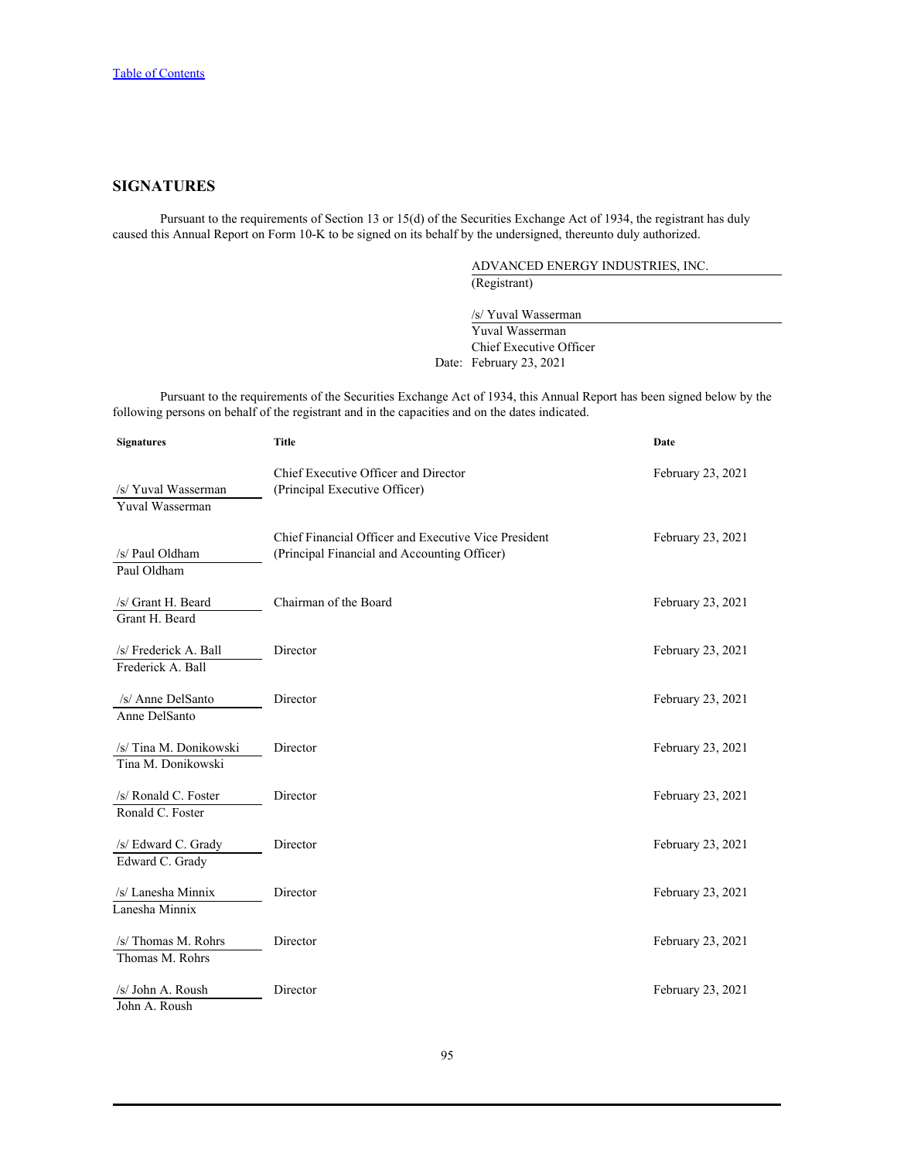# **SIGNATURES**

Pursuant to the requirements of Section 13 or 15(d) of the Securities Exchange Act of 1934, the registrant has duly caused this Annual Report on Form 10-K to be signed on its behalf by the undersigned, thereunto duly authorized.

> ADVANCED ENERGY INDUSTRIES, INC. (Registrant) /s/ Yuval Wasserman

Yuval Wasserman Chief Executive Officer Date: February 23, 2021

Pursuant to the requirements of the Securities Exchange Act of 1934, this Annual Report has been signed below by the following persons on behalf of the registrant and in the capacities and on the dates indicated.

| <b>Signatures</b>                            | <b>Title</b>                                                                                         | Date              |
|----------------------------------------------|------------------------------------------------------------------------------------------------------|-------------------|
| /s/ Yuval Wasserman<br>Yuval Wasserman       | Chief Executive Officer and Director<br>(Principal Executive Officer)                                | February 23, 2021 |
| /s/ Paul Oldham<br>Paul Oldham               | Chief Financial Officer and Executive Vice President<br>(Principal Financial and Accounting Officer) | February 23, 2021 |
| /s/ Grant H. Beard<br>Grant H. Beard         | Chairman of the Board                                                                                | February 23, 2021 |
| /s/ Frederick A. Ball<br>Frederick A. Ball   | Director                                                                                             | February 23, 2021 |
| /s/ Anne DelSanto<br>Anne DelSanto           | Director                                                                                             | February 23, 2021 |
| /s/ Tina M. Donikowski<br>Tina M. Donikowski | Director                                                                                             | February 23, 2021 |
| /s/ Ronald C. Foster<br>Ronald C. Foster     | Director                                                                                             | February 23, 2021 |
| /s/ Edward C. Grady<br>Edward C. Grady       | Director                                                                                             | February 23, 2021 |
| /s/ Lanesha Minnix<br>Lanesha Minnix         | Director                                                                                             | February 23, 2021 |
| /s/ Thomas M. Rohrs<br>Thomas M. Rohrs       | Director                                                                                             | February 23, 2021 |
| /s/ John A. Roush<br>John A. Roush           | Director                                                                                             | February 23, 2021 |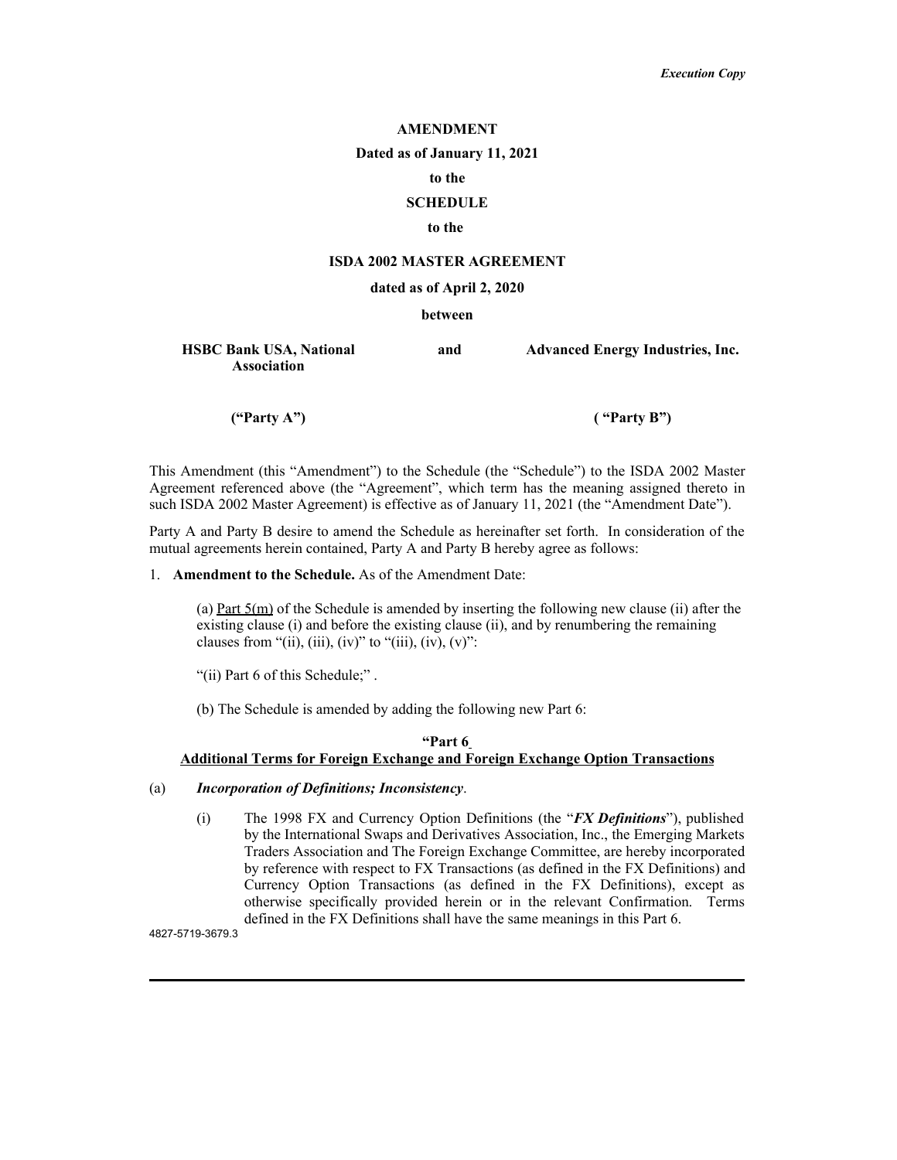## **AMENDMENT**

#### **Dated as of January 11, 2021**

# **to the**

# **SCHEDULE**

## **to the**

# **ISDA 2002 MASTER AGREEMENT**

## **dated as of April 2, 2020**

**between**

**HSBC Bank USA, National Association**

 **and Advanced Energy Industries, Inc.**

**("Party A") ( "Party B")**

<span id="page-96-0"></span>This Amendment (this "Amendment") to the Schedule (the "Schedule") to the ISDA 2002 Master Agreement referenced above (the "Agreement", which term has the meaning assigned thereto in **Excension Copy**<br> **AMENDMENT**<br> **Contains of Agreement 11, 2021**<br> **Contained as of Aqreement RAGREEMENT**<br> **Contained Agreement above (the SCREMENT**<br> **CONTAINT and Agreement as the meaning assigned thereto in the meaning as** such ISDA 2002 Master Agreement) is effective as of January 11, 2021 (the "Amendment Date").

Party A and Party B desire to amend the Schedule as hereinafter set forth. In consideration of the mutual agreements herein contained, Party A and Party B hereby agree as follows:

#### 1. **Amendment to the Schedule.** As of the Amendment Date:

(a) Part  $5(m)$  of the Schedule is amended by inserting the following new clause (ii) after the existing clause (i) and before the existing clause (ii), and by renumbering the remaining clauses from "(ii), (iii), (iv)" to "(iii), (iv), (v)":

"(ii) Part 6 of this Schedule;".

(b) The Schedule is amended by adding the following new Part 6:

## **"Part 6 Additional Terms for Foreign Exchange and Foreign Exchange Option Transactions**

(a) *Incorporation of Definitions; Inconsistency*. (i) The 1998 FX and Currency Option Definitions (the "*FX Definitions*"), published by the International Swaps and Derivatives Association, Inc., the Emerging Markets Traders Association and The Foreign Exchange Committee, are hereby incorporated by reference with respect to FX Transactions (as defined in the FX Definitions) and **EVALUATION**<br> **CURRENCISE THEOTERT ASSOCIATE ASSOCIATE:** (PPITY HP)<br>
(PPITY A<sup>T</sup>) ((PPITY HP)<br>
(CURE S'Arencediment") to the Schedule (the "Schedule") to the ISDA 2002 Matter<br>
record above (the "Agreement") within therm h **Example 12.** And Contents (Ref. 2008) (Confirmation or in the relevant Confirmation or in the relevant Confirmation or in the relevant Confirmation or in the relevant Confirmation of the Material Agreement) is discrete a defined in the FX Definitions shall have the same meanings in this Part 6.

4827-5719-3679.3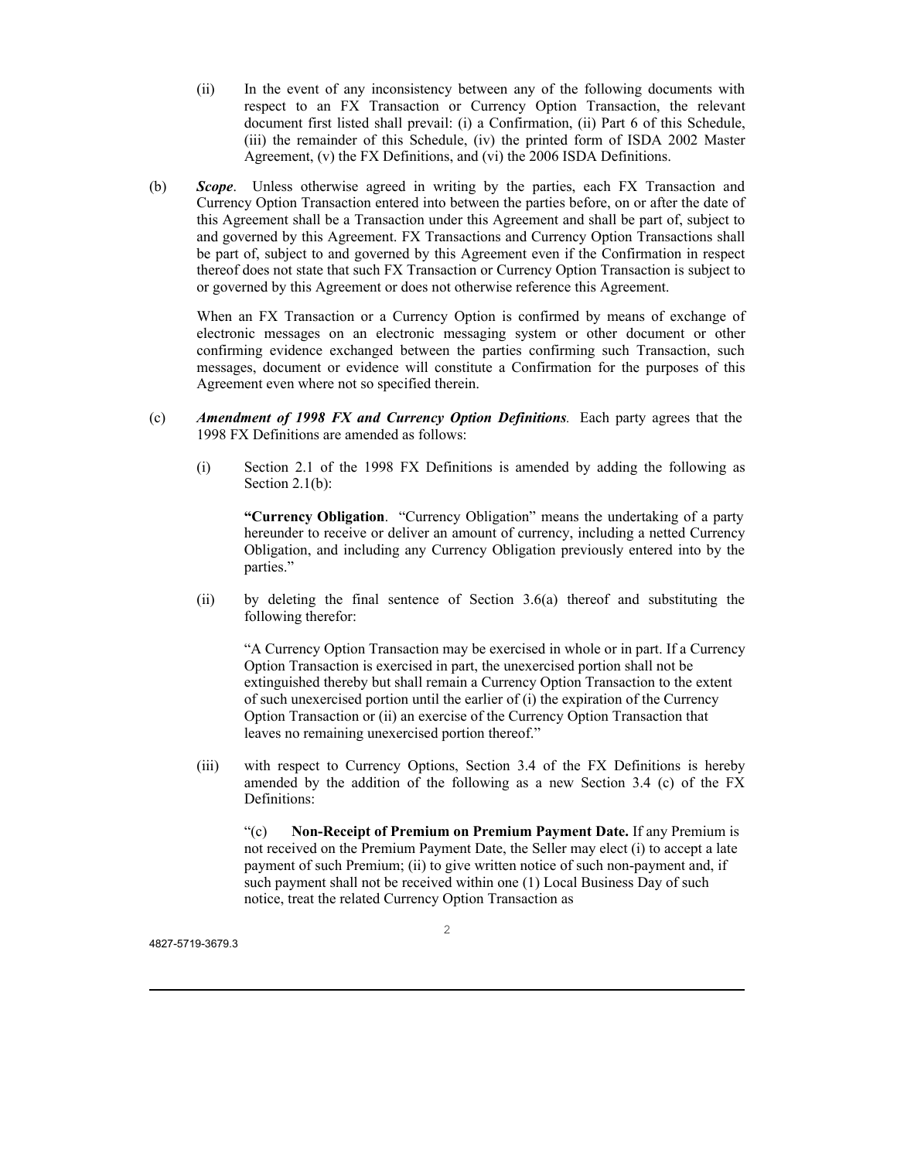- (ii) In the event of any inconsistency between any of the following documents with respect to an FX Transaction or Currency Option Transaction, the relevant document first listed shall prevail: (i) a Confirmation, (ii) Pa In the event of any inconsistency between any of the following documents with<br>respect to an FX Transaction or Currency Option Transaction, the relevant<br>document first listed shall prevail: (i) a Confirmation, (ii) Part 6 o document first listed shall prevail: (i) a Confirmation, (ii) Part 6 of this Schedule, Agreement, (v) the FX Definitions, and (vi) the 2006 ISDA Definitions.
- In the event of any inconsistency between any of the following documents with<br>respect to an FX Transaction or Currency Option Transaction, the relevant<br>document first listed shall prevail: (i) a Confirmation, (ii) Part 6 o (ii) In the event of any inconsistency between any of the following documents with respect to an FX Transaction or Currency Option Transaction, the relevant document first listed shall prevail: (i) a Confirmation, (ii) Par Currency Option Transaction entered into between the parties before, on or after the date of this Agreement shall be a Transaction under this Agreement and shall be part of, subject to and governed by this Agreement. FX Transactions and Currency Option Transactions shall be part of, subject to and governed by this Agreement even if the Confirmation in respect thereof does not state that such FX Transaction or Currency Option Transaction is subject to or governed by this Agreement or does not otherwise reference this Agreement. (ii) In the event of any inconsistency between any of the following documents with respect to an FX Transaction or Currency Option Transaction, the relevant document fits listed shall prevail ((i) a Confirmation, (iii) th (ii) In the event of any inconsistency between any of the following documents with respect to an FX Transaction or Currency Option Transaction, the relevant document first listed shall prevail: (0) a Confirmation, (iii) B (ii) In the event of any inconsistency between any of the following documents with<br>respect to an FX Transaction or Currency Option Transaction, the relevant<br>document first isteld shall prevail: (i) a confirmation, (ii) th (ii) In the event of any inconsistency between any of the following documents with respect to an FX Transaction or Currency Option Transaction, the relevant document first listed shall prevail (i) a Confirmation, (ii) Par (ii) In the event of any inconsistency between any of the following documents with<br>respect to an FX invariated on Currency Option Invariated, the relevant<br>document first listed shall prevail (i) a Confirmation, (ii) Part (ii) In the event of any inconsistency between any of the following documents with respect to an FX Transaction of Currency Option Transaction, the relevant document first issted shall prevail: (ii) the primed of this Sch (ii) In the event of any inconsistency between any of the following documents with<br>
trepect to an IX Transaction or Currency Option Transaction, the relevant<br>
document first listed stall prevail (i) a Confirmation, (ii) P

Agreement even where not so specified therein.

- 1998 FX Definitions are amended as follows:
	- Section 2.1(b):

**"Currency Obligation**."Currency Obligation" means the undertaking of a party hereunder to receive or deliver an amount of currency, including a netted Currency Obligation, and including any Currency Obligation previously entered into by the parties."

following therefor:

"A Currency Option Transaction may be exercised in whole or in part. If a Currency Option Transaction is exercised in part, the unexercised portion shall not be extinguished thereby but shall remain a Currency Option Transaction to the extent of such unexercised portion until the earlier of (i) the expiration of the Currency Option Transaction or (ii) an exercise of the Currency Option Transaction that leaves no remaining unexercised portion thereof." dia American limit is a Transmistic materialis Anche to Currency Option Transmission and the Farmatic materials in the Currency Option Transmission shall and governed by this Agreement FX Transmission is during to proton amend by the suggests of the HOM contents and Currency Option Transaction and the following by the state that such that such that such that such that such that such that such that such that such that such that such that s

Definitions:

"(c) **Non-Receipt of Premium on Premium Payment Date.** If any Premium is not received on the Premium Payment Date, the Seller may elect (i) to accept a late payment of such Premium; (ii) to give written notice of such non-payment and, if such payment shall not be received within one (1) Local Business Day of such notice, treat the related Currency Option Transaction as

4827-5719-3679.3

2 a *z* a *z* a *z* a *z* a *z* a *z* a *z* a *z* a *z* a *z* a *z* a *z* a *z* a *z* a *z* a *z* a *z*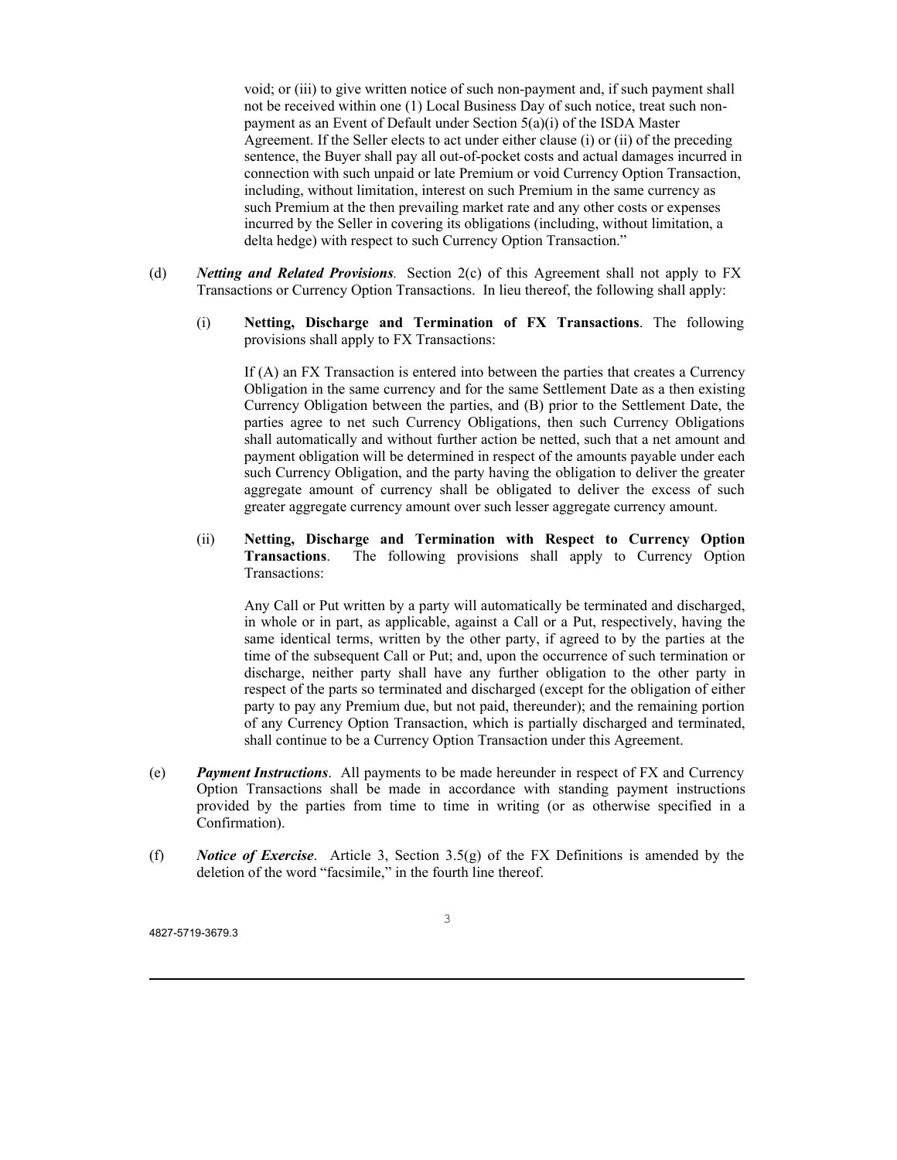void; or (iii) to give written notice of such non-payment and, if such payment shall not be received within one (1) Local Business Day of such notice, treat such nonpayment as an Event of Default under Section 5(a)(i) of the ISDA Master Agreement. If the Seller elects to act under either clause (i) or (ii) of the preceding sentence, the Buyer shall pay all out-of-pocket costs and actual damages incurred in connection with such unpaid or late Premium or void Currency Option Transaction, including, without limitation, interest on such Premium in the same currency as such Premium at the then prevailing market rate and any other costs or expenses incurred by the Seller in covering its obligations (including, without limitation, a delta hedge) with respect to such Currency Option Transaction." void; or (iii) to give written notice of such non-payment and, if such payment shall<br>not be received within one (1) Local Business Day of such notice, treat such non-<br>payment as an Event of Default under Section 5(a)(i) of void, or (iii) to give written notice of such non-payment and, if such payment shall<br>not be received within one (1) Local Business Day of such notice, treat such non-<br>payment as an Event of Default under Setton 5(3(i) of t void; or (iii) to give written notice of such non-payment and, if such payment shall<br>payment as an Event of Default under Section 5(a) of such notice, treat such non-<br>payment as an Event of Default under Section 5(a)(i) of avoid, or (iii) to give written notice of such non-payment and, if such payment shall be received within one (1) Local Business Day of stell notice, treat such non-<br>hyment as an Event of Default under Section S(q)(i) of void: or (ii)) to give written netice of such non-payment and; if such nayment shall<br>not be received correlation (1) Local Business Day of Such noities. East such an<br>expresention If the Seller clears to accuracie they clos void: or (iii) to give written notice of such non-nayment and, if such nayment shall<br>neaches recorded within met (1) Local Husiness Day of such notice, treat such ron-<br>nayment as an Forent of Default under Section S(a)(0)

- Transactions or Currency Option Transactions. In lieu thereof, the following shall apply:
	- provisions shall apply to FX Transactions:

If (A) an FX Transaction is entered into between the parties that creates a Currency Obligation in the same currency and for the same Settlement Date as a then existing Currency Obligation between the parties, and (B) prior to the Settlement Date, the shall automatically and without further action be netted, such that a net amount and payment obligation will be determined in respect of the amounts payable under each such Currency Obligation, and the party having the obligation to deliver the greater greater aggregate currency amount over such lesser aggregate currency amount. payment as an between the batter of the sink and sections (say) of the ISDM Masser<br>content, the Buyer shall pay all out-of-pocket costs and actual damages incurred costs and<br>connection with such unpaid of tale Premium or v delta hedge) with respect to such Currency Option Transaction."<br>
Netthing and Redated Provideots. Section 2(c) of this Agreement shall not apply to FX<br>
Transactions shall apply to FX Transactions concerned in a memory of **Nerting and Redated Provisions.** Section 2(c) of this Agreement shall not apply to FX<br>Transactions or Currency Option Transactions. In lieu thereof, the following shall apply:<br>
(i) Setting, Discharge and Termination of F (f) **Notifing, Bischarge and Termination of FX Transactions**. The following provisions shall apply to FX Transactions is a different that exacts a Currency Chingaton in the same screamed and for the same Scribtions in the

Transactions:

Any Call or Put written by a party will automatically be terminated and discharged, in whole or in part, as applicable, against a Call or a Put, respectively, having the same identical terms, written by the other party, if agreed to by the parties at the time of the subsequent Call or Put; and, upon the occurrence of such termination or respect of the parts so terminated and discharged (except for the obligation of either party to pay any Premium due, but not paid, thereunder); and the remaining portion of any Currency Option Transaction, which is partially discharged and terminated, shall continue to be a Currency Option Transaction under this Agreement.

- (e) *Payment Instructions*. All payments to be made hereunder in respect of FX and Currency Confirmation).
- deletion of the word "facsimile," in the fourth line thereof.

4827-5719-3679.3

 $3 \left( \frac{1}{2} \right)$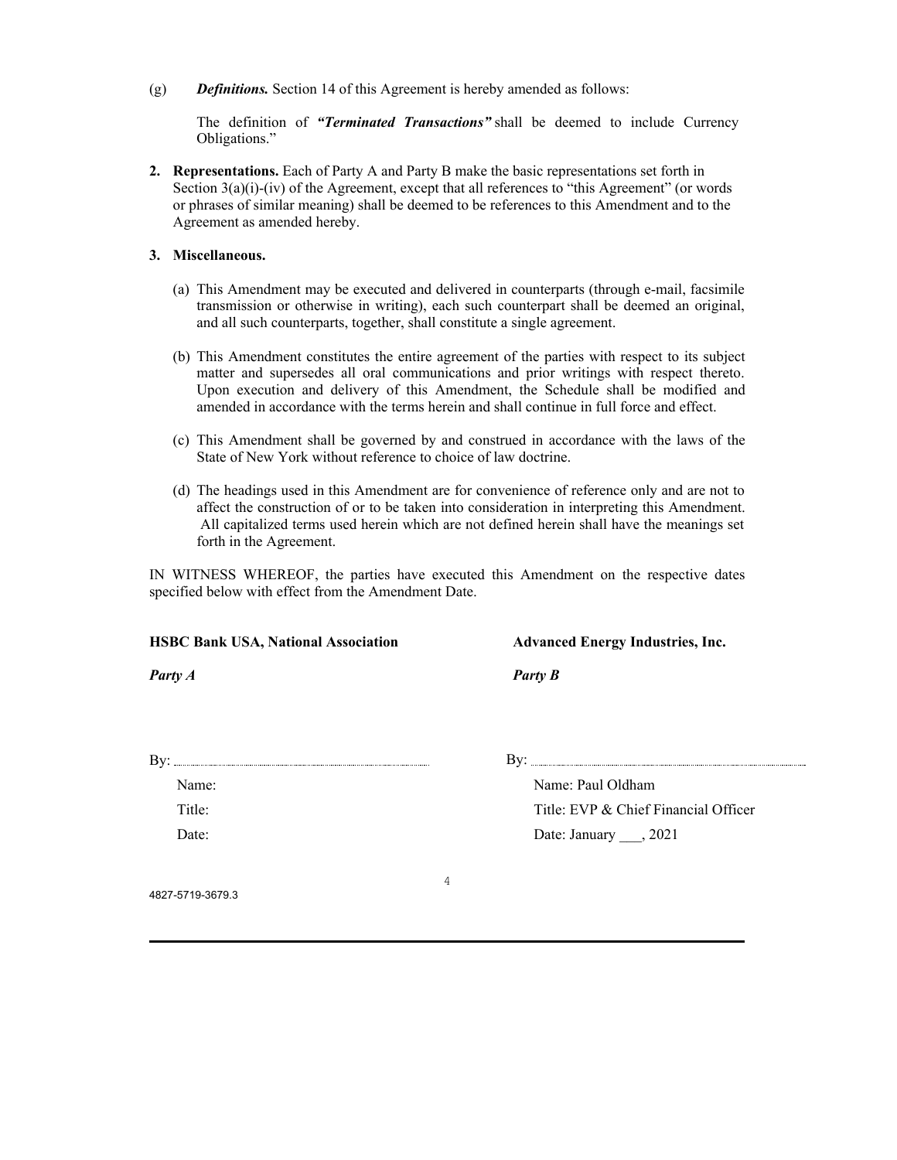(g) *Definitions.* Section 14 of this Agreement is hereby amended as follows:

Obligations."

**Definitions.** Section 14 of this Agreement is hereby amended as follows:<br>The definition of *"Terminated Transactions"* shall be deemed to include Currency<br>Obligations."<br>**The definitions.** Each of Party A and Party B make **2. Representations.** Each of Party A and Party B make the basic representations set forth in Section 3(a)(i)-(iv) of the Agreement, except that all references to "this Agreement" (or words or phrases of similar meaning) shall be deemed to be references to this Amendment and to the Agreement as amended hereby. **ISO 10**<br> **Definitions.** Section 14 of this Agreement is hereby amended as follows:<br>
The definition on <sup>th</sup> **Terminated Transactions** "shall be deemed to include Currency<br>
Obligations. The chereby Amendment on the particu

# **3. Miscellaneous.**

- (a) This Amendment may be executed and delivered in counterparts (through e-mail, facsimile transmission or otherwise in writing), each such counterpart shall be deemed an original, and all such counterparts, together, shall constitute a single agreement.
- (b) This Amendment constitutes the entire agreement of the parties with respect to its subject **Definitions.** Section 14 of this Agreement is hereby amended as follows:<br>The definition of "Terminated Transactions" shall be deened to include Currency<br>reseentations.<sup>12</sup><br>Communications.<sup>12</sup><br>Communications and Party A an **Definitions.** Section 14 of this Agreement is hereby amended as follows:<br>The definition of "**Terminated Transactions**" shall be decrmed to include Currency<br>**Obligations."**<br>**Conservations. Each of Party A and Party B make** amended in accordance with the terms herein and shall continue in full force and effect. **Definitions.** Section 14 of this Agreement is hereby amended as follows:<br>
The definition of "**Terminated Transactions**" shall be deemed to include Currency<br> **Obligations.**<br> **Representations.** Each of Party A and Party B
- State of New York without reference to choice of law doctrine.
- (d) The headings used in this Amendment are for convenience of reference only and are not to affect the construction of or to be taken into consideration in interpreting this Amendment. All capitalized terms used herein which are not defined herein shall have the meanings set forth in the Agreement.

specified below with effect from the Amendment Date.

## **HSBC Bank USA, National Association Advanced Energy Industries, Inc.**

*Party A Party B*

4827-5719-3679.3

Date: Date: January 2021

By:

Name: Name: Paul Oldham Title: The Title: EVP & Chief Financial Officer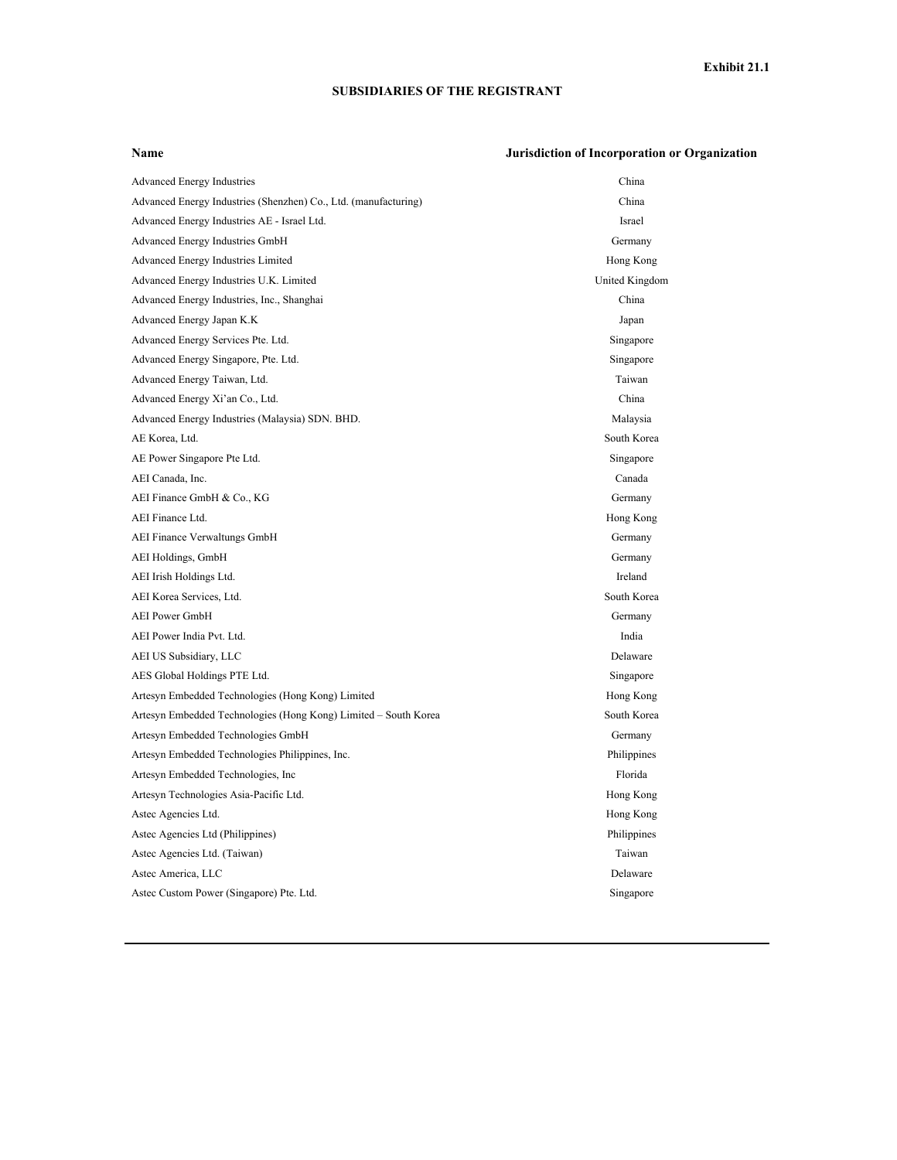# **SUBSIDIARIES OF THE REGISTRANT**

<span id="page-100-0"></span>

|  | п |  |
|--|---|--|
|  |   |  |

# **Name Jurisdiction of Incorporation or Organization**

| Advanced Energy Industries                                      | China          |  |
|-----------------------------------------------------------------|----------------|--|
| Advanced Energy Industries (Shenzhen) Co., Ltd. (manufacturing) | China          |  |
| Advanced Energy Industries AE - Israel Ltd.                     | Israel         |  |
| Advanced Energy Industries GmbH                                 | Germany        |  |
| Advanced Energy Industries Limited                              | Hong Kong      |  |
| Advanced Energy Industries U.K. Limited                         | United Kingdom |  |
| Advanced Energy Industries, Inc., Shanghai                      | China          |  |
| Advanced Energy Japan K.K                                       | Japan          |  |
| Advanced Energy Services Pte. Ltd.                              | Singapore      |  |
| Advanced Energy Singapore, Pte. Ltd.                            | Singapore      |  |
| Advanced Energy Taiwan, Ltd.                                    | Taiwan         |  |
| Advanced Energy Xi'an Co., Ltd.                                 | China          |  |
| Advanced Energy Industries (Malaysia) SDN. BHD.                 | Malaysia       |  |
| AE Korea, Ltd.                                                  | South Korea    |  |
| AE Power Singapore Pte Ltd.                                     | Singapore      |  |
| AEI Canada, Inc.                                                | Canada         |  |
| AEI Finance GmbH & Co., KG                                      | Germany        |  |
| AEI Finance Ltd.                                                | Hong Kong      |  |
| AEI Finance Verwaltungs GmbH                                    | Germany        |  |
| AEI Holdings, GmbH                                              | Germany        |  |
| AEI Irish Holdings Ltd.                                         | Ireland        |  |
| AEI Korea Services, Ltd.                                        | South Korea    |  |
| <b>AEI</b> Power GmbH                                           | Germany        |  |
| AEI Power India Pvt. Ltd.                                       | India          |  |
| AEI US Subsidiary, LLC                                          | Delaware       |  |
| AES Global Holdings PTE Ltd.                                    | Singapore      |  |
| Artesyn Embedded Technologies (Hong Kong) Limited               | Hong Kong      |  |
| Artesyn Embedded Technologies (Hong Kong) Limited - South Korea | South Korea    |  |
| Artesyn Embedded Technologies GmbH                              | Germany        |  |
| Artesyn Embedded Technologies Philippines, Inc.                 | Philippines    |  |
| Artesyn Embedded Technologies, Inc                              | Florida        |  |
| Artesyn Technologies Asia-Pacific Ltd.                          | Hong Kong      |  |
| Astec Agencies Ltd.                                             | Hong Kong      |  |
| Astec Agencies Ltd (Philippines)                                | Philippines    |  |
| Astec Agencies Ltd. (Taiwan)                                    | Taiwan         |  |
| Astec America, LLC                                              | Delaware       |  |
| Astec Custom Power (Singapore) Pte. Ltd.                        | Singapore      |  |
|                                                                 |                |  |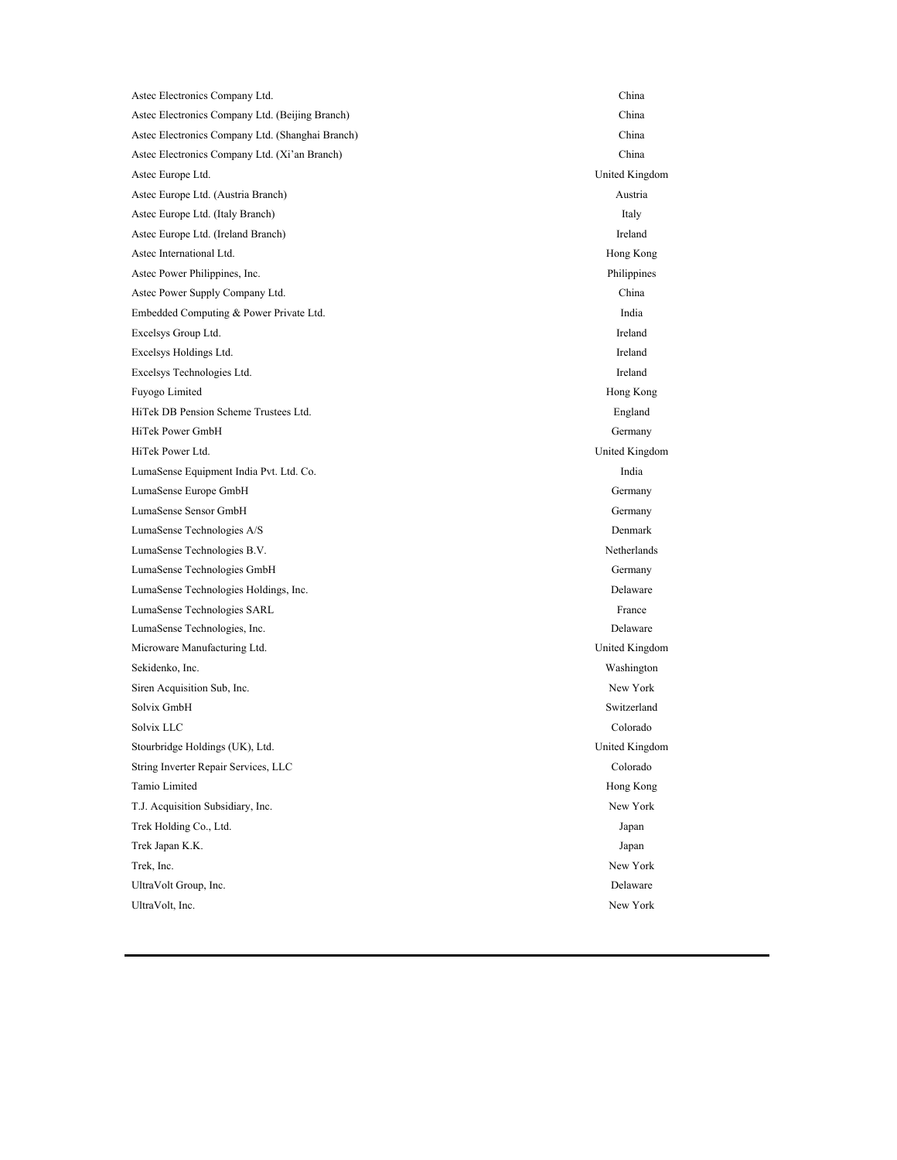Astec Electronics Company Ltd. China Astec Electronics Company Ltd. (Beijing Branch) China Astec Electronics Company Ltd. (Shanghai Branch) China Astec Electronics Company Ltd. (Xi'an Branch) China Astec Europe Ltd. The United Kingdom Christian Christian Christian Christian Christian Christian Christian Christian Christian Christian Christian Christian Christian Christian Christian Christian Christian Christian Chris Astec Europe Ltd. (Austria Branch) **Austria**  $\mathbf{A}$ ustria  $\mathbf{A}$ ustria  $\mathbf{A}$ ustria  $\mathbf{A}$ ustria  $\mathbf{A}$ ustria  $\mathbf{A}$ ustria  $\mathbf{A}$ ustria  $\mathbf{A}$ ustria  $\mathbf{A}$ ustria  $\mathbf{A}$ ustria  $\mathbf{A}$ ustria  $\mathbf{A}$ ustr Astec Europe Ltd. (Italy Branch) Italy Astec Europe Ltd. (Ireland Branch) Ireland Astec International Ltd. Hong Kong Astec Power Philippines, Inc. Philippines Astec Power Supply Company Ltd. China and the control of the china china china china china china china china china china china china china china china china china china china china china china china china china china china Embedded Computing & Power Private Ltd. India Excelsys Group Ltd. Ireland Excelsys Holdings Ltd. Ireland Excelsys Technologies Ltd. Ireland Fuyogo Limited Hong Kong HiTek DB Pension Scheme Trustees Ltd. England HiTek Power GmbH Germany HiTek Power Ltd. United Kingdom LumaSense Equipment India Pvt. Ltd. Co. India LumaSense Europe GmbH Germany LumaSense Sensor GmbH Germany LumaSense Technologies A/S Denmark LumaSense Technologies B.V. Netherlands LumaSense Technologies GmbH Germany LumaSense Technologies Holdings, Inc. Delaware LumaSense Technologies SARL France LumaSense Technologies, Inc. Delaware Microware Manufacturing Ltd. United Kingdom Sekidenko, Inc. Washington Siren Acquisition Sub, Inc. New York Solvix GmbH Switzerland Solvix LLC Colorado Stourbridge Holdings (UK), Ltd. United Kingdom String Inverter Repair Services, LLC Colorado Tamio Limited Hong Kong T.J. Acquisition Subsidiary, Inc. New York Trek Holding Co., Ltd. Japan Trek Japan K.K. Japan Trek, Inc. New York and the United States of the New York New York and the New York New York and the New York UltraVolt Group, Inc. Delaware UltraVolt, Inc. New York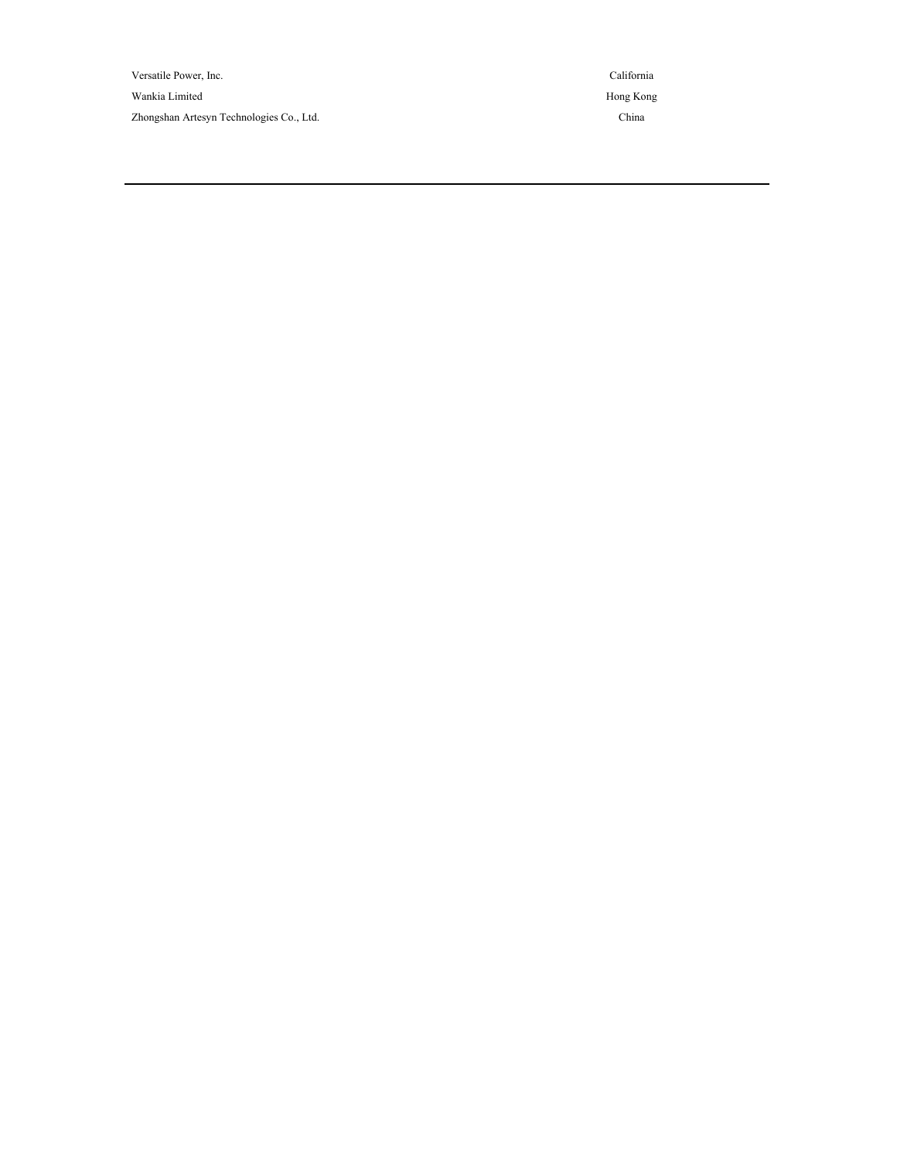Versatile Power, Inc. California Wankia Limited Hong Kong Zhongshan Artesyn Technologies Co., Ltd. China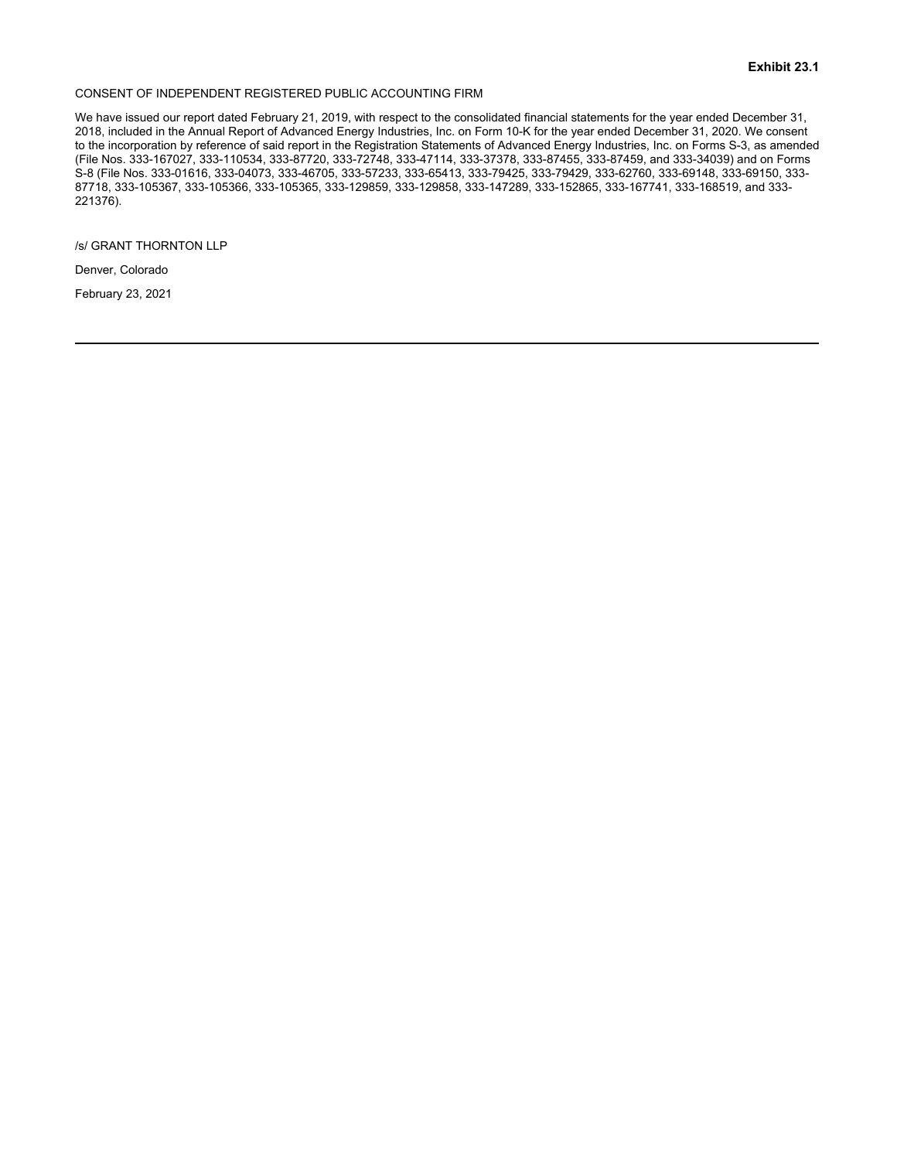#### <span id="page-103-0"></span>CONSENT OF INDEPENDENT REGISTERED PUBLIC ACCOUNTING FIRM

We have issued our report dated February 21, 2019, with respect to the consolidated financial statements for the year ended December 31, 2018, included in the Annual Report of Advanced Energy Industries, Inc. on Form 10-K for the year ended December 31, 2020. We consent to the incorporation by reference of said report in the Registration Statements of Advanced Energy Industries, Inc. on Forms S-3, as amended (File Nos. 333-167027, 333-110534, 333-87720, 333-72748, 333-47114, 333-37378, 333-87455, 333-87459, and 333-34039) and on Forms S-8 (File Nos. 333-01616, 333-04073, 333-46705, 333-57233, 333-65413, 333-79425, 333-79429, 333-62760, 333-69148, 333-69150, 333- 87718, 333-105367, 333-105366, 333-105365, 333-129859, 333-129858, 333-147289, 333-152865, 333-167741, 333-168519, and 333- 221376).

/s/ GRANT THORNTON LLP

Denver, Colorado

February 23, 2021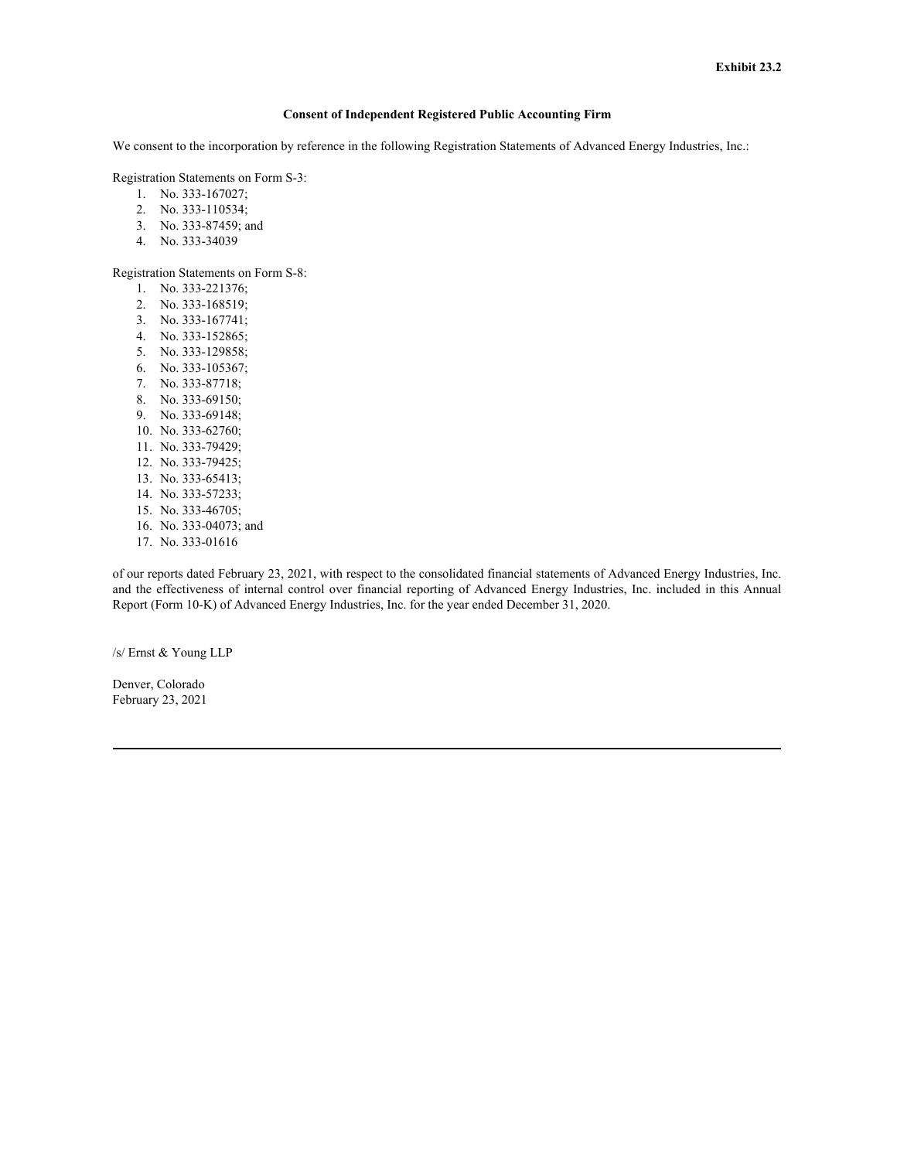#### **Consent of Independent Registered Public Accounting Firm**

We consent to the incorporation by reference in the following Registration Statements of Advanced Energy Industries, Inc.:

Registration Statements on Form S-3:

- 1. No. 333-167027;
- 2. No. 333-110534;
- 3. No. 333-87459; and
- 4. No. 333-34039

Registration Statements on Form S-8:

- 1. No. 333-221376; 2. No. 333-168519;
- 3. No. 333-167741;
- 4. No. 333-152865;
- 5. No. 333-129858;
- 6. No. 333-105367;
- 7. No. 333-87718; 8. No. 333-69150;
- 9. No. 333-69148; 10. No. 333-62760;
- 11. No. 333-79429;
- 12. No. 333-79425;
- 13. No. 333-65413;
- 14. No. 333-57233;
- 15. No. 333-46705;
- 16. No. 333-04073; and
- 17. No. 333-01616

<span id="page-104-0"></span>of our reports dated February 23, 2021, with respect to the consolidated financial statements of Advanced Energy Industries, Inc. Connective of internal control over financial registered Public Accounting Firm<br>
Registration Statements on Farm S-3:<br>
1. No. 335-167027:<br>
1. No. 335-167027:<br>
2. No. 335-36793, and<br>
Equivarian Statements on Farm S-8:<br>
1. Report (Form 10-K) of Advanced Energy Industries, Inc. for the year ended December 31, 2020.

/s/ Ernst & Young LLP

Denver, Colorado February 23, 2021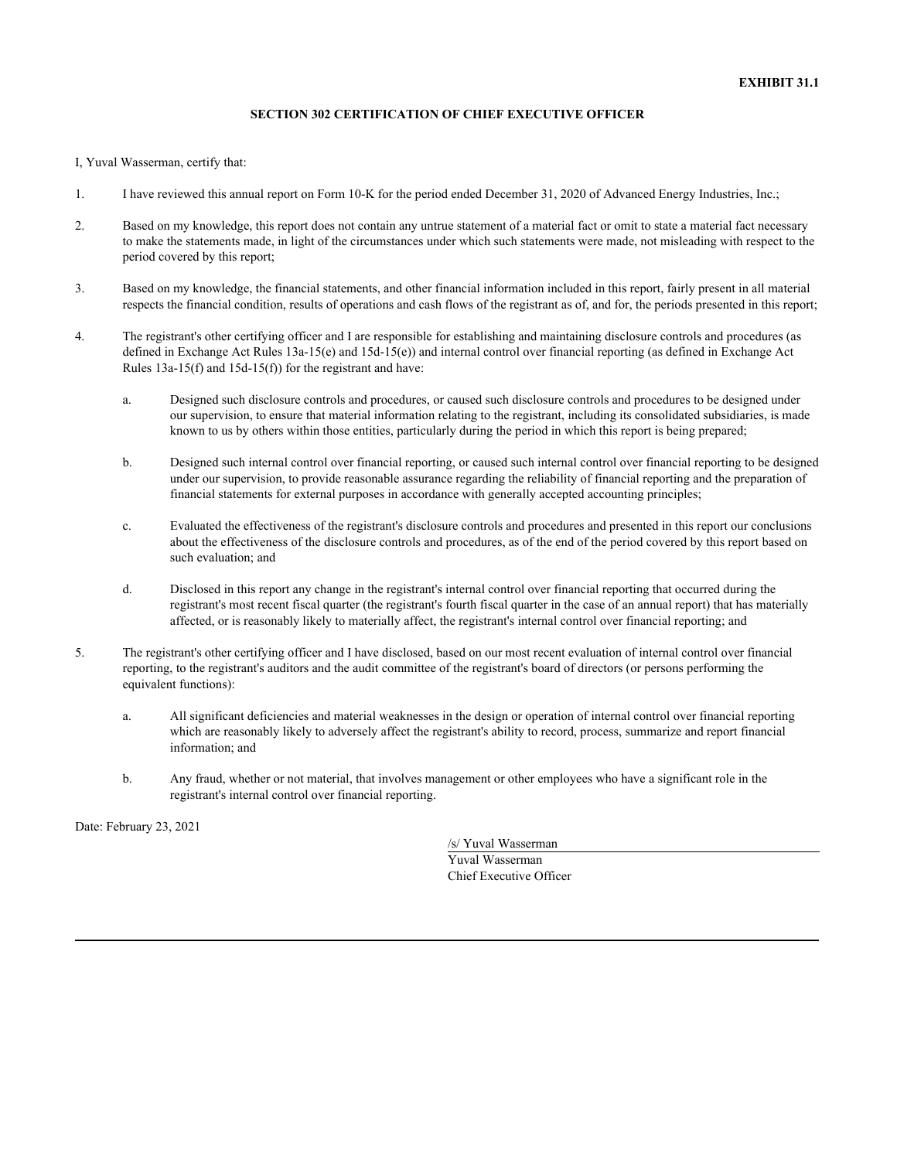# **SECTION 302 CERTIFICATION OF CHIEF EXECUTIVE OFFICER**

<span id="page-105-0"></span>I, Yuval Wasserman, certify that:

- 1. I have reviewed this annual report on Form 10-K for the period ended December 31, 2020 of Advanced Energy Industries, Inc.;
- 2. Based on my knowledge, this report does not contain any untrue statement of a material fact or omit to state a material fact necessary to make the statements made, in light of the circumstances under which such statements were made, not misleading with respect to the period covered by this report;
- 3. Based on my knowledge, the financial statements, and other financial information included in this report, fairly present in all material respects the financial condition, results of operations and cash flows of the registrant as of, and for, the periods presented in this report;
- 4. The registrant's other certifying officer and I are responsible for establishing and maintaining disclosure controls and procedures (as defined in Exchange Act Rules 13a-15(e) and 15d-15(e)) and internal control over financial reporting (as defined in Exchange Act Rules 13a-15(f) and 15d-15(f)) for the registrant and have:
	- a. Designed such disclosure controls and procedures, or caused such disclosure controls and procedures to be designed under our supervision, to ensure that material information relating to the registrant, including its consolidated subsidiaries, is made known to us by others within those entities, particularly during the period in which this report is being prepared;
	- b. Designed such internal control over financial reporting, or caused such internal control over financial reporting to be designed under our supervision, to provide reasonable assurance regarding the reliability of financial reporting and the preparation of financial statements for external purposes in accordance with generally accepted accounting principles;
	- c. Evaluated the effectiveness of the registrant's disclosure controls and procedures and presented in this report our conclusions about the effectiveness of the disclosure controls and procedures, as of the end of the period covered by this report based on such evaluation; and
	- d. Disclosed in this report any change in the registrant's internal control over financial reporting that occurred during the registrant's most recent fiscal quarter (the registrant's fourth fiscal quarter in the case of an annual report) that has materially affected, or is reasonably likely to materially affect, the registrant's internal control over financial reporting; and
- 5. The registrant's other certifying officer and I have disclosed, based on our most recent evaluation of internal control over financial reporting, to the registrant's auditors and the audit committee of the registrant's board of directors (or persons performing the equivalent functions):
	- a. All significant deficiencies and material weaknesses in the design or operation of internal control over financial reporting which are reasonably likely to adversely affect the registrant's ability to record, process, summarize and report financial information; and
	- b. Any fraud, whether or not material, that involves management or other employees who have a significant role in the registrant's internal control over financial reporting.

Date: February 23, 2021

/s/ Yuval Wasserman Yuval Wasserman Chief Executive Officer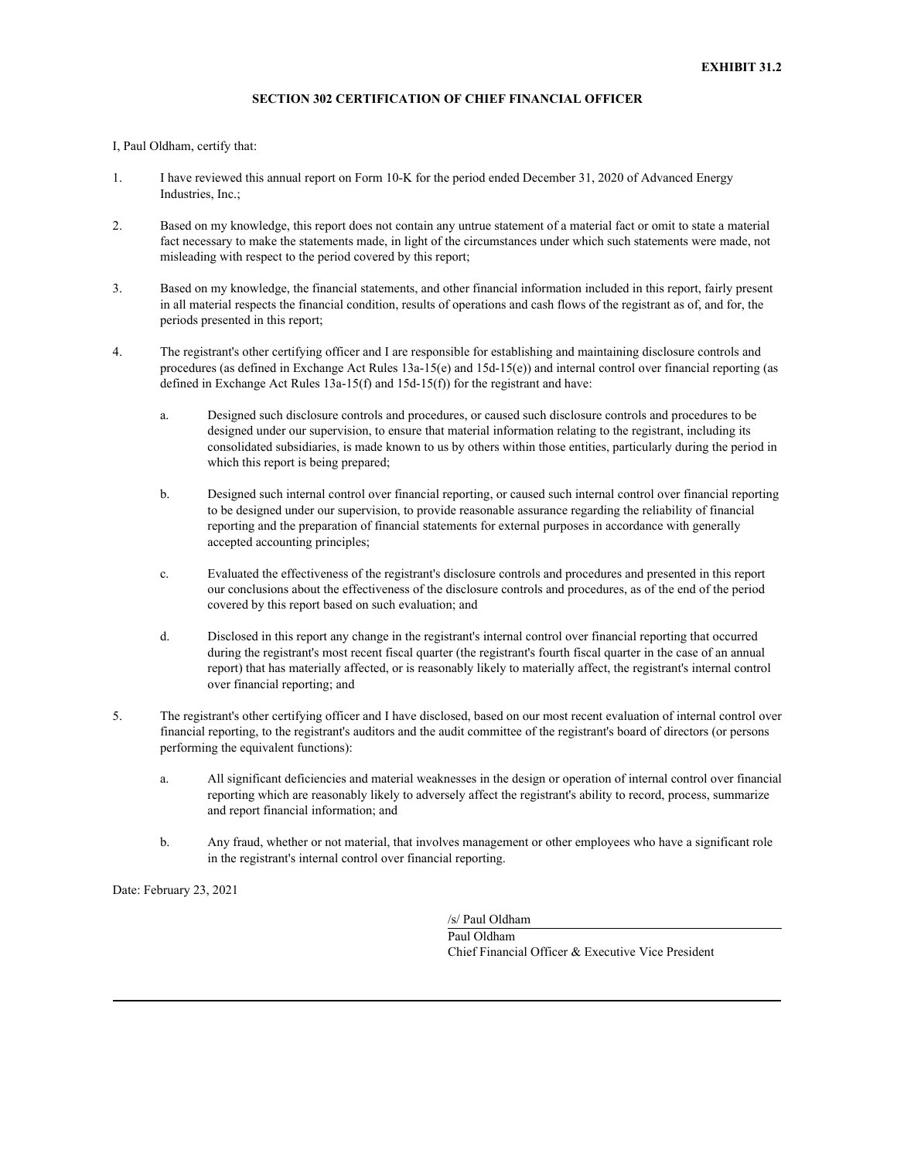## **SECTION 302 CERTIFICATION OF CHIEF FINANCIAL OFFICER**

#### <span id="page-106-0"></span>I, Paul Oldham, certify that:

- 1. I have reviewed this annual report on Form 10-K for the period ended December 31, 2020 of Advanced Energy Industries, Inc.;
- 2. Based on my knowledge, this report does not contain any untrue statement of a material fact or omit to state a material fact necessary to make the statements made, in light of the circumstances under which such statements were made, not misleading with respect to the period covered by this report;
- 3. Based on my knowledge, the financial statements, and other financial information included in this report, fairly present in all material respects the financial condition, results of operations and cash flows of the registrant as of, and for, the periods presented in this report;
- 4. The registrant's other certifying officer and I are responsible for establishing and maintaining disclosure controls and procedures (as defined in Exchange Act Rules 13a-15(e) and 15d-15(e)) and internal control over financial reporting (as defined in Exchange Act Rules 13a-15(f) and 15d-15(f)) for the registrant and have:
	- a. Designed such disclosure controls and procedures, or caused such disclosure controls and procedures to be designed under our supervision, to ensure that material information relating to the registrant, including its consolidated subsidiaries, is made known to us by others within those entities, particularly during the period in which this report is being prepared;
	- b. Designed such internal control over financial reporting, or caused such internal control over financial reporting to be designed under our supervision, to provide reasonable assurance regarding the reliability of financial reporting and the preparation of financial statements for external purposes in accordance with generally accepted accounting principles;
	- c. Evaluated the effectiveness of the registrant's disclosure controls and procedures and presented in this report our conclusions about the effectiveness of the disclosure controls and procedures, as of the end of the period covered by this report based on such evaluation; and
	- d. Disclosed in this report any change in the registrant's internal control over financial reporting that occurred during the registrant's most recent fiscal quarter (the registrant's fourth fiscal quarter in the case of an annual report) that has materially affected, or is reasonably likely to materially affect, the registrant's internal control over financial reporting; and
- 5. The registrant's other certifying officer and I have disclosed, based on our most recent evaluation of internal control over financial reporting, to the registrant's auditors and the audit committee of the registrant's board of directors (or persons performing the equivalent functions):
	- a. All significant deficiencies and material weaknesses in the design or operation of internal control over financial reporting which are reasonably likely to adversely affect the registrant's ability to record, process, summarize and report financial information; and
	- b. Any fraud, whether or not material, that involves management or other employees who have a significant role in the registrant's internal control over financial reporting.

Date: February 23, 2021

/s/ Paul Oldham Paul Oldham Chief Financial Officer & Executive Vice President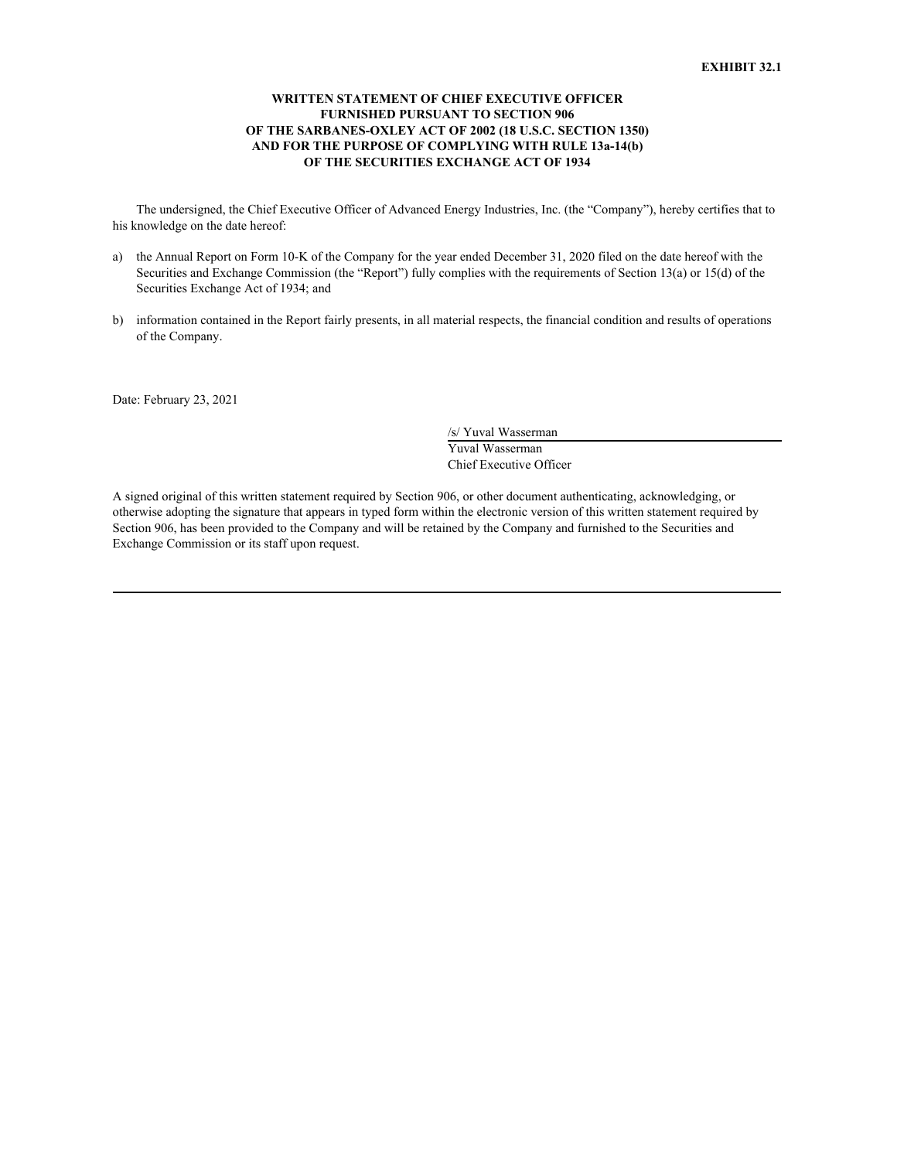## **WRITTEN STATEMENT OF CHIEF EXECUTIVE OFFICER FURNISHED PURSUANT TO SECTION 906 OF THE SARBANES-OXLEY ACT OF 2002 (18 U.S.C. SECTION 1350) AND FOR THE PURPOSE OF COMPLYING WITH RULE 13a-14(b) OF THE SECURITIES EXCHANGE ACT OF 1934**

The undersigned, the Chief Executive Officer of Advanced Energy Industries, Inc. (the "Company"), hereby certifies that to his knowledge on the date hereof:

- a) the Annual Report on Form 10-K of the Company for the year ended December 31, 2020 filed on the date hereof with the Securities and Exchange Commission (the "Report") fully complies with the requirements of Section 13(a) or 15(d) of the Securities Exchange Act of 1934; and
- b) information contained in the Report fairly presents, in all material respects, the financial condition and results of operations of the Company.

Date: February 23, 2021

/s/ Yuval Wasserman

Yuval Wasserman Chief Executive Officer

A signed original of this written statement required by Section 906, or other document authenticating, acknowledging, or otherwise adopting the signature that appears in typed form within the electronic version of this written statement required by Section 906, has been provided to the Company and will be retained by the Company and furnished to the Securities and Exchange Commission or its staff upon request.